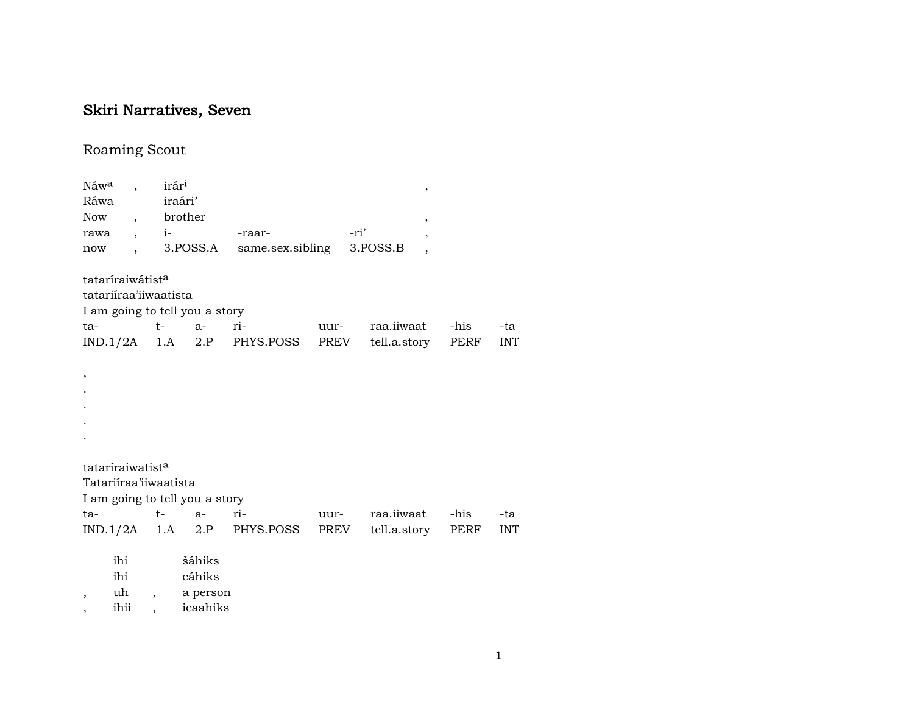## Skiri Narratives, Seven

## Roaming Scout

| Náw <sup>a</sup>             | $\ddot{\phantom{0}}$ | irár <sup>i</sup> |                                |                              |      |                        | $\, ,$                   |            |
|------------------------------|----------------------|-------------------|--------------------------------|------------------------------|------|------------------------|--------------------------|------------|
| Ráwa                         |                      |                   | iraári'                        |                              |      |                        |                          |            |
| Now, brother                 |                      |                   |                                |                              |      |                        | $\overline{\phantom{a}}$ |            |
|                              |                      |                   | rawa , i-                      | -raar-                       |      | -ri'                   | $\overline{\phantom{a}}$ |            |
| now                          |                      |                   |                                | , 3.POSS.A same.sex.sibling  |      | 3.POSS.B               |                          |            |
| tataríraiwátist <sup>a</sup> |                      |                   |                                |                              |      |                        |                          |            |
| tatariíraa'iiwaatista        |                      |                   |                                |                              |      |                        |                          |            |
|                              |                      |                   | I am going to tell you a story |                              |      |                        |                          |            |
| ta-                          |                      | $t \sim$          | $a-$                           | ri-                          | uur- | raa.iiwaat             | -his                     | -ta        |
|                              |                      |                   |                                | $IND.1/2A$ 1.A 2.P PHYS.POSS |      | PREV tell.a.story PERF |                          | <b>INT</b> |
|                              |                      |                   |                                |                              |      |                        |                          |            |
| ,                            |                      |                   |                                |                              |      |                        |                          |            |
|                              |                      |                   |                                |                              |      |                        |                          |            |
|                              |                      |                   |                                |                              |      |                        |                          |            |
|                              |                      |                   |                                |                              |      |                        |                          |            |
|                              |                      |                   |                                |                              |      |                        |                          |            |
|                              |                      |                   |                                |                              |      |                        |                          |            |
| tataríraiwatist <sup>a</sup> |                      |                   |                                |                              |      |                        |                          |            |
| Tatariíraa'iiwaatista        |                      |                   |                                |                              |      |                        |                          |            |
|                              |                      |                   | I am going to tell you a story |                              |      |                        |                          |            |
|                              |                      |                   | ta- t- a-                      | ri-                          | uur- | raa.iiwaat             | -his                     | -ta        |
|                              |                      |                   |                                | $IND.1/2A$ 1.A 2.P PHYS.POSS |      | PREV tell.a.story PERF |                          | <b>INT</b> |
|                              | ihi                  |                   | šáhiks                         |                              |      |                        |                          |            |
|                              | ihi                  |                   | cáhiks                         |                              |      |                        |                          |            |
| ,                            | uh                   |                   | a person                       |                              |      |                        |                          |            |

, ihii , icaahiks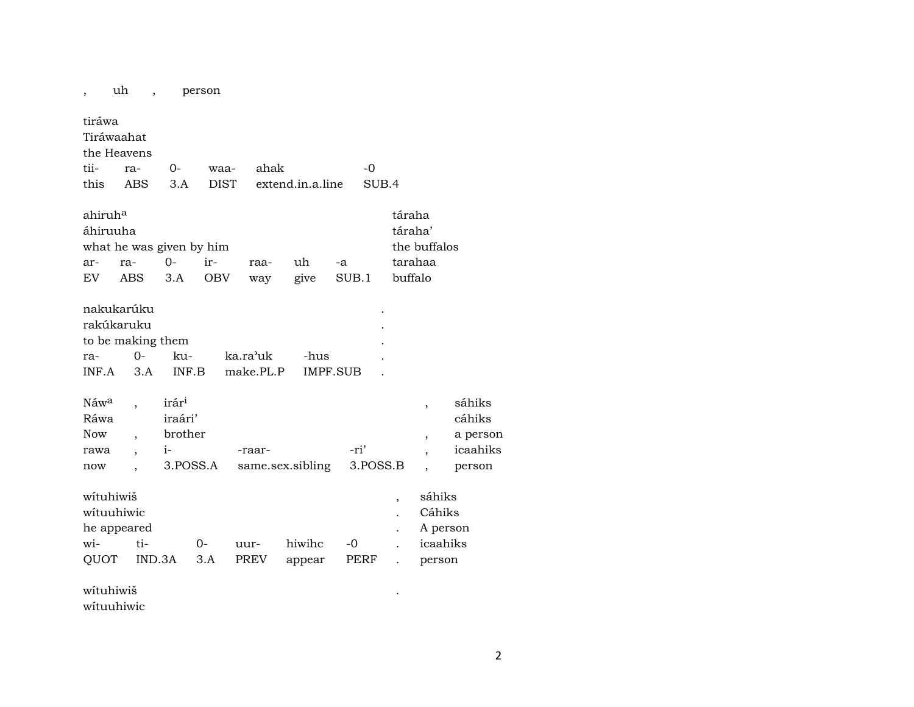| $\overline{\phantom{a}}$                              | uh<br>$\overline{\phantom{a}}$                                |                                                             | person            |                       |                  |               |                          |                                                                                                |                                                    |
|-------------------------------------------------------|---------------------------------------------------------------|-------------------------------------------------------------|-------------------|-----------------------|------------------|---------------|--------------------------|------------------------------------------------------------------------------------------------|----------------------------------------------------|
| tiráwa                                                | Tiráwaahat<br>the Heavens                                     |                                                             |                   |                       |                  |               |                          |                                                                                                |                                                    |
| tii-                                                  | ra-                                                           | 0-                                                          | waa-              | ahak                  |                  | $-0$          |                          |                                                                                                |                                                    |
| this                                                  | ABS                                                           | 3.A                                                         | <b>DIST</b>       |                       | extend.in.a.line |               | SUB.4                    |                                                                                                |                                                    |
| ahiruh <sup>a</sup><br>áhiruuha<br>ar-<br>EV.         | what he was given by him<br>ra-<br>ABS                        | $O -$<br>3.A                                                | ir-<br><b>OBV</b> | raa-<br>way           | uh<br>give       | $-a$<br>SUB.1 |                          | táraha<br>táraha'<br>the buffalos<br>tarahaa<br>buffalo                                        |                                                    |
| ra-<br>INF.A                                          | nakukarúku<br>rakúkaruku<br>to be making them<br>$O -$<br>3.A | ku-<br>INF.B                                                |                   | ka.ra'uk<br>make.PL.P | -hus             | IMPF.SUB      |                          |                                                                                                |                                                    |
| Náw <sup>a</sup><br>Ráwa<br><b>Now</b><br>rawa<br>now | $\ddot{\phantom{0}}$                                          | irár <sup>i</sup><br>iraári'<br>brother<br>$i-$<br>3.POSS.A |                   | -raar-                | same.sex.sibling | -ri'          | 3.POSS.B                 | $\overline{ }$<br>$\overline{\phantom{a}}$<br>$\overline{\phantom{a}}$<br>$\ddot{\phantom{0}}$ | sáhiks<br>cáhiks<br>a person<br>icaahiks<br>person |
| wituhiwiš<br>wituuhiwic<br>wi-<br>QUOT                | he appeared<br>ti-                                            | IND.3A                                                      | 0-<br>3.A         | uur-<br>PREV          | hiwihc<br>appear | -0<br>PERF    | $\overline{\phantom{a}}$ | sáhiks<br>Cáhiks<br>A person<br>icaahiks<br>person                                             |                                                    |
| wituhiwiš                                             |                                                               |                                                             |                   |                       |                  |               |                          |                                                                                                |                                                    |

wítuuhiwic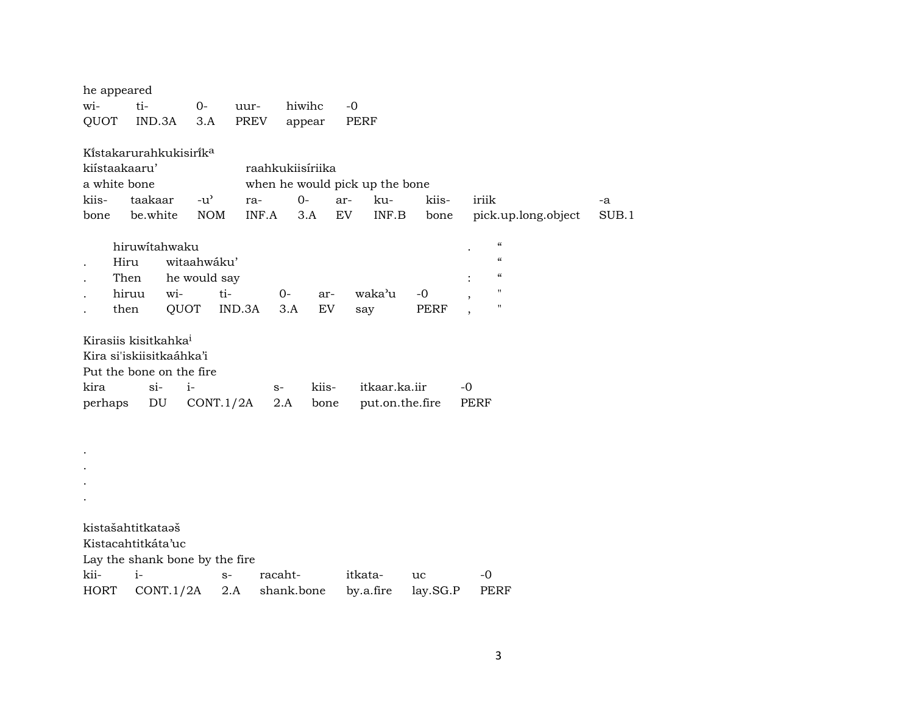| he appeared   |                                    |               |         |                  |                                 |             |                                        |       |
|---------------|------------------------------------|---------------|---------|------------------|---------------------------------|-------------|----------------------------------------|-------|
| wi-           | ti-                                | $0-$          | uur-    | hiwihc           | $-0$                            |             |                                        |       |
| QUOT          | IND.3A                             | 3.A           | PREV    | appear           | <b>PERF</b>                     |             |                                        |       |
|               | Kistakarurahkukisirik <sup>a</sup> |               |         |                  |                                 |             |                                        |       |
| kiístaakaaru' |                                    |               |         | raahkukiisíriika |                                 |             |                                        |       |
| a white bone  |                                    |               |         |                  | when he would pick up the bone  |             |                                        |       |
| kiis-         | taakaar                            | $-u^{\prime}$ | ra-     | $0-$             | ar-<br>ku-                      | kiis-       | iriik                                  | -a    |
| bone          | be.white                           | <b>NOM</b>    | INF.A   | 3.A              | $\textsf{INF}.\textsf{B}$<br>EV | bone        | pick.up.long.object                    | SUB.1 |
|               | hiruwitahwaku                      |               |         |                  |                                 |             | $\boldsymbol{\zeta}\boldsymbol{\zeta}$ |       |
| Hiru          |                                    | witaahwáku'   |         |                  |                                 |             | $\boldsymbol{\zeta}\boldsymbol{\zeta}$ |       |
| Then          |                                    | he would say  |         |                  |                                 |             | $\pmb{\zeta}\pmb{\zeta}$               |       |
| hiruu         | wi-                                | ti-           | $0-$    | ar-              | waka'u                          | $-0$        | $\pmb{\mathsf{H}}$                     |       |
| then          | QUOT                               |               | IND.3A  | 3.A<br>EV        | say                             | <b>PERF</b> | $\pmb{\mathsf{H}}$                     |       |
|               |                                    |               |         |                  |                                 |             |                                        |       |
|               | Kirasiis kisitkahka <sup>i</sup>   |               |         |                  |                                 |             |                                        |       |
|               | Kira si'iskiisitkaáhka'i           |               |         |                  |                                 |             |                                        |       |
|               | Put the bone on the fire           |               |         |                  |                                 |             |                                        |       |
| kira          | $si-$                              | $i-$          | $S-$    | kiis-            | itkaar.ka.iir                   |             | $-0$                                   |       |
| perhaps       | DU                                 | CONT.1/2A     | 2.A     | bone             | put.on.the.fire                 |             | <b>PERF</b>                            |       |
|               |                                    |               |         |                  |                                 |             |                                        |       |
|               |                                    |               |         |                  |                                 |             |                                        |       |
|               |                                    |               |         |                  |                                 |             |                                        |       |
|               |                                    |               |         |                  |                                 |             |                                        |       |
|               |                                    |               |         |                  |                                 |             |                                        |       |
|               |                                    |               |         |                  |                                 |             |                                        |       |
|               | kistašahtitkataaš                  |               |         |                  |                                 |             |                                        |       |
|               | Kistacahtitkáta'uc                 |               |         |                  |                                 |             |                                        |       |
|               | Lay the shank bone by the fire     |               |         |                  |                                 |             |                                        |       |
| kii-          | $i-$                               | $S-$          | racaht- |                  | itkata-                         | uc          | $-0$                                   |       |
| <b>HORT</b>   | CONT.1/2A                          | 2.A           |         | shank.bone       | by.a.fire                       | lay.SG.P    | <b>PERF</b>                            |       |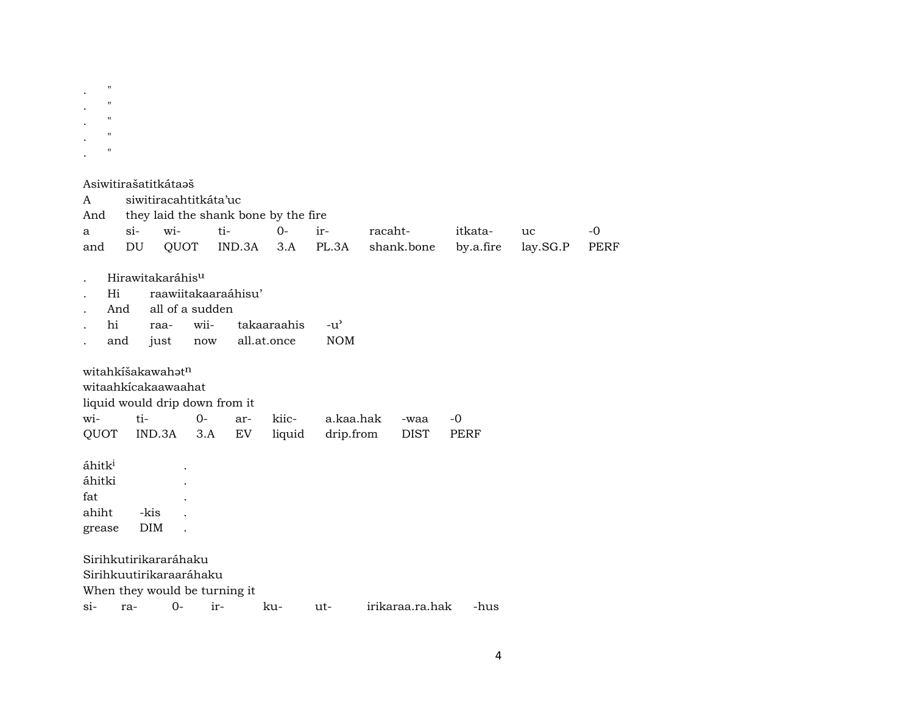| $\bullet$ | $^{\prime\prime}$ |  |  |
|-----------|-------------------|--|--|
| ٠         | $^{\prime\prime}$ |  |  |
| ٠         | $^{\prime\prime}$ |  |  |
| ٠         | $^{\prime\prime}$ |  |  |
|           | $^{\prime\prime}$ |  |  |
| ٠         |                   |  |  |

|                    |        | Asiwitirašatitkátaeš         |                                |                     |                                      |               |         |                 |           |          |             |
|--------------------|--------|------------------------------|--------------------------------|---------------------|--------------------------------------|---------------|---------|-----------------|-----------|----------|-------------|
| A                  |        |                              | siwitiracahtitkáta'uc          |                     |                                      |               |         |                 |           |          |             |
| And                |        |                              |                                |                     | they laid the shank bone by the fire |               |         |                 |           |          |             |
| a                  | $\sin$ | wi-                          |                                | ti-                 | $0-$                                 | ir-           | racaht- |                 | itkata-   | uc       | $-0$        |
| and                | DU     | QUOT                         |                                | IND.3A              | 3.A                                  | PL.3A         |         | shank.bone      | by.a.fire | lay.SG.P | <b>PERF</b> |
|                    |        |                              |                                |                     |                                      |               |         |                 |           |          |             |
|                    |        | Hirawitakaráhis <sup>u</sup> |                                |                     |                                      |               |         |                 |           |          |             |
| Hi                 |        |                              |                                | raawiitakaaraáhisu' |                                      |               |         |                 |           |          |             |
|                    | And    |                              | all of a sudden                |                     |                                      |               |         |                 |           |          |             |
| hi                 |        | raa-                         | wii-                           |                     | takaaraahis                          | $-u^{\prime}$ |         |                 |           |          |             |
|                    | and    | just                         | now                            |                     | all.at.once                          | <b>NOM</b>    |         |                 |           |          |             |
|                    |        |                              |                                |                     |                                      |               |         |                 |           |          |             |
|                    |        | witahkišakawahatn            |                                |                     |                                      |               |         |                 |           |          |             |
|                    |        | witaahkicakaawaahat          |                                |                     |                                      |               |         |                 |           |          |             |
|                    |        |                              | liquid would drip down from it |                     |                                      |               |         |                 |           |          |             |
| wi-                | ti-    |                              | $0-$                           | ar-                 | kiic-                                | a.kaa.hak     |         | -waa            | -0        |          |             |
| QUOT               |        | IND.3A                       | 3.A                            | EV                  | liquid                               | drip.from     |         | <b>DIST</b>     | PERF      |          |             |
|                    |        |                              |                                |                     |                                      |               |         |                 |           |          |             |
| áhitk <sup>i</sup> |        |                              |                                |                     |                                      |               |         |                 |           |          |             |
| áhitki             |        |                              |                                |                     |                                      |               |         |                 |           |          |             |
| fat                |        |                              |                                |                     |                                      |               |         |                 |           |          |             |
| ahiht              |        | -kis                         |                                |                     |                                      |               |         |                 |           |          |             |
| grease             |        | DIM                          |                                |                     |                                      |               |         |                 |           |          |             |
|                    |        |                              |                                |                     |                                      |               |         |                 |           |          |             |
|                    |        | Sirihkutirikararáhaku        |                                |                     |                                      |               |         |                 |           |          |             |
|                    |        |                              | Sirihkuutirikaraaráhaku        |                     |                                      |               |         |                 |           |          |             |
|                    |        |                              | When they would be turning it  |                     |                                      |               |         |                 |           |          |             |
| si-                | ra-    | $0-$                         | ir-                            |                     | ku-                                  | ut-           |         | irikaraa.ra.hak | -hus      |          |             |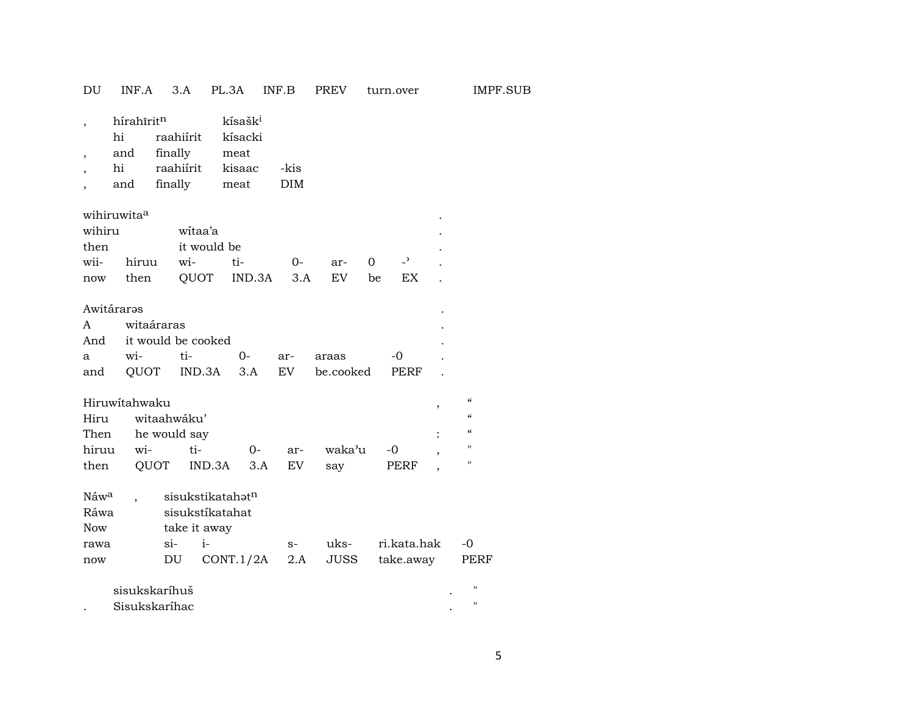| DU                                                        | INF.A                                            |                                              | 3.A                                                 | PL.3A INF.B                                              |                    | PREV      | turn.over           |   | IMPF.SUB                               |  |
|-----------------------------------------------------------|--------------------------------------------------|----------------------------------------------|-----------------------------------------------------|----------------------------------------------------------|--------------------|-----------|---------------------|---|----------------------------------------|--|
| $\overline{\phantom{a}}$<br>$\overline{\phantom{a}}$<br>, | hírahīrit <sup>n</sup><br>hi<br>and<br>hi<br>and | raahiírit<br>finally<br>raahiírit<br>finally |                                                     | kísašk <sup>i</sup><br>kísacki<br>meat<br>kisaac<br>meat | -kis<br><b>DIM</b> |           |                     |   |                                        |  |
|                                                           | wihiruwita <sup>a</sup>                          |                                              |                                                     |                                                          |                    |           |                     |   |                                        |  |
| wihiru<br>then                                            |                                                  |                                              | witaa'a<br>it would be                              |                                                          |                    |           |                     |   |                                        |  |
| wii-                                                      | hiruu                                            | wi-                                          |                                                     | ti-                                                      | 0-                 | ar-       | $\overline{a}$<br>0 |   |                                        |  |
|                                                           | now then                                         |                                              |                                                     | QUOT IND.3A                                              | 3.A                | EV        | EX<br>be            |   |                                        |  |
|                                                           | Awitáraras                                       |                                              |                                                     |                                                          |                    |           |                     |   |                                        |  |
| A                                                         |                                                  | witaáraras                                   |                                                     |                                                          |                    |           |                     |   |                                        |  |
| And                                                       |                                                  |                                              | it would be cooked                                  |                                                          |                    |           |                     |   |                                        |  |
| a                                                         | wi-                                              | ti-                                          |                                                     | $0-$                                                     | ar-                | araas     | -0                  |   |                                        |  |
| and                                                       | QUOT                                             |                                              | IND.3A                                              | 3.A                                                      | EV                 | be.cooked | PERF                |   |                                        |  |
|                                                           | Hiruwitahwaku                                    |                                              |                                                     |                                                          |                    |           |                     | , | $\boldsymbol{\zeta}\boldsymbol{\zeta}$ |  |
| Hiru                                                      |                                                  | witaahwáku'                                  |                                                     |                                                          |                    |           |                     |   | $\mathcal{C}$                          |  |
| Then                                                      |                                                  | he would say                                 |                                                     |                                                          |                    |           |                     |   | $\mathcal{C}$                          |  |
| hiruu                                                     | wi-                                              |                                              | ti-                                                 | 0-                                                       | ar-                | waka'u    | -0                  |   | $\pmb{\mathsf{H}}$                     |  |
| then                                                      |                                                  | QUOT                                         | IND.3A                                              | 3.A                                                      | EV                 | say       | PERF                |   | $\pmb{\mathsf{H}}$                     |  |
| Náwa<br>Ráwa<br><b>Now</b>                                |                                                  |                                              | sisukstikatahatn<br>sisukstíkatahat<br>take it away |                                                          |                    |           |                     |   |                                        |  |
| rawa                                                      |                                                  | si-                                          | $i-$                                                |                                                          | $S-$               | uks-      | ri.kata.hak         |   | -0                                     |  |
| now                                                       |                                                  | DU                                           |                                                     | CONT.1/2A                                                | 2.A                | JUSS      | take.away           |   | PERF                                   |  |
|                                                           | sisukskaríhuš                                    |                                              |                                                     |                                                          |                    |           |                     |   | $\pmb{\mathsf{H}}$                     |  |

| Sisukskaríhac |  |
|---------------|--|
|               |  |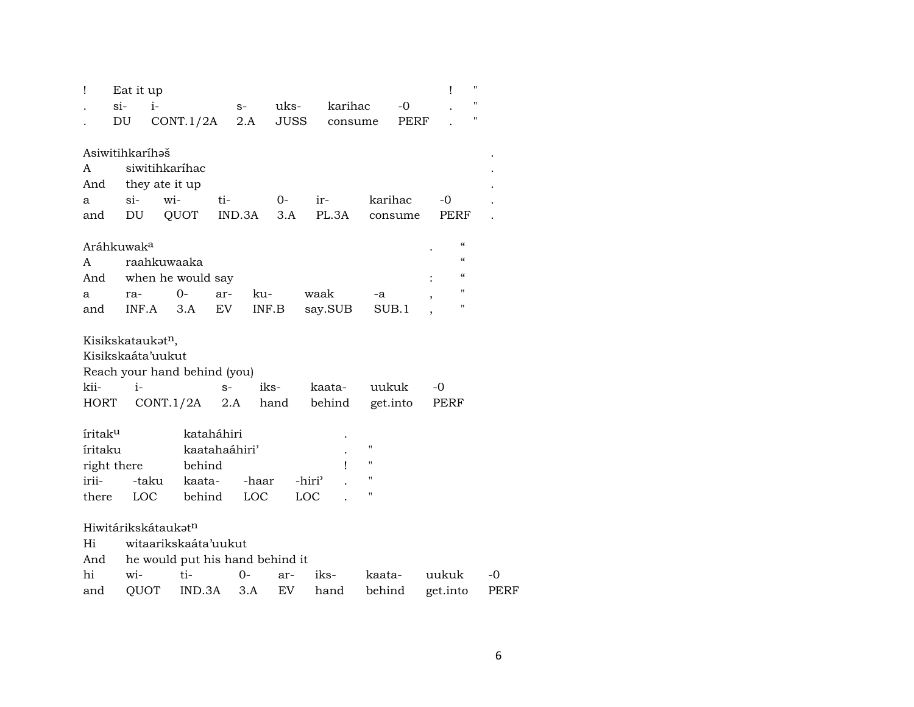| Ţ                   | Eat it up              |                |                                 |        |       |       |                    |                    |          | Ţ                  | н    |
|---------------------|------------------------|----------------|---------------------------------|--------|-------|-------|--------------------|--------------------|----------|--------------------|------|
|                     | si-                    | $i-$           |                                 |        | $S-$  | uks-  |                    | karihac            | $-0$     |                    | "    |
|                     | DU                     |                | CONT.1/2A                       |        | 2.A   | JUSS  |                    | consume            | PERF     |                    | н    |
|                     |                        |                |                                 |        |       |       |                    |                    |          |                    |      |
|                     | Asiwitihkaríhəš        |                |                                 |        |       |       |                    |                    |          |                    |      |
| A                   |                        | siwitihkaríhac |                                 |        |       |       |                    |                    |          |                    |      |
| And                 |                        | they ate it up |                                 |        |       |       |                    |                    |          |                    |      |
| a                   | $si-$                  | wi-            |                                 | ti-    |       | $O -$ | ir-                |                    | karihac  | -0                 |      |
| and                 | DU                     |                | QUOT                            | IND.3A |       | 3.A   | PL.3A              |                    | consume  | PERF               |      |
|                     | Aráhkuwak <sup>a</sup> |                |                                 |        |       |       |                    |                    |          | $\mathcal{C}$      |      |
| A                   |                        | raahkuwaaka    |                                 |        |       |       |                    |                    |          | $\mathcal{C}$      |      |
| And                 |                        |                | when he would say               |        |       |       |                    |                    |          | $\mathcal{C}$      |      |
| a                   | ra-                    |                | 0-                              | ar-    | ku-   |       | waak               | -a                 |          | 11                 |      |
| and                 | INF.A                  |                | 3.A                             | EV     | INF.B |       | say.SUB            |                    | SUB.1    | $\pmb{\mathsf{H}}$ |      |
|                     |                        |                |                                 |        |       |       |                    |                    |          |                    |      |
|                     | Kisikskataukatn,       |                |                                 |        |       |       |                    |                    |          |                    |      |
|                     | Kisikskaáta'uukut      |                |                                 |        |       |       |                    |                    |          |                    |      |
|                     |                        |                | Reach your hand behind (you)    |        |       |       |                    |                    |          |                    |      |
| kii-                | $i-$                   |                |                                 | $S-$   |       | iks-  | kaata-             |                    | uukuk    | -0                 |      |
| HORT                |                        | CONT.1/2A      |                                 | 2.A    |       | hand  | behind             |                    | get.into | PERF               |      |
|                     |                        |                |                                 |        |       |       |                    |                    |          |                    |      |
| íritak <sup>u</sup> |                        |                | kataháhiri                      |        |       |       |                    |                    |          |                    |      |
| íritaku             |                        |                | kaatahaáhiri'                   |        |       |       |                    | $\pmb{\mathsf{H}}$ |          |                    |      |
|                     | right there            |                | behind                          |        |       |       | $\mathbf{I}$       | $\pmb{\mathsf{H}}$ |          |                    |      |
| irii-               |                        | -taku          | kaata-                          |        | -haar |       | -hiri <sup>3</sup> | $\pmb{\mathsf{H}}$ |          |                    |      |
| there               |                        | LOC            | behind                          |        | LOC   |       | LOC                | 11                 |          |                    |      |
|                     | Hiwitárikskátaukatn    |                |                                 |        |       |       |                    |                    |          |                    |      |
| Hi                  |                        |                | witaarikskaáta'uukut            |        |       |       |                    |                    |          |                    |      |
| And                 |                        |                | he would put his hand behind it |        |       |       |                    |                    |          |                    |      |
| hi                  | wi-                    |                | ti-                             |        | $0 -$ | ar-   | iks-               |                    | kaata-   | uukuk              | $-0$ |
| and                 | QUOT                   |                | IND.3A                          |        | 3.A   | EV    | hand               |                    | behind   | get.into           | PERF |
|                     |                        |                |                                 |        |       |       |                    |                    |          |                    |      |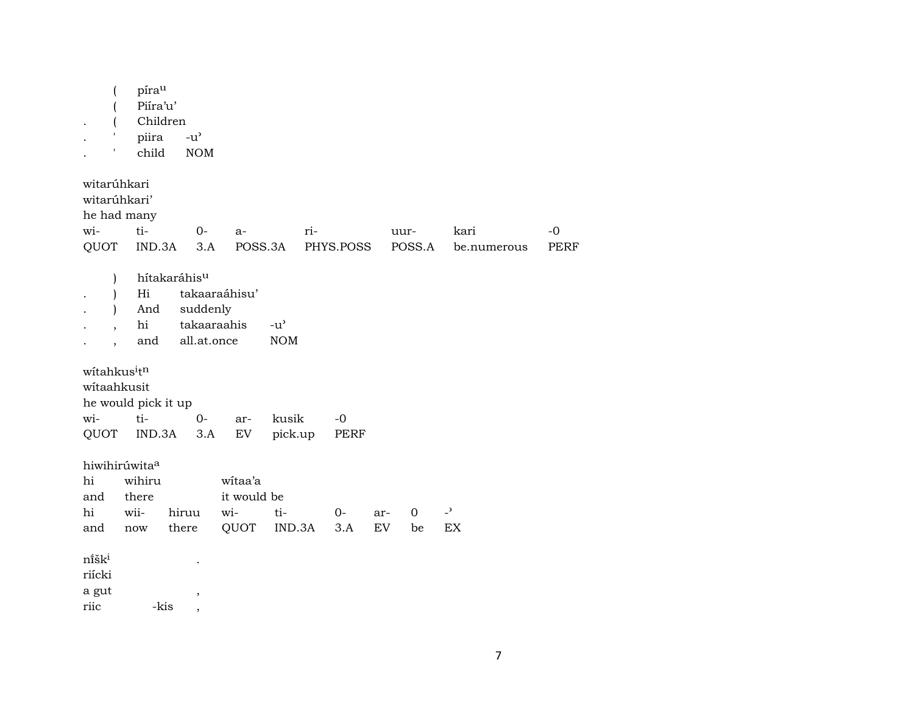|                           | pírau<br>Piíra'u'<br>Children<br>piira | $-u$ <sup><math>\prime</math></sup> |                            |               |     |             |     |      |          |                          |             |
|---------------------------|----------------------------------------|-------------------------------------|----------------------------|---------------|-----|-------------|-----|------|----------|--------------------------|-------------|
|                           | child                                  | <b>NOM</b>                          |                            |               |     |             |     |      |          |                          |             |
| witarúhkari               |                                        |                                     |                            |               |     |             |     |      |          |                          |             |
| witarúhkari'              |                                        |                                     |                            |               |     |             |     |      |          |                          |             |
| he had many<br>wi-        | ti-                                    | $0-$                                |                            |               |     |             |     |      |          |                          | $-0$        |
| QUOT                      | IND.3A                                 | 3.A                                 | a-<br>POSS.3A              |               | ri- | PHYS.POSS   |     | uur- | POSS.A   | kari<br>be.numerous      | <b>PERF</b> |
|                           |                                        |                                     |                            |               |     |             |     |      |          |                          |             |
| $\mathcal{L}$             |                                        | hítakaráhisu                        |                            |               |     |             |     |      |          |                          |             |
|                           | Hi                                     |                                     | takaaraáhisu'              |               |     |             |     |      |          |                          |             |
| $\mathbf{I}$              | And                                    | suddenly                            |                            |               |     |             |     |      |          |                          |             |
|                           | hi                                     | takaaraahis                         |                            | $-u^{\prime}$ |     |             |     |      |          |                          |             |
| $\overline{\phantom{a}}$  | and                                    | all.at.once                         |                            | <b>NOM</b>    |     |             |     |      |          |                          |             |
| witahkusitn               |                                        |                                     |                            |               |     |             |     |      |          |                          |             |
| witaahkusit               |                                        |                                     |                            |               |     |             |     |      |          |                          |             |
| he would pick it up       |                                        |                                     |                            |               |     |             |     |      |          |                          |             |
| wi-                       | ti-                                    | $0-$                                | ar-                        | kusik         |     | $-0$        |     |      |          |                          |             |
| QUOT                      | IND.3A                                 | 3.A                                 | $\mathop{\rm EV}\nolimits$ | pick.up       |     | <b>PERF</b> |     |      |          |                          |             |
| hiwihirúwita <sup>a</sup> |                                        |                                     |                            |               |     |             |     |      |          |                          |             |
| hi                        | wihiru                                 |                                     | witaa'a                    |               |     |             |     |      |          |                          |             |
| and                       | there                                  |                                     | it would be                |               |     |             |     |      |          |                          |             |
| hi                        | wii-                                   | hiruu                               | wi-                        | ti-           |     | $0-$        | ar- |      | $\Omega$ | $\overline{\phantom{a}}$ |             |
| and                       | now                                    | there                               | QUOT                       | IND.3A        |     | 3.A         | EV  |      | be       | EX                       |             |
|                           |                                        |                                     |                            |               |     |             |     |      |          |                          |             |
| nišk <sup>i</sup>         |                                        |                                     |                            |               |     |             |     |      |          |                          |             |
| riícki                    |                                        |                                     |                            |               |     |             |     |      |          |                          |             |
| a gut<br>riic             | -kis                                   | $\,$                                |                            |               |     |             |     |      |          |                          |             |
|                           |                                        | $\overline{\phantom{a}}$            |                            |               |     |             |     |      |          |                          |             |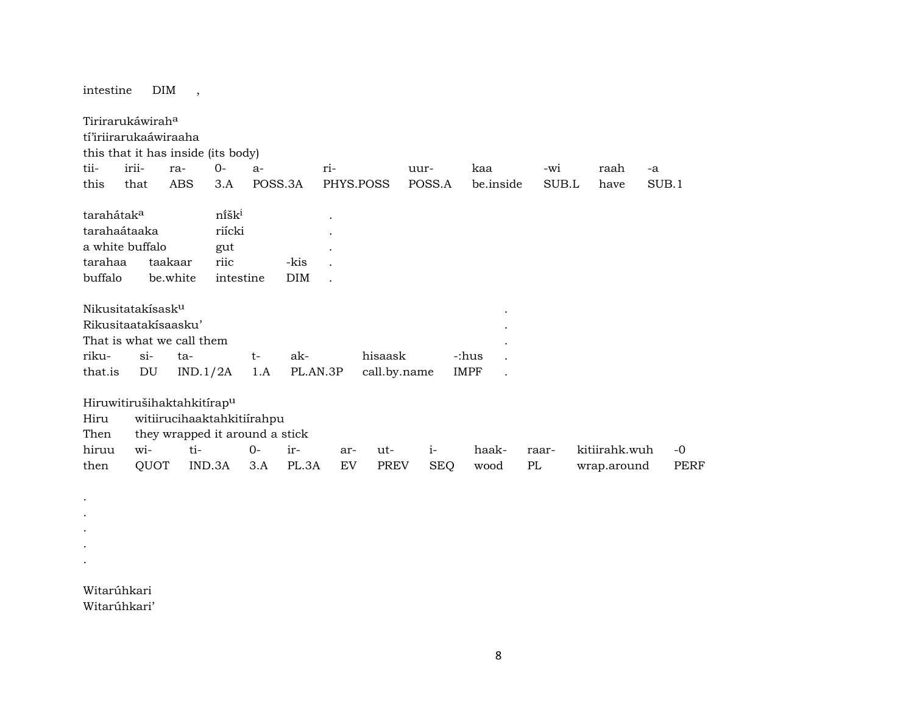intestine DIM , Tirirarukáwirah<sup>a</sup> tí'iriirarukaáwiraaha this that it has inside (its body) tii- irii- ra- 0- a- ri- uur- kaa -wi raah -a this that ABS 3.A POSS.3A PHYS.POSS POSS.A be.inside SUB.L have SUB.1 tarahátak<sup>a</sup> . níšk<sup>i</sup> tarahaátaaka riícki . a white buffalo gut . tarahaa taakaar riic -kis . buffalo be.white intestine DIM . Nikusitatakísaskµ . Rikusitaatakísaasku' . That is what we call them . riku- si- ta- t- ak- hisaask -:hus . that.is DU IND.1/2A 1.A PL.AN.3P call.by.name IMPF . Hiruwitirušihaktahkitírapµ Hiru witiirucihaaktahkitiírahpu Then they wrapped it around a stick hiruu wi- ti- 0- ir- ar- ut- i- haak- raar- kitiirahk.wuh -0 then QUOT IND.3A 3.A PL.3A EV PREV SEQ wood PL wrap.around PERF

Witarúhkari Witarúhkari'

. . . . .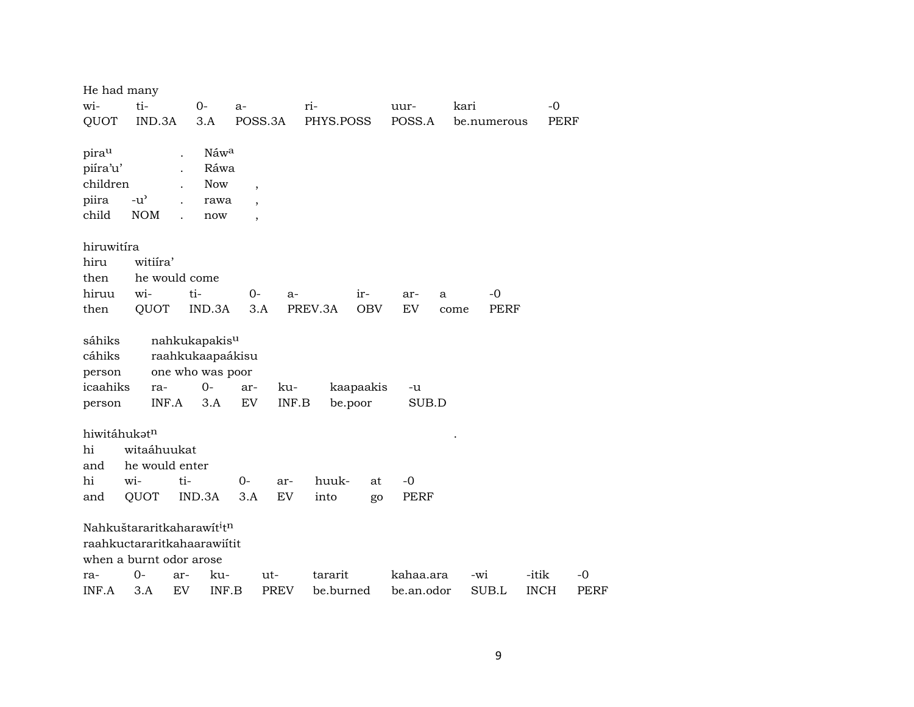| He had many                                      |                                                                                                              |        |                                                                                  |                                                                                  |              |           |                      |             |      |             |             |             |
|--------------------------------------------------|--------------------------------------------------------------------------------------------------------------|--------|----------------------------------------------------------------------------------|----------------------------------------------------------------------------------|--------------|-----------|----------------------|-------------|------|-------------|-------------|-------------|
| wi-                                              | ti-                                                                                                          |        | $0-$                                                                             | $a-$                                                                             |              | ri-       |                      | uur-        | kari |             | $-0$        |             |
| QUOT                                             | IND.3A                                                                                                       |        | 3.A                                                                              | POSS.3A                                                                          |              | PHYS.POSS |                      | POSS.A      |      | be.numerous | PERF        |             |
| pirau<br>piíra'u'<br>children<br>piira<br>child  | $-u^{\prime}$<br><b>NOM</b>                                                                                  |        | Náwa<br>Ráwa<br><b>Now</b><br>rawa<br>now                                        | $\overline{\phantom{a}}$<br>$\overline{\phantom{a}}$<br>$\overline{\phantom{a}}$ |              |           |                      |             |      |             |             |             |
| hiruwitíra                                       |                                                                                                              |        |                                                                                  |                                                                                  |              |           |                      |             |      |             |             |             |
| hiru                                             | witiira'                                                                                                     |        |                                                                                  |                                                                                  |              |           |                      |             |      |             |             |             |
| then                                             | he would come                                                                                                |        |                                                                                  |                                                                                  |              |           |                      |             |      |             |             |             |
| hiruu                                            | wi-                                                                                                          | ti-    |                                                                                  | $0-$                                                                             | a-           |           | ir-                  | ar-         | a    | $-0$        |             |             |
| then                                             | QUOT                                                                                                         |        | IND.3A                                                                           | 3.A                                                                              |              | PREV.3A   | <b>OBV</b>           | EV          | come | PERF        |             |             |
| sáhiks<br>cáhiks<br>person<br>icaahiks<br>person | ra-<br>INF.A                                                                                                 |        | nahkukapakis <sup>u</sup><br>raahkukaapaákisu<br>one who was poor<br>$0-$<br>3.A | ar-<br>EV                                                                        | ku-<br>INF.B |           | kaapaakis<br>be.poor | -u<br>SUB.D |      |             |             |             |
| hiwitáhukatn                                     |                                                                                                              |        |                                                                                  |                                                                                  |              |           |                      |             |      |             |             |             |
| hi                                               | witaáhuukat                                                                                                  |        |                                                                                  |                                                                                  |              |           |                      |             |      |             |             |             |
| and                                              | he would enter                                                                                               |        |                                                                                  |                                                                                  |              |           |                      |             |      |             |             |             |
| hi                                               | wi-                                                                                                          | ti-    |                                                                                  | $0-$                                                                             | ar-          | huuk-     | at                   | $-0$        |      |             |             |             |
| and                                              | QUOT                                                                                                         | IND.3A |                                                                                  | 3.A                                                                              | EV           | into      | go                   | <b>PERF</b> |      |             |             |             |
|                                                  | Nahkuštararitkaharawit <sup>i</sup> t <sup>n</sup><br>raahkuctararitkahaarawiitit<br>when a burnt odor arose |        |                                                                                  |                                                                                  |              |           |                      |             |      |             |             |             |
| ra-                                              | $0-$                                                                                                         | ar-    | ku-                                                                              |                                                                                  | ut-          | tararit   |                      | kahaa.ara   |      | -wi         | -itik       | $-0$        |
| INF.A                                            | 3.A                                                                                                          | EV     | INF.B                                                                            |                                                                                  | <b>PREV</b>  | be.burned |                      | be.an.odor  |      | SUB.L       | <b>INCH</b> | <b>PERF</b> |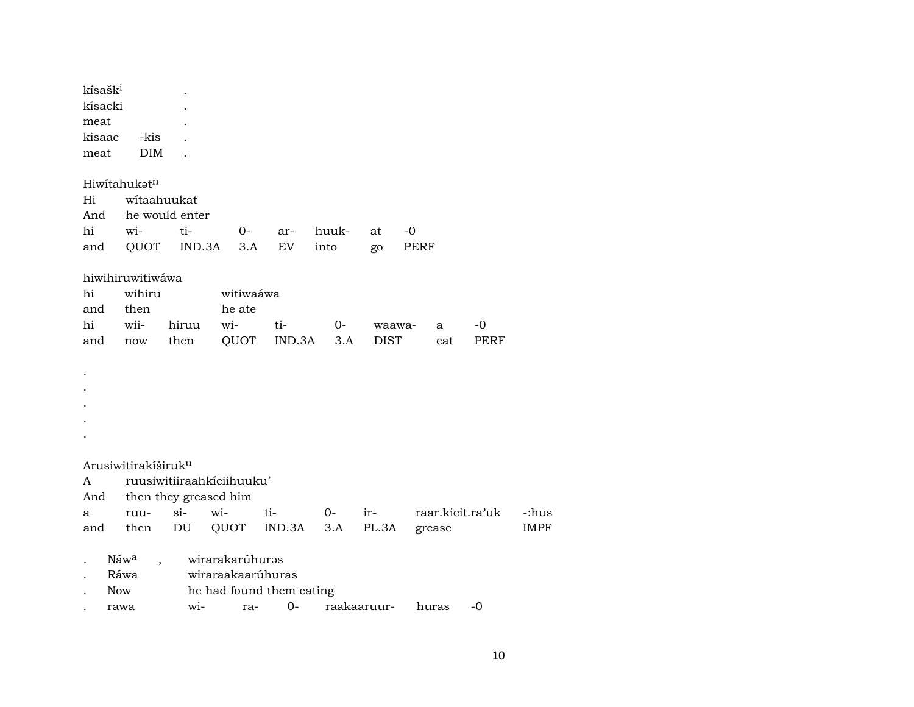| kísašk <sup>i</sup> |                                 |                       |                           |                          |       |             |                  |             |             |
|---------------------|---------------------------------|-----------------------|---------------------------|--------------------------|-------|-------------|------------------|-------------|-------------|
| kísacki             |                                 |                       |                           |                          |       |             |                  |             |             |
| meat                |                                 |                       |                           |                          |       |             |                  |             |             |
| kisaac              | -kis                            |                       |                           |                          |       |             |                  |             |             |
| meat                | <b>DIM</b>                      |                       |                           |                          |       |             |                  |             |             |
|                     | Hiwitahukatn                    |                       |                           |                          |       |             |                  |             |             |
| Hi                  | witaahuukat                     |                       |                           |                          |       |             |                  |             |             |
| And                 |                                 | he would enter        |                           |                          |       |             |                  |             |             |
| hi                  | wi-                             | ti-                   | $O-$                      | ar-                      | huuk- | at          | -0               |             |             |
| and                 | QUOT                            | IND.3A                | 3.A                       | EV                       | into  | go          | PERF             |             |             |
|                     | hiwihiruwitiwáwa                |                       |                           |                          |       |             |                  |             |             |
| hi                  | wihiru                          |                       | witiwaáwa                 |                          |       |             |                  |             |             |
| and                 | then                            |                       | he ate                    |                          |       |             |                  |             |             |
| hi                  | wii-                            | hiruu                 | wi-                       | ti-                      | $O-$  | waawa-      | a                | -0          |             |
| and                 | now                             | then                  | QUOT                      | IND.3A                   | 3.A   | <b>DIST</b> | eat              | <b>PERF</b> |             |
|                     |                                 |                       |                           |                          |       |             |                  |             |             |
|                     |                                 |                       |                           |                          |       |             |                  |             |             |
|                     |                                 |                       |                           |                          |       |             |                  |             |             |
|                     |                                 |                       |                           |                          |       |             |                  |             |             |
|                     |                                 |                       |                           |                          |       |             |                  |             |             |
|                     |                                 |                       |                           |                          |       |             |                  |             |             |
|                     |                                 |                       |                           |                          |       |             |                  |             |             |
|                     | Arusiwitirakíširuk <sup>u</sup> |                       |                           |                          |       |             |                  |             |             |
| A                   |                                 |                       | ruusiwitiiraahkiciihuuku' |                          |       |             |                  |             |             |
| And                 |                                 | then they greased him |                           |                          |       |             |                  |             |             |
| a                   | ruu-                            | $\sin$                | wi-                       | ti-                      | $0-$  | ir-         | raar.kicit.ra'uk |             | -:hus       |
| and                 | then                            | DU                    | QUOT                      | IND.3A                   | 3.A   | PL.3A       | grease           |             | <b>IMPF</b> |
|                     | Náwa                            |                       | wirarakarúhuras           |                          |       |             |                  |             |             |
|                     | Ráwa                            |                       | wiraraakaarúhuras         |                          |       |             |                  |             |             |
| <b>Now</b>          |                                 |                       |                           | he had found them eating |       |             |                  |             |             |
|                     | rawa                            | wi-                   | ra-                       | $0-$                     |       | raakaaruur- | huras            | -0          |             |
|                     |                                 |                       |                           |                          |       |             |                  |             |             |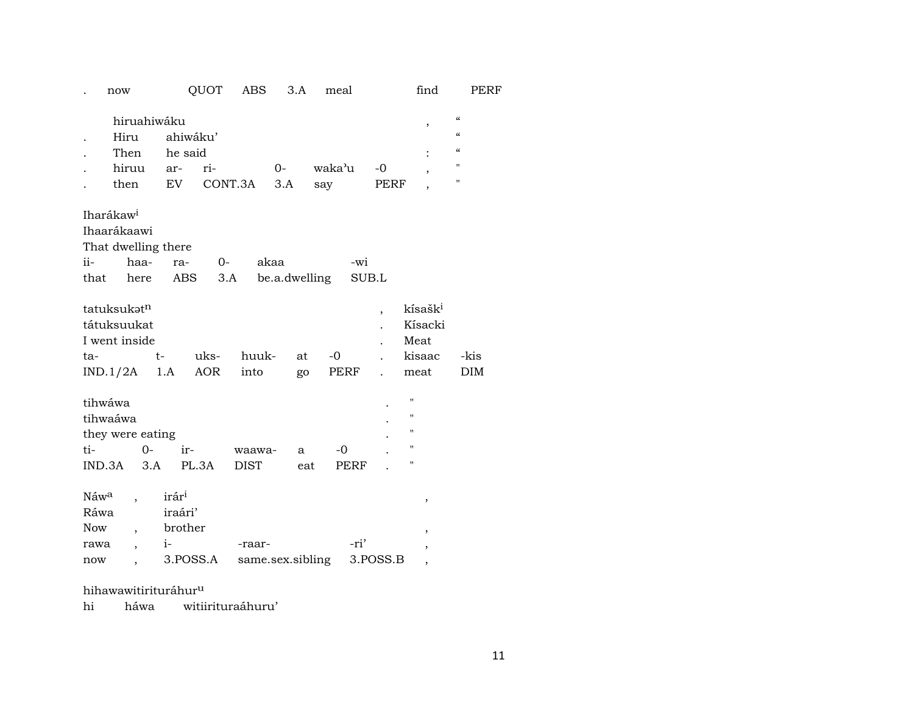|                                                       | now                                                  |                                                             | QUOT        | ABS                   | 3.A                   |     | meal         |            | find                                                     |                                                                                             | PERF |
|-------------------------------------------------------|------------------------------------------------------|-------------------------------------------------------------|-------------|-----------------------|-----------------------|-----|--------------|------------|----------------------------------------------------------|---------------------------------------------------------------------------------------------|------|
|                                                       | hiruahiwáku<br>Hiru<br>Then<br>hiruu<br>then         | ahiwáku'<br>he said<br>ar-<br>EV                            | ri-         | CONT.3A               | $O -$<br>3.A          | say | waka'u       | -0<br>PERF | ,<br>,                                                   | $\pmb{\zeta}\pmb{\zeta}$<br>$\pmb{\zeta}\pmb{\zeta}$<br>$\pmb{\zeta}\pmb{\zeta}$<br>11<br>П |      |
| Iharákaw <sup>i</sup><br>ii-<br>that                  | Ihaarákaawi<br>That dwelling there<br>haa-<br>here   | ra-<br>ABS                                                  | 0-<br>3.A   |                       | akaa<br>be.a.dwelling |     | -wi<br>SUB.L |            |                                                          |                                                                                             |      |
| ta-<br>IND.1/2A                                       | tatuksukatn<br>tátuksuukat<br>I went inside          | $t-$<br>1.A                                                 | uks-<br>AOR | huuk-<br>into         | at                    | go  | $-0$<br>PERF | ,          | kísašk <sup>i</sup><br>Kísacki<br>Meat<br>kisaac<br>meat | -kis<br>DIM                                                                                 |      |
| tihwáwa<br>tihwaáwa<br>ti-<br>IND.3A                  | they were eating<br>$O -$<br>3.A                     | ir-                                                         | PL.3A       | waawa-<br><b>DIST</b> | a                     | eat | $-0$<br>PERF |            | "<br>$\pmb{\mathsf{H}}$<br>11<br>11<br>11                |                                                                                             |      |
| Náw <sup>a</sup><br>Ráwa<br><b>Now</b><br>rawa<br>now | $\overline{\phantom{a}}$<br>$\overline{\phantom{a}}$ | irár <sup>i</sup><br>iraári'<br>brother<br>$i-$<br>3.POSS.A |             | -raar-                | same.sex.sibling      |     | -ri'         | 3.POSS.B   | ,<br>$\,$<br>,<br>$\overline{ }$                         |                                                                                             |      |

hihawawitirituráhur<sup>u</sup>

hi háwa witiirituraáhuru'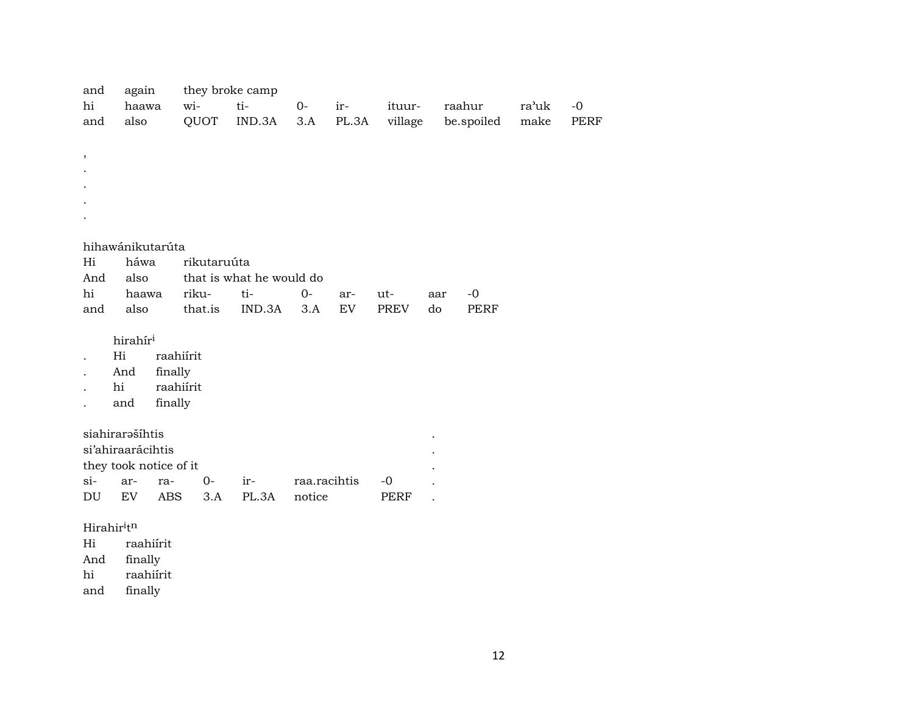| and<br>hi  | again<br>haawa         | they broke camp<br>wi- | ti-                      | $0-$         | ir-   | ituur-  |     | raahur      | ra'uk | $-0$        |
|------------|------------------------|------------------------|--------------------------|--------------|-------|---------|-----|-------------|-------|-------------|
| and        | also                   | QUOT                   | IND.3A                   | 3.A          | PL.3A | village |     | be.spoiled  | make  | <b>PERF</b> |
|            |                        |                        |                          |              |       |         |     |             |       |             |
| $\, ,$     |                        |                        |                          |              |       |         |     |             |       |             |
|            |                        |                        |                          |              |       |         |     |             |       |             |
|            |                        |                        |                          |              |       |         |     |             |       |             |
|            |                        |                        |                          |              |       |         |     |             |       |             |
|            |                        |                        |                          |              |       |         |     |             |       |             |
|            | hihawánikutarúta       |                        |                          |              |       |         |     |             |       |             |
| Hi         | háwa                   | rikutaruúta            |                          |              |       |         |     |             |       |             |
| And        | also                   |                        | that is what he would do |              |       |         |     |             |       |             |
| hi         | haawa                  | riku-                  | ti-                      | $0-$         | ar-   | ut-     | aar | $-0$        |       |             |
| and        | also                   | that.is                | IND.3A                   | 3.A          | EV    | PREV    | do  | <b>PERF</b> |       |             |
|            |                        |                        |                          |              |       |         |     |             |       |             |
|            | hirahír <sup>i</sup>   |                        |                          |              |       |         |     |             |       |             |
|            | Hi                     | raahiírit              |                          |              |       |         |     |             |       |             |
|            | finally<br>And         |                        |                          |              |       |         |     |             |       |             |
| hi         |                        | raahiírit              |                          |              |       |         |     |             |       |             |
|            | finally<br>and         |                        |                          |              |       |         |     |             |       |             |
|            |                        |                        |                          |              |       |         |     |             |       |             |
|            | siahirarašíhtis        |                        |                          |              |       |         |     |             |       |             |
|            | si'ahiraarácihtis      |                        |                          |              |       |         |     |             |       |             |
|            | they took notice of it |                        |                          |              |       |         |     |             |       |             |
| si-        | ar-<br>ra-             | $0-$                   | ir-                      | raa.racihtis |       | $-0$    |     |             |       |             |
| DU         | EV<br><b>ABS</b>       | 3.A                    | PL.3A                    | notice       |       | PERF    |     |             |       |             |
|            |                        |                        |                          |              |       |         |     |             |       |             |
| Hirahiritn |                        |                        |                          |              |       |         |     |             |       |             |

Hi raahiírit

finally

hi raahiírit

and finally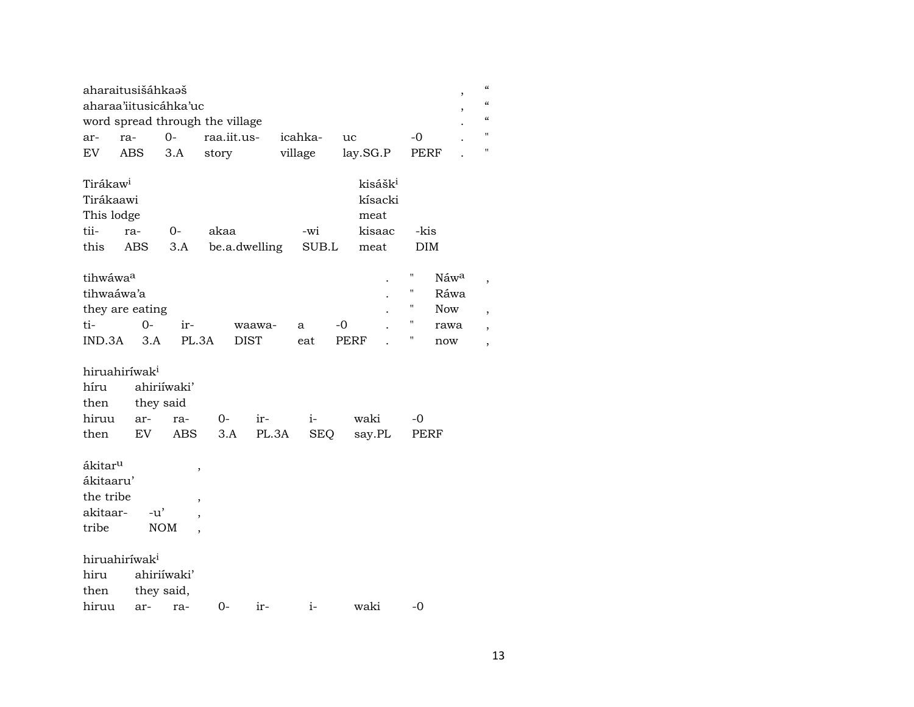| aharaitusišáhkaəš<br>aharaa'iitusicáhka'uc                      |            |                           |                                 |               |              |                                                          | ,                                          | $\epsilon\epsilon$<br>$\mathcal{C}$ |
|-----------------------------------------------------------------|------------|---------------------------|---------------------------------|---------------|--------------|----------------------------------------------------------|--------------------------------------------|-------------------------------------|
|                                                                 |            |                           | word spread through the village |               |              |                                                          |                                            | $\boldsymbol{\mathcal{C}}$          |
| ar-                                                             | ra-        | $0-$                      | raa.iit.us-                     |               | icahka-      | <b>uc</b>                                                | $-0$                                       | н                                   |
| EV                                                              | ABS        | 3.A                       | story                           |               | village      | lay.SG.P                                                 | PERF                                       | П                                   |
| Tirákaw <sup>i</sup><br>Tirákaawi<br>This lodge<br>tii-<br>this | ra-<br>ABS | $O -$<br>3.A              | akaa                            | be.a.dwelling | -wi<br>SUB.L | kisášk <sup>i</sup><br>kísacki<br>meat<br>kisaac<br>meat | -kis<br><b>DIM</b>                         |                                     |
| tihwáwaa<br>tihwaáwa'a<br>they are eating                       |            |                           |                                 |               |              |                                                          | П<br>Náwa<br>н<br>Ráwa<br>11<br><b>Now</b> |                                     |
| ti-                                                             | $0-$       | ir-                       |                                 | waawa-        | a            | -0                                                       | н<br>rawa                                  |                                     |
| IND.3A                                                          | 3.A        | PL.3A                     |                                 | <b>DIST</b>   | eat          | PERF                                                     | Η<br>now                                   | ,                                   |
| hiruahiríwak <sup>i</sup><br>híru<br>then                       |            | ahiriíwaki'<br>they said  |                                 |               |              |                                                          |                                            |                                     |
| hiruu                                                           | ar-        | ra-                       | 0-                              | $ir-$         | $i-$         | waki                                                     | -0                                         |                                     |
| then<br>ákitar <sup>u</sup>                                     | EV         | ABS                       | 3.A                             | PL.3A         | <b>SEQ</b>   | say.PL                                                   | PERF                                       |                                     |
| ákitaaru'                                                       |            |                           | ,                               |               |              |                                                          |                                            |                                     |
| the tribe                                                       |            |                           | ,                               |               |              |                                                          |                                            |                                     |
| akitaar-                                                        | $-u'$      |                           |                                 |               |              |                                                          |                                            |                                     |
| tribe                                                           |            | <b>NOM</b>                |                                 |               |              |                                                          |                                            |                                     |
| hiruahiríwak <sup>i</sup><br>hiru<br>then                       |            | ahiriíwaki'<br>they said, |                                 |               |              |                                                          |                                            |                                     |
| hiruu                                                           | ar-        | ra-                       | $0-$                            | ir-           | $i-$         | waki                                                     | -0                                         |                                     |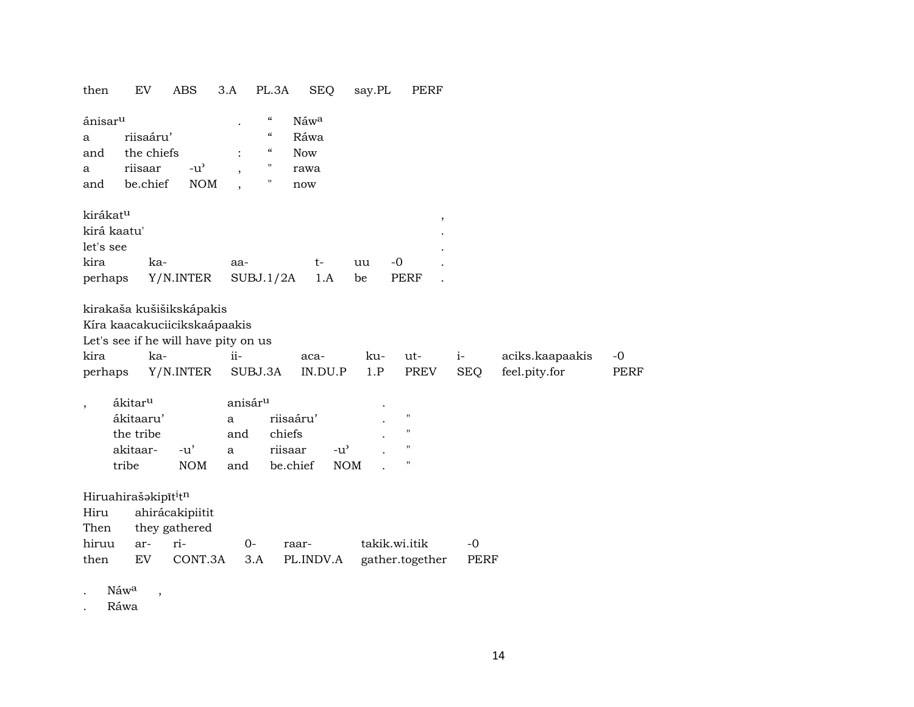| then                                                                | EV                                                                 | <b>ABS</b>                                                            | 3.A                                                    | PL.3A<br><b>SEQ</b>                                                                                                                                                                       | say.PL           | <b>PERF</b>                      |                    |                                  |                     |
|---------------------------------------------------------------------|--------------------------------------------------------------------|-----------------------------------------------------------------------|--------------------------------------------------------|-------------------------------------------------------------------------------------------------------------------------------------------------------------------------------------------|------------------|----------------------------------|--------------------|----------------------------------|---------------------|
| ánisar <sup>u</sup><br>a<br>and<br>a<br>and                         | riisaáru'<br>the chiefs<br>riisaar<br>be.chief                     | $-u$ <sup><math>\prime</math></sup><br><b>NOM</b>                     |                                                        | $\zeta\zeta$<br>Náwa<br>$\boldsymbol{\zeta}\boldsymbol{\zeta}$<br>Ráwa<br>$\boldsymbol{\zeta}\boldsymbol{\zeta}$<br><b>Now</b><br>$\pmb{\mathsf{H}}$<br>rawa<br>$\pmb{\mathsf{H}}$<br>now |                  |                                  |                    |                                  |                     |
| kirákat <sup>u</sup><br>kirá kaatu'<br>let's see<br>kira<br>perhaps | ka-                                                                | Y/N.INTER                                                             | aa-<br>SUBJ.1/2A                                       | $t-$<br>1.A                                                                                                                                                                               | $-0$<br>uu<br>be | $\overline{\phantom{a}}$<br>PERF |                    |                                  |                     |
| kira<br>perhaps                                                     | ka-                                                                | kirakaša kušišikskápakis<br>Kíra kaacakuciicikskaápaakis<br>Y/N.INTER | Let's see if he will have pity on us<br>ii-<br>SUBJ.3A | aca-<br>IN.DU.P                                                                                                                                                                           | ku-<br>1.P       | ut-<br><b>PREV</b>               | $i-$<br><b>SEQ</b> | aciks.kaapaakis<br>feel.pity.for | $-0$<br><b>PERF</b> |
| $\overline{\phantom{a}}$                                            | ákitar <sup>u</sup><br>ákitaaru'<br>the tribe<br>akitaar-<br>tribe | $-u'$<br><b>NOM</b>                                                   | anisár <sup>u</sup><br>a<br>and<br>a<br>and            | riisaáru'<br>chiefs<br>riisaar<br>$-u$ <sup><math>\prime</math></sup><br>be.chief                                                                                                         | <b>NOM</b>       | н<br>11<br>11<br>П               |                    |                                  |                     |
| Hiruahirašakipīt <sup>i</sup> tn<br>Hiru<br>Then<br>hiruu<br>then   | ar-<br>EV                                                          | ahirácakipiitit<br>they gathered<br>ri-<br>CONT.3A                    | $O -$<br>3.A                                           | raar-<br>PL.INDV.A                                                                                                                                                                        | takik.wi.itik    | gather.together                  | $-0$<br>PERF       |                                  |                     |
| Náwa                                                                | $\, ,$                                                             |                                                                       |                                                        |                                                                                                                                                                                           |                  |                                  |                    |                                  |                     |

 $\bullet$ Ráwa

 $\ddot{\phantom{a}}$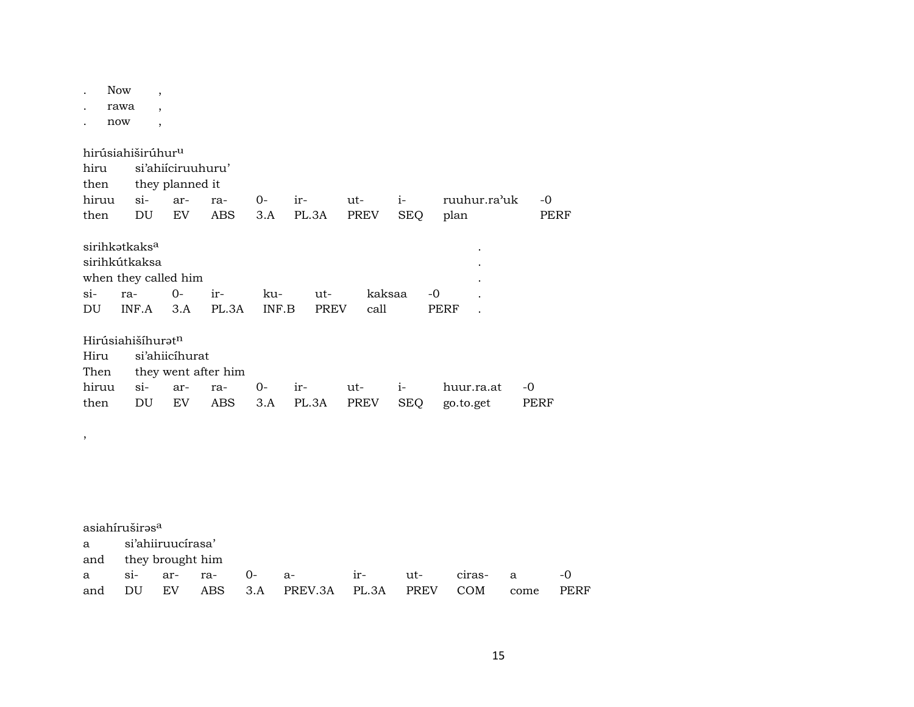|        | <b>Now</b> | $\overline{\phantom{a}}$      |                      |                     |       |             |        |             |              |      |      |
|--------|------------|-------------------------------|----------------------|---------------------|-------|-------------|--------|-------------|--------------|------|------|
|        | rawa       |                               |                      |                     |       |             |        |             |              |      |      |
|        | now        | $\overline{ }$                |                      |                     |       |             |        |             |              |      |      |
|        |            | hirúsiahiširúhur <sup>u</sup> |                      |                     |       |             |        |             |              |      |      |
| hiru   |            |                               | si'ahiiciruuhuru'    |                     |       |             |        |             |              |      |      |
| then   |            |                               | they planned it      |                     |       |             |        |             |              |      |      |
| hiruu  |            | $si-$                         | ar-                  | ra-                 | $O-$  | ir-         | ut-    | $i-$        | ruuhur.ra'uk | $-0$ |      |
| then   |            | DU                            | EV                   | <b>ABS</b>          | 3.A   | PL.3A       | PREV   | <b>SEQ</b>  | plan         |      | PERF |
|        |            | sirihkatkaks <sup>a</sup>     |                      |                     |       |             |        |             |              |      |      |
|        |            | sirihkútkaksa                 |                      |                     |       |             |        |             |              |      |      |
|        |            |                               | when they called him |                     |       |             |        |             |              |      |      |
| $si$ - | ra-        |                               | $O -$                | ir-                 | ku-   | ut-         | kaksaa | $-0$        |              |      |      |
| DU     |            | INF.A                         | 3.A                  | PL.3A               | INF.B | <b>PREV</b> | call   |             | PERF         |      |      |
|        |            | Hirúsiahišíhuratn             |                      |                     |       |             |        |             |              |      |      |
| Hiru   |            |                               | si'ahiicíhurat       |                     |       |             |        |             |              |      |      |
| Then   |            |                               |                      | they went after him |       |             |        |             |              |      |      |
| hiruu  |            | $\sin$                        | ar-                  | ra-                 | 0-    | ir-         | ut-    | $i-$        | huur.ra.at   | -0   |      |
| then   |            | DU                            | <b>EV</b>            | <b>ABS</b>          | 3.A   | PL.3A       | PREV   | <b>SEQ</b>  | go.to.get    | PERF |      |
| $\,$   |            |                               |                      |                     |       |             |        |             |              |      |      |
|        |            |                               |                      |                     |       |             |        |             |              |      |      |
|        |            |                               |                      |                     |       |             |        |             |              |      |      |
|        |            |                               |                      |                     |       |             |        |             |              |      |      |
|        |            |                               |                      |                     |       |             |        |             |              |      |      |
|        |            | asiahíruširas <sup>a</sup>    |                      |                     |       |             |        |             |              |      |      |
| a      |            |                               | si'ahiiruucírasa'    |                     |       |             |        |             |              |      |      |
| and    |            |                               | they brought him     |                     |       |             |        |             |              |      |      |
| a      | $\sin$     |                               | ar-                  | ra-                 | 0-    | a-          | $ir-$  | ut-         | ciras-       | a    | $-0$ |
| and    |            | DU                            | EV                   | ABS                 | 3.A   | PREV.3A     | PL.3A  | <b>PREV</b> | <b>COM</b>   | come | PERF |
|        |            |                               |                      |                     |       |             |        |             |              |      |      |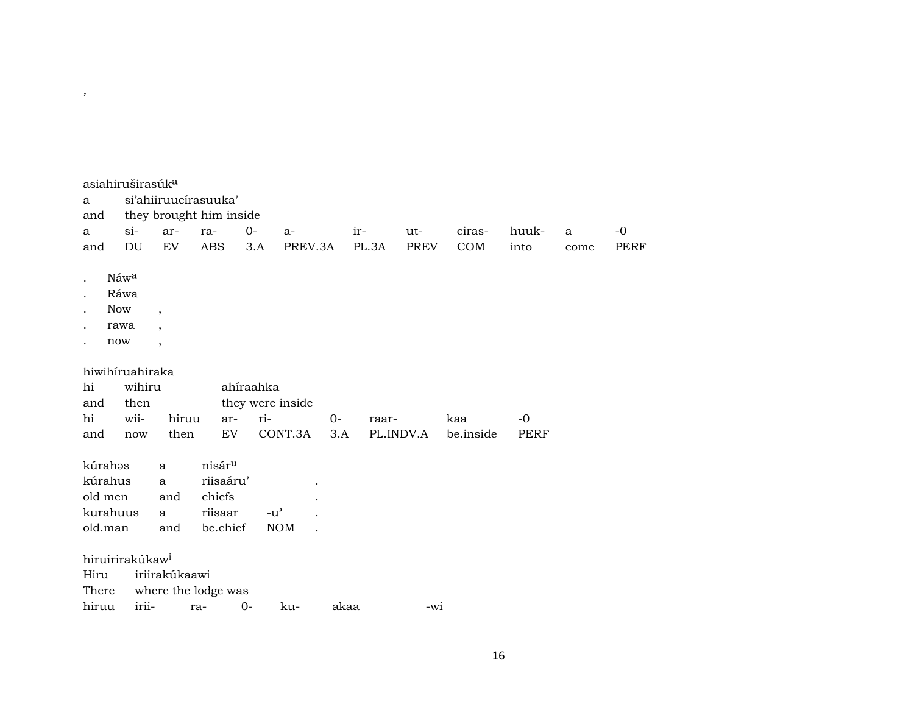|          | asiahiruširasúk <sup>a</sup> |                |                         |           |                  |      |           |             |           |       |      |             |
|----------|------------------------------|----------------|-------------------------|-----------|------------------|------|-----------|-------------|-----------|-------|------|-------------|
| a        |                              |                | si'ahiiruucírasuuka'    |           |                  |      |           |             |           |       |      |             |
| and      |                              |                | they brought him inside |           |                  |      |           |             |           |       |      |             |
| a        | $\sin$                       | ar-            | ra-                     | $0-$      | $a-$             |      | ir-       | $ut-$       | ciras-    | huuk- | a    | $-0$        |
| and      | DU                           | ${\rm EV}$     | <b>ABS</b>              | 3.A       | PREV.3A          |      | PL.3A     | <b>PREV</b> | COM       | into  | come | <b>PERF</b> |
|          |                              |                |                         |           |                  |      |           |             |           |       |      |             |
|          | Náwa                         |                |                         |           |                  |      |           |             |           |       |      |             |
|          | Ráwa                         |                |                         |           |                  |      |           |             |           |       |      |             |
|          | <b>Now</b>                   | $\cdot$        |                         |           |                  |      |           |             |           |       |      |             |
|          | rawa                         | $\overline{ }$ |                         |           |                  |      |           |             |           |       |      |             |
|          | now                          | $^\mathrm{,}$  |                         |           |                  |      |           |             |           |       |      |             |
|          | hiwihiruahiraka              |                |                         |           |                  |      |           |             |           |       |      |             |
| hi       | wihiru                       |                |                         | ahíraahka |                  |      |           |             |           |       |      |             |
| and      | then                         |                |                         |           | they were inside |      |           |             |           |       |      |             |
| hi       | wii-                         | hiruu          |                         | ar-       | ri-              | $0-$ | raar-     |             | kaa       | $-0$  |      |             |
| and      | now                          | then           |                         | EV        | CONT.3A          | 3.A  | PL.INDV.A |             | be.inside | PERF  |      |             |
|          |                              |                |                         |           |                  |      |           |             |           |       |      |             |
| kúrahəs  |                              | $\mathbf{a}$   | nisár <sup>u</sup>      |           |                  |      |           |             |           |       |      |             |
| kúrahus  |                              | a              | riisaáru'               |           |                  |      |           |             |           |       |      |             |
| old men  |                              | and            | chiefs                  |           |                  |      |           |             |           |       |      |             |
| kurahuus |                              | a              | riisaar                 |           | $-u^{\prime}$    |      |           |             |           |       |      |             |
| old.man  |                              | and            | be.chief                |           | <b>NOM</b>       |      |           |             |           |       |      |             |
|          |                              |                |                         |           |                  |      |           |             |           |       |      |             |
|          | hiruirirakúkaw <sup>i</sup>  |                |                         |           |                  |      |           |             |           |       |      |             |
| Hiru     |                              | iriirakúkaawi  |                         |           |                  |      |           |             |           |       |      |             |
| There    |                              |                | where the lodge was     |           |                  |      |           |             |           |       |      |             |
| hiruu    | irii-                        |                | ra-                     | $O -$     | ku-              | akaa |           | $-wi$       |           |       |      |             |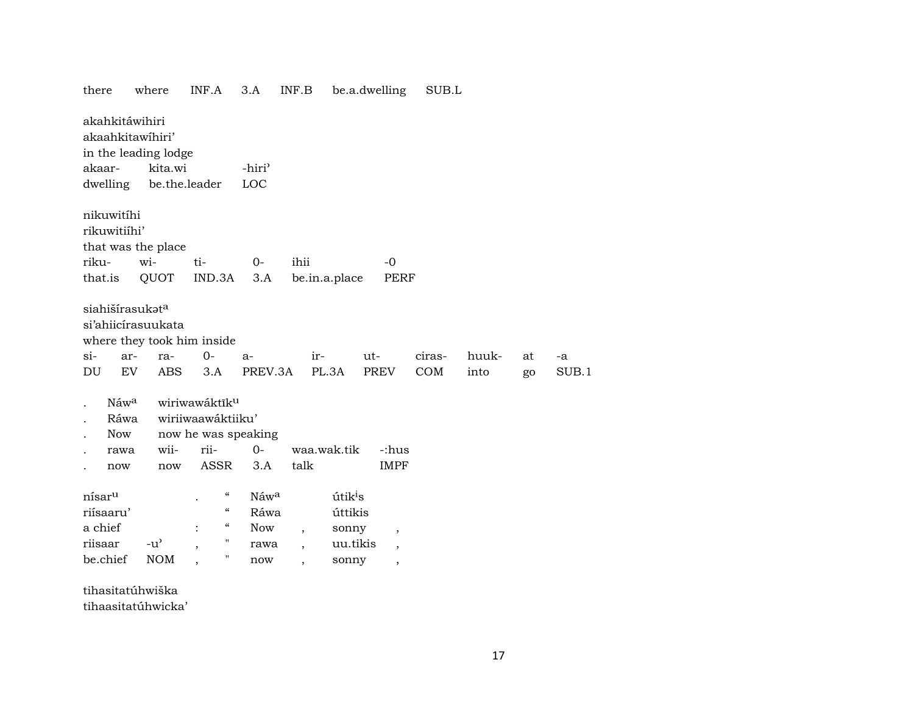| there                                                                                                       | where                                             | INF.A                                                                                       | 3.A                                       | INF.B                    | be.a.dwelling                                                |                                                              | SUB.L         |               |    |             |
|-------------------------------------------------------------------------------------------------------------|---------------------------------------------------|---------------------------------------------------------------------------------------------|-------------------------------------------|--------------------------|--------------------------------------------------------------|--------------------------------------------------------------|---------------|---------------|----|-------------|
| akahkitáwihiri<br>akaahkitawihiri'<br>in the leading lodge<br>akaar-<br>dwelling                            | kita.wi                                           | be.the.leader                                                                               | -hiri <sup>3</sup><br>LOC                 |                          |                                                              |                                                              |               |               |    |             |
| nikuwitíhi<br>rikuwitiíhi'<br>that was the place<br>riku-<br>that.is                                        | wi-<br>QUOT                                       | ti-<br>IND.3A                                                                               | $0-$<br>3.A                               | ihii                     | be.in.a.place                                                | $-0$<br>PERF                                                 |               |               |    |             |
| siahišírasukat <sup>a</sup><br>si'ahiicirasuukata<br>where they took him inside<br>$si-$<br>ar-<br>EV<br>DU | ra-<br><b>ABS</b>                                 | $O -$<br>3.A                                                                                | $a-$<br>PREV.3A                           | ir-                      | ut-<br>PL.3A                                                 | PREV                                                         | ciras-<br>COM | huuk-<br>into | at | -a<br>SUB.1 |
| Náw <sup>a</sup><br>Ráwa<br><b>Now</b><br>rawa<br>now                                                       | wii-<br>now                                       | wiriwawáktĩku<br>wiriiwaawáktiiku'<br>now he was speaking<br>rii-<br>ASSR                   | $O -$<br>3.A                              | talk                     | waa.wak.tik                                                  | -:hus<br><b>IMPF</b>                                         |               |               | go |             |
| nísar <sup>u</sup><br>riísaaru'<br>a chief<br>riisaar<br>be.chief                                           | $-u$ <sup><math>\prime</math></sup><br><b>NOM</b> | $\mathcal{C}\mathcal{C}$<br>$\epsilon\epsilon$<br>$\epsilon\epsilon$<br>$\ddot{\cdot}$<br>П | Náwa<br>Ráwa<br><b>Now</b><br>rawa<br>now | $\overline{\phantom{a}}$ | útik <sup>i</sup> s<br>úttikis<br>sonny<br>uu.tikis<br>sonny | $\,$<br>$\overline{\phantom{a}}$<br>$\overline{\phantom{a}}$ |               |               |    |             |

tihasitatúhwiška

tihaasitatúhwicka'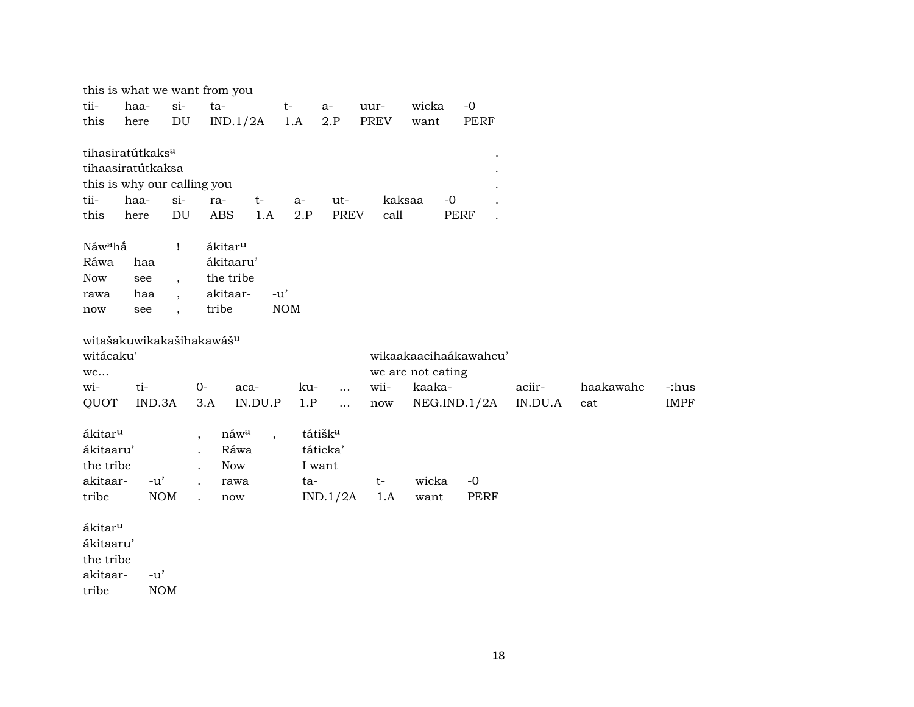| $si-$<br>tii-<br>haa-<br>ta-<br>wicka<br>$-0$<br>$t-$<br>uur-<br>$a-$                                      |             |
|------------------------------------------------------------------------------------------------------------|-------------|
| DU<br>2.P<br><b>PREV</b><br>IND.1/2A<br>1.A<br><b>PERF</b><br>this<br>want<br>here                         |             |
| tihasiratútkaks <sup>a</sup>                                                                               |             |
| tihaasiratútkaksa                                                                                          |             |
| this is why our calling you                                                                                |             |
| tii-<br>$si-$<br>kaksaa<br>$-0$<br>haa-<br>ut-<br>$t-$<br>ra-<br>a-                                        |             |
| DU<br><b>ABS</b><br>1.A<br>2.P<br><b>PREV</b><br>call<br><b>PERF</b><br>this<br>here                       |             |
| Náw <sup>a</sup> hấ<br>$\mathbf{I}$<br>ákitar <sup>u</sup>                                                 |             |
| Ráwa<br>ákitaaru'<br>haa                                                                                   |             |
| the tribe<br><b>Now</b><br>see                                                                             |             |
| $\overline{ }$ ,<br>akitaar-<br>$-u'$<br>haa<br>rawa<br>$\overline{\phantom{a}}$                           |             |
| tribe<br><b>NOM</b><br>see<br>now<br>$\ddot{\phantom{0}}$                                                  |             |
|                                                                                                            |             |
| witašakuwikakašihakawášu                                                                                   |             |
| witácaku'<br>wikaakaacihaákawahcu'                                                                         |             |
| we are not eating<br>we                                                                                    |             |
| ti-<br>wii-<br>kaaka-<br>aciir-<br>haakawahc<br>wi-<br>$0-$<br>aca-<br>ku-<br>$\cdots$                     | -:hus       |
| IND.3A<br>QUOT<br>3.A<br>IN.DU.P<br>1.P<br>IN.DU.A<br>NEG.ID.1/2A<br>eat<br>$\dddotsc$<br>now              | <b>IMPF</b> |
| ákitar <sup>u</sup><br>náwa<br>tátišk <sup>a</sup><br>$\overline{\phantom{a}}$<br>$\overline{\phantom{a}}$ |             |
| táticka'<br>ákitaaru'<br>Ráwa                                                                              |             |
| the tribe<br><b>Now</b><br>I want                                                                          |             |
| akitaar-<br>$-u'$<br>wicka<br>$-0$<br>ta-<br>$t-$<br>rawa                                                  |             |
| tribe<br><b>NOM</b><br>PERF<br>IND.1/2A<br>1.A<br>want<br>now<br>$\ddot{\phantom{a}}$                      |             |
| ákitar <sup>u</sup>                                                                                        |             |
| ákitaaru'                                                                                                  |             |
| the tribe                                                                                                  |             |
| akitaar-<br>$-u'$                                                                                          |             |
| tribe<br><b>NOM</b>                                                                                        |             |

18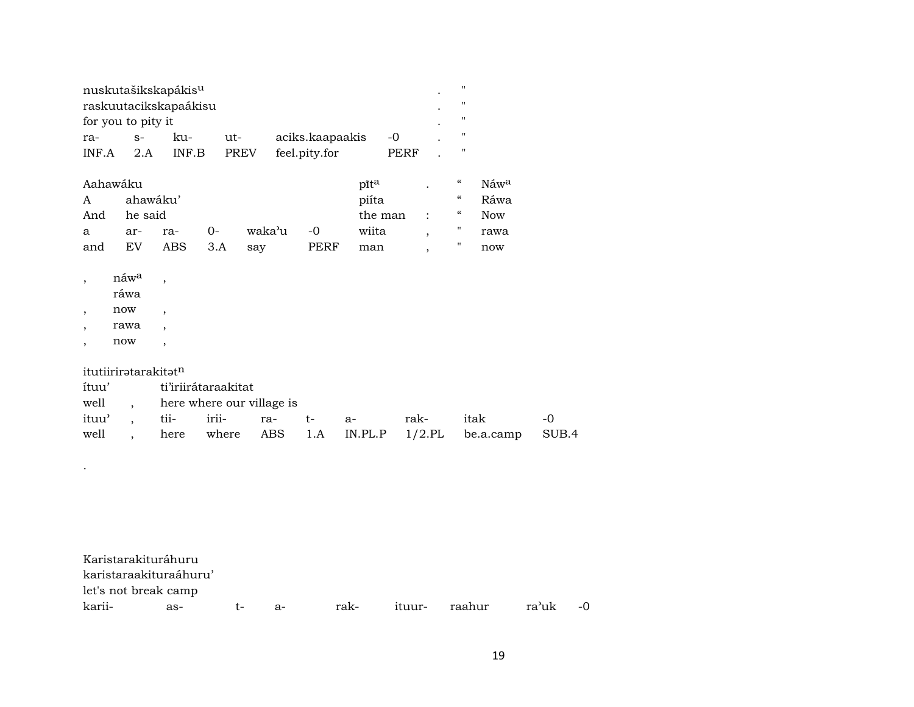| nuskutašikskapákis <sup>u</sup> |      |       |        |                 |       |  |  |  |  |  |  |  |
|---------------------------------|------|-------|--------|-----------------|-------|--|--|--|--|--|--|--|
| raskuutacikskapaákisu           |      |       |        |                 |       |  |  |  |  |  |  |  |
| for you to pity it              |      |       |        |                 |       |  |  |  |  |  |  |  |
| ra-                             | $S-$ | ku-   | $11t-$ | aciks.kaapaakis | $-()$ |  |  |  |  |  |  |  |
| INF.A                           | 2.A  | INF.B | PREV   | feel.pity.for   | PERF  |  |  |  |  |  |  |  |

| Aahawáku     |          |     |      |           |      | pīta      | "          | Náw <sup>a</sup> |
|--------------|----------|-----|------|-----------|------|-----------|------------|------------------|
| $\mathsf{A}$ | ahawáku' |     |      |           |      | piíta     | $\epsilon$ | Ráwa             |
| And          | he said  |     |      |           |      | the man : | $\epsilon$ | <b>Now</b>       |
| a            | ar-      | ra- | $O-$ | waka'u -0 |      | wiita     |            | rawa             |
| and          | EV       | ABS | 3.A  | sav       | PERF | man       |            | now              |

- $,$   $n$ áw $^a$   $,$
- ráwa
- , now ,
- , rawa ,
- , now ,

.

itutiirirətarakitət<sup>n</sup>

|  | ítuu' ti'iriirátaraakitat        |  |      |                                                         |           |
|--|----------------------------------|--|------|---------------------------------------------------------|-----------|
|  | well , here where our village is |  |      |                                                         |           |
|  | ituu', tii- irii- ra- t- a-      |  | rak- | itak                                                    | $\sim$ -0 |
|  |                                  |  |      | well, here where ABS 1.A IN.PL.P 1/2.PL be.a.camp SUB.4 |           |

| Karistarakituráhuru    |     |     |       |      |        |        |       |      |
|------------------------|-----|-----|-------|------|--------|--------|-------|------|
| karistaraakituraáhuru' |     |     |       |      |        |        |       |      |
| let's not break camp   |     |     |       |      |        |        |       |      |
| karii-                 | as- | t – | $A -$ | rak- | ituur- | raahur | ra'uk | $-0$ |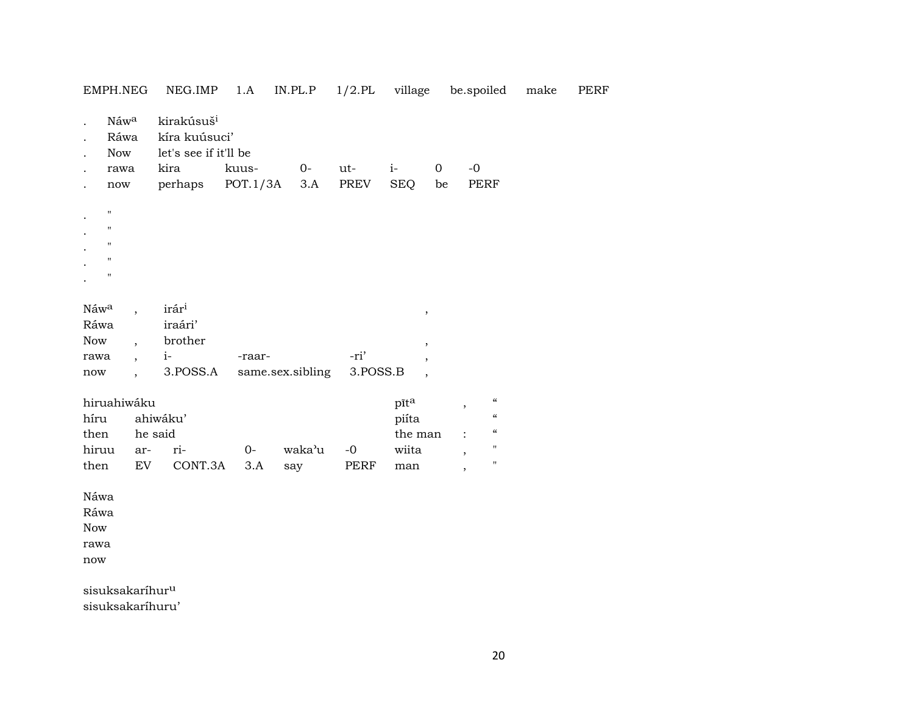| EMPH.NEG                    |                          | NEG.IMP                                                          | 1.A      | $IN. PL.P$ $1/2. PL$ village |          |                          | be.spoiled                                     | make | PERF |
|-----------------------------|--------------------------|------------------------------------------------------------------|----------|------------------------------|----------|--------------------------|------------------------------------------------|------|------|
| $\ddot{\phantom{a}}$        | Náwa<br>Ráwa<br>Now      | kirakúsuš <sup>i</sup><br>kíra kuúsuci'<br>let's see if it'll be |          |                              |          |                          |                                                |      |      |
|                             | rawa                     | kira                                                             | kuus-    | $O -$                        | ut-      | $i-$                     | $-0$<br>0                                      |      |      |
|                             | $\operatorname{now}$     | perhaps                                                          | POT.1/3A | 3.A                          | PREV     | <b>SEQ</b>               | PERF<br>be                                     |      |      |
| $\mathbf H$                 |                          |                                                                  |          |                              |          |                          |                                                |      |      |
| $\pmb{\mathsf{H}}$          |                          |                                                                  |          |                              |          |                          |                                                |      |      |
| $\mathbf{H}$                |                          |                                                                  |          |                              |          |                          |                                                |      |      |
| $\mathbf{H}$                |                          |                                                                  |          |                              |          |                          |                                                |      |      |
| $\mathbf{H}$                |                          |                                                                  |          |                              |          |                          |                                                |      |      |
|                             |                          |                                                                  |          |                              |          |                          |                                                |      |      |
| Náw <sup>a</sup>            | $\overline{ }$           | irári                                                            |          |                              |          | $\, ,$                   |                                                |      |      |
| Ráwa                        |                          | iraári'                                                          |          |                              |          |                          |                                                |      |      |
| Now                         | $\overline{\phantom{a}}$ | brother                                                          |          |                              |          | $\, ,$                   |                                                |      |      |
| rawa                        | $\ddot{\phantom{0}}$     | $i-$                                                             | -raar-   |                              | -ri'     | $\overline{\phantom{a}}$ |                                                |      |      |
| $\operatorname{now}$        | $\overline{\phantom{a}}$ | 3.POSS.A                                                         |          | same.sex.sibling             | 3.POSS.B | $\overline{\phantom{a}}$ |                                                |      |      |
| hiruahiwáku                 |                          |                                                                  |          |                              |          | pīta                     | $\boldsymbol{\mathcal{C}}$<br>$\, ,$           |      |      |
| híru                        |                          | ahiwáku'                                                         |          |                              |          | piíta                    | $\pmb{\zeta}\pmb{\zeta}$                       |      |      |
| then                        |                          | he said                                                          |          |                              |          | the man                  | $\boldsymbol{\zeta}\boldsymbol{\zeta}$         |      |      |
| hiruu                       | ar-                      | ri-                                                              | $O -$    | waka'u                       | $-0$     | wiita                    | $\pmb{\mathsf{H}}$<br>$\overline{\phantom{a}}$ |      |      |
| then                        | EV                       | CONT.3A                                                          | 3.A      | say                          | PERF     | man                      | $\pmb{\mathsf{H}}$<br>$\overline{\phantom{a}}$ |      |      |
| Náwa                        |                          |                                                                  |          |                              |          |                          |                                                |      |      |
| Ráwa                        |                          |                                                                  |          |                              |          |                          |                                                |      |      |
| Now                         |                          |                                                                  |          |                              |          |                          |                                                |      |      |
| rawa                        |                          |                                                                  |          |                              |          |                          |                                                |      |      |
| now                         |                          |                                                                  |          |                              |          |                          |                                                |      |      |
| sisuksakaríhur <sup>u</sup> |                          |                                                                  |          |                              |          |                          |                                                |      |      |
|                             |                          |                                                                  |          |                              |          |                          |                                                |      |      |

sisuksakaríhuru'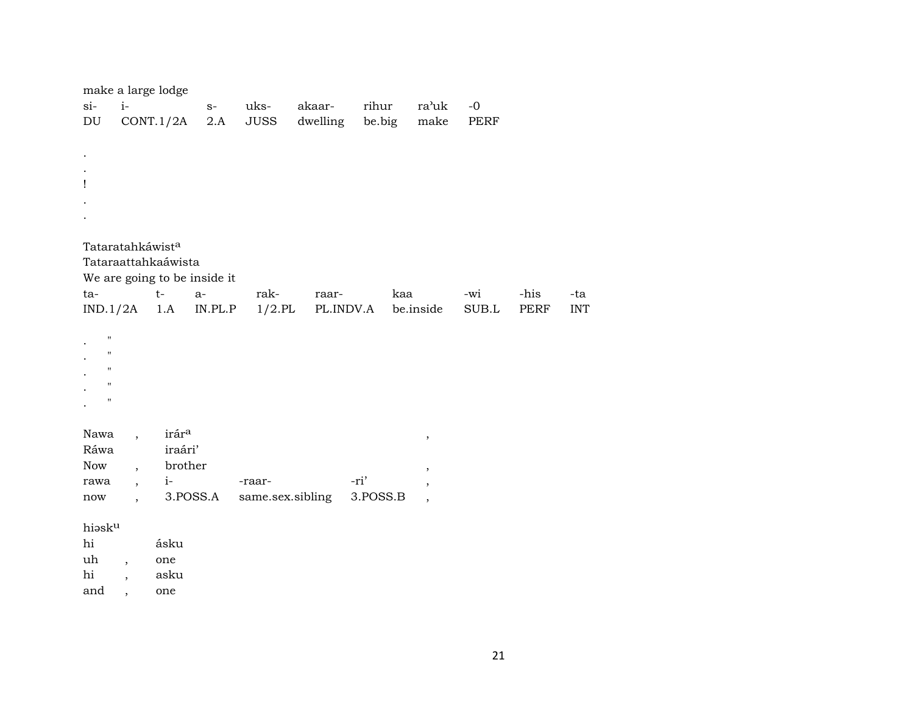|                                     |                              | make a large lodge                  |             |                  |                    |                 |                          |              |      |            |
|-------------------------------------|------------------------------|-------------------------------------|-------------|------------------|--------------------|-----------------|--------------------------|--------------|------|------------|
| $si-$<br>$\mathop{\rm DU}\nolimits$ | $i-$                         | CONT.1/2A                           | $S-$<br>2.A | uks-<br>JUSS     | akaar-<br>dwelling | rihur<br>be.big | ra'uk<br>make            | $-0$<br>PERF |      |            |
|                                     |                              |                                     |             |                  |                    |                 |                          |              |      |            |
|                                     |                              |                                     |             |                  |                    |                 |                          |              |      |            |
|                                     |                              |                                     |             |                  |                    |                 |                          |              |      |            |
| Ţ                                   |                              |                                     |             |                  |                    |                 |                          |              |      |            |
|                                     |                              |                                     |             |                  |                    |                 |                          |              |      |            |
|                                     |                              |                                     |             |                  |                    |                 |                          |              |      |            |
|                                     |                              | Tataratahkáwist <sup>a</sup>        |             |                  |                    |                 |                          |              |      |            |
|                                     |                              | Tataraattahkaáwista                 |             |                  |                    |                 |                          |              |      |            |
|                                     |                              | We are going to be inside it        |             |                  |                    |                 |                          |              |      |            |
| ta-                                 |                              | $t-$                                | $a-$        | rak-             | raar-              | kaa             |                          | -wi          | -his | -ta        |
|                                     |                              | $IND.1/2A$ 1.A                      | IN.PL.P     | $1/2$ .PL        | PL.INDV.A          |                 | be.inside                | SUB.L        | PERF | <b>INT</b> |
|                                     | $\pmb{\mathsf{H}}$           |                                     |             |                  |                    |                 |                          |              |      |            |
|                                     | 11                           |                                     |             |                  |                    |                 |                          |              |      |            |
|                                     | $\mathbf{H}$                 |                                     |             |                  |                    |                 |                          |              |      |            |
|                                     | $\mathbf H$                  |                                     |             |                  |                    |                 |                          |              |      |            |
|                                     | $\pmb{\mathsf{H}}$           |                                     |             |                  |                    |                 |                          |              |      |            |
|                                     | Nawa<br>$\ddot{\phantom{0}}$ | irára                               |             |                  |                    |                 |                          |              |      |            |
|                                     | Ráwa                         | iraári'                             |             |                  |                    |                 | $^\mathrm{^\mathrm{o}}$  |              |      |            |
| Now                                 |                              | brother<br>$\overline{\phantom{a}}$ |             |                  |                    |                 | ,                        |              |      |            |
| rawa                                | $\overline{\phantom{a}}$     | $i-$                                |             | -raar-           |                    | -ri'            | ,                        |              |      |            |
| now                                 | $\overline{\phantom{a}}$     |                                     | 3.POSS.A    | same.sex.sibling |                    | 3.POSS.B        | $\overline{\phantom{a}}$ |              |      |            |
|                                     | hiasku                       |                                     |             |                  |                    |                 |                          |              |      |            |
| hi                                  |                              | ásku                                |             |                  |                    |                 |                          |              |      |            |
| uh                                  | $\overline{\phantom{a}}$     | one                                 |             |                  |                    |                 |                          |              |      |            |
| hi                                  |                              | asku                                |             |                  |                    |                 |                          |              |      |            |

and ,

one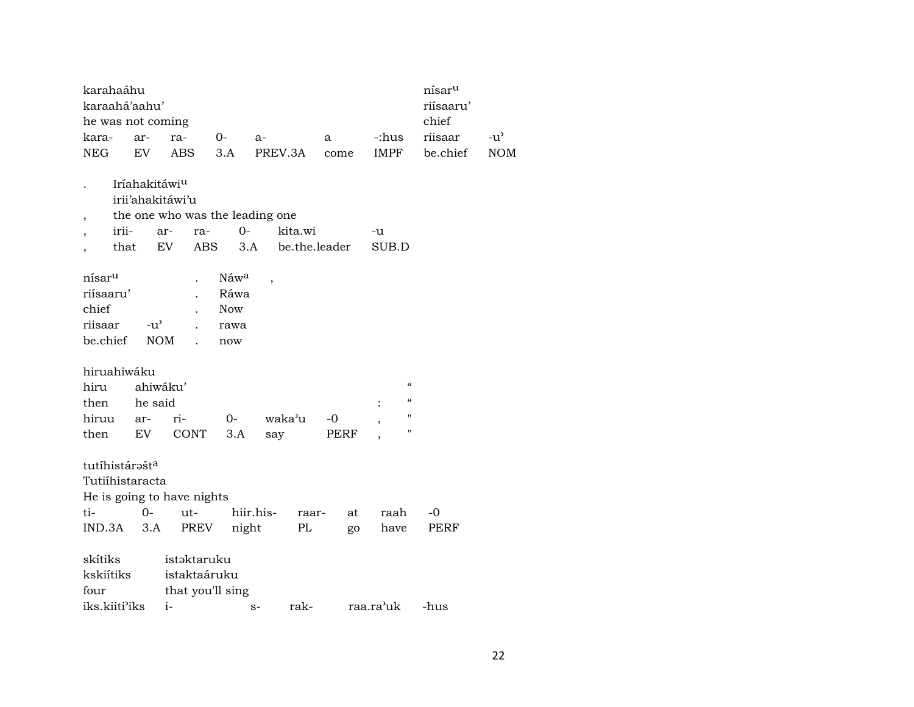| karahaáhu                |                           |                                 |            |           |               |      |                                        | nísar <sup>u</sup> |               |
|--------------------------|---------------------------|---------------------------------|------------|-----------|---------------|------|----------------------------------------|--------------------|---------------|
| karaahá'aahu'            |                           |                                 |            |           |               |      |                                        | riísaaru'          |               |
| he was not coming        |                           |                                 |            |           |               |      |                                        | chief              |               |
| kara-                    | ar-                       | ra-                             | $O -$      | $a-$      | a             |      | -:hus                                  | riisaar            | $-u^{\prime}$ |
| <b>NEG</b>               | EV                        | ABS                             | 3.A        | PREV.3A   | come          |      | IMPF                                   | be.chief           | <b>NOM</b>    |
|                          |                           |                                 |            |           |               |      |                                        |                    |               |
|                          | Iríahakitáwi <sup>u</sup> |                                 |            |           |               |      |                                        |                    |               |
|                          |                           | irii'ahakitáwi'u                |            |           |               |      |                                        |                    |               |
| $\overline{\phantom{a}}$ |                           | the one who was the leading one |            |           |               |      |                                        |                    |               |
| irii-                    |                           | ar-<br>ra-                      | $0-$       |           | kita.wi       |      | -u                                     |                    |               |
|                          | that                      | EV                              | ABS<br>3.A |           | be.the.leader |      | SUB.D                                  |                    |               |
|                          |                           |                                 |            |           |               |      |                                        |                    |               |
| nísar <sup>u</sup>       |                           |                                 | Náwa       | ,         |               |      |                                        |                    |               |
| riísaaru'                |                           |                                 | Ráwa       |           |               |      |                                        |                    |               |
| chief                    |                           |                                 | <b>Now</b> |           |               |      |                                        |                    |               |
| riisaar                  | $-u^{\prime}$             |                                 | rawa       |           |               |      |                                        |                    |               |
| be.chief                 |                           | <b>NOM</b>                      | now        |           |               |      |                                        |                    |               |
|                          |                           |                                 |            |           |               |      |                                        |                    |               |
| hiruahiwáku              |                           |                                 |            |           |               |      |                                        |                    |               |
| hiru                     |                           | ahiwáku'                        |            |           |               |      | $\boldsymbol{\zeta}\boldsymbol{\zeta}$ |                    |               |
| then                     | he said                   |                                 |            |           |               |      | $\boldsymbol{\zeta}\boldsymbol{\zeta}$ |                    |               |
| hiruu                    | ar-                       | ri-                             | $0-$       | waka'u    | $-0$          |      | $\pmb{\mathsf{H}}$<br>,                |                    |               |
| then                     | EV                        | CONT                            | 3.A        | say       |               | PERF | $\pmb{\mathsf{H}}$                     |                    |               |
|                          |                           |                                 |            |           |               |      |                                        |                    |               |
| tutíhistárašta           |                           |                                 |            |           |               |      |                                        |                    |               |
| Tutiíhistaracta          |                           |                                 |            |           |               |      |                                        |                    |               |
|                          |                           | He is going to have nights      |            |           |               |      |                                        |                    |               |
| ti-                      | $0 -$                     | ut-                             |            | hiir.his- | raar-         | at   | raah                                   | -0                 |               |
| IND.3A                   | 3.A                       | PREV                            | night      |           | PL            | go   | have                                   | PERF               |               |
|                          |                           |                                 |            |           |               |      |                                        |                    |               |
| skítiks                  |                           | istaktaruku                     |            |           |               |      |                                        |                    |               |
| kskiítiks                |                           | istaktaáruku                    |            |           |               |      |                                        |                    |               |
| four                     |                           | that you'll sing                |            |           |               |      |                                        |                    |               |
| iks.kiiti'iks            |                           | $i-$                            |            | $S-$      | rak-          |      | raa.ra'uk                              | -hus               |               |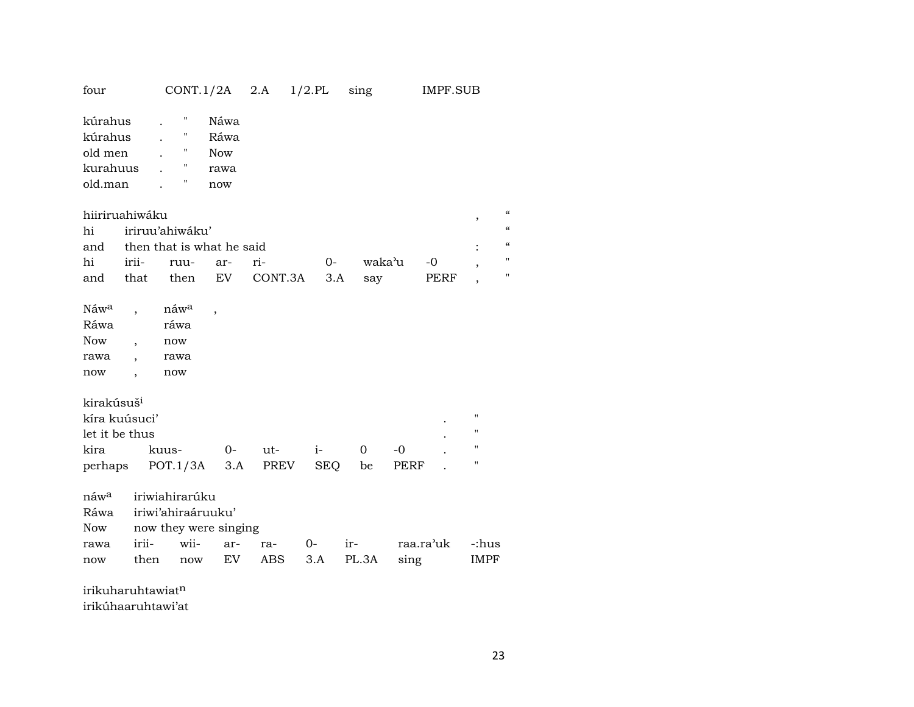| four                                                                                          |                                       | $CONT.1/2A$ 2.A                                                              |                                           |                | $1/2$ .PL          | sing                |              | <b>IMPF.SUB</b> |                                                                                      |                           |
|-----------------------------------------------------------------------------------------------|---------------------------------------|------------------------------------------------------------------------------|-------------------------------------------|----------------|--------------------|---------------------|--------------|-----------------|--------------------------------------------------------------------------------------|---------------------------|
| kúrahus<br>kúrahus<br>old men<br>kurahuus<br>old.man<br>hi                                    | hiiriruahiwáku                        | Ħ<br>н<br>11<br>Ħ<br>П<br>iriruu'ahiwáku'                                    | Náwa<br>Ráwa<br><b>Now</b><br>rawa<br>now |                |                    |                     |              |                 | $^\mathrm{^\mathrm{o}}$                                                              | $\alpha$<br>$\mathcal{C}$ |
| and                                                                                           |                                       | then that is what he said                                                    |                                           |                |                    |                     |              |                 |                                                                                      | $\mu$                     |
| hi                                                                                            | irii-                                 | ruu-                                                                         | ar-                                       | ri-            | $0-$               | waka <sup>3</sup> u |              | $-0$            | $\overline{\phantom{a}}$                                                             | $^{\prime}$               |
| and                                                                                           | that                                  | then                                                                         | EV                                        | CONT.3A        | 3.A                | say                 |              | PERF            | $\overline{\phantom{a}}$                                                             | $\pmb{\mathsf{H}}$        |
| Náwa<br>Ráwa<br><b>Now</b><br>rawa<br>now<br>kirakúsuš <sup>i</sup><br>let it be thus<br>kira | $\ddot{\phantom{0}}$<br>kíra kuúsuci' | náw <sup>a</sup><br>ráwa<br>now<br>rawa<br>now<br>kuus-<br>perhaps POT.1/3A  | $\overline{\phantom{a}}$<br>$0-$<br>3.A   | $ut -$<br>PREV | $i-$<br><b>SEQ</b> | 0<br>be             | $-0$<br>PERF |                 | $\pmb{\mathsf{H}}$<br>$\pmb{\mathsf{H}}$<br>$\pmb{\mathsf{H}}$<br>$\pmb{\mathsf{H}}$ |                           |
| náw <sup>a</sup><br>Ráwa<br>Now<br>rawa<br>now                                                | irii-<br>then                         | iriwiahirarúku<br>iriwi'ahiraáruuku'<br>now they were singing<br>wii-<br>now | ar-<br>EV                                 | ra-<br>ABS     | $O-$<br>3.A        | ir-<br>PL.3A        | sing         | raa.ra'uk       | -:hus<br>IMPF                                                                        |                           |

irikuharuhtawiat¶ irikúhaaruhtawi'at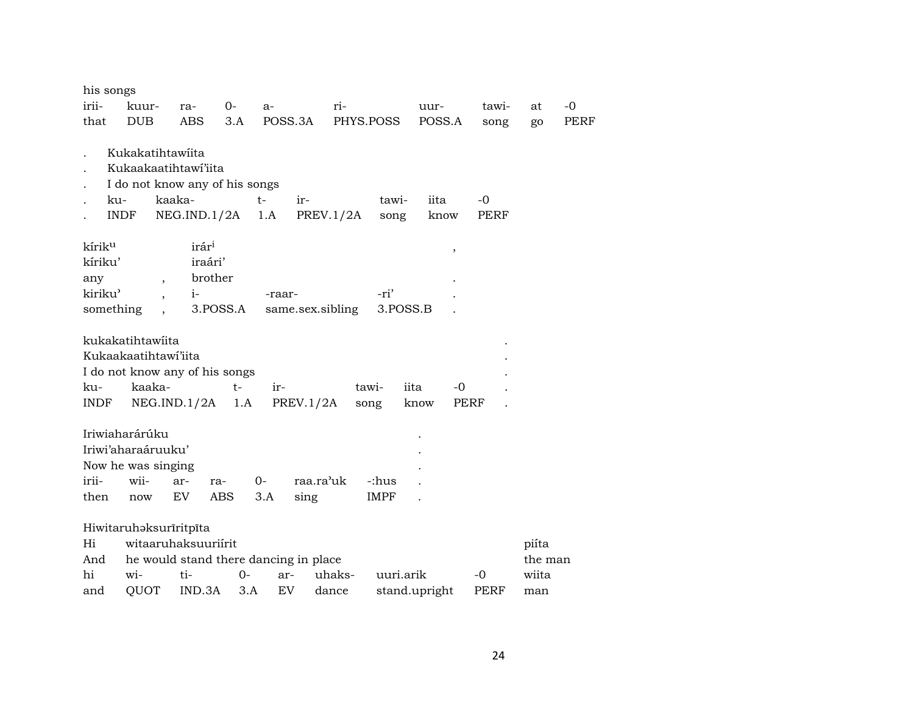| his songs<br>irii-                              | kuur-                                                      | ra-                                                                              | $0-$         | $a-$               | ri-              |               | uur-                       | tawi-        | at      | $-0$        |
|-------------------------------------------------|------------------------------------------------------------|----------------------------------------------------------------------------------|--------------|--------------------|------------------|---------------|----------------------------|--------------|---------|-------------|
| that                                            | <b>DUB</b>                                                 | <b>ABS</b>                                                                       | 3.A          | POSS.3A            |                  | PHYS.POSS     | POSS.A                     | song         | go      | <b>PERF</b> |
| ku-                                             | Kukakatihtawiita<br><b>INDF</b>                            | Kukaakaatihtawi'iita<br>I do not know any of his songs<br>kaaka-<br>NEG.IND.1/2A |              | $t-$<br>ir-<br>1.A | PREV.1/2A        | tawi-<br>song | iita<br>know               | $-0$<br>PERF |         |             |
| kírik <sup>u</sup><br>kíriku'<br>any<br>kiriku' | $\overline{\phantom{a}}$                                   | irár <sup>i</sup><br>iraári'<br>brother<br>$i-$                                  |              | -raar-             |                  | -ri'          | $\,$                       |              |         |             |
| something                                       |                                                            |                                                                                  | 3.POSS.A     |                    | same.sex.sibling | 3.POSS.B      |                            |              |         |             |
| ku-<br>INDF                                     | kukakatihtawiita<br>Kukaakaatihtawi'iita<br>kaaka-         | I do not know any of his songs<br>NEG.IND.1/2A                                   | $t -$<br>1.A | ir-                | PREV.1/2A        | tawi-<br>song | iita<br>-0<br>PERF<br>know |              |         |             |
|                                                 | Iriwiaharárúku<br>Iriwi'aharaáruuku'<br>Now he was singing |                                                                                  |              |                    |                  |               |                            |              |         |             |
| irii-                                           | wii-                                                       | ar-                                                                              | ra-          | $0-$               | raa.ra'uk        | -:hus         |                            |              |         |             |
| then                                            | $\operatorname{now}$                                       | EV                                                                               | ABS          | 3.A                | sing             | <b>IMPF</b>   |                            |              |         |             |
|                                                 |                                                            | Hiwitaruhaksurīritpīta                                                           |              |                    |                  |               |                            |              |         |             |
| Hi                                              |                                                            | witaaruhaksuuriírit                                                              |              |                    |                  |               |                            |              | piíta   |             |
| And                                             |                                                            | he would stand there dancing in place                                            |              |                    |                  |               |                            |              | the man |             |
| hi                                              | wi-                                                        | ti-                                                                              | 0-           | ar-                | uhaks-           | uuri.arik     |                            | -0           | wiita   |             |
| and                                             | QUOT                                                       | IND.3A                                                                           | 3.A          | EV                 | dance            |               | stand.upright              | <b>PERF</b>  | man     |             |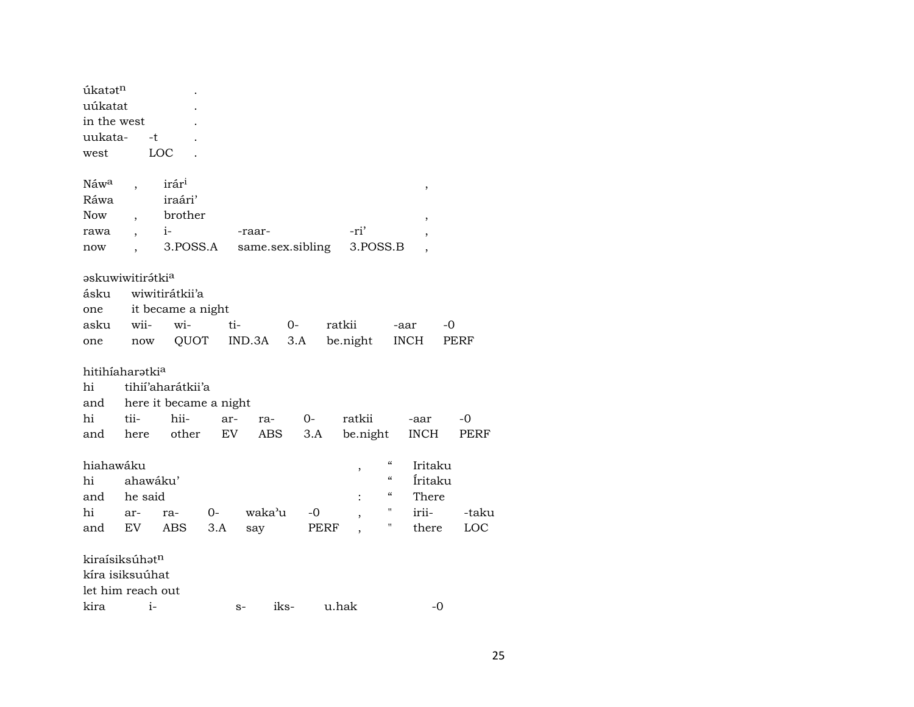| úkatatn                      |          |                        |     |                  |      |                          |                                        |             |       |
|------------------------------|----------|------------------------|-----|------------------|------|--------------------------|----------------------------------------|-------------|-------|
| uúkatat                      |          |                        |     |                  |      |                          |                                        |             |       |
| in the west                  |          |                        |     |                  |      |                          |                                        |             |       |
| uukata-                      | -t       |                        |     |                  |      |                          |                                        |             |       |
| west                         |          | LOC                    |     |                  |      |                          |                                        |             |       |
|                              |          |                        |     |                  |      |                          |                                        |             |       |
| Náw <sup>a</sup>             |          | irár <sup>i</sup>      |     |                  |      |                          |                                        | ,           |       |
| Ráwa                         |          | iraári'                |     |                  |      |                          |                                        |             |       |
| <b>Now</b>                   |          | brother                |     |                  |      |                          |                                        | ,           |       |
| rawa                         |          | $i-$                   |     | -raar-           |      | -ri'                     |                                        | ,           |       |
| now                          |          | 3.POSS.A               |     | same.sex.sibling |      |                          | 3.POSS.B                               |             |       |
|                              |          |                        |     |                  |      |                          |                                        |             |       |
| askuwiwitirátki <sup>a</sup> |          |                        |     |                  |      |                          |                                        |             |       |
| ásku                         |          | wiwitirátkii'a         |     |                  |      |                          |                                        |             |       |
| one                          |          | it became a night      |     |                  |      |                          |                                        |             |       |
| asku                         | wii-     | wi-                    | ti- |                  | $0-$ | ratkii                   |                                        | -0<br>-aar  |       |
| one                          | now      | QUOT                   |     | IND.3A           | 3.A  | be.night                 |                                        | <b>INCH</b> | PERF  |
| hitihiaharatkia              |          |                        |     |                  |      |                          |                                        |             |       |
| hi                           |          | tihií'aharátkii'a      |     |                  |      |                          |                                        |             |       |
| and                          |          | here it became a night |     |                  |      |                          |                                        |             |       |
| hi                           | tii-     | hii-                   | ar- | ra-              | 0-   | ratkii                   |                                        | -aar        | -0    |
|                              |          | other                  | EV  |                  | 3.A  |                          |                                        | <b>INCH</b> | PERF  |
| and                          | here     |                        |     | ABS              |      | be.night                 |                                        |             |       |
| hiahawáku                    |          |                        |     |                  |      | $\,$                     | $\mathcal{C}\mathcal{C}$               | Iritaku     |       |
| hi                           | ahawáku' |                        |     |                  |      |                          | $\mathcal{C}\mathcal{C}$               | Íritaku     |       |
| and                          | he said  |                        |     |                  |      |                          | $\boldsymbol{\zeta}\boldsymbol{\zeta}$ | There       |       |
| hi                           | ar-      | ra-                    | 0-  | waka'u           | -0   | $\overline{\phantom{a}}$ | н                                      | irii-       | -taku |
| and                          | EV       | ABS                    | 3.A | say              |      | PERF                     | н                                      | there       | LOC   |
|                              |          |                        |     |                  |      |                          |                                        |             |       |
| kiraísiksúhatn               |          |                        |     |                  |      |                          |                                        |             |       |
| kíra isiksuúhat              |          |                        |     |                  |      |                          |                                        |             |       |
| let him reach out            |          |                        |     |                  |      |                          |                                        |             |       |
| kira                         | $i-$     |                        |     | $S-$             | iks- | u.hak                    |                                        | $-0$        |       |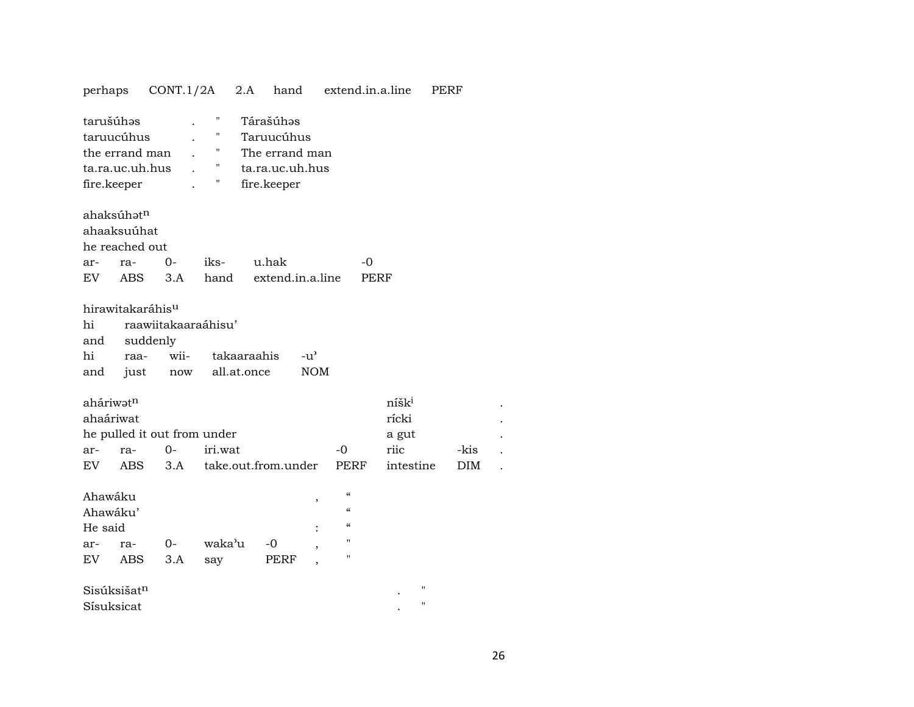| perhaps                  |                                                 | CONT.1/2A           |                       | 2.A         | hand                                                                        |               | extend.in.a.line |                   | PERF |            |
|--------------------------|-------------------------------------------------|---------------------|-----------------------|-------------|-----------------------------------------------------------------------------|---------------|------------------|-------------------|------|------------|
| tarušúhos<br>fire.keeper | taruucúhus<br>the errand man<br>ta.ra.uc.uh.hus |                     | н<br>П<br>"<br>"<br>Η |             | Tárašúhəs<br>Taruucúhus<br>The errand man<br>ta.ra.uc.uh.hus<br>fire.keeper |               |                  |                   |      |            |
|                          | ahaksúhatn                                      |                     |                       |             |                                                                             |               |                  |                   |      |            |
|                          | ahaaksuúhat                                     |                     |                       |             |                                                                             |               |                  |                   |      |            |
|                          | he reached out                                  |                     |                       |             |                                                                             |               |                  |                   |      |            |
| ar-                      | ra-                                             | $O -$               | iks-                  |             | u.hak                                                                       |               | -0               |                   |      |            |
| EV.                      | ABS.                                            | 3.A                 | hand                  |             | extend.in.a.line                                                            |               | PERF             |                   |      |            |
|                          | hirawitakaráhis <sup>u</sup>                    |                     |                       |             |                                                                             |               |                  |                   |      |            |
| hi                       |                                                 | raawiitakaaraáhisu' |                       |             |                                                                             |               |                  |                   |      |            |
| and                      | suddenly                                        |                     |                       |             |                                                                             |               |                  |                   |      |            |
| hi                       | raa-                                            | wii-                |                       | takaaraahis |                                                                             | $-u^{\prime}$ |                  |                   |      |            |
| and                      | just                                            | now                 |                       | all.at.once |                                                                             | <b>NOM</b>    |                  |                   |      |            |
| aháriwatn                |                                                 |                     |                       |             |                                                                             |               |                  | níšk <sup>i</sup> |      |            |
| ahaáriwat                |                                                 |                     |                       |             |                                                                             |               |                  | rícki             |      |            |
|                          | he pulled it out from under                     |                     |                       |             |                                                                             |               |                  | a gut             |      |            |
| ar-                      | ra-                                             | $0 -$               | iri.wat               |             |                                                                             |               | $-0$             | riic              |      | -kis       |
| EV.                      | <b>ABS</b>                                      | 3.A                 |                       |             | take.out.from.under                                                         |               | <b>PERF</b>      | intestine         |      | <b>DIM</b> |
| Ahawáku                  |                                                 |                     |                       |             |                                                                             | ,             | $\epsilon$       |                   |      |            |
| Ahawáku'                 |                                                 |                     |                       |             |                                                                             |               | $\epsilon$       |                   |      |            |
| He said                  |                                                 |                     |                       |             |                                                                             |               | $\mathcal{C}$    |                   |      |            |
| ar-                      | ra-                                             | 0-                  | waka'u                |             | -0                                                                          | $\cdot$       | п                |                   |      |            |
| EV                       | ABS                                             | 3.A                 | say                   |             | PERF                                                                        |               | П                |                   |      |            |
|                          | Sisúksišat <sup>n</sup>                         |                     |                       |             |                                                                             |               |                  | "                 |      |            |
| Sísuksicat               |                                                 |                     |                       |             |                                                                             |               |                  | П                 |      |            |

## 26

 $\ddot{\phantom{a}}$  $\cdot$  $\ddot{\phantom{a}}$ 

 $\sim$   $\sim$ 

 $\sim$  .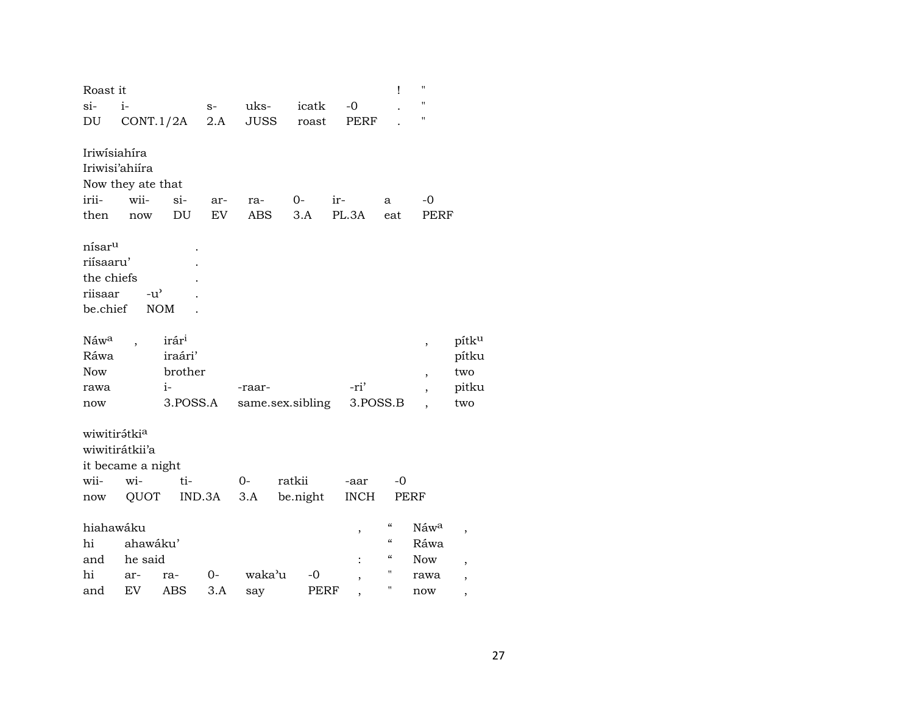| Roast it           |                   |                   |        |             |                  |                          | Ţ                                      | Ħ                        |       |
|--------------------|-------------------|-------------------|--------|-------------|------------------|--------------------------|----------------------------------------|--------------------------|-------|
| $si-$              | $i-$              |                   | $S-$   | uks-        | icatk            | $-0$                     |                                        | $\blacksquare$           |       |
| DU                 | CONT.1/2A         |                   | 2.A    | <b>JUSS</b> | roast            | <b>PERF</b>              |                                        | 11                       |       |
|                    |                   |                   |        |             |                  |                          |                                        |                          |       |
| Iriwisiahira       |                   |                   |        |             |                  |                          |                                        |                          |       |
| Iriwisi'ahiira     |                   |                   |        |             |                  |                          |                                        |                          |       |
|                    | Now they ate that |                   |        |             |                  |                          |                                        |                          |       |
| irii-              | wii-              | $si-$             | ar-    | ra-         | 0-               | ir-                      | a                                      | -0                       |       |
| then               | now               | DU                | EV     | <b>ABS</b>  | 3.A              | PL.3A                    | eat                                    | PERF                     |       |
| nísar <sup>u</sup> |                   |                   |        |             |                  |                          |                                        |                          |       |
| riísaaru'          |                   |                   |        |             |                  |                          |                                        |                          |       |
| the chiefs         |                   |                   |        |             |                  |                          |                                        |                          |       |
| riisaar            | $-u^{\prime}$     |                   |        |             |                  |                          |                                        |                          |       |
| be.chief           |                   | <b>NOM</b>        |        |             |                  |                          |                                        |                          |       |
|                    |                   |                   |        |             |                  |                          |                                        |                          |       |
| Náw <sup>a</sup>   |                   | irár <sup>i</sup> |        |             |                  |                          |                                        | $\overline{\phantom{a}}$ | pítku |
| Ráwa               |                   | iraári'           |        |             |                  |                          |                                        |                          | pítku |
| <b>Now</b>         |                   | brother           |        |             |                  |                          |                                        | $\overline{\phantom{a}}$ | two   |
| rawa               |                   | $i-$              |        | -raar-      |                  | -ri'                     |                                        | $\overline{\phantom{a}}$ | pitku |
| now                |                   | 3.POSS.A          |        |             | same.sex.sibling | 3.POSS.B                 |                                        |                          | two   |
|                    |                   |                   |        |             |                  |                          |                                        |                          |       |
| wiwitirátkia       |                   |                   |        |             |                  |                          |                                        |                          |       |
| wiwitirátkii'a     |                   |                   |        |             |                  |                          |                                        |                          |       |
|                    | it became a night |                   |        |             |                  |                          |                                        |                          |       |
| wii-               | wi-               | ti-               |        | $0-$        | ratkii           | -aar                     | $-0$                                   |                          |       |
| now                | QUOT              |                   | IND.3A | 3.A         | be.night         | <b>INCH</b>              | PERF                                   |                          |       |
| hiahawáku          |                   |                   |        |             |                  |                          | $\boldsymbol{\zeta}\boldsymbol{\zeta}$ | Náwa                     |       |
| hi                 | ahawáku'          |                   |        |             |                  | ,                        | $\mathcal{C}\mathcal{C}$               | Ráwa                     | ,     |
| and                | he said           |                   |        |             |                  |                          | $\boldsymbol{\zeta}\boldsymbol{\zeta}$ | <b>Now</b>               |       |
| hi                 |                   |                   | 0-     | waka'u      | -0               |                          | П                                      |                          |       |
|                    | ar-<br>EV         | ra-<br><b>ABS</b> | 3.A    |             | PERF             | ,                        | П                                      | rawa                     | ,     |
| and                |                   |                   |        | say         |                  | $\overline{\phantom{a}}$ |                                        | now                      | ,     |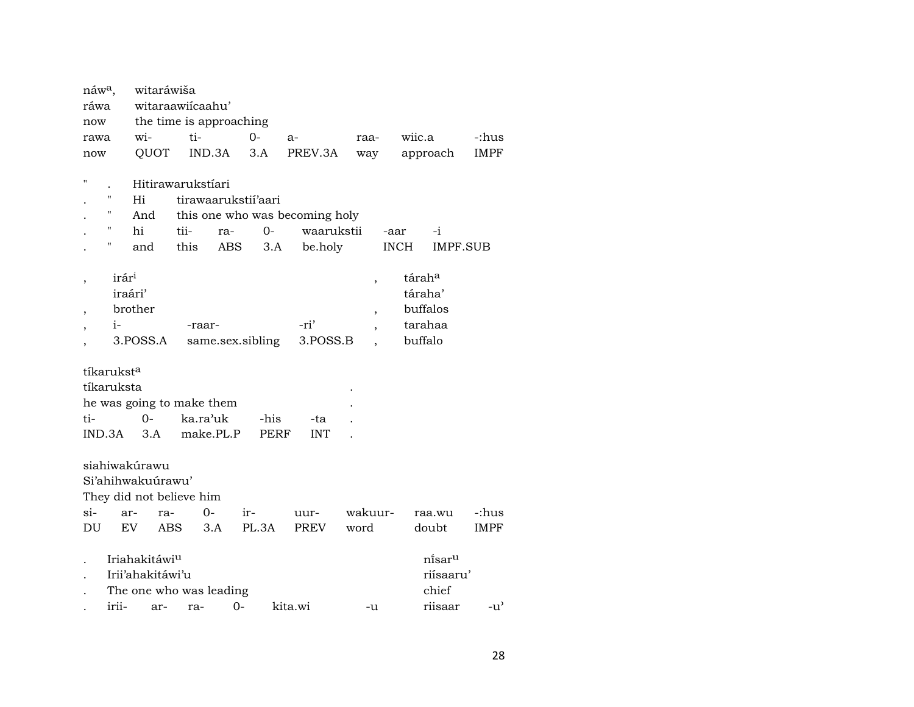| náw <sup>a</sup> ,       |                        | witaráwiša                |                         |      |                  |                                |                          |                      |               |
|--------------------------|------------------------|---------------------------|-------------------------|------|------------------|--------------------------------|--------------------------|----------------------|---------------|
| ráwa                     |                        |                           | witaraawiicaahu'        |      |                  |                                |                          |                      |               |
| now                      |                        |                           | the time is approaching |      |                  |                                |                          |                      |               |
| rawa                     |                        | wi-                       | ti-                     |      | $0 -$            | a-                             | raa-                     | wiic.a               | -:hus         |
| now                      |                        | QUOT                      | IND.3A                  |      | 3.A              | PREV.3A                        | way                      | approach             | <b>IMPF</b>   |
|                          |                        |                           |                         |      |                  |                                |                          |                      |               |
| $\blacksquare$           |                        |                           | Hitirawarukstíari       |      |                  |                                |                          |                      |               |
|                          | Н                      | Hi                        | tirawaarukstii'aari     |      |                  |                                |                          |                      |               |
|                          | Н                      | And                       |                         |      |                  | this one who was becoming holy |                          |                      |               |
|                          | н                      | hi                        | tii-                    | ra-  | $O -$            | waarukstii                     |                          | $-i$<br>-aar         |               |
|                          | н                      | and                       | this                    | ABS  | 3.A              | be.holy                        |                          | <b>INCH</b>          | IMPF.SUB      |
|                          |                        |                           |                         |      |                  |                                |                          |                      |               |
|                          | irár <sup>i</sup>      |                           |                         |      |                  |                                | $\overline{\phantom{a}}$ | tárah <sup>a</sup>   |               |
|                          | iraári'                |                           |                         |      |                  |                                |                          | táraha'              |               |
| $\overline{\phantom{a}}$ |                        | brother                   |                         |      |                  |                                | $\overline{\phantom{a}}$ | buffalos             |               |
|                          | $i-$                   |                           | -raar-                  |      |                  | -ri'                           |                          | tarahaa              |               |
|                          |                        | 3.POSS.A                  |                         |      | same.sex.sibling | 3.POSS.B                       |                          | buffalo              |               |
|                          |                        |                           |                         |      |                  |                                |                          |                      |               |
|                          | tíkarukst <sup>a</sup> |                           |                         |      |                  |                                |                          |                      |               |
|                          | tíkaruksta             |                           |                         |      |                  |                                |                          |                      |               |
|                          |                        | he was going to make them |                         |      |                  |                                |                          |                      |               |
| ti-                      |                        | $0-$                      | ka.ra'uk                |      | -his             | -ta                            |                          |                      |               |
| IND.3A                   |                        | 3.A                       | make.PL.P               |      | <b>PERF</b>      | <b>INT</b>                     |                          |                      |               |
|                          |                        |                           |                         |      |                  |                                |                          |                      |               |
|                          |                        | siahiwakúrawu             |                         |      |                  |                                |                          |                      |               |
|                          |                        | Si'ahihwakuurawu'         |                         |      |                  |                                |                          |                      |               |
|                          |                        | They did not believe him  |                         |      |                  |                                |                          |                      |               |
| $si-$                    | ar-                    | ra-                       | $0-$                    |      | ir-              | uur-                           | wakuur-                  | raa.wu               | -:hus         |
| DU                       |                        | EV.<br>ABS                | 3.A                     |      | PL.3A            | <b>PREV</b>                    | word                     | doubt                | <b>IMPF</b>   |
|                          |                        | Iriahakitáwi <sup>u</sup> |                         |      |                  |                                |                          | ni̇̃sar <sup>u</sup> |               |
|                          |                        |                           |                         |      |                  |                                |                          |                      |               |
|                          |                        | Irii'ahakitáwi'u          |                         |      |                  |                                |                          | riísaaru'            |               |
|                          |                        | The one who was leading   |                         |      |                  |                                |                          | chief                |               |
|                          | irii-                  | ar-                       | ra-                     | $0-$ |                  | kita.wi                        | -u                       | riisaar              | $-u^{\prime}$ |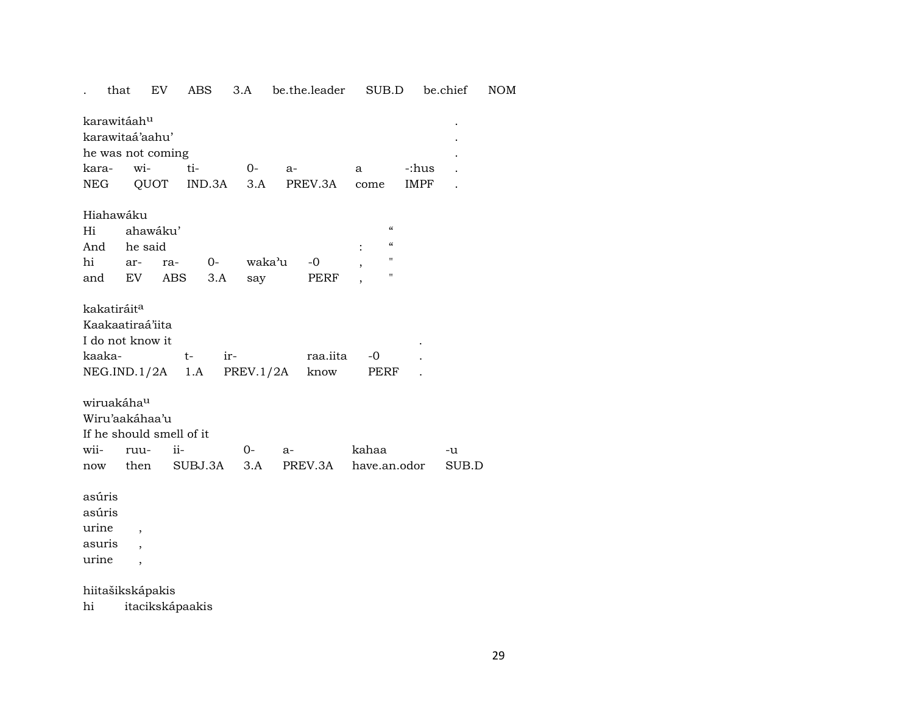that EV 3.A be.the.leader SUB.D be.chief  $\rm{NOM}$ ABS  $\mathcal{L}^{\pm}$ 

| karawitáah <sup>u</sup>                                             |                                                                                                                             |                          |     |      |      |                  |                     |                          |       |
|---------------------------------------------------------------------|-----------------------------------------------------------------------------------------------------------------------------|--------------------------|-----|------|------|------------------|---------------------|--------------------------|-------|
| karawitaá'aahu'                                                     |                                                                                                                             |                          |     |      |      |                  |                     |                          |       |
|                                                                     | he was not coming                                                                                                           |                          |     |      |      |                  |                     |                          |       |
| kara-                                                               | wi-                                                                                                                         | $\overline{\text{t}}$ i- |     | $O-$ | $a-$ |                  | a                   | -:hus                    |       |
| NEG                                                                 |                                                                                                                             | QUOT IND.3A 3.A          |     |      |      | PREV.3A          | come                | IMPF                     |       |
|                                                                     |                                                                                                                             |                          |     |      |      |                  |                     |                          |       |
| Hiahawáku                                                           |                                                                                                                             |                          |     |      |      |                  |                     |                          |       |
| Hi                                                                  | ahawáku'                                                                                                                    |                          |     |      |      |                  |                     | $\pmb{\zeta}\pmb{\zeta}$ |       |
| And                                                                 | he said                                                                                                                     |                          |     |      |      |                  |                     | $\pmb{\zeta}\pmb{\zeta}$ |       |
| hi                                                                  | ar-                                                                                                                         | ra- 0- waka'u            |     |      |      | $-0$             |                     | $\pmb{\mathsf{H}}$       |       |
|                                                                     | and EV ABS                                                                                                                  |                          | 3.A | say  |      | PERF             |                     | $\pmb{\mathsf{H}}$       |       |
| kakatiráit <sup>a</sup><br>kaaka-<br>wiruakáha <sup>u</sup><br>wii- | Kaakaatiraá'iita<br>I do not know it<br>$NEG.ID.1/2A$ 1.A $PREV.1/2A$<br>Wiru'aakáhaa'u<br>If he should smell of it<br>ruu- | $t-$<br>ii-              | ir- | $O-$ | a-   | raa.iita<br>know | -0<br>PERF<br>kahaa |                          | -u    |
| now                                                                 | then                                                                                                                        | SUBJ.3A                  |     | 3.A  |      | PREV.3A          |                     | have.an.odor             | SUB.D |
| asúris<br>asúris<br>urine<br>asuris                                 | ,                                                                                                                           |                          |     |      |      |                  |                     |                          |       |
| urine                                                               | $\overline{\phantom{a}}$                                                                                                    |                          |     |      |      |                  |                     |                          |       |

hiitašikskápakis

itacikskápaakis  $\hbox{hi}$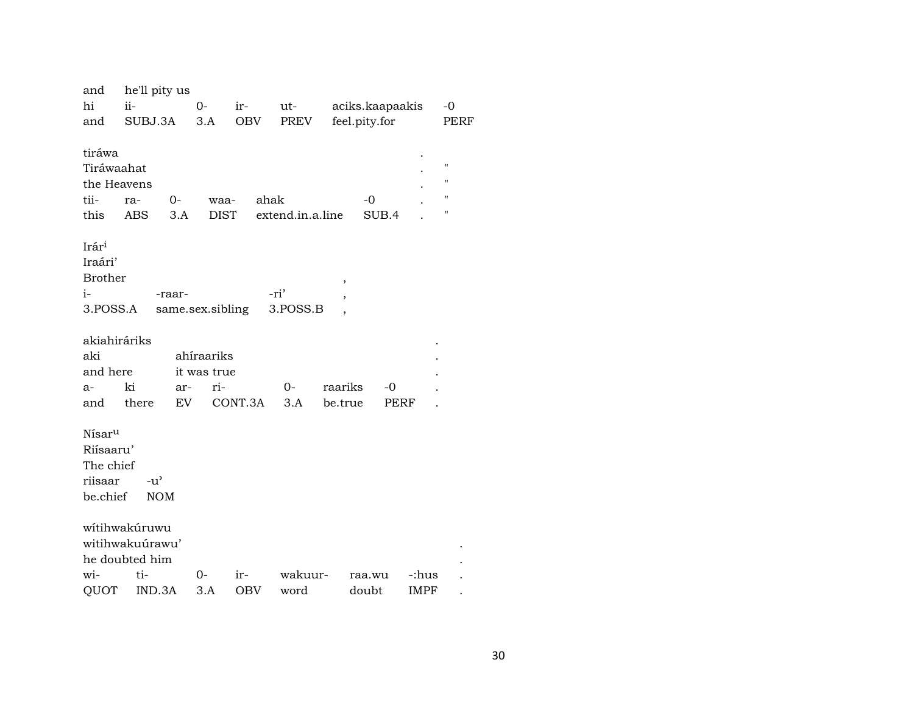| and<br>hi                                                           | he'll pity us<br>ii-                              | $0-$                | ir-        | ut-              | aciks.kaapaakis | $-0$                                            |
|---------------------------------------------------------------------|---------------------------------------------------|---------------------|------------|------------------|-----------------|-------------------------------------------------|
| and                                                                 | SUBJ.3A                                           | 3.A                 | <b>OBV</b> | PREV             | feel.pity.for   | PERF                                            |
| tiráwa<br>Tiráwaahat<br>the Heavens<br>tii-<br>this                 | 0-<br>ra-<br>ABS<br>3.A                           | waa-<br><b>DIST</b> | ahak       | extend.in.a.line | $-0$<br>SUB.4   | $\blacksquare$<br>"<br>$\pmb{\mathsf{H}}$<br>11 |
| Irári<br>Iraári'<br><b>Brother</b>                                  |                                                   |                     |            |                  | ,               |                                                 |
| $i-$                                                                | -raar-                                            |                     |            | -ri'             |                 |                                                 |
| 3.POSS.A                                                            |                                                   | same.sex.sibling    |            | 3.POSS.B         |                 |                                                 |
|                                                                     |                                                   |                     |            |                  |                 |                                                 |
| akiahiráriks                                                        |                                                   |                     |            |                  |                 |                                                 |
| aki                                                                 |                                                   | ahíraariks          |            |                  |                 |                                                 |
| and here                                                            |                                                   | it was true         |            |                  |                 |                                                 |
| $a-$                                                                | ki<br>ar-                                         | ri-                 |            | $0-$             | raariks<br>$-0$ |                                                 |
| and                                                                 | there                                             | EV                  | CONT.3A    | 3.A              | be.true<br>PERF |                                                 |
| Nisar <sup>u</sup><br>Riísaaru'<br>The chief<br>riisaar<br>be.chief | $-u$ <sup><math>\prime</math></sup><br><b>NOM</b> |                     |            |                  |                 |                                                 |
|                                                                     | wítihwakúruwu                                     |                     |            |                  |                 |                                                 |
|                                                                     | witihwakuúrawu'                                   |                     |            |                  |                 |                                                 |
|                                                                     | he doubted him                                    |                     |            |                  |                 |                                                 |
| wi-                                                                 | ti-                                               | 0-                  | ir-        | wakuur-          | raa.wu          | -:hus                                           |
| QUOT                                                                | IND.3A                                            | 3.A                 | <b>OBV</b> | word             | doubt           | <b>IMPF</b>                                     |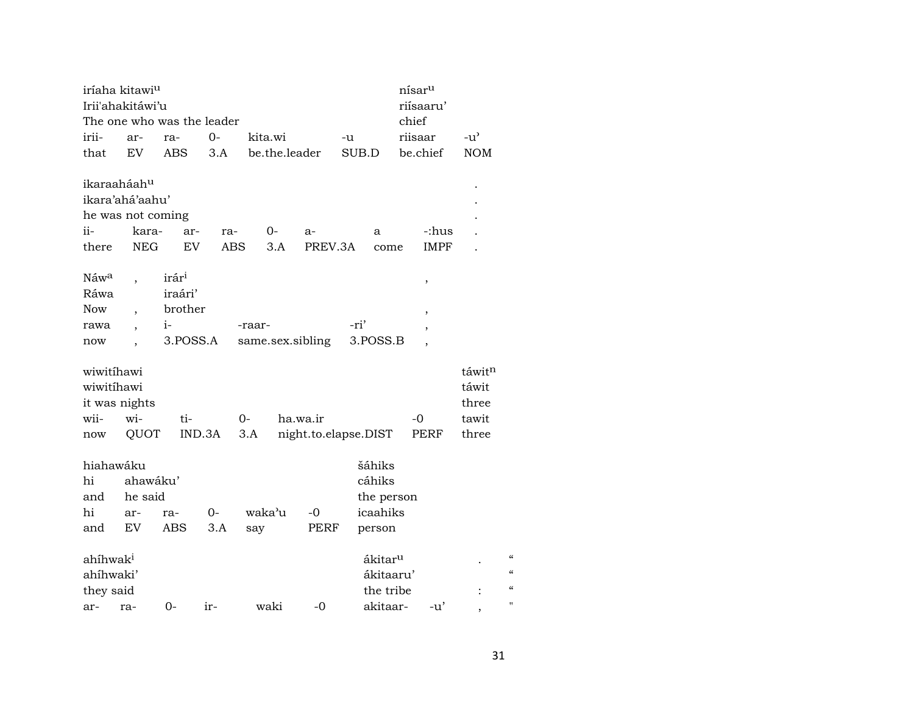|                      | iríaha kitawi <sup>u</sup><br>nísar <sup>u</sup> |                            |            |         |                  |                      |       |                     |       |                          |                          |                                        |
|----------------------|--------------------------------------------------|----------------------------|------------|---------|------------------|----------------------|-------|---------------------|-------|--------------------------|--------------------------|----------------------------------------|
|                      | Irii'ahakitáwi'u                                 |                            |            |         |                  |                      |       |                     |       | riísaaru'                |                          |                                        |
|                      |                                                  | The one who was the leader |            |         |                  |                      |       |                     | chief |                          |                          |                                        |
| irii-                | ar-                                              | ra-                        | 0-         | kita.wi |                  |                      | -u    |                     |       | riisaar                  | $-u^{\prime}$            |                                        |
| that                 | EV                                               | <b>ABS</b>                 | 3.A        |         | be.the.leader    |                      | SUB.D |                     |       | be.chief                 | NOM                      |                                        |
|                      |                                                  |                            |            |         |                  |                      |       |                     |       |                          |                          |                                        |
| ikaraaháahu          |                                                  |                            |            |         |                  |                      |       |                     |       |                          |                          |                                        |
|                      | ikara'ahá'aahu'                                  |                            |            |         |                  |                      |       |                     |       |                          |                          |                                        |
|                      | he was not coming                                |                            |            |         |                  |                      |       |                     |       |                          |                          |                                        |
| ii-                  | kara-                                            | ar-                        | ra-        |         | 0-               | a-                   |       | a                   |       | -:hus                    |                          |                                        |
| there                | <b>NEG</b>                                       | EV                         | <b>ABS</b> |         | 3.A              | PREV.3A              |       | come                |       | <b>IMPF</b>              |                          |                                        |
|                      |                                                  |                            |            |         |                  |                      |       |                     |       |                          |                          |                                        |
| Náwa                 |                                                  | irár <sup>i</sup>          |            |         |                  |                      |       |                     |       | ,                        |                          |                                        |
| Ráwa                 |                                                  | iraári'                    |            |         |                  |                      |       |                     |       |                          |                          |                                        |
| <b>Now</b>           |                                                  | brother                    |            |         |                  |                      |       |                     |       | $\overline{\phantom{a}}$ |                          |                                        |
| rawa                 |                                                  | $i-$                       |            | -raar-  |                  |                      | -ri'  |                     |       | $\, ,$                   |                          |                                        |
| now                  |                                                  | 3.POSS.A                   |            |         | same.sex.sibling |                      |       | 3.POSS.B            |       | $\overline{\phantom{a}}$ |                          |                                        |
|                      |                                                  |                            |            |         |                  |                      |       |                     |       |                          |                          |                                        |
| wiwitihawi           |                                                  |                            |            |         |                  |                      |       |                     |       |                          | táwit <sup>n</sup>       |                                        |
| wiwitihawi           |                                                  |                            |            |         |                  |                      |       |                     |       |                          | táwit                    |                                        |
| it was nights        |                                                  |                            |            |         |                  |                      |       |                     |       |                          | three                    |                                        |
| wii-                 | wi-                                              | ti-                        |            | $0 -$   | ha.wa.ir         |                      |       |                     |       | $-0$                     | tawit                    |                                        |
| now                  | QUOT                                             |                            | IND.3A     | $3.A$   |                  | night.to.elapse.DIST |       |                     |       | PERF                     | three                    |                                        |
|                      |                                                  |                            |            |         |                  |                      |       |                     |       |                          |                          |                                        |
| hiahawáku            |                                                  |                            |            |         |                  |                      |       | šáhiks              |       |                          |                          |                                        |
| hi                   | ahawáku'                                         |                            |            |         |                  |                      |       | cáhiks              |       |                          |                          |                                        |
| and                  | he said                                          |                            |            |         |                  |                      |       | the person          |       |                          |                          |                                        |
| hi                   | ar-                                              | ra-                        | 0-         | waka'u  |                  | $-0$                 |       | icaahiks            |       |                          |                          |                                        |
| and                  | EV                                               | ABS                        | 3.A        | say     |                  | PERF                 |       | person              |       |                          |                          |                                        |
|                      |                                                  |                            |            |         |                  |                      |       |                     |       |                          |                          | $\mathcal{C}\mathcal{C}$               |
| ahíhwak <sup>i</sup> |                                                  |                            |            |         |                  |                      |       | ákitar <sup>u</sup> |       |                          |                          | $\mathcal{C}$                          |
| ahíhwaki'            |                                                  |                            |            |         |                  |                      |       | ákitaaru'           |       |                          |                          | $\boldsymbol{\zeta}\boldsymbol{\zeta}$ |
| they said            |                                                  |                            |            |         |                  |                      |       | the tribe           |       |                          |                          | $\blacksquare$                         |
| ar-                  | ra-                                              | $0-$                       | ir-        | waki    |                  | $-0$                 |       | akitaar-            |       | -u'                      | $\overline{\phantom{a}}$ |                                        |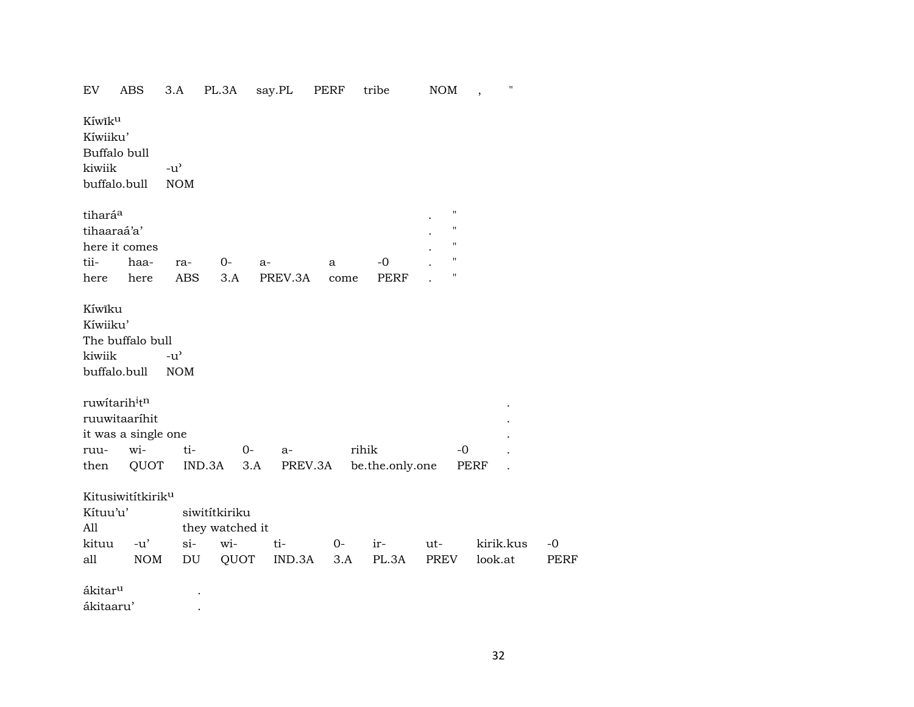| EV                               | ABS                                                                                      | 3.A                               | PL.3A                                   | say.PL  | PERF | tribe           | <b>NOM</b>                                      | Н.<br>$\cdot$ |             |
|----------------------------------|------------------------------------------------------------------------------------------|-----------------------------------|-----------------------------------------|---------|------|-----------------|-------------------------------------------------|---------------|-------------|
| Kíwiku<br>Kíwiiku'               | Buffalo bull                                                                             |                                   |                                         |         |      |                 |                                                 |               |             |
| kiwiik                           |                                                                                          | $-u$ <sup><math>\sim</math></sup> |                                         |         |      |                 |                                                 |               |             |
|                                  | buffalo.bull                                                                             | <b>NOM</b>                        |                                         |         |      |                 |                                                 |               |             |
| tihará <sup>a</sup>              | tihaaraá'a'                                                                              |                                   |                                         |         |      |                 | $\boldsymbol{\mathsf{H}}$<br>$\pmb{\mathsf{H}}$ |               |             |
|                                  | here it comes                                                                            |                                   |                                         |         |      |                 | $\pmb{\mathsf{H}}$                              |               |             |
| tii-                             | haa-                                                                                     | ra-                               | 0-                                      | a-      | a    | $-0$            | $\pmb{\mathsf{H}}$                              |               |             |
| here                             | here                                                                                     | ABS                               | 3.A                                     | PREV.3A | come | <b>PERF</b>     | $\pmb{\mathsf{H}}$                              |               |             |
| Kíwĩku<br>Kíwiiku'<br>kiwiik     | The buffalo bull<br>buffalo.bull<br>ruwitarihitn<br>ruuwitaaríhit<br>it was a single one | $-u^{\prime}$<br><b>NOM</b>       |                                         |         |      |                 |                                                 |               |             |
| ruu-                             | wi-                                                                                      | ti-                               | $0-$                                    | $a-$    |      | rihik           | $-0$                                            |               |             |
| then                             | QUOT                                                                                     | IND.3A                            | 3.A                                     | PREV.3A |      | be.the.only.one |                                                 | PERF          |             |
| Kítuu'u'<br>All<br>kituu         | Kitusiwitítkirik <sup>u</sup><br>$-u'$                                                   | $\sin$                            | siwitítkiriku<br>they watched it<br>wi- | ti-     | $O-$ | ir-             | ut-                                             | kirik.kus     | $-0$        |
| all                              | <b>NOM</b>                                                                               | DU                                | QUOT                                    | IND.3A  | 3.A  | PL.3A           | PREV                                            | look.at       | <b>PERF</b> |
| ákitar <sup>u</sup><br>ákitaaru' |                                                                                          |                                   |                                         |         |      |                 |                                                 |               |             |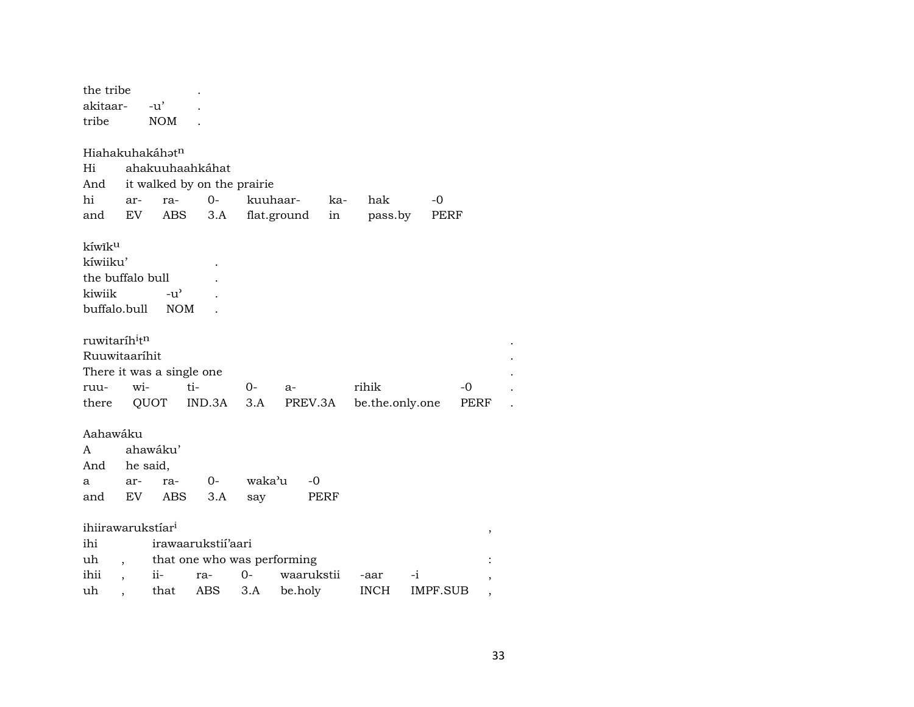| the tribe                             |     |                             |                             |        |             |      |                 |          |      |  |
|---------------------------------------|-----|-----------------------------|-----------------------------|--------|-------------|------|-----------------|----------|------|--|
| akitaar-                              |     | $-u'$                       |                             |        |             |      |                 |          |      |  |
| tribe                                 |     | <b>NOM</b>                  |                             |        |             |      |                 |          |      |  |
|                                       |     |                             |                             |        |             |      |                 |          |      |  |
|                                       |     | Hiahakuhakáhət <sup>n</sup> |                             |        |             |      |                 |          |      |  |
| Hi                                    |     |                             | ahakuuhaahkáhat             |        |             |      |                 |          |      |  |
| And                                   |     |                             | it walked by on the prairie |        |             |      |                 |          |      |  |
| hi                                    | ar- | ra-                         | $0-$                        |        | kuuhaar-    | ka-  | hak             | -0       |      |  |
| and                                   | EV  |                             | ABS<br>3.A                  |        | flat.ground | in   | pass.by         | PERF     |      |  |
| kíwik <sup>u</sup>                    |     |                             |                             |        |             |      |                 |          |      |  |
| kíwiiku'                              |     |                             |                             |        |             |      |                 |          |      |  |
| the buffalo bull                      |     |                             |                             |        |             |      |                 |          |      |  |
| kiwiik                                |     | $-u^{\prime}$               |                             |        |             |      |                 |          |      |  |
| buffalo.bull                          |     | <b>NOM</b>                  |                             |        |             |      |                 |          |      |  |
|                                       |     |                             |                             |        |             |      |                 |          |      |  |
| ruwitaríh <sup>i</sup> t <sup>n</sup> |     |                             |                             |        |             |      |                 |          |      |  |
| Ruuwitaaríhit                         |     |                             |                             |        |             |      |                 |          |      |  |
|                                       |     |                             | There it was a single one   |        |             |      |                 |          |      |  |
| ruu-                                  | wi- |                             | ti-                         | $0-$   | $a-$        |      | rihik           |          | -0   |  |
| there                                 |     | QUOT                        | IND.3A                      | 3.A    | PREV.3A     |      | be.the.only.one |          | PERF |  |
|                                       |     |                             |                             |        |             |      |                 |          |      |  |
| Aahawáku                              |     |                             |                             |        |             |      |                 |          |      |  |
| A                                     |     | ahawáku'                    |                             |        |             |      |                 |          |      |  |
| And                                   |     | he said,                    |                             |        |             |      |                 |          |      |  |
| a                                     | ar- | ra-                         | $O -$                       | waka'u | $-0$        |      |                 |          |      |  |
| and                                   | EV  | ABS                         | 3.A                         | say    |             | PERF |                 |          |      |  |
|                                       |     |                             |                             |        |             |      |                 |          |      |  |
| ihiirawarukstíar <sup>i</sup>         |     |                             |                             |        |             |      |                 |          | ,    |  |
| ihi                                   |     |                             | irawaarukstii'aari          |        |             |      |                 |          |      |  |
| uh                                    |     |                             | that one who was performing |        |             |      |                 |          |      |  |
| ihii                                  |     | ii-                         | ra-                         | $O -$  | waarukstii  |      | -aar            | -i       |      |  |
| uh                                    |     | that                        | ABS                         | 3.A    | be.holy     |      | <b>INCH</b>     | IMPF.SUB |      |  |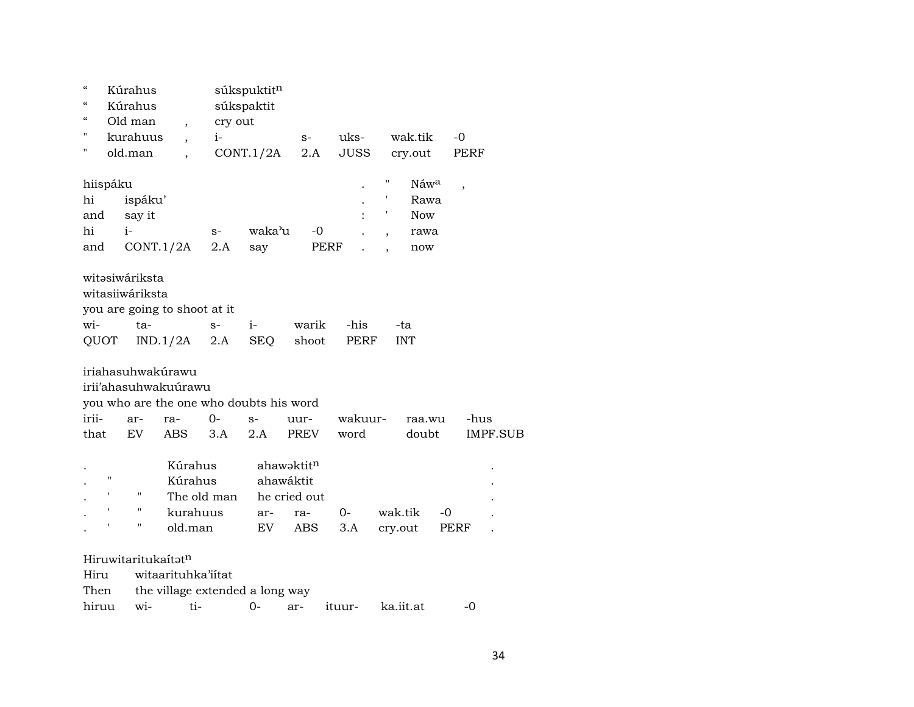| $\boldsymbol{\zeta}\boldsymbol{\zeta}$<br>$\mathcal{C}\mathcal{C}$<br>$\epsilon\epsilon$ |   | Kúrahus<br>Kúrahus<br>Old man                  | $\overline{ }$                            | cry out                                 | súkspuktitn<br>súkspaktit |                                                              |             |                        |                 |
|------------------------------------------------------------------------------------------|---|------------------------------------------------|-------------------------------------------|-----------------------------------------|---------------------------|--------------------------------------------------------------|-------------|------------------------|-----------------|
| 11                                                                                       |   | kurahuus                                       |                                           | $i-$                                    |                           | $S-$                                                         | uks-        | wak.tik                | $-0$            |
| 11                                                                                       |   | old.man                                        |                                           |                                         | CONT.1/2A                 | 2.A                                                          | <b>JUSS</b> | cry.out                | PERF            |
| hiispáku                                                                                 |   |                                                |                                           |                                         |                           |                                                              |             | 11<br>Náw <sup>a</sup> | ,               |
| hi                                                                                       |   | ispáku'                                        |                                           |                                         |                           |                                                              |             | Rawa                   |                 |
| and                                                                                      |   | say it                                         |                                           |                                         |                           |                                                              |             | I<br><b>Now</b>        |                 |
| hi                                                                                       |   | $i-$                                           |                                           | $S-$                                    | waka'u                    | $-0$                                                         |             | rawa<br>$\overline{ }$ |                 |
| and                                                                                      |   | CONT.1/2A                                      |                                           | 2.A                                     | say                       | PERF                                                         |             | now                    |                 |
| wi-                                                                                      |   | witəsiwáriksta<br>witasiiwáriksta<br>ta-       |                                           | you are going to shoot at it<br>$S-$    | $i-$                      | warik                                                        | -his        | -ta                    |                 |
| <b>QUOT</b>                                                                              |   |                                                | IND.1/2A                                  | 2.A                                     | <b>SEQ</b>                | shoot                                                        | PERF        | <b>INT</b>             |                 |
|                                                                                          |   |                                                | iriahasuhwakúrawu<br>irii'ahasuhwakuúrawu | you who are the one who doubts his word |                           |                                                              |             |                        |                 |
| irii-                                                                                    |   | ar-                                            | ra-                                       | $0-$                                    | $S-$                      | uur-                                                         | wakuur-     | raa.wu                 | -hus            |
| that                                                                                     |   | EV                                             | ABS                                       | 3.A                                     | 2.A                       | PREV                                                         | word        | doubt                  | <b>IMPF.SUB</b> |
|                                                                                          | н | $\pmb{\mathsf{H}}$<br>11<br>$\pmb{\mathsf{H}}$ | Kúrahus<br>Kúrahus<br>kurahuus<br>old.man | The old man                             | ar-<br>EV                 | ahawaktitn<br>ahawáktit<br>he cried out<br>ra-<br><b>ABS</b> | $0-$<br>3.A | wak.tik<br>cry.out     | -0<br>PERF      |
|                                                                                          |   |                                                |                                           |                                         |                           |                                                              |             |                        |                 |
|                                                                                          |   | Hiruwitaritukaítatn                            |                                           |                                         |                           |                                                              |             |                        |                 |
| Hiru                                                                                     |   |                                                |                                           | witaarituhka'iitat                      |                           |                                                              |             |                        |                 |
|                                                                                          |   |                                                |                                           | $11$ $11$ $11$ $11$ $1$                 |                           |                                                              |             |                        |                 |

Then the village extended a long way

hiruu wi- ti- 0- ar- ituur- ka.iit.at -0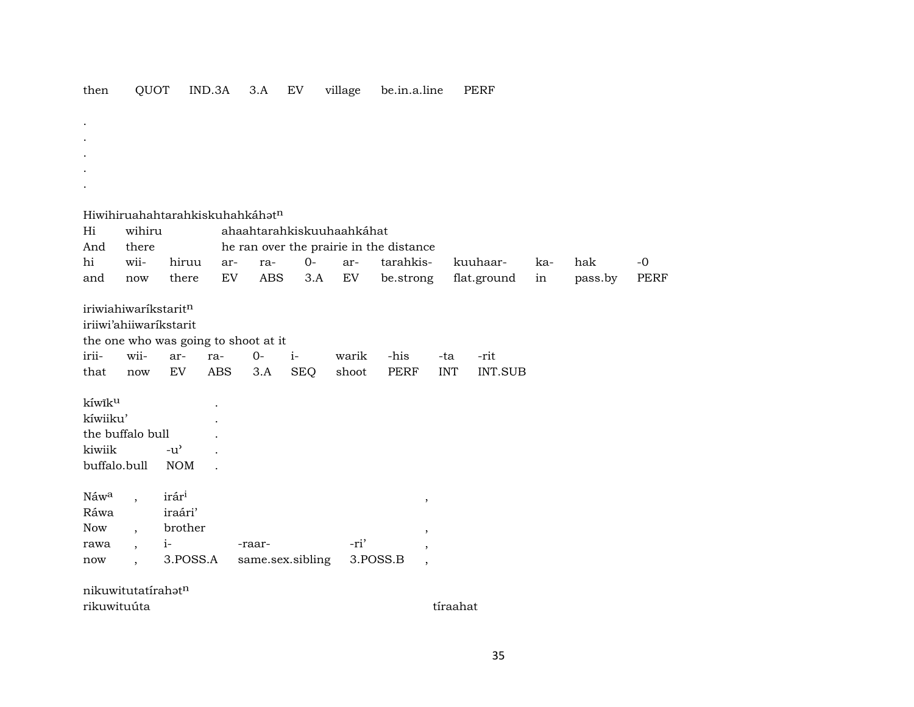| then | OUOT | $IND.3A$ $3.A$ $EV$ |  | village | be.in.a.line | PERF |
|------|------|---------------------|--|---------|--------------|------|
|      |      |                     |  |         |              |      |

- . . . .
- Hiwihiruahahtarahkiskuhahkáh $\mathfrak{t}^n$

.

| Hi       | wihiru                   |                        | ahaahtarahkiskuuhaahkáhat |                                      |            |       |                                         |            |             |     |         |      |  |
|----------|--------------------------|------------------------|---------------------------|--------------------------------------|------------|-------|-----------------------------------------|------------|-------------|-----|---------|------|--|
| And      | there                    |                        |                           |                                      |            |       | he ran over the prairie in the distance |            |             |     |         |      |  |
| hi       | wii-                     | hiruu                  | ar-                       | ra-                                  | $0-$       | ar-   | tarahkis-                               |            | kuuhaar-    | ka- | hak     | $-0$ |  |
| and      | now                      | there                  | EV                        | ABS                                  | 3.A        | EV    | be.strong                               |            | flat.ground | in  | pass.by | PERF |  |
|          | iriwiahiwaríkstaritn     |                        |                           |                                      |            |       |                                         |            |             |     |         |      |  |
|          |                          | iriiwi'ahiiwarikstarit |                           |                                      |            |       |                                         |            |             |     |         |      |  |
|          |                          |                        |                           | the one who was going to shoot at it |            |       |                                         |            |             |     |         |      |  |
| irii-    | wii-                     | ar-                    | ra-                       | $O -$                                | $i-$       | warik | -his                                    | -ta        | -rit        |     |         |      |  |
| that     | now                      | EV.                    | ABS                       | 3.A                                  | <b>SEQ</b> | shoot | PERF                                    | <b>INT</b> | INT.SUB     |     |         |      |  |
| kíwiku   |                          |                        |                           |                                      |            |       |                                         |            |             |     |         |      |  |
| kíwiiku' |                          |                        |                           |                                      |            |       |                                         |            |             |     |         |      |  |
|          | the buffalo bull         |                        |                           |                                      |            |       |                                         |            |             |     |         |      |  |
| kiwiik   |                          | $-u^{\prime}$          |                           |                                      |            |       |                                         |            |             |     |         |      |  |
|          | buffalo.bull             | <b>NOM</b>             |                           |                                      |            |       |                                         |            |             |     |         |      |  |
| Náwa     | $\ddot{\phantom{0}}$     | irár <sup>i</sup>      |                           |                                      |            |       | $\,$                                    |            |             |     |         |      |  |
| Ráwa     |                          | iraári'                |                           |                                      |            |       |                                         |            |             |     |         |      |  |
| Now      | $\overline{\phantom{a}}$ | brother                |                           |                                      |            |       | $^\mathrm{^{^\circ}}$                   |            |             |     |         |      |  |
| rawa     | $\overline{\phantom{a}}$ | $i-$                   |                           | -raar-                               |            | -ri'  | $\overline{\phantom{a}}$                |            |             |     |         |      |  |
| now      | $\overline{\phantom{a}}$ | 3.POSS.A               |                           | same.sex.sibling                     |            |       | 3.POSS.B<br>$\cdot$                     |            |             |     |         |      |  |
|          |                          |                        |                           |                                      |            |       |                                         |            |             |     |         |      |  |

nikuwitutatírahatn rikuwituúta tíraahat tíraahat tíraahat tíraahat tíraahat tíraahat tíraahat tíraahat tíraahat tíraahat tíraahat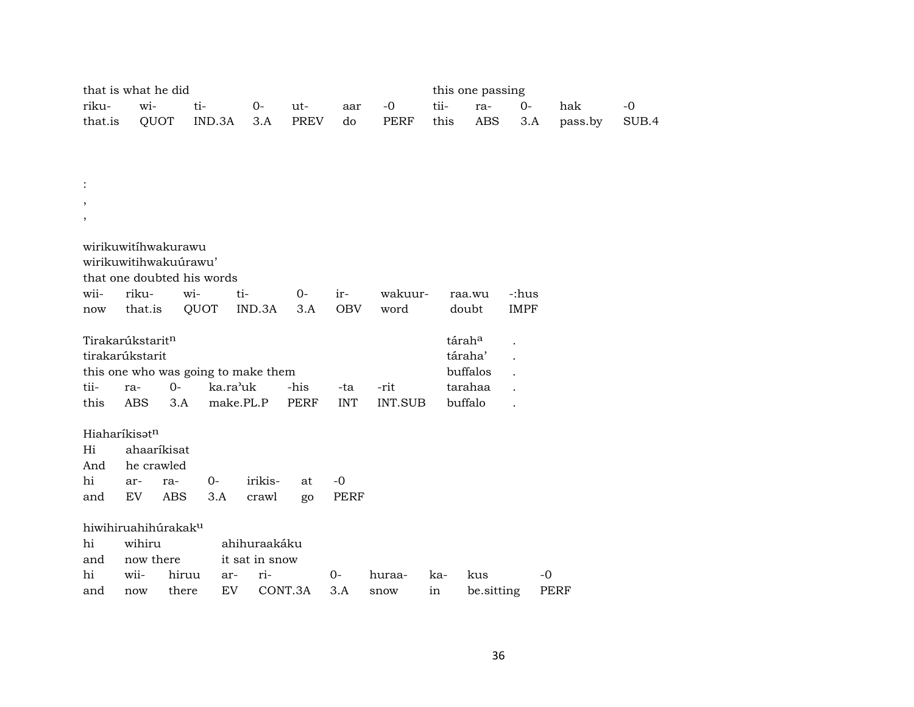|                | that is what he did |                                 |                            |                                     |              |                   |                |      | this one passing   |                      |             |       |
|----------------|---------------------|---------------------------------|----------------------------|-------------------------------------|--------------|-------------------|----------------|------|--------------------|----------------------|-------------|-------|
| riku-          | wi-                 |                                 | ti-                        | $0-$                                | ut-          | aar               | $-0$           | tii- | ra-                | $0-$                 | hak         | $-0$  |
| that.is        |                     | QUOT                            | IND.3A                     | 3.A                                 | PREV         | do                | PERF           | this | <b>ABS</b>         | 3.A                  | pass.by     | SUB.4 |
|                |                     |                                 |                            |                                     |              |                   |                |      |                    |                      |             |       |
|                |                     |                                 |                            |                                     |              |                   |                |      |                    |                      |             |       |
|                |                     |                                 |                            |                                     |              |                   |                |      |                    |                      |             |       |
| $\ddot{\cdot}$ |                     |                                 |                            |                                     |              |                   |                |      |                    |                      |             |       |
| $\, ,$         |                     |                                 |                            |                                     |              |                   |                |      |                    |                      |             |       |
| $\, ,$         |                     |                                 |                            |                                     |              |                   |                |      |                    |                      |             |       |
|                |                     |                                 |                            |                                     |              |                   |                |      |                    |                      |             |       |
|                |                     | wirikuwitihwakurawu             |                            |                                     |              |                   |                |      |                    |                      |             |       |
|                |                     | wirikuwitihwakuúrawu'           |                            |                                     |              |                   |                |      |                    |                      |             |       |
|                |                     |                                 | that one doubted his words |                                     |              |                   |                |      |                    |                      |             |       |
| wii-           | riku-<br>that.is    | wi-                             | QUOT                       | ti-<br>IND.3A                       | $0 -$<br>3.A | ir-<br><b>OBV</b> | wakuur-        |      | raa.wu<br>doubt    | -:hus<br><b>IMPF</b> |             |       |
| now            |                     |                                 |                            |                                     |              |                   | word           |      |                    |                      |             |       |
|                | Tirakarúkstaritn    |                                 |                            |                                     |              |                   |                |      | tárah <sup>a</sup> |                      |             |       |
|                | tirakarúkstarit     |                                 |                            |                                     |              |                   |                |      | táraha'            |                      |             |       |
|                |                     |                                 |                            | this one who was going to make them |              |                   |                |      | buffalos           |                      |             |       |
| tii-           | ra-                 | $O -$                           | ka.ra'uk                   |                                     | -his         | -ta               | -rit           |      | tarahaa            |                      |             |       |
| this           | <b>ABS</b>          | 3.A                             |                            | make.PL.P                           | <b>PERF</b>  | <b>INT</b>        | <b>INT.SUB</b> |      | buffalo            |                      |             |       |
|                |                     |                                 |                            |                                     |              |                   |                |      |                    |                      |             |       |
|                | Hiaharíkisatn       |                                 |                            |                                     |              |                   |                |      |                    |                      |             |       |
| Hi             |                     | ahaaríkisat                     |                            |                                     |              |                   |                |      |                    |                      |             |       |
| And            | he crawled          |                                 |                            |                                     |              |                   |                |      |                    |                      |             |       |
| hi             | ar-                 | ra-                             | $O -$                      | irikis-                             | at           | $-0$              |                |      |                    |                      |             |       |
| and            | EV                  | <b>ABS</b>                      | 3.A                        | crawl                               | go           | <b>PERF</b>       |                |      |                    |                      |             |       |
|                |                     |                                 |                            |                                     |              |                   |                |      |                    |                      |             |       |
|                |                     | hiwihiruahihúrakak <sup>u</sup> |                            |                                     |              |                   |                |      |                    |                      |             |       |
| hi             | wihiru              |                                 |                            | ahihuraakáku                        |              |                   |                |      |                    |                      |             |       |
| and            | now there           |                                 |                            | it sat in snow                      |              |                   |                |      |                    |                      |             |       |
| hi             | wii-                | hiruu                           | ar-                        | ri-                                 |              | $0-$              | huraa-         | ka-  | kus                |                      | $-0$        |       |
| and            | now                 | there                           | EV                         |                                     | CONT.3A      | 3.A               | snow           | in   | be.sitting         |                      | <b>PERF</b> |       |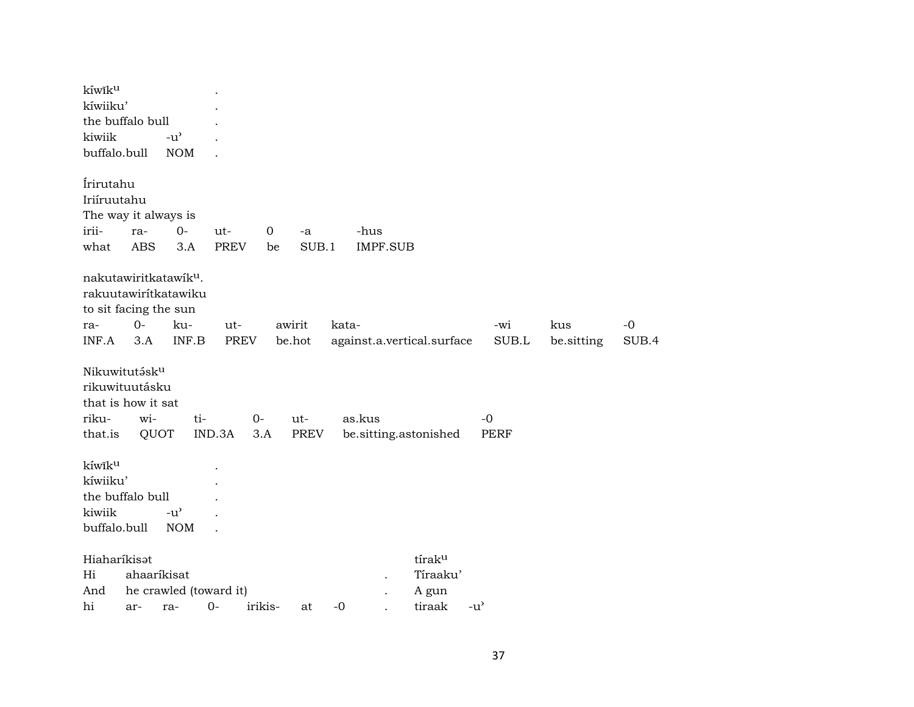| kíwiku                                       |                                                                                                   |                             |     |                    |                   |                  |       |                            |          |               |              |                   |               |
|----------------------------------------------|---------------------------------------------------------------------------------------------------|-----------------------------|-----|--------------------|-------------------|------------------|-------|----------------------------|----------|---------------|--------------|-------------------|---------------|
| kíwiiku'                                     |                                                                                                   |                             |     |                    |                   |                  |       |                            |          |               |              |                   |               |
|                                              | the buffalo bull                                                                                  |                             |     |                    |                   |                  |       |                            |          |               |              |                   |               |
| kiwiik                                       |                                                                                                   | $-u^{\prime}$               |     |                    |                   |                  |       |                            |          |               |              |                   |               |
| buffalo.bull                                 |                                                                                                   | <b>NOM</b>                  |     |                    |                   |                  |       |                            |          |               |              |                   |               |
| Írirutahu<br>Iriíruutahu<br>irii-<br>what    | The way it always is<br>ra-<br><b>ABS</b>                                                         | $0-$<br>3.A                 |     | ut-<br><b>PREV</b> | $\mathbf 0$<br>be | -a<br>SUB.1      |       | -hus<br><b>IMPF.SUB</b>    |          |               |              |                   |               |
| ra-<br>INF.A                                 | nakutawiritkatawik <sup>u</sup> .<br>rakuutawirítkatawiku<br>to sit facing the sun<br>$0-$<br>3.A | ku-<br>INF.B                |     | ut-<br>PREV        |                   | awirit<br>be.hot | kata- | against.a.vertical.surface |          |               | -wi<br>SUB.L | kus<br>be.sitting | $-0$<br>SUB.4 |
|                                              | Nikuwitutásk <sup>u</sup><br>rikuwituutásku<br>that is how it sat                                 |                             |     |                    |                   |                  |       |                            |          |               |              |                   |               |
| riku-                                        | wi-                                                                                               |                             | ti- |                    | $O -$             | $ut-$            |       | as.kus                     |          |               | $-0$         |                   |               |
| that.is                                      | QUOT                                                                                              |                             |     | IND.3A             | 3.A               | PREV             |       | be.sitting.astonished      |          |               | <b>PERF</b>  |                   |               |
| kíwiku<br>kíwiiku'<br>kiwiik<br>buffalo.bull | the buffalo bull                                                                                  | $-u^{\prime}$<br><b>NOM</b> |     |                    |                   |                  |       |                            |          |               |              |                   |               |
| Hiaharíkisat                                 |                                                                                                   |                             |     |                    |                   |                  |       |                            | tíraku   |               |              |                   |               |
| Hi                                           | ahaaríkisat                                                                                       |                             |     |                    |                   |                  |       |                            | Tíraaku' |               |              |                   |               |
| And                                          | he crawled (toward it)                                                                            |                             |     |                    |                   |                  |       |                            | A gun    |               |              |                   |               |
| hi                                           | ar-                                                                                               | ra-                         |     | $0-$               | irikis-           | at               | $-0$  |                            | tiraak   | $-u^{\prime}$ |              |                   |               |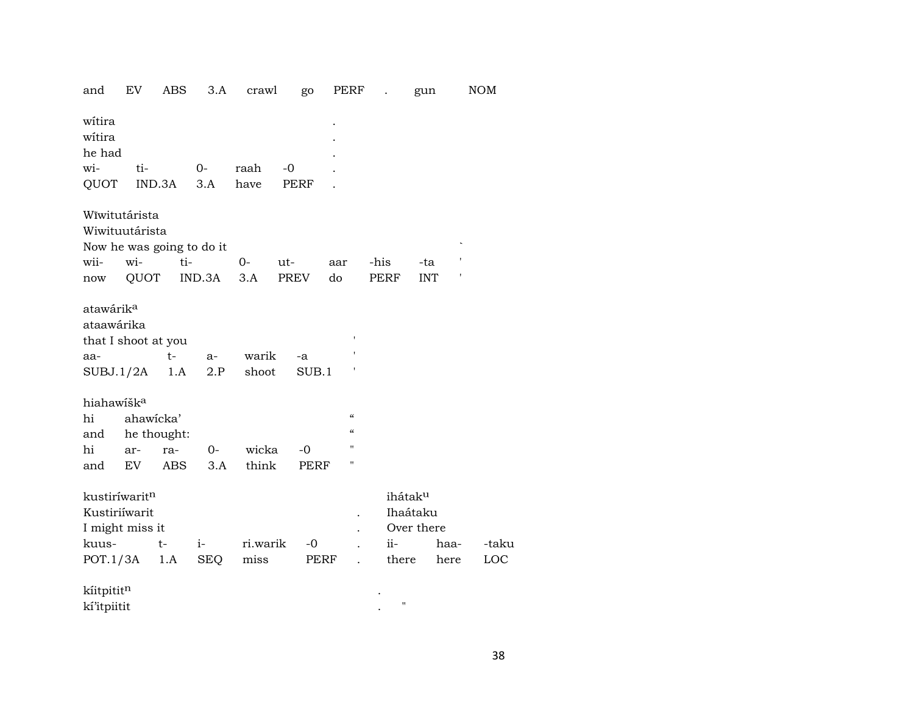| and                                                               | EV        | ABS                       | 3.A        | crawl          | go          | PERF                     |       | gun                                           |      | NOM   |
|-------------------------------------------------------------------|-----------|---------------------------|------------|----------------|-------------|--------------------------|-------|-----------------------------------------------|------|-------|
| witira<br>witira<br>he had                                        |           |                           |            |                |             |                          |       |                                               |      |       |
| wi-                                                               | ti-       |                           | $O-$       | raah           | $-0$        |                          |       |                                               |      |       |
| QUOT                                                              |           | IND.3A                    | 3.A        | have           | PERF        |                          |       |                                               |      |       |
| Wīwitutárista<br>Wiwituutárista                                   |           | Now he was going to do it |            |                |             |                          |       |                                               |      |       |
| wii-                                                              | wi-       | ti-                       |            | 0-             | ut-         | aar                      | -his  | -ta                                           |      |       |
| now                                                               | QUOT      |                           | IND.3A     | 3.A            | PREV        | do                       | PERF  | <b>INT</b>                                    | t    |       |
| atawárik <sup>a</sup><br>ataawárika<br>that I shoot at you<br>aa- | SUBJ.1/2A | $t-$<br>1.A               | a-<br>2.P  | warik<br>shoot | -a<br>SUB.1 | ,                        |       |                                               |      |       |
| hiahawišk <sup>a</sup><br>hi                                      | ahawicka' |                           |            |                |             | $\epsilon$               |       |                                               |      |       |
| and                                                               |           | he thought:               |            |                |             | $\mathcal{C}\mathcal{C}$ |       |                                               |      |       |
| hi                                                                | ar-       | ra-                       | $0-$       | wicka          | $-0$        | $\blacksquare$           |       |                                               |      |       |
| and                                                               | EV.       | <b>ABS</b>                | 3.A        | think          | PERF        | п                        |       |                                               |      |       |
| kustiríwaritn<br>Kustiriíwarit<br>I might miss it                 |           |                           |            |                |             |                          |       | ihátak <sup>u</sup><br>Ihaátaku<br>Over there |      |       |
| kuus-                                                             |           | $t-$                      | $i-$       | ri.warik       | $-0$        |                          | ii-   |                                               | haa- | -taku |
| POT.1/3A                                                          |           | 1.A                       | <b>SEQ</b> | miss           | PERF        |                          | there |                                               | here | LOC   |
| $1\pi i$ tnitit $n$                                               |           |                           |            |                |             |                          |       |                                               |      |       |

| kíitpitit <sup>n</sup> |  |  |
|------------------------|--|--|
| kí'itpiitit            |  |  |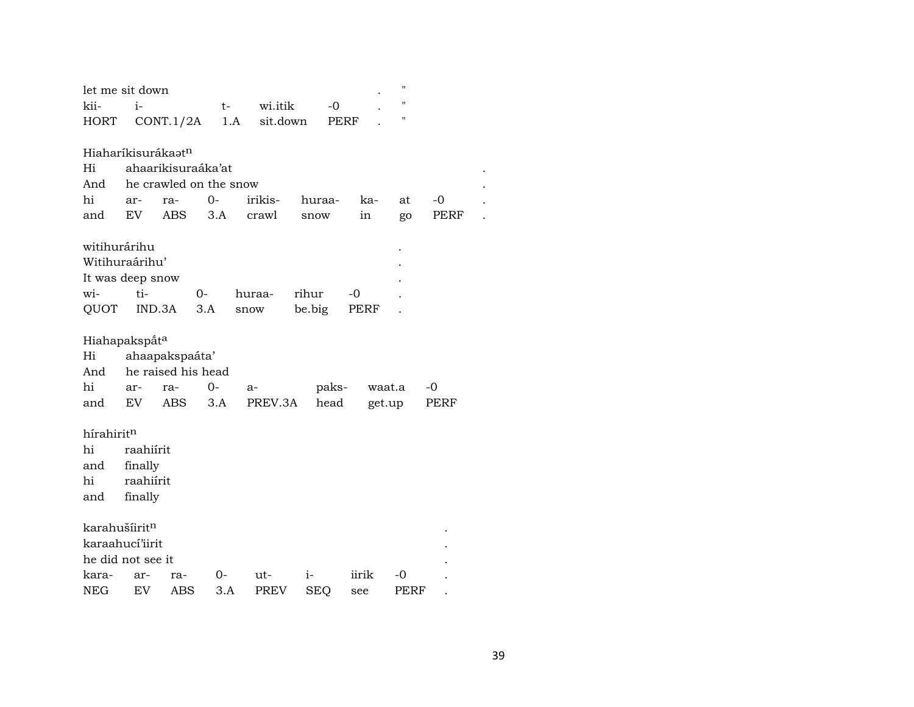| let me sit down                |                |            |                        |          |            |       | п      |      |  |
|--------------------------------|----------------|------------|------------------------|----------|------------|-------|--------|------|--|
| kii-                           | $i-$           |            | $t-$                   | wi.itik  | -0         |       | п      |      |  |
| <b>HORT</b>                    |                | CONT.1/2A  | 1.A                    | sit.down |            | PERF  | п      |      |  |
|                                |                |            |                        |          |            |       |        |      |  |
| Hiaharíkisurákaət <sup>n</sup> |                |            |                        |          |            |       |        |      |  |
| Hi                             |                |            | ahaarikisuraáka'at     |          |            |       |        |      |  |
| And                            |                |            | he crawled on the snow |          |            |       |        |      |  |
| hi                             | ar-            | ra-        | $O -$                  | irikis-  | huraa-     | ka-   | at     | -0   |  |
| and                            | EV             | <b>ABS</b> | 3.A                    | crawl    | snow       | in    | go     | PERF |  |
| witihurárihu                   |                |            |                        |          |            |       |        |      |  |
| Witihuraárihu'                 |                |            |                        |          |            |       |        |      |  |
| It was deep snow               |                |            |                        |          |            |       |        |      |  |
| wi-                            | ti-            |            | $0-$                   | huraa-   | rihur      | $-0$  |        |      |  |
| QUOT                           |                | IND.3A     | 3.A                    | snow     | be.big     | PERF  |        |      |  |
|                                |                |            |                        |          |            |       |        |      |  |
| Hiahapakspåt <sup>a</sup>      |                |            |                        |          |            |       |        |      |  |
| Hi                             | ahaapakspaáta' |            |                        |          |            |       |        |      |  |
| And                            |                |            | he raised his head     |          |            |       |        |      |  |
| hi                             | ar-            | ra-        | 0-                     | a-       | paks-      |       | waat.a | -0   |  |
| and                            | EV <sub></sub> | <b>ABS</b> | 3.A                    | PREV.3A  | head       |       | get.up | PERF |  |
| hírahiritn                     |                |            |                        |          |            |       |        |      |  |
| hi                             | raahiírit      |            |                        |          |            |       |        |      |  |
| and                            | finally        |            |                        |          |            |       |        |      |  |
| hi                             | raahiírit      |            |                        |          |            |       |        |      |  |
| and                            | finally        |            |                        |          |            |       |        |      |  |
|                                |                |            |                        |          |            |       |        |      |  |
| karahušíiritn                  |                |            |                        |          |            |       |        |      |  |
| karaahucí'iirit                |                |            |                        |          |            |       |        |      |  |
| he did not see it              |                |            |                        |          |            |       |        |      |  |
| kara-                          | ar-            | ra-        | 0-                     | ut-      | $i-$       | iirik | -0     |      |  |
| NEG                            | EV             | ABS        | 3.A                    | PREV     | <b>SEQ</b> | see   | PERF   |      |  |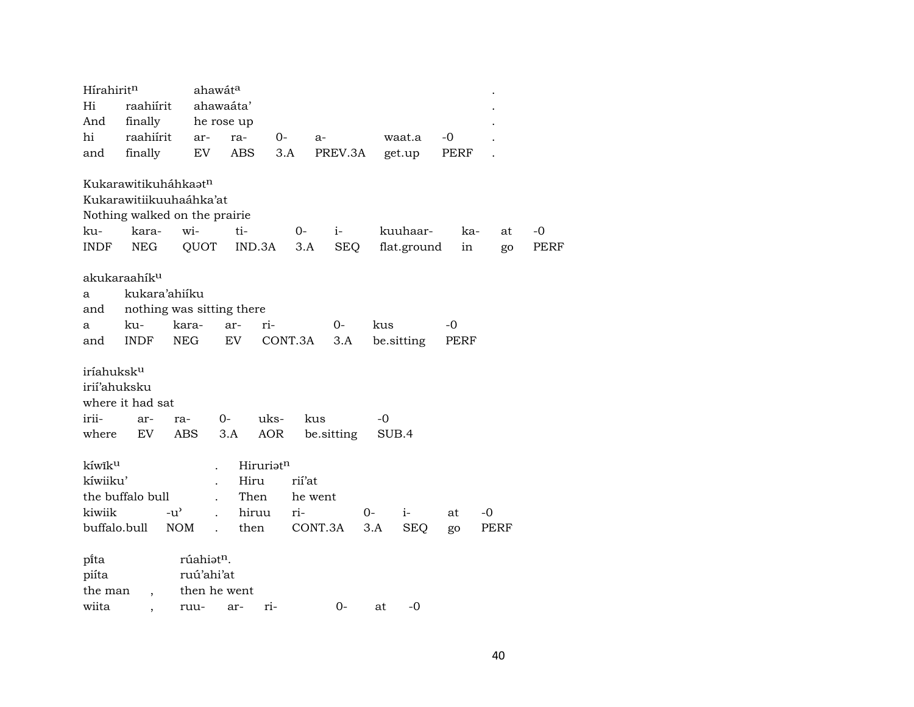| Hírahirit <sup>n</sup> |                                  | ahawát <sup>a</sup>                   |            |           |         |            |     |             |      |      |             |
|------------------------|----------------------------------|---------------------------------------|------------|-----------|---------|------------|-----|-------------|------|------|-------------|
| Hi                     | raahiírit                        |                                       | ahawaáta'  |           |         |            |     |             |      |      |             |
| And                    | finally                          |                                       | he rose up |           |         |            |     |             |      |      |             |
| hi                     | raahiírit                        | ar-                                   | ra-        | $0-$      | $a-$    |            |     | waat.a      | -0   |      |             |
| and                    | finally                          | EV                                    | ABS        | 3.A       |         | PREV.3A    |     | get.up      | PERF |      |             |
|                        |                                  |                                       |            |           |         |            |     |             |      |      |             |
|                        | Kukarawitikuháhkaat <sup>n</sup> |                                       |            |           |         |            |     |             |      |      |             |
|                        |                                  | Kukarawitiikuuhaáhka'at               |            |           |         |            |     |             |      |      |             |
|                        |                                  | Nothing walked on the prairie         |            |           |         |            |     |             |      |      |             |
| ku-                    | kara-                            | wi-                                   | ti-        |           | $0-$    | $i-$       |     | kuuhaar-    | ka-  | at   | -0          |
| <b>INDF</b>            | <b>NEG</b>                       | QUOT                                  | IND.3A     |           | 3.A     | SEQ        |     | flat.ground | in   | go   | <b>PERF</b> |
|                        |                                  |                                       |            |           |         |            |     |             |      |      |             |
|                        | akukaraahík <sup>u</sup>         |                                       |            |           |         |            |     |             |      |      |             |
| a                      | kukara'ahiiku                    |                                       |            |           |         |            |     |             |      |      |             |
| and                    |                                  | nothing was sitting there             |            |           |         |            |     |             |      |      |             |
| a                      | ku-                              | kara-                                 | ar-        | ri-       |         | $0-$       | kus |             | $-0$ |      |             |
| and                    | <b>INDF</b>                      | <b>NEG</b>                            | EV         | CONT.3A   |         | 3.A        |     | be.sitting  | PERF |      |             |
|                        |                                  |                                       |            |           |         |            |     |             |      |      |             |
| iríahuksk <sup>u</sup> |                                  |                                       |            |           |         |            |     |             |      |      |             |
| irií'ahuksku           |                                  |                                       |            |           |         |            |     |             |      |      |             |
|                        | where it had sat                 |                                       |            |           |         |            |     |             |      |      |             |
| irii-                  | ar-                              | ra-                                   | $0-$       | uks-      | kus     |            | -0  |             |      |      |             |
| where                  | EV                               | ABS                                   | 3.A        | AOR       |         | be sitting |     | SUB.4       |      |      |             |
|                        |                                  |                                       |            |           |         |            |     |             |      |      |             |
| kíwik <sup>u</sup>     |                                  |                                       |            | Hiruriatn |         |            |     |             |      |      |             |
| kíwiiku'               |                                  |                                       | Hiru       |           | rií'at  |            |     |             |      |      |             |
|                        | the buffalo bull                 | $\ddot{\phantom{a}}$                  | Then       |           | he went |            |     |             |      |      |             |
| kiwiik                 |                                  | $-u^{\prime}$<br>$\ddot{\phantom{a}}$ | hiruu      |           | ri-     |            | 0-  | $i-$        | at   | -0   |             |
| buffalo.bull           |                                  | <b>NOM</b><br>$\mathbf{r}$            | then       |           | CONT.3A |            | 3.A | <b>SEQ</b>  | go   | PERF |             |
|                        |                                  |                                       |            |           |         |            |     |             |      |      |             |
| pita                   |                                  | rúahiatn.                             |            |           |         |            |     |             |      |      |             |
| piíta                  |                                  | ruú'ahi'at                            |            |           |         |            |     |             |      |      |             |
| the man                | $\overline{\phantom{a}}$         | then he went                          |            |           |         |            |     |             |      |      |             |
| wiita                  |                                  | ruu-                                  | ar-        | ri-       |         | $0-$       | at  | $-0$        |      |      |             |
|                        |                                  |                                       |            |           |         |            |     |             |      |      |             |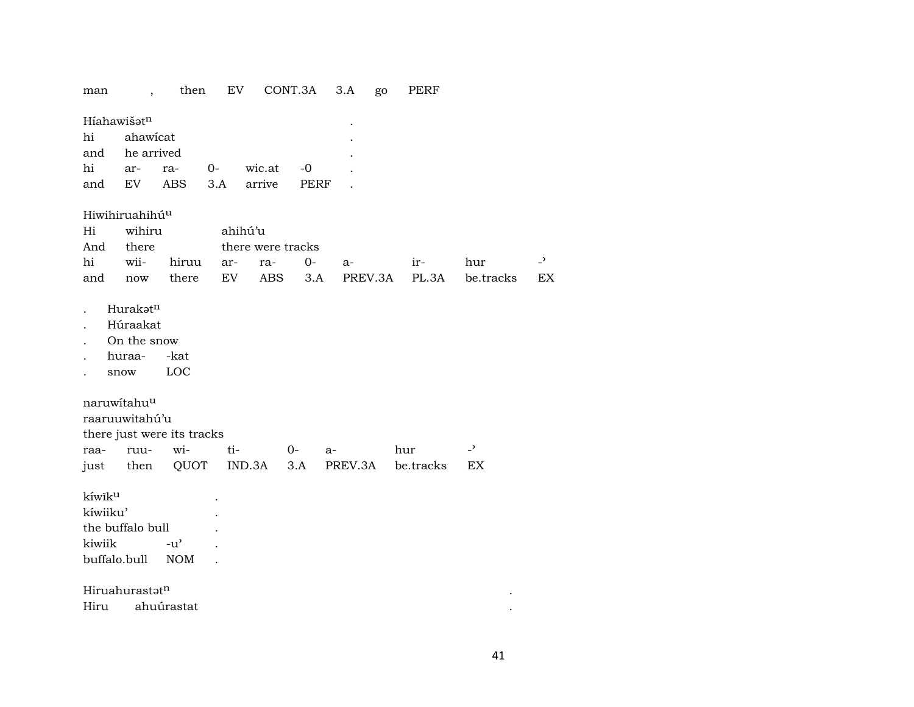## man , then EV CONT.3A 3.A go PERF

| Híahawišat <sup>n</sup> |                               |                |  |           |  |  |  |  |  |  |  |  |  |
|-------------------------|-------------------------------|----------------|--|-----------|--|--|--|--|--|--|--|--|--|
| hi ahawicat             |                               |                |  |           |  |  |  |  |  |  |  |  |  |
|                         |                               | and he arrived |  |           |  |  |  |  |  |  |  |  |  |
|                         |                               | hi ar- ra- 0-  |  | wic.at -0 |  |  |  |  |  |  |  |  |  |
|                         | and EV ABS 3.A arrive<br>PERF |                |  |           |  |  |  |  |  |  |  |  |  |

## Hiwihiruahihúµ

| Hi wihiru ahihú'u                 |  |                             |  |  |  |  |                                                     |  |  |  |  |  |
|-----------------------------------|--|-----------------------------|--|--|--|--|-----------------------------------------------------|--|--|--|--|--|
|                                   |  | And there there were tracks |  |  |  |  |                                                     |  |  |  |  |  |
| hi wii- hiruu ar- ra- 0- a-   ir- |  |                             |  |  |  |  | hur -'                                              |  |  |  |  |  |
|                                   |  |                             |  |  |  |  | and now there EV ABS 3.A PREV.3A PL.3A be.tracks EX |  |  |  |  |  |

- . Hurakət<sup>n</sup>
- . Húraakat
- . On the snow
- . huraa- -kat
- . snow LOC

naruwítahuµ

| raaruuwitahú'u |  |                            |                               |  |  |                                                |  |  |  |  |  |  |
|----------------|--|----------------------------|-------------------------------|--|--|------------------------------------------------|--|--|--|--|--|--|
|                |  | there just were its tracks |                               |  |  |                                                |  |  |  |  |  |  |
|                |  |                            | raa- ruu- wi- ti-     0-   a- |  |  | hur                                            |  |  |  |  |  |  |
|                |  |                            |                               |  |  | just then QUOT IND.3A 3.A PREV.3A be.tracks EX |  |  |  |  |  |  |

 ${\rm k}$ íwîk<sup>u .</sup> kíwiiku' .

the buffalo bull  $\qquad$ . kiwiik -u" . buffalo.bull NOM .

 $\mathsf{Hiru}$ ahurast $\mathsf{t}^{\mathsf{n}}$ 

Hiru ahuúrastat .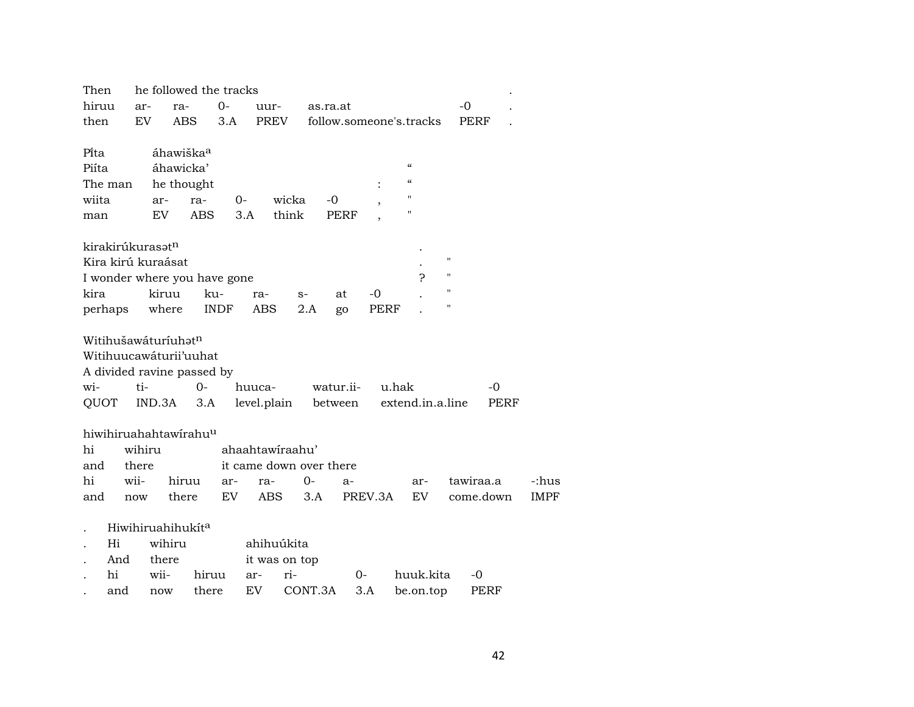| Then    |     |                              | he followed the tracks                |            |             |                 |       |                         |             |         |                          |                         |                    |           |      |             |
|---------|-----|------------------------------|---------------------------------------|------------|-------------|-----------------|-------|-------------------------|-------------|---------|--------------------------|-------------------------|--------------------|-----------|------|-------------|
| hiruu   |     | ar-                          | ra-                                   |            | $0-$        | uur-            |       | as.ra.at                |             |         |                          |                         |                    | $-0$      |      |             |
| then    |     | EV                           | ABS                                   |            | 3.A         | PREV            |       |                         |             |         |                          | follow.someone's.tracks |                    | PERF      |      |             |
|         |     |                              |                                       |            |             |                 |       |                         |             |         |                          |                         |                    |           |      |             |
| Pi̇̃ta  |     |                              | áhawiška <sup>a</sup>                 |            |             |                 |       |                         |             |         |                          |                         |                    |           |      |             |
| Piíta   |     |                              | áhawicka'                             |            |             |                 |       |                         |             |         | $\epsilon$               |                         |                    |           |      |             |
| The man |     |                              | he thought                            |            |             |                 |       |                         |             |         | $\pmb{\zeta}\pmb{\zeta}$ |                         |                    |           |      |             |
| wiita   |     |                              | ar-                                   | ra-        | 0-          |                 | wicka | $-0$                    |             |         | 11                       |                         |                    |           |      |             |
| man     |     |                              | EV                                    | <b>ABS</b> |             | 3.A             | think |                         | <b>PERF</b> |         | 11                       |                         |                    |           |      |             |
|         |     |                              |                                       |            |             |                 |       |                         |             |         |                          |                         |                    |           |      |             |
|         |     | kirakirúkurasat <sup>n</sup> | Kira kirú kuraásat                    |            |             |                 |       |                         |             |         |                          |                         | $\pmb{\mathsf{H}}$ |           |      |             |
|         |     |                              |                                       |            |             |                 |       |                         |             |         |                          | ?                       | $\mathbf{H}$       |           |      |             |
| kira    |     |                              | I wonder where you have gone<br>kiruu |            |             |                 |       |                         |             | $-0$    |                          |                         | $\pmb{\mathsf{H}}$ |           |      |             |
|         |     |                              |                                       | ku-        |             | ra-<br>ABS      | $S-$  |                         | at          | PERF    |                          |                         | п                  |           |      |             |
| perhaps |     |                              | where                                 |            | <b>INDF</b> |                 |       | 2.A                     | go          |         |                          |                         |                    |           |      |             |
|         |     |                              | Witihušawáturíuhət <sup>n</sup>       |            |             |                 |       |                         |             |         |                          |                         |                    |           |      |             |
|         |     |                              | Witihuucawáturii'uuhat                |            |             |                 |       |                         |             |         |                          |                         |                    |           |      |             |
|         |     |                              | A divided ravine passed by            |            |             |                 |       |                         |             |         |                          |                         |                    |           |      |             |
| wi-     |     | ti-                          |                                       | 0-         |             | huuca-          |       |                         | watur.ii-   |         | u.hak                    |                         |                    |           | -0   |             |
| QUOT    |     |                              | IND.3A                                | 3.A        |             | level.plain     |       |                         | between     |         |                          | extend.in.a.line        |                    |           | PERF |             |
|         |     |                              |                                       |            |             |                 |       |                         |             |         |                          |                         |                    |           |      |             |
|         |     |                              | hiwihiruahahtawirahu <sup>u</sup>     |            |             |                 |       |                         |             |         |                          |                         |                    |           |      |             |
| hi      |     | wihiru                       |                                       |            |             | ahaahtawiraahu' |       |                         |             |         |                          |                         |                    |           |      |             |
| and     |     | there                        |                                       |            |             |                 |       | it came down over there |             |         |                          |                         |                    |           |      |             |
| hi      |     | wii-                         | hiruu                                 |            | ar-         | ra-             |       | $0-$                    | a-          |         |                          | ar-                     |                    | tawiraa.a |      | -:hus       |
| and     |     | now                          | there                                 |            | EV          | <b>ABS</b>      |       | 3.A                     |             | PREV.3A |                          | EV.                     |                    | come.down |      | <b>IMPF</b> |
|         |     |                              |                                       |            |             |                 |       |                         |             |         |                          |                         |                    |           |      |             |
|         |     |                              | Hiwihiruahihukíta                     |            |             |                 |       |                         |             |         |                          |                         |                    |           |      |             |
|         | Hi  |                              | wihiru                                |            |             | ahihuúkita      |       |                         |             |         |                          |                         |                    |           |      |             |
|         | And |                              | there                                 |            |             | it was on top   |       |                         |             |         |                          |                         |                    |           |      |             |
|         | hi  |                              | wii-                                  | hiruu      |             | ar-             | ri-   |                         | 0-          |         |                          | huuk.kita               |                    | -0        |      |             |
|         | and |                              | now                                   | there      |             | EV              |       | CONT.3A                 |             | 3.A     |                          | be.on.top               |                    | PERF      |      |             |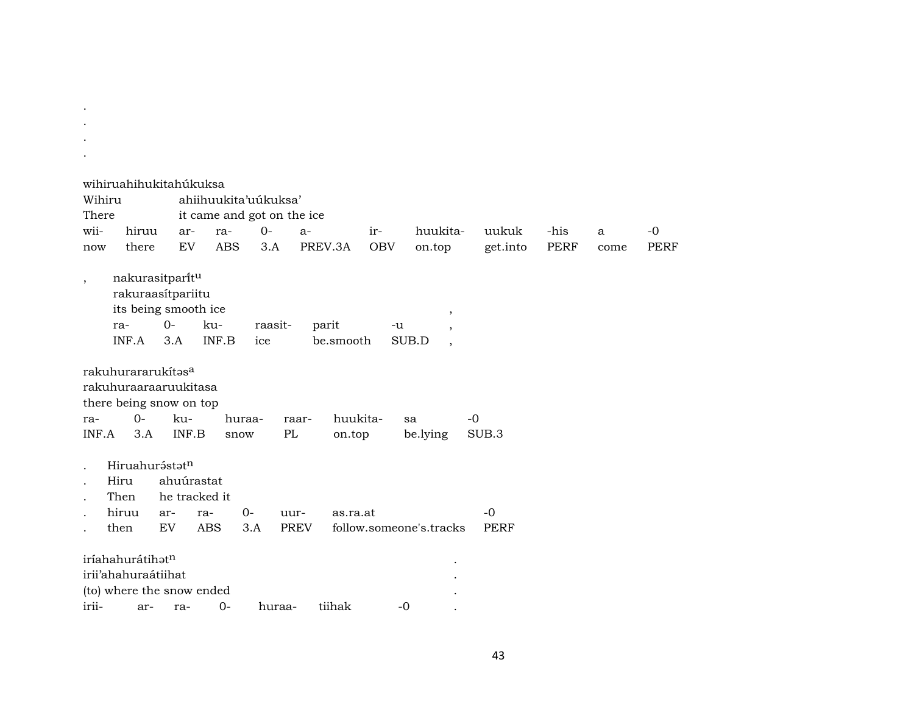|         | wihiruahihukitahúkuksa           |            |                            |         |             |           |            |                                   |             |             |      |             |
|---------|----------------------------------|------------|----------------------------|---------|-------------|-----------|------------|-----------------------------------|-------------|-------------|------|-------------|
|         | Wihiru                           |            | ahiihuukita'uúkuksa'       |         |             |           |            |                                   |             |             |      |             |
| There   |                                  |            | it came and got on the ice |         |             |           |            |                                   |             |             |      |             |
| wii-    | hiruu                            | ar-        | ra-                        | $0-$    | $a-$        |           | ir-        | huukita-                          | uukuk       | -his        | a    | $-0$        |
| now     | there                            | EV         | <b>ABS</b>                 | 3.A     |             | PREV.3A   | <b>OBV</b> | on.top                            | get.into    | <b>PERF</b> | come | <b>PERF</b> |
| $\cdot$ | nakurasitparitu                  |            |                            |         |             |           |            |                                   |             |             |      |             |
|         | rakuraasítpariitu                |            |                            |         |             |           |            |                                   |             |             |      |             |
|         | its being smooth ice             |            |                            |         |             |           |            | $\, ,$                            |             |             |      |             |
|         | ra-                              | $O -$      | ku-                        | raasit- |             | parit     | -u         | $\overline{ }$                    |             |             |      |             |
|         | INF.A                            | 3.A        | INF.B                      | ice     |             | be.smooth |            | SUB.D<br>$\overline{\phantom{a}}$ |             |             |      |             |
|         | rakuhurararukítasa               |            |                            |         |             |           |            |                                   |             |             |      |             |
|         | rakuhuraaraaruukitasa            |            |                            |         |             |           |            |                                   |             |             |      |             |
|         | there being snow on top          |            |                            |         |             |           |            |                                   |             |             |      |             |
| ra-     | $0-$                             | ku-        |                            | huraa-  | raar-       | huukita-  |            | sa                                | $-0$        |             |      |             |
| INF.A   | 3.A                              | INF.B      | snow                       |         | PL          | on.top    |            | be.lying                          | SUB.3       |             |      |             |
|         | Hiruahurástatn                   |            |                            |         |             |           |            |                                   |             |             |      |             |
|         | Hiru                             | ahuúrastat |                            |         |             |           |            |                                   |             |             |      |             |
|         | Then                             |            | he tracked it              |         |             |           |            |                                   |             |             |      |             |
|         | hiruu                            | ar-        | ra-                        | $0-$    | uur-        | as.ra.at  |            |                                   | $-0$        |             |      |             |
|         | then                             | EV         | <b>ABS</b>                 | 3.A     | <b>PREV</b> |           |            | follow.someone's.tracks           | <b>PERF</b> |             |      |             |
|         |                                  |            |                            |         |             |           |            |                                   |             |             |      |             |
|         | iríahahurátihatn                 |            |                            |         |             |           |            |                                   |             |             |      |             |
|         | irii'ahahuraátiihat              |            |                            |         |             |           |            |                                   |             |             |      |             |
| irii-   | (to) where the snow ended<br>ar- | ra-        | $O -$                      | huraa-  |             | tiihak    | $-0$       |                                   |             |             |      |             |
|         |                                  |            |                            |         |             |           |            |                                   |             |             |      |             |

.

.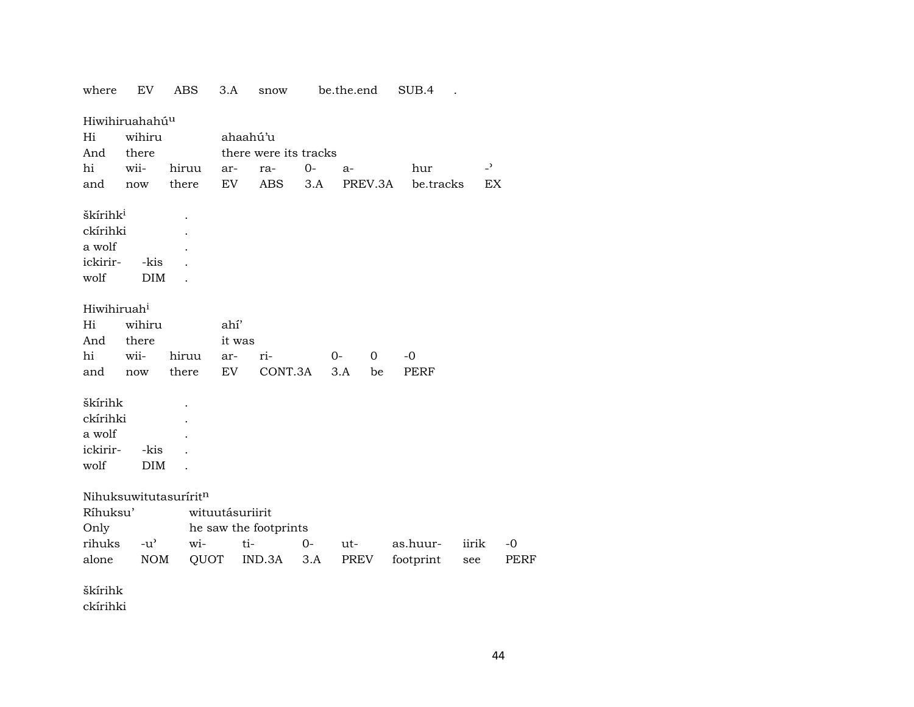| where                   | EV                         | <b>ABS</b>            | 3.A             | snow                  |       | be.the.end |             | SUB.4     |                |      |
|-------------------------|----------------------------|-----------------------|-----------------|-----------------------|-------|------------|-------------|-----------|----------------|------|
|                         | Hiwihiruahahú <sup>u</sup> |                       |                 |                       |       |            |             |           |                |      |
| Hi                      | wihiru                     |                       | ahaahú'u        |                       |       |            |             |           |                |      |
| And                     | there                      |                       |                 | there were its tracks |       |            |             |           |                |      |
| hi                      | wii-                       | hiruu                 | ar-             | ra-                   | $0-$  | a-         |             | hur       | $\overline{a}$ |      |
| and                     | now                        | there                 | EV              | <b>ABS</b>            | 3.A   |            | PREV.3A     | be.tracks | EX             |      |
| škírihk <sup>i</sup>    |                            |                       |                 |                       |       |            |             |           |                |      |
| ckírihki                |                            |                       |                 |                       |       |            |             |           |                |      |
| a wolf                  |                            |                       |                 |                       |       |            |             |           |                |      |
| ickirir-                | -kis                       |                       |                 |                       |       |            |             |           |                |      |
| wolf                    | <b>DIM</b>                 |                       |                 |                       |       |            |             |           |                |      |
|                         |                            |                       |                 |                       |       |            |             |           |                |      |
| Hiwihiruah <sup>i</sup> |                            |                       |                 |                       |       |            |             |           |                |      |
| Hi                      | wihiru                     |                       | ahí'            |                       |       |            |             |           |                |      |
| And                     | there                      |                       | it was          |                       |       |            |             |           |                |      |
| hi                      | wii-                       | hiruu                 | ar-             | ri-                   |       | $0-$       | $\mathbf 0$ | $-0$      |                |      |
| and                     | now                        | there                 | EV              | CONT.3A               |       | 3.A        | be          | PERF      |                |      |
|                         |                            |                       |                 |                       |       |            |             |           |                |      |
| škírihk                 |                            |                       |                 |                       |       |            |             |           |                |      |
| ckírihki                |                            |                       |                 |                       |       |            |             |           |                |      |
| a wolf                  |                            |                       |                 |                       |       |            |             |           |                |      |
| ickirir-                | -kis                       |                       |                 |                       |       |            |             |           |                |      |
| wolf                    | <b>DIM</b>                 |                       |                 |                       |       |            |             |           |                |      |
|                         |                            | Nihuksuwitutasuríritn |                 |                       |       |            |             |           |                |      |
| Ríhuksu'                |                            |                       | wituutásuriirit |                       |       |            |             |           |                |      |
| Only                    |                            |                       |                 | he saw the footprints |       |            |             |           |                |      |
| rihuks                  | $-u^{\prime}$              | wi-                   | ti-             |                       | $O -$ | ut-        |             | as.huur-  | iirik          | -0   |
| alone                   | <b>NOM</b>                 | QUOT                  |                 | IND.3A                | 3.A   | PREV       |             | footprint | see            | PERF |
| škírihk                 |                            |                       |                 |                       |       |            |             |           |                |      |

ckírihki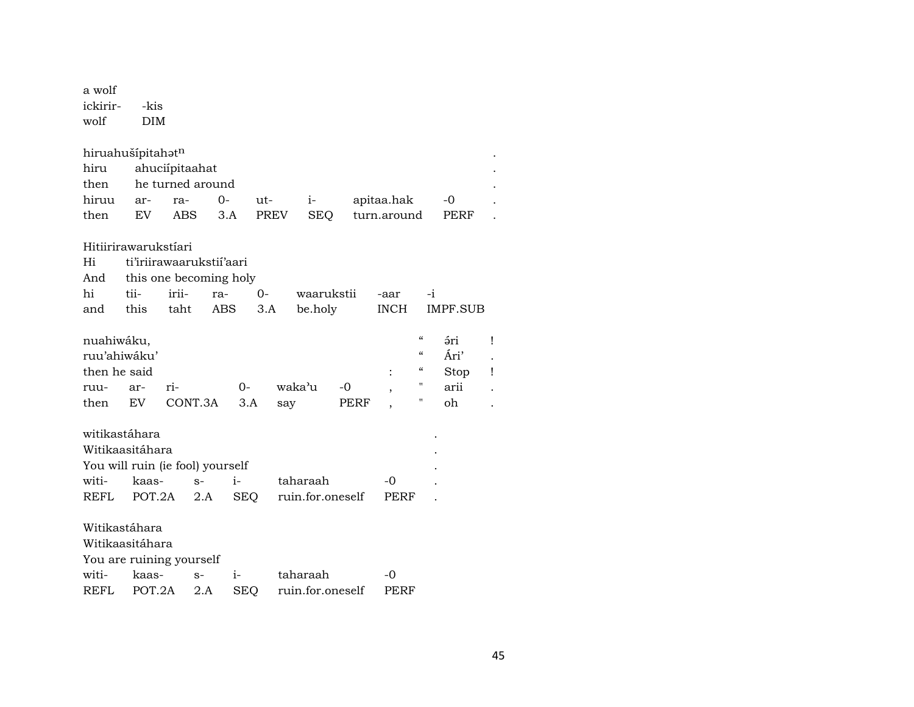| a wolf<br>ickirir-<br>wolf                                   | -kis<br>DIM              |                |                  |             |      |     |                  |              |             |                                                                                                            |                                          |        |
|--------------------------------------------------------------|--------------------------|----------------|------------------|-------------|------|-----|------------------|--------------|-------------|------------------------------------------------------------------------------------------------------------|------------------------------------------|--------|
| hiruahušípitahatn                                            |                          |                |                  |             |      |     |                  |              |             |                                                                                                            |                                          |        |
| hiru                                                         |                          | ahuciípitaahat |                  |             |      |     |                  |              |             |                                                                                                            |                                          |        |
| then                                                         |                          |                | he turned around |             |      |     |                  |              |             |                                                                                                            |                                          |        |
| hiruu                                                        | ar-                      | ra-            |                  | 0-          | ut-  |     | $i-$             |              | apitaa.hak  |                                                                                                            | -0                                       |        |
| then                                                         | EV                       | ABS            |                  | 3.A         | PREV |     | SEQ              |              | turn.around |                                                                                                            | PERF                                     |        |
| Hitiirirawarukstíari                                         |                          |                |                  |             |      |     |                  |              |             |                                                                                                            |                                          |        |
| Hi                                                           | ti'iriirawaarukstii'aari |                |                  |             |      |     |                  |              |             |                                                                                                            |                                          |        |
| And                                                          | this one becoming holy   |                |                  |             |      |     |                  |              |             |                                                                                                            |                                          |        |
| hi                                                           | tii-                     | irii-          | ra-              |             | $0-$ |     | waarukstii       |              | -aar        | $-i$                                                                                                       |                                          |        |
| and                                                          | this                     | taht           |                  | ABS         | 3.A  |     | be.holy          |              | <b>INCH</b> |                                                                                                            | IMPF.SUB                                 |        |
| nuahiwáku,<br>ruu'ahiwáku'<br>then he said<br>ruu-<br>then   | ar-<br>EV                | ri-            | CONT.3A          | $0-$<br>3.A |      | say | waka'u           | $-0$<br>PERF |             | $\boldsymbol{\mathcal{C}}$<br>$\epsilon\epsilon$<br>$\boldsymbol{\mathcal{C}}$<br>11<br>$\pmb{\mathsf{H}}$ | <i>ári</i><br>Ári'<br>Stop<br>arii<br>oh | Ţ<br>Ţ |
| witikastáhara                                                |                          |                |                  |             |      |     |                  |              |             |                                                                                                            |                                          |        |
| Witikaasitáhara                                              |                          |                |                  |             |      |     |                  |              |             |                                                                                                            |                                          |        |
| You will ruin (ie fool) yourself                             |                          |                |                  |             |      |     |                  |              |             |                                                                                                            |                                          |        |
| witi-                                                        | kaas-                    |                | $S-$             | $i-$        |      |     | taharaah         |              | -0          |                                                                                                            |                                          |        |
| REFL                                                         | POT.2A                   |                | 2.A              |             | SEQ  |     | ruin.for.oneself |              | <b>PERF</b> |                                                                                                            |                                          |        |
| Witikastáhara<br>Witikaasitáhara<br>You are ruining yourself |                          |                |                  |             |      |     |                  |              |             |                                                                                                            |                                          |        |
| witi-                                                        | kaas-                    |                | $S-$             | i-          |      |     | taharaah         |              | -0          |                                                                                                            |                                          |        |
| <b>REFL</b>                                                  | POT.2A                   |                | 2.A              | <b>SEQ</b>  |      |     | ruin.for.oneself |              | PERF        |                                                                                                            |                                          |        |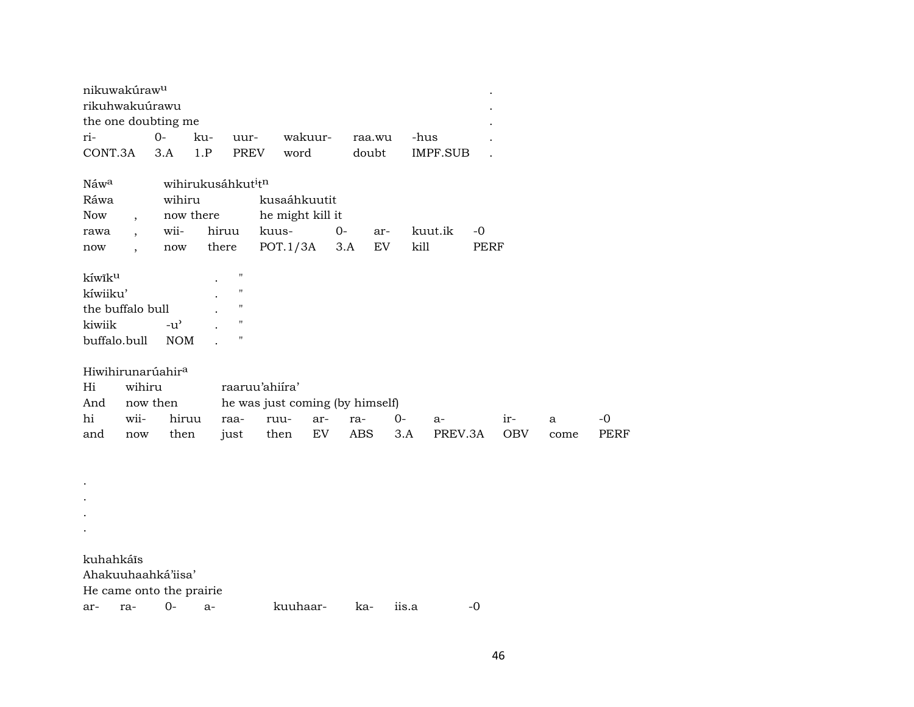| nikuwakúraw <sup>u</sup><br>$\bullet$ |         |        |                                            |                   |       |                  |     |        |     |          |         |  |
|---------------------------------------|---------|--------|--------------------------------------------|-------------------|-------|------------------|-----|--------|-----|----------|---------|--|
| rikuhwakuúrawu<br>$\bullet$           |         |        |                                            |                   |       |                  |     |        |     |          |         |  |
| the one doubting me                   |         |        |                                            |                   |       |                  |     |        |     |          |         |  |
| ri-                                   |         | $O -$  | ku-                                        | uur-              |       | wakuur-          |     | raa.wu |     | -hus     | $\cdot$ |  |
| CONT.3A                               |         | 3.A    | 1.P                                        | <b>PREV</b>       |       | word             |     | doubt  |     | IMPF.SUB |         |  |
|                                       |         |        |                                            |                   |       |                  |     |        |     |          |         |  |
| Náw <sup>a</sup>                      |         |        | wihirukusáhkut <sup>i</sup> t <sup>n</sup> |                   |       |                  |     |        |     |          |         |  |
| Ráwa                                  |         | wihiru |                                            |                   |       | kusaáhkuutit     |     |        |     |          |         |  |
| <b>Now</b>                            |         |        | now there                                  |                   |       | he might kill it |     |        |     |          |         |  |
| rawa                                  | $\cdot$ | wii-   | hiruu                                      |                   | kuus- |                  | 0-  |        | ar- | kuut.ik  | -0      |  |
| now                                   |         | now    | there                                      |                   |       | POT.1/3A         | 3.A |        | EV  | kill     | PERF    |  |
|                                       |         |        |                                            |                   |       |                  |     |        |     |          |         |  |
| kíwik <sup>u</sup>                    |         |        |                                            | $^{\prime\prime}$ |       |                  |     |        |     |          |         |  |
| kíwiiku'                              |         |        |                                            | $^{\prime\prime}$ |       |                  |     |        |     |          |         |  |

| kíwiiku'         |            | ٠ | " |  |
|------------------|------------|---|---|--|
| the buffalo bull | ۰          | " |   |  |
| kiwiik           | $-11'$     |   | " |  |
| buffalo bull     | <b>NOM</b> |   | " |  |

| Hiwihirunarúahir <sup>a</sup> |  |
|-------------------------------|--|
|                               |  |
|                               |  |

. .

| Hi  | wihiru   |                                    | raaruu'ahiíra'                  |  |  |  |                                           |       |      |       |  |  |  |
|-----|----------|------------------------------------|---------------------------------|--|--|--|-------------------------------------------|-------|------|-------|--|--|--|
| And | now then |                                    | he was just coming (by himself) |  |  |  |                                           |       |      |       |  |  |  |
| hi  |          | wii- hiruu raa- ruu- ar- ra- 0- a- |                                 |  |  |  |                                           | $1r-$ |      | $-()$ |  |  |  |
| and |          |                                    |                                 |  |  |  | now then just then EV ABS 3.A PREV.3A OBV |       | come | PERF  |  |  |  |

. . kuhahkáîs Ahakuuhaahká'iisa' He came onto the prairie ar- ra- 0- a- kuuhaar- ka- iis.a -0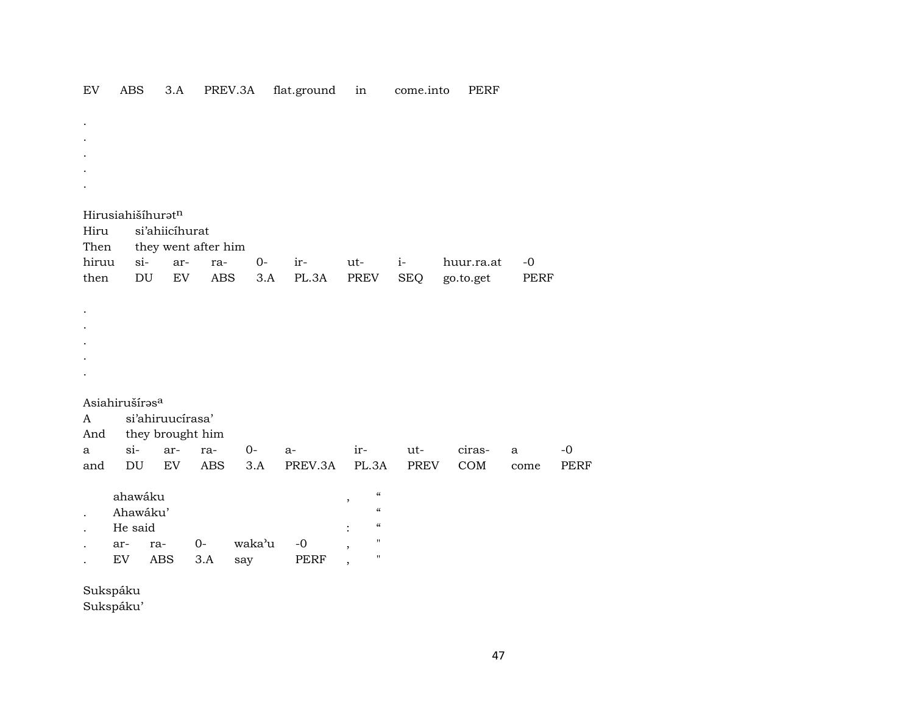|              | Hirusiahišíhuratn          |                  |     |                     |        |             |                                                                 |            |            |              |             |
|--------------|----------------------------|------------------|-----|---------------------|--------|-------------|-----------------------------------------------------------------|------------|------------|--------------|-------------|
| Hiru         |                            | si'ahiicíhurat   |     |                     |        |             |                                                                 |            |            |              |             |
| Then         |                            |                  |     | they went after him |        |             |                                                                 |            |            |              |             |
| hiruu        |                            | $si-$            | ar- | ra-                 | $0-$   | ir-         | ut-                                                             | $i-$       | huur.ra.at | $-0$         |             |
| then         |                            | DU               | EV  | <b>ABS</b>          | 3.A    | PL.3A       | PREV                                                            | <b>SEQ</b> | go.to.get  | <b>PERF</b>  |             |
|              |                            |                  |     |                     |        |             |                                                                 |            |            |              |             |
|              |                            |                  |     |                     |        |             |                                                                 |            |            |              |             |
|              |                            |                  |     |                     |        |             |                                                                 |            |            |              |             |
|              |                            |                  |     |                     |        |             |                                                                 |            |            |              |             |
|              |                            |                  |     |                     |        |             |                                                                 |            |            |              |             |
|              |                            |                  |     |                     |        |             |                                                                 |            |            |              |             |
|              | Asiahirušíras <sup>a</sup> |                  |     |                     |        |             |                                                                 |            |            |              |             |
| A            |                            | si'ahiruucírasa' |     |                     |        |             |                                                                 |            |            |              |             |
| And          |                            |                  |     | they brought him    |        |             |                                                                 |            |            |              |             |
| $\mathbf{a}$ | $si-$                      |                  | ar- | ra-                 | $0-$   | $a-$        | ir-                                                             | ut-        | ciras-     | $\mathbf{a}$ | $-0$        |
| and          | $\mathop{\rm DU}\nolimits$ |                  | EV  | <b>ABS</b>          | 3.A    | PREV.3A     | PL.3A                                                           | PREV       | COM        | come         | <b>PERF</b> |
|              | ahawáku                    |                  |     |                     |        |             | $\boldsymbol{\zeta}\boldsymbol{\zeta}$                          |            |            |              |             |
|              | Ahawáku'                   |                  |     |                     |        |             | $^\mathrm{^{^\circ}}$<br>$\boldsymbol{\zeta}\boldsymbol{\zeta}$ |            |            |              |             |
|              | He said                    |                  |     |                     |        |             | $\boldsymbol{\zeta}\boldsymbol{\zeta}$                          |            |            |              |             |
|              | ar-                        | ra-              |     | $0-$                | waka'u | $-0$        | $\pmb{\mathsf{H}}$                                              |            |            |              |             |
|              | EV                         | <b>ABS</b>       |     | 3.A                 | say    | <b>PERF</b> | $\pmb{\mathsf{H}}$                                              |            |            |              |             |

EV ABS 3.A PREV.3A flat.ground in come.into PERF

Sukspáku

Sukspáku'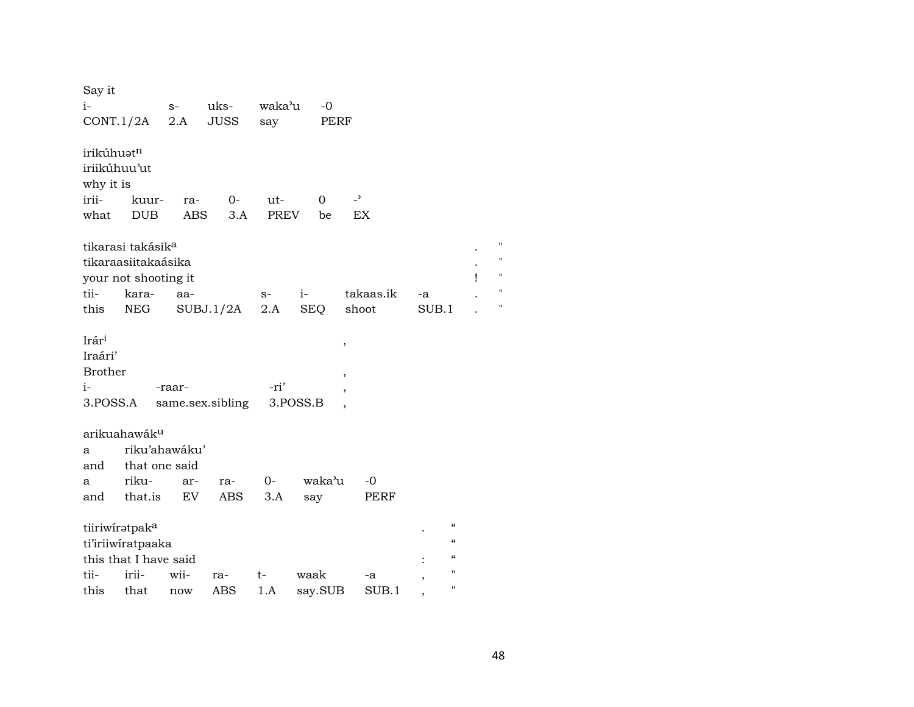| Say it            |                               |               |                  |        |          |                |           |       |                            |   |   |
|-------------------|-------------------------------|---------------|------------------|--------|----------|----------------|-----------|-------|----------------------------|---|---|
| $i-$              |                               | $S-$          | uks-             | waka'u | $-0$     |                |           |       |                            |   |   |
| CONT.1/2A         |                               | 2.A           | <b>JUSS</b>      | say    |          | PERF           |           |       |                            |   |   |
|                   |                               |               |                  |        |          |                |           |       |                            |   |   |
| irikúhuatn        |                               |               |                  |        |          |                |           |       |                            |   |   |
| iriikúhuu'ut      |                               |               |                  |        |          |                |           |       |                            |   |   |
| why it is         |                               |               |                  |        |          |                |           |       |                            |   |   |
| irii-             | kuur-                         | ra-           | $O-$             | ut-    | 0        | $\overline{a}$ |           |       |                            |   |   |
| what              | <b>DUB</b>                    | <b>ABS</b>    | 3.A              | PREV   | be       | <b>EX</b>      |           |       |                            |   |   |
|                   |                               |               |                  |        |          |                |           |       |                            |   |   |
|                   | tikarasi takásik <sup>a</sup> |               |                  |        |          |                |           |       |                            |   | Ħ |
|                   | tikaraasiitakaásika           |               |                  |        |          |                |           |       |                            |   | Ħ |
|                   | your not shooting it          |               |                  |        |          |                |           |       |                            | Ţ | Ħ |
| tii-              | kara-                         | aa-           |                  | $S-$   | $i-$     |                | takaas.ik | -a    |                            |   | Ħ |
| this              | NEG                           |               | SUBJ.1/2A        | 2.A    | SEQ      | shoot          |           | SUB.1 |                            |   | Ħ |
|                   |                               |               |                  |        |          |                |           |       |                            |   |   |
| Irár <sup>i</sup> |                               |               |                  |        |          | ,              |           |       |                            |   |   |
| Iraári'           |                               |               |                  |        |          |                |           |       |                            |   |   |
| <b>Brother</b>    |                               |               |                  |        |          |                |           |       |                            |   |   |
| $i-$              |                               | -raar-        |                  | -ri'   |          |                |           |       |                            |   |   |
| 3.POSS.A          |                               |               | same.sex.sibling |        | 3.POSS.B |                |           |       |                            |   |   |
|                   |                               |               |                  |        |          |                |           |       |                            |   |   |
|                   | arikuahawák <sup>u</sup>      |               |                  |        |          |                |           |       |                            |   |   |
| a                 |                               | riku'ahawáku' |                  |        |          |                |           |       |                            |   |   |
| and               | that one said                 |               |                  |        |          |                |           |       |                            |   |   |
| a                 | riku-                         | ar-           | ra-              | $0-$   | waka'u   |                | -0        |       |                            |   |   |
| and               | that.is                       | EV            | ABS              | 3.A    | say      |                | PERF      |       |                            |   |   |
|                   |                               |               |                  |        |          |                |           |       |                            |   |   |
| tiiriwiratpaka    |                               |               |                  |        |          |                |           |       | $\pmb{\zeta}\pmb{\zeta}$   |   |   |
|                   | ti'iriiwiratpaaka             |               |                  |        |          |                |           |       | $\boldsymbol{\mathcal{C}}$ |   |   |
|                   | this that I have said         |               |                  |        |          |                |           |       | $\pmb{\zeta}\pmb{\zeta}$   |   |   |
| tii-              | irii-                         | wii-          | ra-              | t-     | waak     |                | -a        |       | $\pmb{\mathsf{H}}$         |   |   |
| this              | that                          | now           | ABS              | 1.A    | say.SUB  |                | SUB.1     |       | $\pmb{\mathsf{H}}$         |   |   |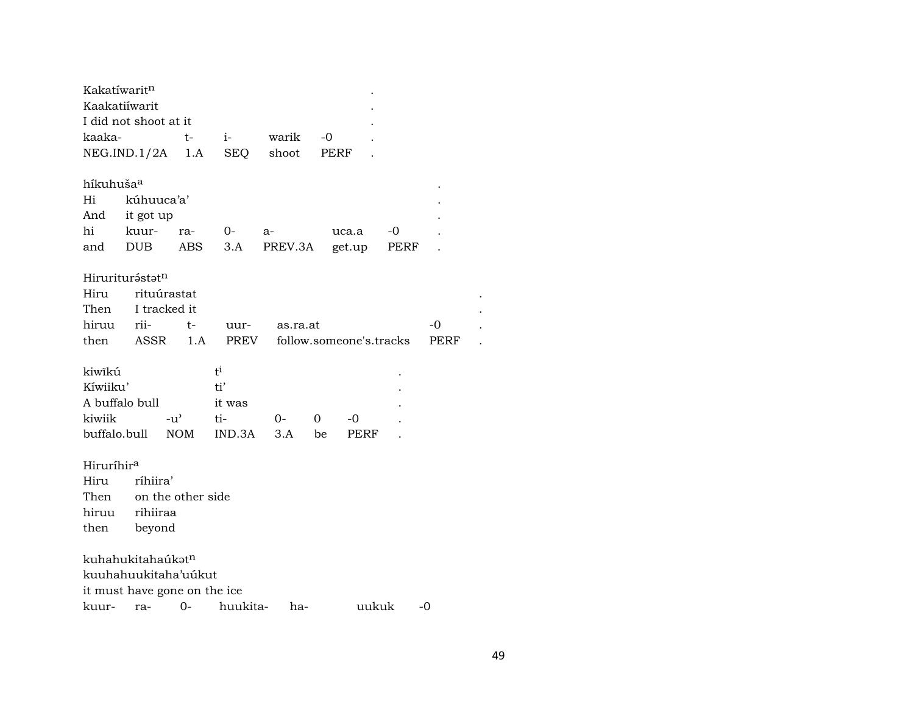| Kakatíwaritn                  |            |                              |            |          |                         |       |      |      |  |
|-------------------------------|------------|------------------------------|------------|----------|-------------------------|-------|------|------|--|
| Kaakatiiwarit                 |            |                              |            |          |                         |       |      |      |  |
| I did not shoot at it         |            |                              |            |          |                         |       |      |      |  |
| kaaka-                        |            | $t-$                         | $i$ -      | warik    | $-0$                    |       |      |      |  |
| NEG.IND.1/2A                  |            | 1.A                          | <b>SEQ</b> | shoot    | PERF                    |       |      |      |  |
|                               |            |                              |            |          |                         |       |      |      |  |
| híkuhuša <sup>a</sup>         |            |                              |            |          |                         |       |      |      |  |
| Hi                            | kúhuuca'a' |                              |            |          |                         |       |      |      |  |
| And                           | it got up  |                              |            |          |                         |       |      |      |  |
| hi                            | kuur-      | ra-                          | $O-$       | $a-$     | uca.a                   |       | -0   |      |  |
| and                           | DUB        | ABS                          | 3.A        | PREV.3A  | get.up                  |       | PERF |      |  |
| Hiruriturástatn               |            |                              |            |          |                         |       |      |      |  |
| Hiru                          |            | rituúrastat                  |            |          |                         |       |      |      |  |
| Then                          |            | I tracked it                 |            |          |                         |       |      |      |  |
| hiruu                         | rii-       | t-                           | uur-       | as.ra.at |                         |       |      | -0   |  |
| then                          | ASSR       | 1.A                          | PREV       |          | follow.someone's.tracks |       |      | PERF |  |
|                               |            |                              |            |          |                         |       |      |      |  |
| kiwîkú                        |            |                              | $t^i$      |          |                         |       |      |      |  |
| Kíwiiku'                      |            |                              | ti'        |          |                         |       |      |      |  |
| A buffalo bull                |            |                              | it was     |          |                         |       |      |      |  |
| kiwiik                        |            | $-u^{\prime}$                | ti-        | $O-$     | 0<br>-0                 |       |      |      |  |
| buffalo.bull                  |            | <b>NOM</b>                   | IND.3A     | 3.A      | be                      | PERF  |      |      |  |
|                               |            |                              |            |          |                         |       |      |      |  |
| Hiruríhir <sup>a</sup>        |            |                              |            |          |                         |       |      |      |  |
| Hiru                          | ríhiira'   |                              |            |          |                         |       |      |      |  |
| Then                          |            | on the other side            |            |          |                         |       |      |      |  |
| hiruu                         | rihiiraa   |                              |            |          |                         |       |      |      |  |
| then                          | beyond     |                              |            |          |                         |       |      |      |  |
| kuhahukitahaúkət <sup>n</sup> |            |                              |            |          |                         |       |      |      |  |
|                               |            | kuuhahuukitaha'uúkut         |            |          |                         |       |      |      |  |
|                               |            | it must have gone on the ice |            |          |                         |       |      |      |  |
| kuur-                         | ra-        | $O -$                        | huukita-   | ha-      |                         | uukuk |      | -0   |  |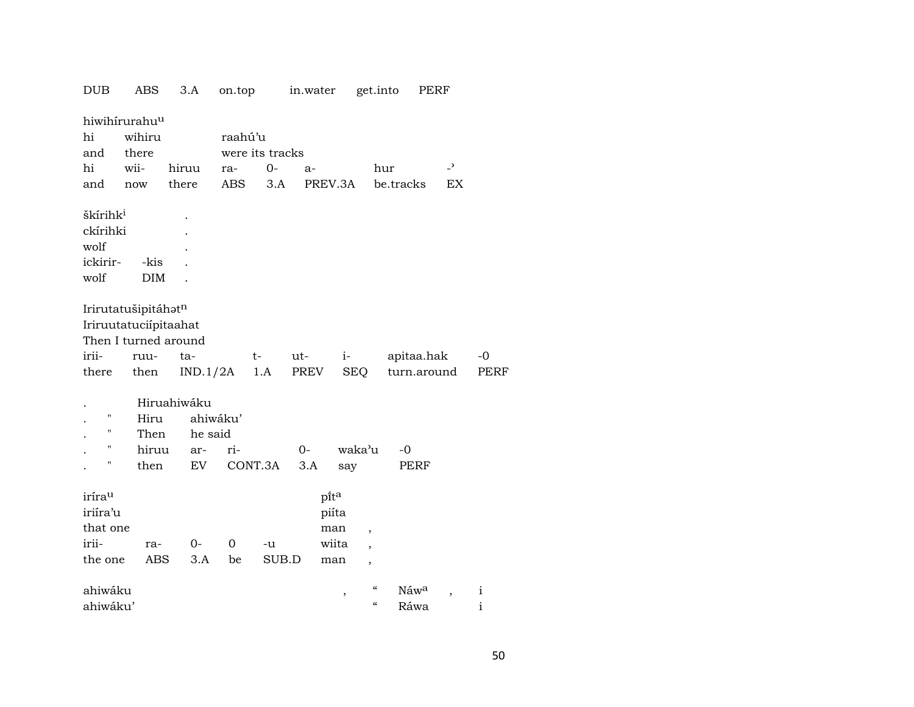| <b>DUB</b>           | ABS                   | 3.A         | on.top         |                 | in.water |                    | get.into                 | PERF                      |                          |                     |
|----------------------|-----------------------|-------------|----------------|-----------------|----------|--------------------|--------------------------|---------------------------|--------------------------|---------------------|
| hiwihirurahuu        |                       |             |                |                 |          |                    |                          |                           |                          |                     |
| hi                   | wihiru                |             | raahú'u        |                 |          |                    |                          |                           |                          |                     |
| and                  | there                 |             |                | were its tracks |          |                    |                          |                           |                          |                     |
| hi                   | wii-                  | hiruu       | ra-            | $0-$            | a-       |                    | hur                      |                           | $\overline{\phantom{a}}$ |                     |
| and                  | now                   | there       | ABS            | 3.A             |          | PREV.3A            | be.tracks                |                           | EX                       |                     |
| škírihk <sup>i</sup> |                       |             |                |                 |          |                    |                          |                           |                          |                     |
| ckírihki             |                       |             |                |                 |          |                    |                          |                           |                          |                     |
| wolf                 |                       |             |                |                 |          |                    |                          |                           |                          |                     |
| ickirir-             | -kis                  |             |                |                 |          |                    |                          |                           |                          |                     |
| wolf                 | <b>DIM</b>            |             |                |                 |          |                    |                          |                           |                          |                     |
|                      | Irirutatušipitáhatn   |             |                |                 |          |                    |                          |                           |                          |                     |
|                      | Iriruutatuciípitaahat |             |                |                 |          |                    |                          |                           |                          |                     |
|                      | Then I turned around  |             |                |                 |          |                    |                          |                           |                          |                     |
| irii-                |                       | ta-         |                |                 | ut-      |                    |                          |                           |                          |                     |
| there                | ruu-                  | IND.1/2A    |                | t-<br>1.A       | PREV     | $i-$<br><b>SEQ</b> |                          | apitaa.hak<br>turn.around |                          | $-0$<br><b>PERF</b> |
|                      | then                  |             |                |                 |          |                    |                          |                           |                          |                     |
|                      |                       | Hiruahiwáku |                |                 |          |                    |                          |                           |                          |                     |
| 11                   | Hiru                  | ahiwáku'    |                |                 |          |                    |                          |                           |                          |                     |
| 11                   | Then                  | he said     |                |                 |          |                    |                          |                           |                          |                     |
| Н                    | hiruu                 | ar-         | ri-            |                 | $O -$    | waka'u             | $-0$                     |                           |                          |                     |
| н                    | then                  | EV          |                | CONT.3A         | 3.A      | say                |                          | PERF                      |                          |                     |
| irírau               |                       |             |                |                 |          | pita               |                          |                           |                          |                     |
| iriíra'u             |                       |             |                |                 |          | piíta              |                          |                           |                          |                     |
| that one             |                       |             |                |                 |          | man                |                          |                           |                          |                     |
| irii-                | ra-                   | 0-          | $\overline{0}$ | -u              |          | wiita              | $\overline{\phantom{a}}$ |                           |                          |                     |
| the one              | ABS                   | 3.A         | be             | SUB.D           |          | man                | ,                        |                           |                          |                     |
|                      |                       |             |                |                 |          |                    |                          |                           |                          |                     |
| ahiwáku              |                       |             |                |                 |          | ,                  | $\epsilon\epsilon$       | Náw <sup>a</sup>          |                          | $\mathbf{i}$        |
| ahiwáku'             |                       |             |                |                 |          |                    | $\pmb{\zeta}\pmb{\zeta}$ | Ráwa                      |                          | $\rm i$             |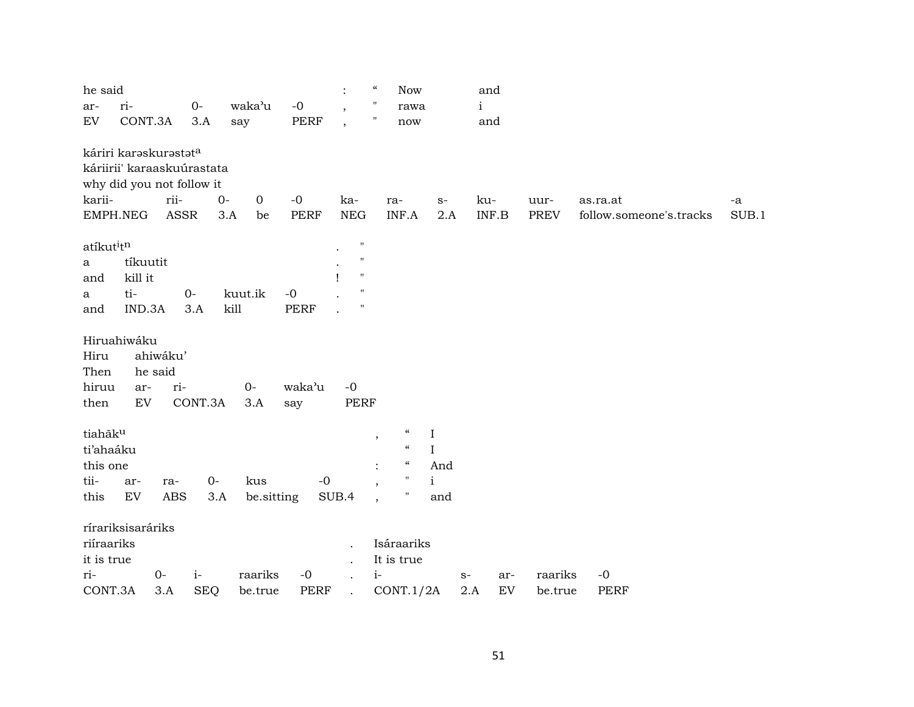| he said<br>ar-<br>${\rm EV}$                     | ri-<br>CONT.3A                       |                                                    | $O -$<br>3.A               | waka'u<br>say        | $-0$<br>PERF        | $\ddot{\cdot}$<br>$\overline{\phantom{a}}$<br>$\overline{\phantom{a}}$                                        | $\boldsymbol{\epsilon} \boldsymbol{\epsilon}$<br>$\pmb{\mathsf{H}}$<br>$\pmb{\mathsf{H}}$                                                    | <b>Now</b><br>rawa<br>now                             | $\mathbf{i}$ | and<br>and                        |                    |                                     |             |
|--------------------------------------------------|--------------------------------------|----------------------------------------------------|----------------------------|----------------------|---------------------|---------------------------------------------------------------------------------------------------------------|----------------------------------------------------------------------------------------------------------------------------------------------|-------------------------------------------------------|--------------|-----------------------------------|--------------------|-------------------------------------|-------------|
|                                                  |                                      | káriri karaskurastata<br>why did you not follow it | káriirii' karaaskuúrastata |                      |                     |                                                                                                               |                                                                                                                                              |                                                       |              |                                   |                    |                                     |             |
| karii-                                           | EMPH.NEG                             | rii-<br><b>ASSR</b>                                | $0-$<br>3.A                | $\overline{0}$<br>be | $-0$<br><b>PERF</b> | ka-<br><b>NEG</b>                                                                                             | ra-<br>INF.A                                                                                                                                 | $S-$<br>2.A                                           | ku-          | INF.B                             | uur-<br>PREV       | as.ra.at<br>follow.someone's.tracks | -a<br>SUB.1 |
| atíkutitn<br>a<br>and<br>a<br>and                | tíkuutit<br>kill it<br>ti-<br>IND.3A |                                                    | $O -$<br>3.A               | kuut.ik<br>kill      | $-0$<br><b>PERF</b> | $\boldsymbol{\mathsf{H}}$<br>$\pmb{\mathsf{H}}$<br>$\mathbf{H}$<br>$\boldsymbol{\mathsf{H}}$<br>$\pmb{\cdot}$ |                                                                                                                                              |                                                       |              |                                   |                    |                                     |             |
| Hiru<br>Then<br>hiruu<br>then                    | Hiruahiwáku<br>ar-<br>EV             | ahiwáku'<br>he said<br>ri-                         | CONT.3A                    | $O -$<br>3.A         | waka'u<br>say       | $-0$<br>PERF                                                                                                  |                                                                                                                                              |                                                       |              |                                   |                    |                                     |             |
| tiahãku<br>ti'ahaáku<br>this one<br>tii-<br>this | ar-<br>EV                            | ra-<br>ABS                                         | $0-$<br>3.A                | kus<br>be sitting    | $-0$                | SUB.4                                                                                                         | $\epsilon\epsilon$<br>,<br>$\mathcal{C}\mathcal{C}$<br>$\mathcal{C}\mathcal{C}$<br>$\mathbf{H}$<br>$\overline{\phantom{a}}$<br>11<br>$\cdot$ | $\bf{I}$<br>$\mathbf I$<br>And<br>$\mathbf{i}$<br>and |              |                                   |                    |                                     |             |
| riíraariks<br>it is true<br>ri-<br>CONT.3A       | rírariksisaráriks                    | $O -$<br>3.A                                       | $i-$<br><b>SEQ</b>         | raariks<br>be.true   | $-0$<br><b>PERF</b> | $\ddot{\phantom{a}}$                                                                                          | Isáraariks<br>It is true<br>$i-$<br>CONT.1/2A                                                                                                |                                                       | $S-$<br>2.A  | ar-<br>$\mathop{\rm EV}\nolimits$ | raariks<br>be.true | $-0$<br><b>PERF</b>                 |             |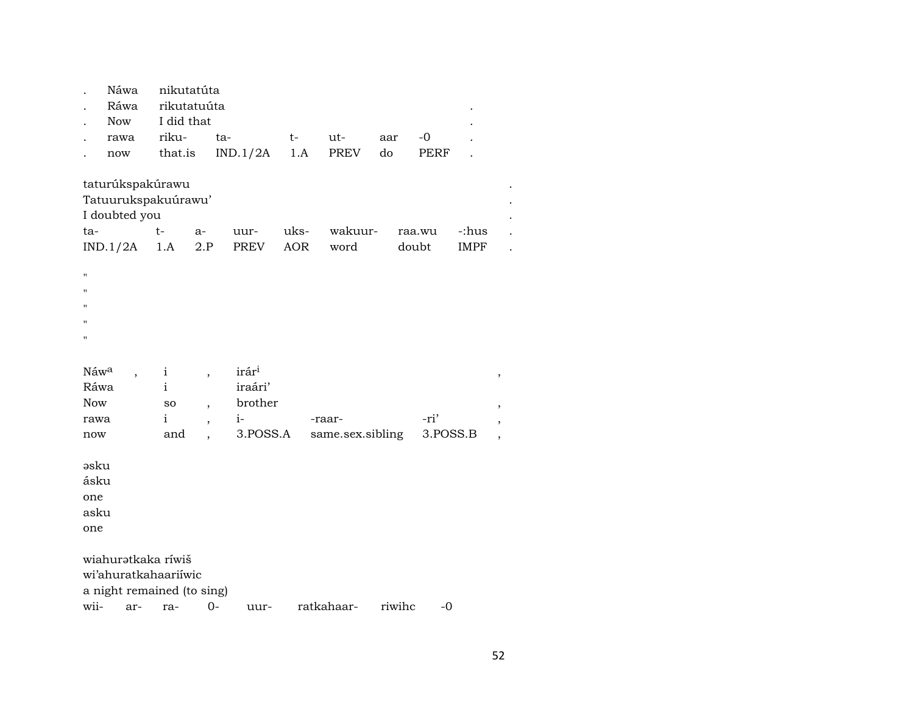|                                          | Náwa<br>Ráwa<br><b>Now</b>                                               | nikutatúta<br>I did that                           | rikutatuúta                                          |                                                 |            |                  |        |          |             |                          |  |  |  |
|------------------------------------------|--------------------------------------------------------------------------|----------------------------------------------------|------------------------------------------------------|-------------------------------------------------|------------|------------------|--------|----------|-------------|--------------------------|--|--|--|
|                                          | rawa                                                                     | riku-                                              | ta-                                                  |                                                 | $t-$       | ut-              | aar    | $-0$     |             |                          |  |  |  |
|                                          | now                                                                      | that.is                                            |                                                      | IND.1/2A                                        | 1.A        | PREV             | do     | PERF     |             |                          |  |  |  |
|                                          | taturúkspakúrawu<br>Tatuurukspakuúrawu'<br>I doubted you<br>raa.wu       |                                                    |                                                      |                                                 |            |                  |        |          |             |                          |  |  |  |
| ta-                                      |                                                                          | t-                                                 | $a-$                                                 | uur-                                            | uks-       | wakuur-          |        |          | -:hus       |                          |  |  |  |
|                                          | IND.1/2A                                                                 | 1.A                                                | 2.P                                                  | PREV                                            | <b>AOR</b> | word             |        | doubt    | <b>IMPF</b> |                          |  |  |  |
| $\mathbf{H}$<br>п<br>Ħ<br>$\blacksquare$ |                                                                          |                                                    |                                                      |                                                 |            |                  |        |          |             |                          |  |  |  |
| Náwa<br>Ráwa<br><b>Now</b><br>rawa       |                                                                          | $\mathbf{i}$<br>$\mathbf{i}$<br>so<br>$\mathbf{i}$ | $\overline{\phantom{a}}$<br>$\overline{\phantom{a}}$ | irár <sup>i</sup><br>iraári'<br>brother<br>$i-$ |            | -raar-           |        | -ri'     |             | $\,$<br>,                |  |  |  |
| now                                      |                                                                          | and                                                | $\overline{\phantom{a}}$                             | 3.POSS.A                                        |            | same.sex.sibling |        | 3.POSS.B |             | ,                        |  |  |  |
| əsku<br>ásku<br>one<br>asku<br>one       |                                                                          |                                                    |                                                      |                                                 |            |                  |        |          |             | $\overline{\phantom{a}}$ |  |  |  |
|                                          | wiahurətkaka ríwiš<br>wi'ahuratkahaariiwic<br>a night remained (to sing) |                                                    |                                                      |                                                 |            |                  |        |          |             |                          |  |  |  |
| wii-                                     | ar-                                                                      | ra-                                                | $0-$                                                 | uur-                                            |            | ratkahaar-       | riwihc | $-0$     |             |                          |  |  |  |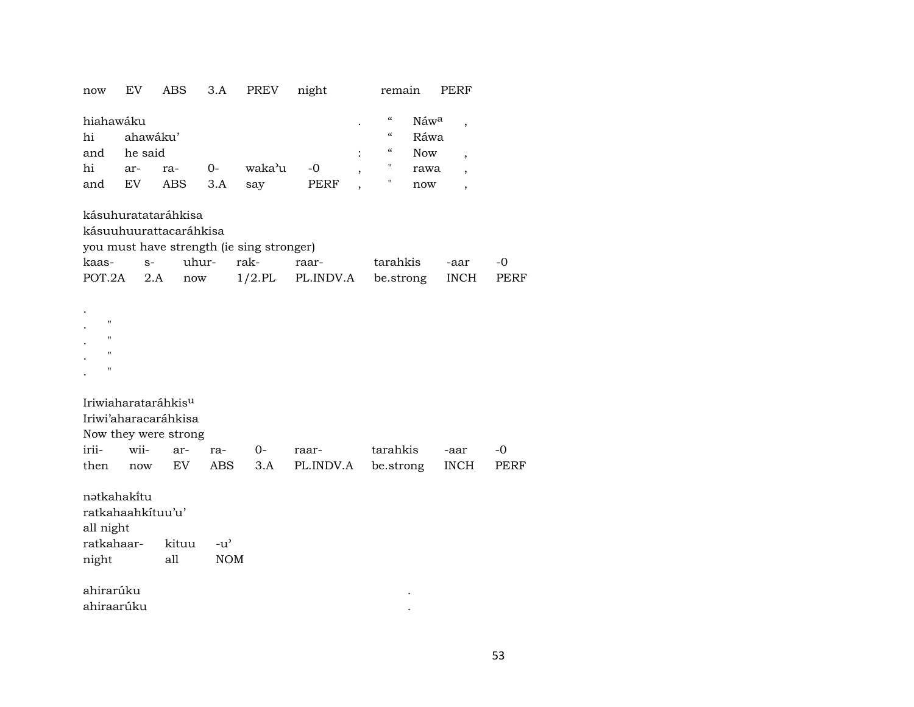| now                      | EV                                                                                         | ABS                  | 3.A           | <b>PREV</b> | night     | remain                                                 |                          | PERF                     |      |  |  |  |  |
|--------------------------|--------------------------------------------------------------------------------------------|----------------------|---------------|-------------|-----------|--------------------------------------------------------|--------------------------|--------------------------|------|--|--|--|--|
| hiahawáku<br>hi          | ahawáku'                                                                                   |                      |               |             |           | $\mathcal{C}\mathcal{C}$<br>$\boldsymbol{\mathcal{C}}$ | Náw <sup>a</sup><br>Ráwa | $\overline{\phantom{a}}$ |      |  |  |  |  |
| and                      | he said                                                                                    |                      |               |             |           | $\epsilon\epsilon$                                     | Now                      | $\overline{\phantom{a}}$ |      |  |  |  |  |
| hi                       | ar-                                                                                        | ra-                  | $0-$          | waka'u      | $-0$      | $\pmb{\mathsf{H}}$                                     | rawa                     | $\overline{\phantom{a}}$ |      |  |  |  |  |
| and                      | EV                                                                                         | ABS                  | 3.A           | say         | PERF      | П                                                      | now                      | $\overline{\phantom{a}}$ |      |  |  |  |  |
|                          | kásuhuratataráhkisa<br>kásuuhuurattacaráhkisa<br>you must have strength (ie sing stronger) |                      |               |             |           |                                                        |                          |                          |      |  |  |  |  |
| kaas-                    | $S-$                                                                                       | uhur-                |               | rak-        | raar-     | tarahkis                                               |                          | -aar                     | $-0$ |  |  |  |  |
| POT.2A                   | 2.A                                                                                        | $\operatorname{now}$ |               | $1/2$ .PL   | PL.INDV.A | be.strong                                              |                          | <b>INCH</b>              | PERF |  |  |  |  |
| Ħ<br>н<br>Ħ<br>Н         |                                                                                            |                      |               |             |           |                                                        |                          |                          |      |  |  |  |  |
|                          | Iriwiaharataráhkis <sup>u</sup>                                                            | Iriwi'aharacaráhkisa |               |             |           |                                                        |                          |                          |      |  |  |  |  |
|                          |                                                                                            | Now they were strong |               |             |           |                                                        |                          |                          |      |  |  |  |  |
| irii-                    | wii-                                                                                       | ar-                  | ra-           | $0-$        | raar-     | tarahkis                                               |                          | -aar                     | -0   |  |  |  |  |
| then                     | now                                                                                        | EV                   | <b>ABS</b>    | 3.A         | PL.INDV.A | be.strong                                              |                          | <b>INCH</b>              | PERF |  |  |  |  |
| nətkahakitu<br>all night | ratkahaahkituu'u'                                                                          |                      |               |             |           |                                                        |                          |                          |      |  |  |  |  |
| ratkahaar-               |                                                                                            | kituu                | $-u^{\prime}$ |             |           |                                                        |                          |                          |      |  |  |  |  |
| night                    |                                                                                            | all                  | <b>NOM</b>    |             |           |                                                        |                          |                          |      |  |  |  |  |
| ahirarúku<br>ahiraarúku  |                                                                                            |                      |               |             |           |                                                        |                          |                          |      |  |  |  |  |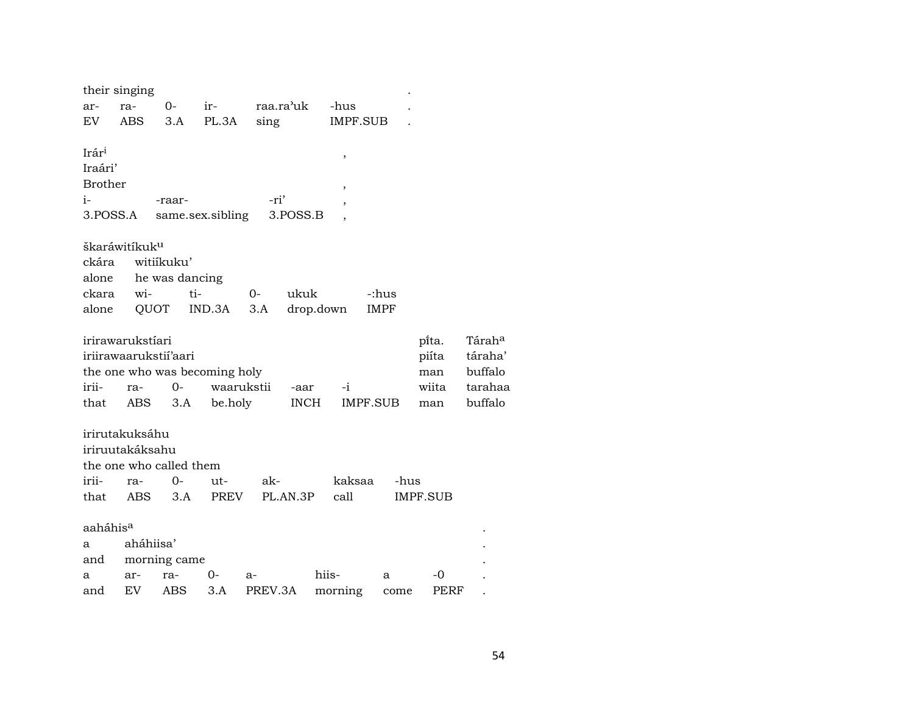|                      | their singing             |                |                               |         |             |          |             |          |                    |
|----------------------|---------------------------|----------------|-------------------------------|---------|-------------|----------|-------------|----------|--------------------|
| ar-                  | ra-                       | 0-             | ir-                           |         | raa.ra'uk   | -hus     |             |          |                    |
| EV                   | <b>ABS</b>                | 3.A            | PL.3A                         | sing    |             | IMPF.SUB |             |          |                    |
|                      |                           |                |                               |         |             |          |             |          |                    |
| Irári                |                           |                |                               |         |             | ,        |             |          |                    |
| Iraári'              |                           |                |                               |         |             |          |             |          |                    |
| <b>Brother</b>       |                           |                |                               |         |             | ,        |             |          |                    |
| $i-$                 |                           | -raar-         |                               | -ri'    |             |          |             |          |                    |
| 3.POSS.A             |                           |                | same.sex.sibling              |         | 3.POSS.B    |          |             |          |                    |
|                      |                           |                |                               |         |             |          |             |          |                    |
|                      | škaráwitíkuk <sup>u</sup> |                |                               |         |             |          |             |          |                    |
| ckára                |                           | witiikuku'     |                               |         |             |          |             |          |                    |
| alone                |                           | he was dancing |                               |         |             |          |             |          |                    |
| ckara                | wi-                       | ti-            |                               | $O -$   | ukuk        |          | -:hus       |          |                    |
| alone                | QUOT                      |                | IND.3A                        | 3.A     | drop.down   |          | <b>IMPF</b> |          |                    |
|                      |                           |                |                               |         |             |          |             |          |                    |
|                      | irirawarukstíari          |                |                               |         |             |          |             | pi̇̃ta.  | Tárah <sup>a</sup> |
|                      | iriirawaarukstii'aari     |                |                               |         |             |          |             | piíta    | táraha             |
|                      |                           |                | the one who was becoming holy |         |             |          |             | man      | buffalo            |
| irii-                | ra-                       | $0-$           | waarukstii                    |         | -aar        | $-i$     |             | wiita    | taraha             |
| that                 | ABS                       | 3.A            | be.holy                       |         | <b>INCH</b> | IMPF.SUB |             | man      | buffalo            |
|                      |                           |                |                               |         |             |          |             |          |                    |
|                      | irirutakuksáhu            |                |                               |         |             |          |             |          |                    |
|                      | iriruutakáksahu           |                |                               |         |             |          |             |          |                    |
|                      | the one who called them   |                |                               |         |             |          |             |          |                    |
| irii-                | ra-                       | $0-$           | ut-                           | ak-     |             | kaksaa   | -hus        |          |                    |
| that                 | ABS                       | 3.A            | PREV                          |         | PL.AN.3P    | call     |             | IMPF.SUB |                    |
|                      |                           |                |                               |         |             |          |             |          |                    |
| aaháhis <sup>a</sup> |                           |                |                               |         |             |          |             |          |                    |
| а                    | aháhiisa'                 |                |                               |         |             |          |             |          |                    |
| and                  |                           | morning came   |                               |         |             |          |             |          |                    |
| а                    | ar-                       | ra-            | 0-                            | a-      |             | hiis-    | a           | -0       |                    |
| and                  | EV                        | ABS            | 3.A                           | PREV.3A |             | morning  | come        | PERF     |                    |

tarahaa<br>buffalo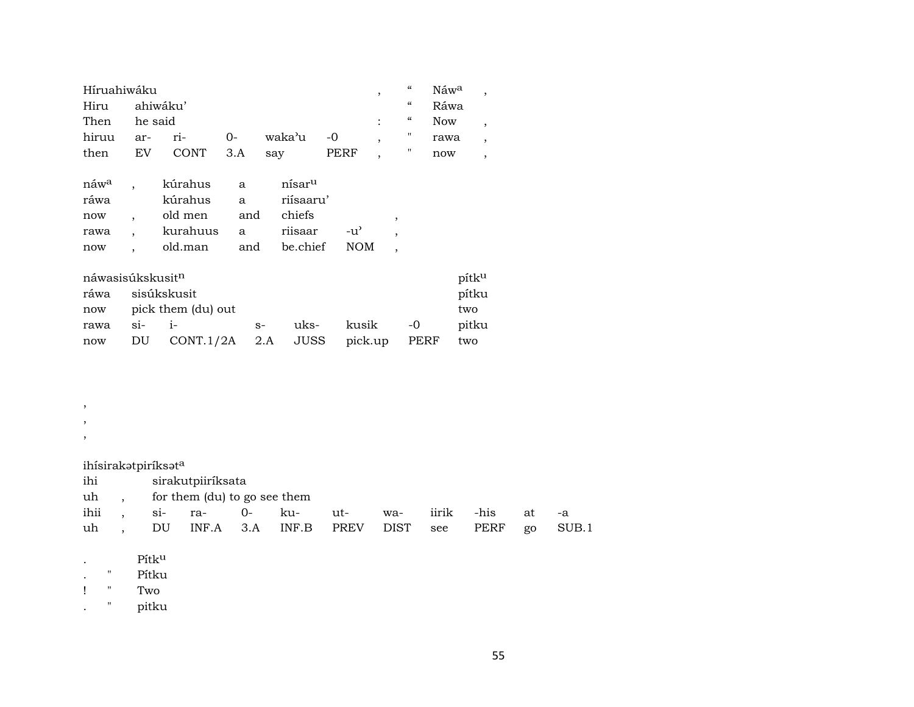| Híruahiwáku                  |                      |                    |      | ,                  |            | $\boldsymbol{\zeta}\boldsymbol{\zeta}$ | Náw <sup>a</sup>         | $\cdot$ |            |                |
|------------------------------|----------------------|--------------------|------|--------------------|------------|----------------------------------------|--------------------------|---------|------------|----------------|
| Hiru                         |                      | ahiwáku'           |      |                    |            |                                        |                          | "       | Ráwa       |                |
| Then                         | he said              |                    |      |                    |            | $\ddot{\cdot}$                         |                          | 4       | <b>Now</b> | $\overline{ }$ |
| hiruu                        | ar-                  | ri-                | 0-   | waka'u             | -0         | $\overline{ }$                         |                          | "       | rawa       | $\overline{ }$ |
| then                         | EV                   | <b>CONT</b>        | 3.A  | say                | PERF       | $\overline{\phantom{a}}$               |                          | "       | now        | $\overline{ }$ |
|                              |                      |                    |      |                    |            |                                        |                          |         |            |                |
| náw <sup>a</sup>             | $\ddot{\phantom{0}}$ | kúrahus            | a    | nísar <sup>u</sup> |            |                                        |                          |         |            |                |
| ráwa                         |                      | kúrahus            | a    | riísaaru'          |            |                                        |                          |         |            |                |
| now                          |                      | old men            | and  | chiefs             |            |                                        | $\cdot$                  |         |            |                |
| rawa                         |                      | kurahuus           | a    | riisaar            | -น'        |                                        | $\cdot$                  |         |            |                |
| now                          | $\ddot{\phantom{0}}$ | old.man            | and  | be.chief           | <b>NOM</b> |                                        | $\overline{\phantom{a}}$ |         |            |                |
|                              |                      |                    |      |                    |            |                                        |                          |         |            |                |
| náwasisúkskusit <sup>n</sup> |                      |                    |      |                    |            |                                        |                          |         |            | pítku          |
| ráwa                         |                      | sisúkskusit        |      |                    |            |                                        |                          |         |            | pítku          |
| now                          |                      | pick them (du) out |      |                    |            |                                        |                          |         |            | two            |
| rawa                         | $Si-$                | $i-$               | $S-$ | uks-               | kusik      |                                        |                          | -0      |            | pitku          |
| now                          | DU                   | CONT.1/2A          |      | JUSS<br>2.A        |            | pick.up                                |                          | PERF    |            | two            |

, , , ihísirakətpiríksət<sup>a</sup><br>ihi siraku ihi sirakutpiiríksata<br>uh , for them (du) to g uh , for them (du) to go see them<br>ihii , si- ra- 0- kuihii , si- ra- 0- ku- ut- wa- iirik -his at -a uh , DU INF.A 3.A INF.B PREV DIST see PERF go SUB.1

. Pítk<sup>u</sup>

. " Pítku

! " Two

. " pitku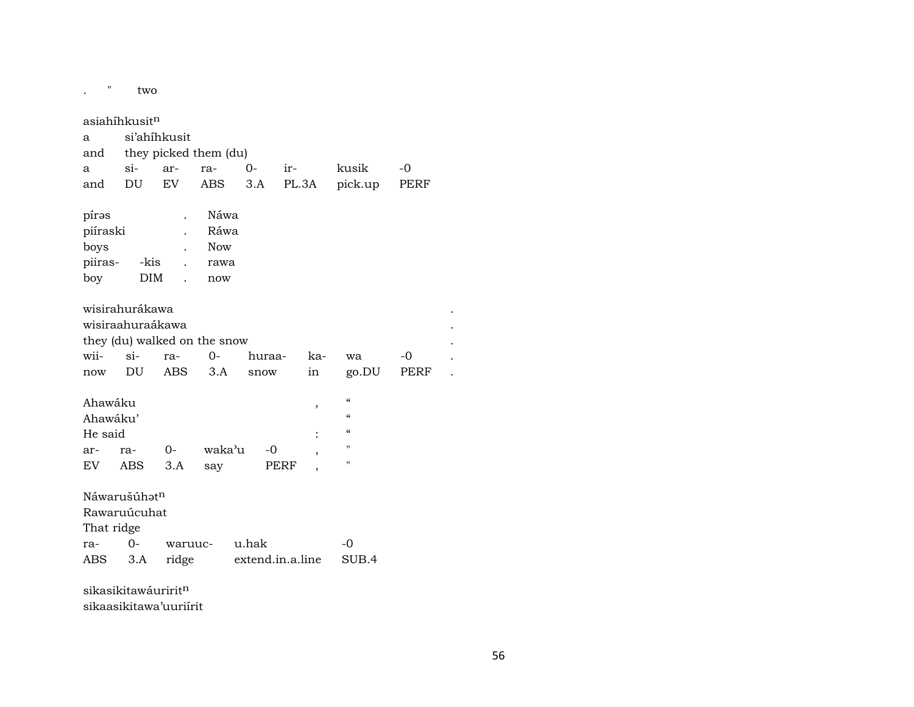| "                               | two                       |            |                              |                  |       |     |                    |             |  |
|---------------------------------|---------------------------|------------|------------------------------|------------------|-------|-----|--------------------|-------------|--|
|                                 | asiahíhkusit <sup>n</sup> |            |                              |                  |       |     |                    |             |  |
| a                               | si'ahihkusit              |            |                              |                  |       |     |                    |             |  |
| and                             |                           |            | they picked them (du)        |                  |       |     |                    |             |  |
| a                               | $\sin$                    | ar-        | ra-                          | $0-$             | ir-   |     | kusik              | -0          |  |
| and                             | DU                        | <b>EV</b>  | <b>ABS</b>                   | 3.A              | PL.3A |     | pick.up            | <b>PERF</b> |  |
|                                 |                           |            |                              |                  |       |     |                    |             |  |
| píras                           |                           |            | Náwa                         |                  |       |     |                    |             |  |
| piíraski                        |                           |            | Ráwa                         |                  |       |     |                    |             |  |
| boys                            |                           |            | <b>Now</b>                   |                  |       |     |                    |             |  |
| piiras-                         | -kis                      |            | rawa                         |                  |       |     |                    |             |  |
| boy                             | <b>DIM</b>                |            | now                          |                  |       |     |                    |             |  |
|                                 |                           |            |                              |                  |       |     |                    |             |  |
|                                 | wisirahurákawa            |            |                              |                  |       |     |                    |             |  |
|                                 | wisiraahuraákawa          |            |                              |                  |       |     |                    |             |  |
|                                 |                           |            | they (du) walked on the snow |                  |       |     |                    |             |  |
| wii-                            | $\sin$                    | ra-        | $O -$                        | huraa-           |       | ka- | wa                 | -0          |  |
| now                             | DU                        | <b>ABS</b> | 3.A                          | snow             |       | in  | go.DU              | PERF        |  |
|                                 |                           |            |                              |                  |       |     |                    |             |  |
| Ahawáku                         |                           |            |                              |                  |       | ,   | $\epsilon\epsilon$ |             |  |
| Ahawáku'                        |                           |            |                              |                  |       |     | $\epsilon$         |             |  |
| He said                         |                           |            |                              |                  |       |     | $\epsilon$         |             |  |
| ar-                             | ra-                       | $O-$       | waka'u                       | $-0$             |       | ٠   | П                  |             |  |
| EV.                             | ABS                       | 3.A        | say                          |                  | PERF  |     | п                  |             |  |
|                                 |                           |            |                              |                  |       |     |                    |             |  |
|                                 | Náwarušúhatn              |            |                              |                  |       |     |                    |             |  |
|                                 | Rawaruúcuhat              |            |                              |                  |       |     |                    |             |  |
| That ridge                      |                           |            |                              |                  |       |     |                    |             |  |
| ra-                             | $O -$                     | waruuc-    |                              | u.hak            |       |     | $-0$               |             |  |
| ABS                             | 3.A                       | ridge      |                              | extend.in.a.line |       |     | SUB.4              |             |  |
| sikasikitawáuririt <sup>n</sup> |                           |            |                              |                  |       |     |                    |             |  |

sikaasikitawa'uuriírit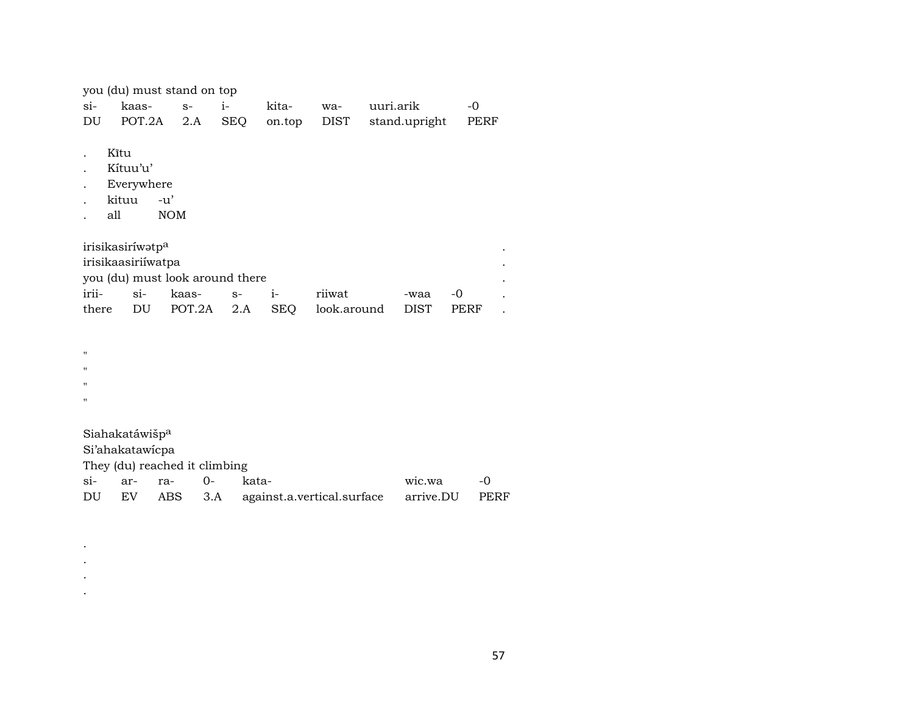| you (du) must stand on top |  |  |  |  |  |                                                  |  |  |  |
|----------------------------|--|--|--|--|--|--------------------------------------------------|--|--|--|
|                            |  |  |  |  |  |                                                  |  |  |  |
|                            |  |  |  |  |  | DU POT.2A 2.A SEQ on.top DIST stand.upright PERF |  |  |  |

- . Kîtu
- . Kítuu'u'
- . Everywhere<br>. kituu -u'
- . kituu
- . all NOM

| irisikasiríwətp <sup>a</sup> |                                 |                       |  |  |                                               |         |  |  |  |  |  |
|------------------------------|---------------------------------|-----------------------|--|--|-----------------------------------------------|---------|--|--|--|--|--|
|                              | irisikaasiriiwatpa              |                       |  |  |                                               |         |  |  |  |  |  |
|                              | you (du) must look around there |                       |  |  |                                               |         |  |  |  |  |  |
|                              |                                 | irii- si- kaas- s- i- |  |  | riiwat                                        | -waa -0 |  |  |  |  |  |
|                              |                                 |                       |  |  | there DU POT.2A 2.A SEQ look.around DIST PERF |         |  |  |  |  |  |

 $\bar{\mathbf{u}}$ 

 $\bar{H}$ 

 $\mathbf{u}^{\dagger}$ 

 $\mathbf{u}$ 

. . . .

Siahakatáwiš $\mathsf{p}^{\mathrm{a}}$ 

Si'ahakatawícpa

They (du) reached it climbing

|  | si- ar- ra- 0- kata- |                                                         | wic.wa -0 |  |
|--|----------------------|---------------------------------------------------------|-----------|--|
|  |                      | DU EV ABS 3.A against.a.vertical.surface arrive.DU PERF |           |  |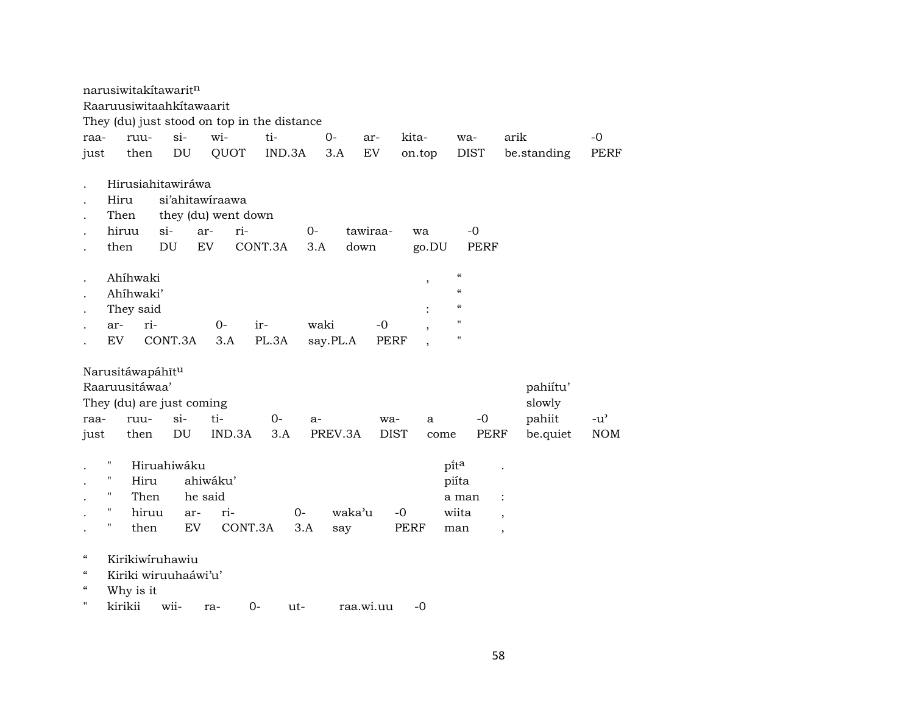|                                        | narusiwitakitawaritn      |       |                            |                     |                                             |          |           |             |             |                                        |             |                          |               |
|----------------------------------------|---------------------------|-------|----------------------------|---------------------|---------------------------------------------|----------|-----------|-------------|-------------|----------------------------------------|-------------|--------------------------|---------------|
|                                        | Raaruusiwitaahkitawaarit  |       |                            |                     |                                             |          |           |             |             |                                        |             |                          |               |
|                                        |                           |       |                            |                     | They (du) just stood on top in the distance |          |           |             |             |                                        |             |                          |               |
| raa-                                   | ruu-                      |       | si                         | wi-                 | ti-                                         | $0-$     |           | ar-         | kita-       |                                        | wa-         | arik                     | $-0$          |
| just                                   | then                      |       | $\mathop{\rm DU}\nolimits$ | QUOT                | IND.3A                                      |          | 3.A       | EV          | on.top      |                                        | <b>DIST</b> | be.standing              | PERF          |
|                                        |                           |       |                            |                     |                                             |          |           |             |             |                                        |             |                          |               |
|                                        | Hirusiahitawiráwa         |       |                            |                     |                                             |          |           |             |             |                                        |             |                          |               |
|                                        | Hiru                      |       |                            | si'ahitawiraawa     |                                             |          |           |             |             |                                        |             |                          |               |
|                                        | Then                      |       |                            | they (du) went down |                                             |          |           |             |             |                                        |             |                          |               |
|                                        | hiruu                     | $si-$ |                            | ar-<br>ri-          |                                             | $0-$     | tawiraa-  |             | wa          |                                        | $-0$        |                          |               |
|                                        | then                      | DU    |                            | EV                  | CONT.3A                                     | 3.A      | down      |             | go.DU       |                                        | <b>PERF</b> |                          |               |
|                                        |                           |       |                            |                     |                                             |          |           |             |             |                                        |             |                          |               |
|                                        | Ahíhwaki                  |       |                            |                     |                                             |          |           |             | ,           | $\boldsymbol{\zeta}\boldsymbol{\zeta}$ |             |                          |               |
|                                        | Ahíhwaki'                 |       |                            |                     |                                             |          |           |             |             | $\epsilon$                             |             |                          |               |
|                                        | They said                 |       |                            |                     |                                             |          |           |             |             | $\epsilon$                             |             |                          |               |
|                                        | ar-                       | ri-   |                            | $0-$                | ir-                                         | waki     |           | $-0$        | $\cdot$     | 11                                     |             |                          |               |
|                                        | <b>EV</b>                 |       | CONT.3A                    | 3.A                 | PL.3A                                       | say.PL.A |           | <b>PERF</b> |             | $\mathbf{H}$                           |             |                          |               |
|                                        |                           |       |                            |                     |                                             |          |           |             |             |                                        |             |                          |               |
|                                        | Narusitáwapáhītu          |       |                            |                     |                                             |          |           |             |             |                                        |             |                          |               |
|                                        | Raaruusitáwaa'            |       |                            |                     |                                             |          |           |             |             |                                        |             | pahiitu'                 |               |
|                                        | They (du) are just coming |       |                            |                     |                                             |          |           |             |             |                                        |             | slowly                   |               |
| raa-                                   | ruu-                      |       | $si$ -                     | ti-                 | 0-                                          | $a-$     |           | wa-         | a           |                                        | $-0$        | pahiit                   | $-u^{\prime}$ |
| just                                   | then                      |       | DU                         | IND.3A              | 3.A                                         |          | PREV.3A   | <b>DIST</b> |             | come                                   | PERF        | be.quiet                 | <b>NOM</b>    |
|                                        |                           |       |                            |                     |                                             |          |           |             |             |                                        |             |                          |               |
|                                        | $\pmb{\pi}$               |       | Hiruahiwáku                |                     |                                             |          |           |             |             | pita                                   |             |                          |               |
|                                        | п                         | Hiru  |                            | ahiwáku'            |                                             |          |           |             |             | piíta                                  |             |                          |               |
|                                        | $\pmb{\mathsf{H}}$        | Then  |                            | he said             |                                             |          |           |             |             |                                        | a man       | $\ddot{\cdot}$           |               |
|                                        | $\pmb{\mathsf{H}}$        | hiruu | ar-                        | ri-                 |                                             | $O -$    | waka'u    |             | $-0$        | wiita                                  |             | $\overline{\phantom{a}}$ |               |
|                                        | Ħ                         | then  | EV                         |                     | CONT.3A                                     | 3.A      | say       |             | <b>PERF</b> | man                                    |             | $\overline{ }$           |               |
|                                        |                           |       |                            |                     |                                             |          |           |             |             |                                        |             |                          |               |
| $\mathcal{C}\mathcal{C}$               | Kirikiwiruhawiu           |       |                            |                     |                                             |          |           |             |             |                                        |             |                          |               |
| $\mathcal{C}\mathcal{C}$               | Kiriki wiruuhaáwi'u'      |       |                            |                     |                                             |          |           |             |             |                                        |             |                          |               |
| $\boldsymbol{\zeta}\boldsymbol{\zeta}$ | Why is it                 |       |                            |                     |                                             |          |           |             |             |                                        |             |                          |               |
| 11                                     | kirikii                   |       | wii-                       | ra-                 | $0-$                                        | ut-      | raa.wi.uu |             | $-0$        |                                        |             |                          |               |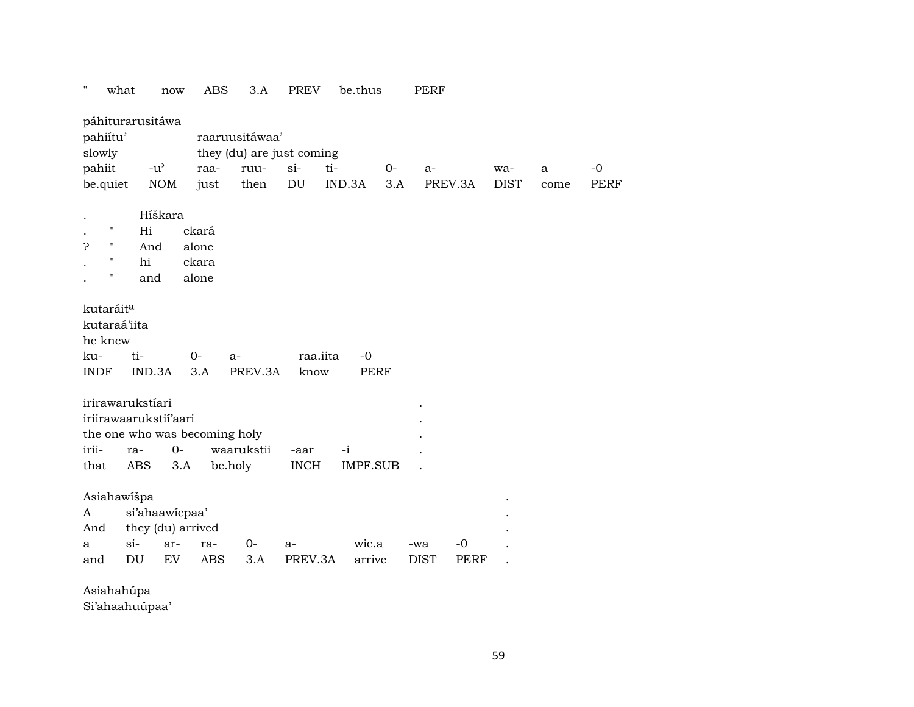| Ħ<br>what                                                              | now                                                                                  | <b>ABS</b>                       | 3.A          | <b>PREV</b>                         | be.thus                 |             | <b>PERF</b>        |              |                    |           |                     |
|------------------------------------------------------------------------|--------------------------------------------------------------------------------------|----------------------------------|--------------|-------------------------------------|-------------------------|-------------|--------------------|--------------|--------------------|-----------|---------------------|
| páhiturarusitáwa<br>pahiítu'<br>slowly                                 |                                                                                      | raaruusitáwaa'                   |              | they (du) are just coming           |                         |             |                    |              |                    |           |                     |
| pahiit<br>be.quiet                                                     | $-u$ <sup><math>\prime</math></sup><br><b>NOM</b>                                    | raa-<br>just                     | ruu-<br>then | $si-$<br>$\mathop{\rm DU}\nolimits$ | ti-<br>IND.3A           | $0-$<br>3.A | $a-$<br>PREV.3A    |              | wa-<br><b>DIST</b> | a<br>come | $-0$<br><b>PERF</b> |
|                                                                        |                                                                                      |                                  |              |                                     |                         |             |                    |              |                    |           |                     |
| П<br>5<br>Η<br>$\blacksquare$<br>$\blacksquare$                        | Híškara<br>Hi<br>And<br>hi<br>and                                                    | ckará<br>alone<br>ckara<br>alone |              |                                     |                         |             |                    |              |                    |           |                     |
| kutaráit <sup>a</sup><br>kutaraá'iita<br>he knew<br>ku-<br><b>INDF</b> | ti-<br>IND.3A                                                                        | $O -$<br>$a-$<br>3.A             | PREV.3A      | raa.iita<br>know                    | $-0$<br><b>PERF</b>     |             |                    |              |                    |           |                     |
| irirawarukstíari<br>irii-<br>that                                      | iriirawaarukstii'aari<br>the one who was becoming holy<br>$O -$<br>ra-<br>ABS<br>3.A | be.holy                          | waarukstii   | -aar<br><b>INCH</b>                 | $-i$<br><b>IMPF.SUB</b> |             |                    |              |                    |           |                     |
| Asiahawišpa<br>A<br>And<br>$si-$<br>a<br>and                           | si'ahaawicpaa'<br>they (du) arrived<br>ar-<br>EV<br>DU                               | ra-<br><b>ABS</b>                | $0-$<br>3.A  | $a-$<br>PREV.3A                     | wic.a<br>arrive         |             | -wa<br><b>DIST</b> | $-0$<br>PERF |                    |           |                     |

Asiahahúpa

Si'ahaahuúpaa'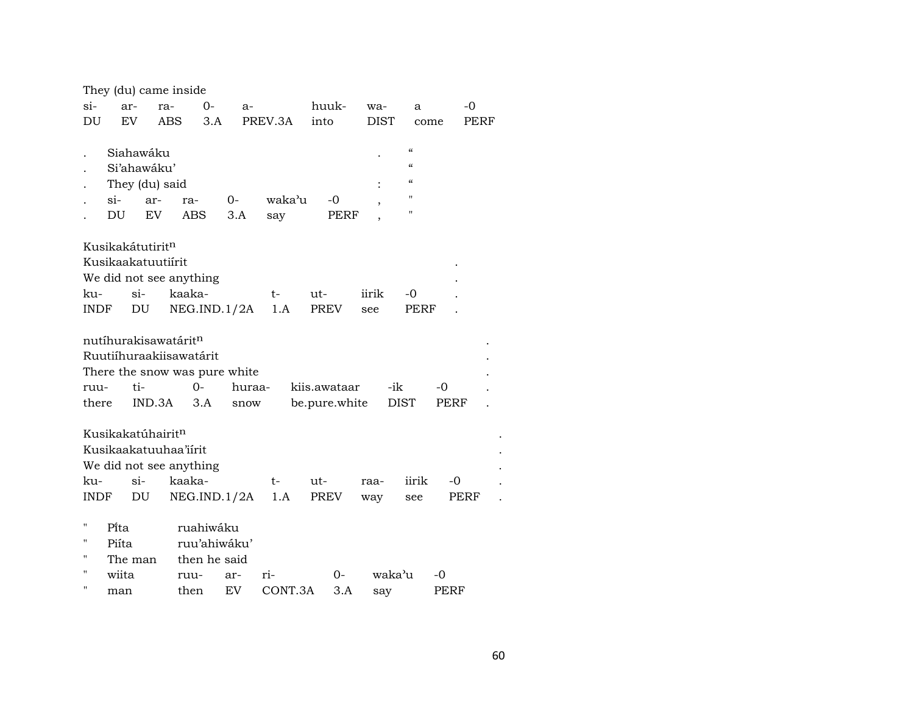|  |  |  | They (du) came inside |
|--|--|--|-----------------------|
|--|--|--|-----------------------|

| EV<br>DU<br>ABS<br>3.A<br>PREV.3A<br>into<br><b>DIST</b><br>PERF<br>come<br>$\mathcal{C}\mathcal{C}$<br>Siahawáku<br>$\mathcal{C}\mathcal{C}$<br>Si'ahawáku'<br>$\mathcal{C}\mathcal{C}$<br>They (du) said |  |
|------------------------------------------------------------------------------------------------------------------------------------------------------------------------------------------------------------|--|
|                                                                                                                                                                                                            |  |
|                                                                                                                                                                                                            |  |
|                                                                                                                                                                                                            |  |
|                                                                                                                                                                                                            |  |
| $\mathbf{H}$<br>$\sin$<br>waka'u<br>$0-$<br>-0<br>ar-<br>ra-                                                                                                                                               |  |
| ,<br>п<br>DU<br>EV<br>3.A<br>ABS<br>PERF<br>say                                                                                                                                                            |  |
|                                                                                                                                                                                                            |  |
| Kusikakátutirit <sup>n</sup>                                                                                                                                                                               |  |
| Kusikaakatuutiirit                                                                                                                                                                                         |  |
| We did not see anything                                                                                                                                                                                    |  |
| $\sin$<br>kaaka-<br>ku-<br>$ut-$<br>iirik<br>$-0$<br>$t-$                                                                                                                                                  |  |
| NEG.IND.1/2A<br>PREV<br>INDF<br>DU<br>1.A<br>PERF<br>see                                                                                                                                                   |  |
|                                                                                                                                                                                                            |  |
| nutíhurakisawatárit <sup>n</sup>                                                                                                                                                                           |  |
| Ruutiíhuraakiisawatárit                                                                                                                                                                                    |  |
| There the snow was pure white                                                                                                                                                                              |  |
| $0-$<br>huraa-<br>-ik<br>ti-<br>kiis.awataar<br>-0<br>ruu-                                                                                                                                                 |  |
| there<br>IND.3A<br>3.A<br>be.pure.white<br>DIST<br>PERF<br>snow                                                                                                                                            |  |
|                                                                                                                                                                                                            |  |
| Kusikakatúhairit <sup>n</sup>                                                                                                                                                                              |  |
| Kusikaakatuuhaa'iirit                                                                                                                                                                                      |  |
| We did not see anything                                                                                                                                                                                    |  |
| $\sin$<br>kaaka-<br>ku-<br>iirik<br>-0<br>t-<br>ut-<br>raa-                                                                                                                                                |  |
| DU<br>NEG.IND.1/2A<br>PREV<br>INDF<br>1.A<br>PERF<br>way<br>see                                                                                                                                            |  |
|                                                                                                                                                                                                            |  |
| $\pmb{\mathsf{H}}$<br>Pita<br>ruahiwáku                                                                                                                                                                    |  |
| 11<br>ruu'ahiwáku'<br>Piíta                                                                                                                                                                                |  |
| н<br>The man then he said                                                                                                                                                                                  |  |

| $\mathbf{H}$ | wiita | ruu- ar- ri- |                         | $0 - waka'$ u -0 |      |
|--------------|-------|--------------|-------------------------|------------------|------|
| $\mathbf{H}$ | man   |              | then EV CONT.3A 3.A say |                  | PERF |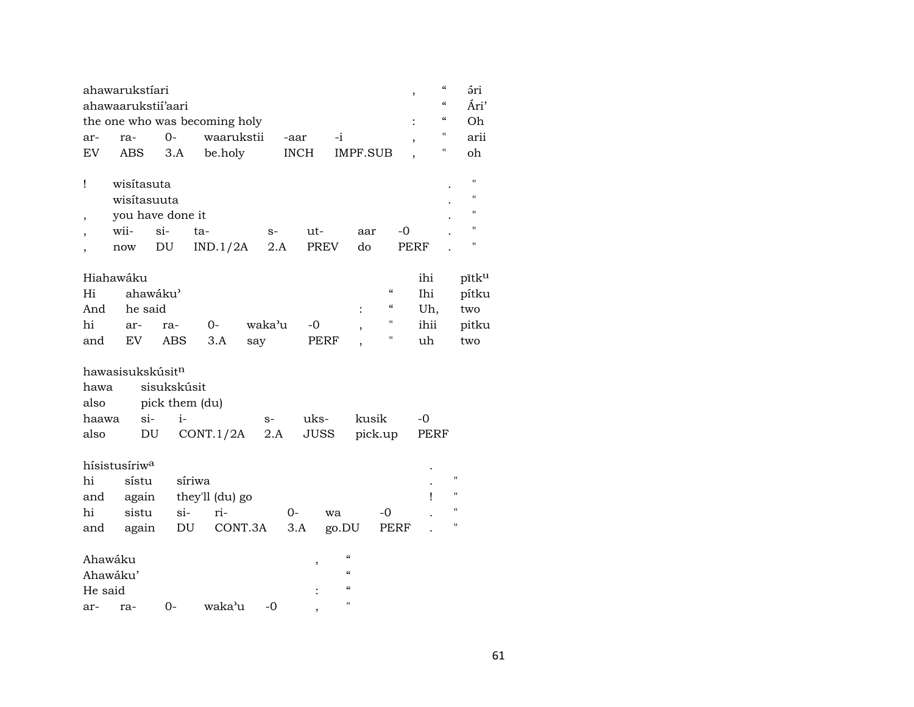|                          | ahawarukstíari               |                            |                               |        |             |                          |                                        | ,           | $\boldsymbol{\zeta}\boldsymbol{\zeta}$<br>ári  |
|--------------------------|------------------------------|----------------------------|-------------------------------|--------|-------------|--------------------------|----------------------------------------|-------------|------------------------------------------------|
|                          | ahawaarukstii'aari           |                            |                               |        |             |                          |                                        |             | $\boldsymbol{\zeta}\boldsymbol{\zeta}$<br>Ári' |
|                          |                              |                            | the one who was becoming holy |        |             |                          |                                        |             | $\boldsymbol{\zeta}\boldsymbol{\zeta}$<br>Oh   |
| ar-                      | ra-                          | $O -$                      | waarukstii                    |        | -aar        | $-i$                     |                                        |             | "<br>arii                                      |
| EV                       | ABS                          | 3.A                        | be.holy                       |        | <b>INCH</b> | <b>IMPF.SUB</b>          |                                        |             | $\blacksquare$<br>oh                           |
|                          |                              |                            |                               |        |             |                          |                                        |             |                                                |
| Ţ                        | wisítasuta                   |                            |                               |        |             |                          |                                        |             | П                                              |
|                          | wisítasuuta                  |                            |                               |        |             |                          |                                        |             | "                                              |
| ,                        | you have done it             |                            |                               |        |             |                          |                                        |             | $^{\prime}$                                    |
| $\overline{\phantom{a}}$ | wii-                         | $si-$                      | ta-                           | $S-$   | ut-         |                          | aar                                    | $-0$        | $\blacksquare$                                 |
|                          | $\operatorname{now}$         | $\mathop{\rm DU}\nolimits$ | IND.1/2A                      | 2.A    | <b>PREV</b> | do                       |                                        | <b>PERF</b> | н                                              |
|                          |                              |                            |                               |        |             |                          |                                        |             |                                                |
|                          | Hiahawáku                    |                            |                               |        |             |                          |                                        | ihi         | pītku                                          |
| Hi                       |                              | ahawáku'                   |                               |        |             |                          | $\boldsymbol{\zeta}\boldsymbol{\zeta}$ | Ihi         | pítku                                          |
| And                      | he said                      |                            |                               |        |             | $\ddot{\cdot}$           | $\boldsymbol{\zeta}\boldsymbol{\zeta}$ | Uh,         | two                                            |
| hi                       | ar-                          | ra-                        | 0-                            | waka'u | $-0$        |                          | $\pmb{\mathsf{H}}$                     | ihii        | pitku                                          |
| and                      | EV                           | ABS                        | 3.A                           | say    | PERF        |                          | 11                                     | uh          | two                                            |
|                          |                              |                            |                               |        |             |                          |                                        |             |                                                |
|                          | hawasisukskúsit <sup>n</sup> |                            |                               |        |             |                          |                                        |             |                                                |
| hawa                     |                              | sisukskúsit                |                               |        |             |                          |                                        |             |                                                |
| also                     |                              | pick them (du)             |                               |        |             |                          |                                        |             |                                                |
| haawa                    | si-                          | $i-$                       |                               | $S-$   | uks-        |                          | kusik                                  | -0          |                                                |
| also                     | DU                           |                            | CONT.1/2A                     | 2.A    | <b>JUSS</b> |                          | pick.up                                | PERF        |                                                |
|                          |                              |                            |                               |        |             |                          |                                        |             |                                                |
|                          | hísistusíriw <sup>a</sup>    |                            |                               |        |             |                          |                                        |             |                                                |
| hi                       | sístu                        |                            | síriwa                        |        |             |                          |                                        |             | $\pmb{\mathsf{H}}$                             |
| and                      | again                        |                            | they'll (du) go               |        |             |                          |                                        | Ţ           | $\pmb{\mathsf{H}}$                             |
| hi                       | sistu                        | $si-$                      | ri-                           |        | $0-$        |                          | -0                                     |             | $\mathbf{H}$                                   |
|                          |                              |                            |                               |        |             | wa                       |                                        |             | $\pmb{\mathsf{H}}$                             |
| and                      | again                        | DU                         | CONT.3A                       |        | 3.A         | go.DU                    | PERF                                   |             |                                                |
|                          |                              |                            |                               |        |             | $\mathcal{C}\mathcal{C}$ |                                        |             |                                                |
| Ahawáku                  |                              |                            |                               |        | ,           | $\epsilon\epsilon$       |                                        |             |                                                |
|                          | Ahawáku'                     |                            |                               |        |             | $\epsilon$               |                                        |             |                                                |
| He said                  |                              |                            |                               |        |             | П                        |                                        |             |                                                |
| ar-                      | ra-                          | $0-$                       | waka'u                        | -0     | ,           |                          |                                        |             |                                                |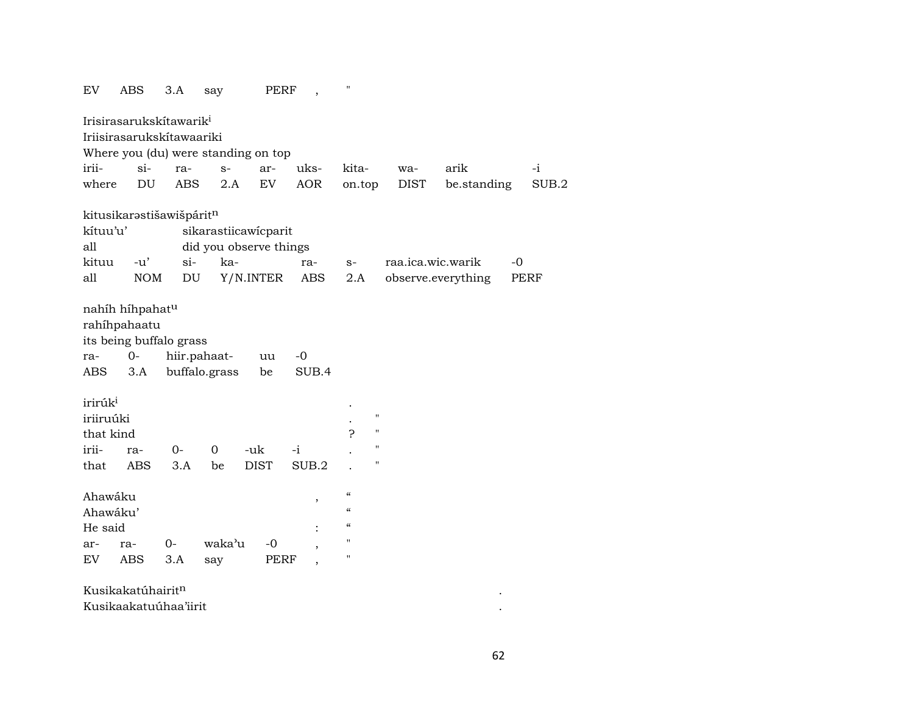| EV                                            | <b>ABS</b>                                                                          | 3.A                        | say                                 | PERF        | $\overline{\phantom{a}}$ | $\mathbf{H}$                                                   |                         |             |                    |      |             |
|-----------------------------------------------|-------------------------------------------------------------------------------------|----------------------------|-------------------------------------|-------------|--------------------------|----------------------------------------------------------------|-------------------------|-------------|--------------------|------|-------------|
|                                               | Irisirasarukskítawarik <sup>i</sup>                                                 |                            |                                     |             |                          |                                                                |                         |             |                    |      |             |
|                                               | Iriisirasarukskítawaariki                                                           |                            |                                     |             |                          |                                                                |                         |             |                    |      |             |
|                                               |                                                                                     |                            | Where you (du) were standing on top |             |                          |                                                                |                         |             |                    |      |             |
| irii-                                         | $\sin$                                                                              | ra-                        | $S-$                                | ar-         | uks-                     | kita-                                                          |                         | wa-         | arik               |      | $-i$        |
| where                                         | $\mathop{\rm DU}\nolimits$                                                          | <b>ABS</b>                 | 2.A                                 | ${\rm EV}$  | <b>AOR</b>               | on.top                                                         |                         | <b>DIST</b> | be.standing        |      | SUB.2       |
|                                               | kitusikarastišawišpáritn                                                            |                            |                                     |             |                          |                                                                |                         |             |                    |      |             |
| kítuu'u'                                      |                                                                                     |                            | sikarastiicawicparit                |             |                          |                                                                |                         |             |                    |      |             |
| all                                           |                                                                                     |                            | did you observe things              |             |                          |                                                                |                         |             |                    |      |             |
| kituu                                         | $-u'$                                                                               | si-                        | ka-                                 |             | ra-                      | $S-$                                                           |                         |             | raa.ica.wic.warik  | $-0$ |             |
| all                                           | <b>NOM</b>                                                                          | $\mathop{\rm DU}\nolimits$ |                                     | Y/N.INTER   | ABS                      | 2.A                                                            |                         |             | observe.everything |      | <b>PERF</b> |
| ra-<br>ABS                                    | nahíh híhpahat <sup>u</sup><br>rahíhpahaatu<br>its being buffalo grass<br>0-<br>3.A |                            | hiir.pahaat-<br>buffalo.grass       | uu<br>be    | $-0$<br>SUB.4            |                                                                |                         |             |                    |      |             |
| irirúk <sup>i</sup><br>iriiruúki<br>that kind |                                                                                     |                            |                                     |             |                          | P                                                              | $\pmb{\mathsf{H}}$<br>н |             |                    |      |             |
| irii-                                         | ra-                                                                                 | $0-$                       | $\mathbf 0$                         | -uk         | -i                       |                                                                | $\pmb{\mathsf{H}}$      |             |                    |      |             |
| that                                          | <b>ABS</b>                                                                          | 3.A                        | be                                  | <b>DIST</b> | SUB.2                    |                                                                | $\pmb{\mathsf{H}}$      |             |                    |      |             |
| Ahawáku<br>Ahawáku'<br>He said                |                                                                                     |                            |                                     |             | ,                        | $\boldsymbol{\mathcal{C}}$<br>$\epsilon\epsilon$<br>$\epsilon$ |                         |             |                    |      |             |
| ar-                                           | ra-                                                                                 | $O -$                      | waka'u                              | $-0$        |                          | $\mathbf{H}$                                                   |                         |             |                    |      |             |
| EV                                            | <b>ABS</b>                                                                          | 3.A                        | say                                 | <b>PERF</b> |                          | $\mathbf H$                                                    |                         |             |                    |      |             |
|                                               | Kusikakatúhairitn                                                                   |                            |                                     |             |                          |                                                                |                         |             |                    |      |             |
|                                               | Kusikaakatuúhaa'iirit                                                               |                            |                                     |             |                          |                                                                |                         |             |                    |      |             |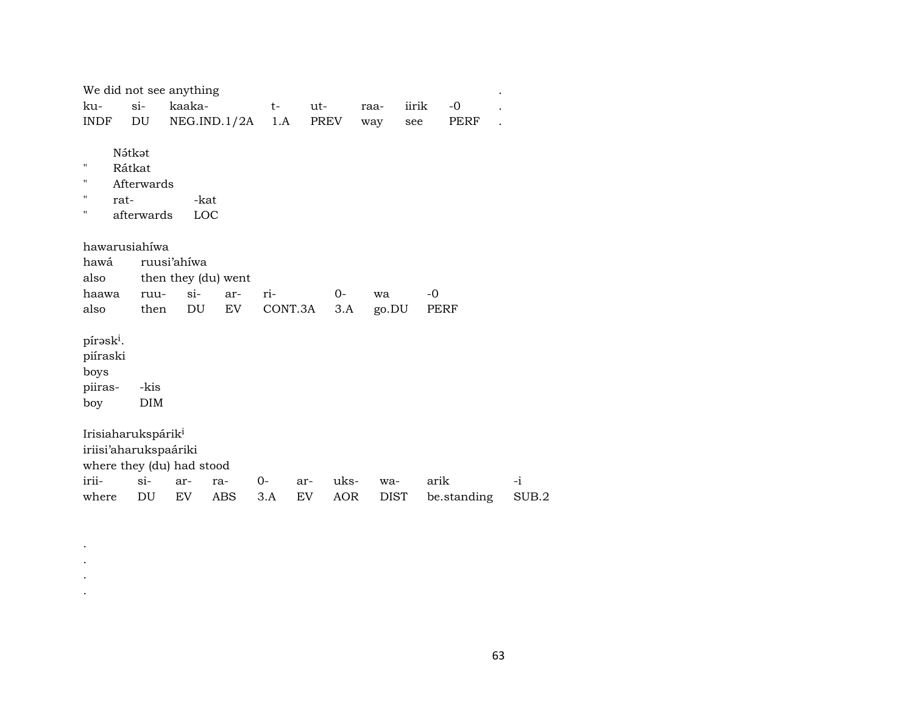| We did not see anything                                     |                                              |             |                     |      |                  |       |       |       |             |       |
|-------------------------------------------------------------|----------------------------------------------|-------------|---------------------|------|------------------|-------|-------|-------|-------------|-------|
| ku-                                                         | $\sin$                                       | kaaka-      |                     | $t-$ | ut-              |       | raa-  | iirik | $-0$        |       |
| INDF                                                        | DU                                           |             | NEG.IND.1/2A        | 1.A  |                  | PREV  | way   | see   | PERF        |       |
| п<br>11<br>11<br>rat-<br>н                                  | Nátkat<br>Rátkat<br>Afterwards<br>afterwards | -kat<br>LOC |                     |      |                  |       |       |       |             |       |
| hawarusiahiwa<br>hawá<br>also                               |                                              | ruusi'ahíwa | then they (du) went |      |                  |       |       |       |             |       |
| haawa                                                       | ruu-                                         | $si-$       | ar-                 | ri-  |                  | $O -$ | wa    |       | $-0$        |       |
| also                                                        | then                                         | DU          | EV                  |      | CONT.3A          | 3.A   | go.DU |       | PERF        |       |
| pírask <sup>i</sup> .<br>piíraski<br>boys<br>piiras-<br>boy | -kis<br><b>DIM</b>                           |             |                     |      |                  |       |       |       |             |       |
| Irisiaharukspárik <sup>i</sup><br>iriisi'aharukspaáriki     |                                              |             |                     |      |                  |       |       |       |             |       |
| where they (du) had stood<br>irii-                          | $\sin$                                       |             |                     | 0-   |                  | uks-  |       |       | arik        | -i    |
|                                                             | DU                                           | ar-         | ra-                 |      | ar-<br><b>EV</b> |       | wa-   |       |             |       |
| where                                                       |                                              | EV          | ABS                 | 3.A  |                  | AOR   | DIST  |       | be.standing | SUB.2 |

. . . .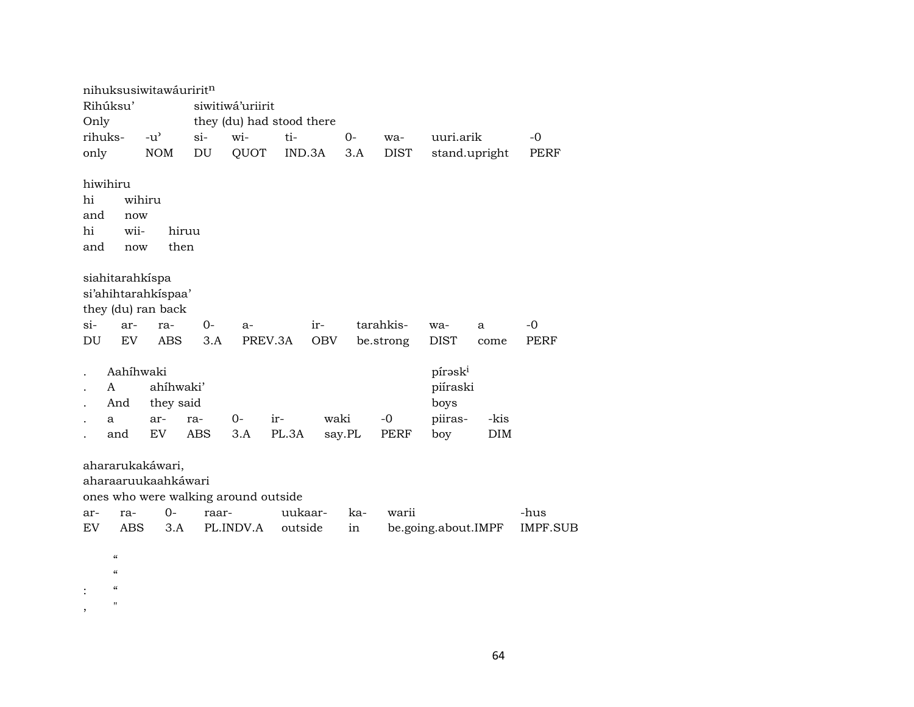|           | nihuksusiwitawáuriritn                 |               |                                      |                           |         |            |        |             |                     |               |             |
|-----------|----------------------------------------|---------------|--------------------------------------|---------------------------|---------|------------|--------|-------------|---------------------|---------------|-------------|
|           | Rihúksu'                               |               |                                      | siwitiwá'uriirit          |         |            |        |             |                     |               |             |
| Only      |                                        |               |                                      | they (du) had stood there |         |            |        |             |                     |               |             |
|           | rihuks-                                | $-u^{\prime}$ | si-                                  | wi-                       | ti-     |            | $O -$  | wa-         | uuri.arik           |               | $-0$        |
| only      |                                        | <b>NOM</b>    | $\mathop{\rm DU}\nolimits$           | QUOT                      | IND.3A  |            | 3.A    | <b>DIST</b> |                     | stand.upright | PERF        |
|           |                                        |               |                                      |                           |         |            |        |             |                     |               |             |
|           | hiwihiru                               |               |                                      |                           |         |            |        |             |                     |               |             |
| hi        |                                        | wihiru        |                                      |                           |         |            |        |             |                     |               |             |
| and       | now                                    |               |                                      |                           |         |            |        |             |                     |               |             |
| hi        | wii-                                   |               | hiruu                                |                           |         |            |        |             |                     |               |             |
| and       | now                                    |               | then                                 |                           |         |            |        |             |                     |               |             |
|           |                                        |               |                                      |                           |         |            |        |             |                     |               |             |
|           | siahitarahkíspa                        |               |                                      |                           |         |            |        |             |                     |               |             |
|           | si'ahihtarahkispaa'                    |               |                                      |                           |         |            |        |             |                     |               |             |
|           | they (du) ran back                     |               |                                      |                           |         |            |        |             |                     |               |             |
| $si-$     | ar-                                    | ra-           | $0-$                                 | a-                        |         | ir-        |        | tarahkis-   | wa-                 | a             | $-0$        |
| DU        | EV                                     | <b>ABS</b>    | 3.A                                  |                           | PREV.3A | <b>OBV</b> |        | be.strong   | <b>DIST</b>         | come          | <b>PERF</b> |
|           |                                        |               |                                      |                           |         |            |        |             |                     |               |             |
|           | Aahíhwaki                              |               |                                      |                           |         |            |        |             | pírask <sup>i</sup> |               |             |
|           | A                                      | ahíhwaki'     |                                      |                           |         |            |        |             | piíraski            |               |             |
|           | And                                    | they said     |                                      |                           |         |            |        |             | boys                |               |             |
|           | a                                      | ar-           | ra-                                  | $0-$                      | ir-     | waki       |        | $-0$        | piiras-             | -kis          |             |
|           | and                                    | EV            | <b>ABS</b>                           | 3.A                       | PL.3A   |            | say.PL | PERF        | boy                 | <b>DIM</b>    |             |
|           |                                        |               |                                      |                           |         |            |        |             |                     |               |             |
|           | ahararukakáwari,                       |               |                                      |                           |         |            |        |             |                     |               |             |
|           | aharaaruukaahkáwari                    |               |                                      |                           |         |            |        |             |                     |               |             |
|           |                                        |               | ones who were walking around outside |                           |         |            |        |             |                     |               |             |
| ar-       | ra-                                    | $0-$          | raar-                                |                           | uukaar- |            | ka-    | warii       |                     |               | -hus        |
| <b>EV</b> | ABS                                    | 3.A           |                                      | PL.INDV.A                 | outside |            | in     |             | be.going.about.IMPF |               | IMPF.SUB    |
|           |                                        |               |                                      |                           |         |            |        |             |                     |               |             |
|           | $\boldsymbol{\zeta}\boldsymbol{\zeta}$ |               |                                      |                           |         |            |        |             |                     |               |             |
|           | $\pmb{\zeta}\pmb{\zeta}$               |               |                                      |                           |         |            |        |             |                     |               |             |
|           | $\pmb{\zeta}\pmb{\zeta}$               |               |                                      |                           |         |            |        |             |                     |               |             |
| ,         | $\pmb{\mathsf{H}}$                     |               |                                      |                           |         |            |        |             |                     |               |             |

64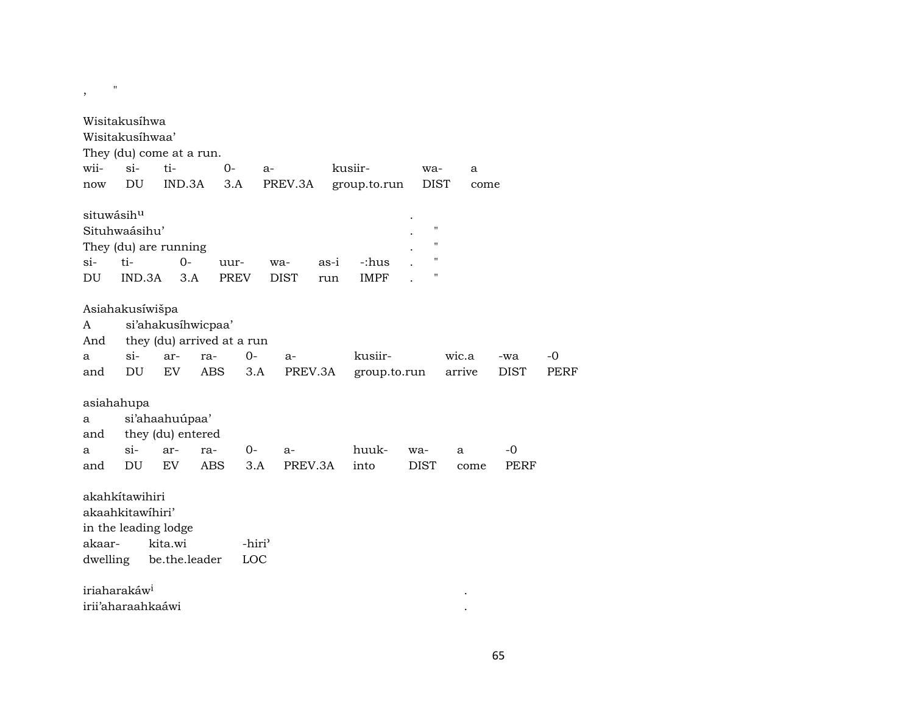| Wisitakusíhwa<br>Wisitakusíhwaa'<br>They (du) come at a run.<br>wii-<br>$si-$<br>ti-<br>$0-$<br>kusiir-<br>$a-$<br>wa-<br>a<br>DU<br>IND.3A<br>3.A<br>PREV.3A<br>group.to.run<br><b>DIST</b><br>now<br>come<br>situwásihu<br>$\pmb{\mathsf{H}}$<br>Situhwaásihu'<br>$\mathbf{H}$<br>They (du) are running<br>$\pmb{\mathsf{H}}$<br>$O -$<br>$si$ -<br>ti-<br>-:hus<br>as-i<br>uur-<br>wa-<br>$^{\prime}$<br>DU<br>IND.3A<br>3.A<br><b>PREV</b><br><b>DIST</b><br><b>IMPF</b><br>run<br>Asiahakusíwišpa<br>si'ahakusíhwicpaa'<br>A<br>they (du) arrived at a run<br>And<br>kusiir-<br>$si-$<br>$0-$<br>wic.a<br>$-0$<br>ar-<br>ra-<br>a<br>$a-$<br>-wa<br>DU<br>EV<br><b>ABS</b><br>3.A<br>PREV.3A<br><b>PERF</b><br>group.to.run<br>arrive<br><b>DIST</b><br>and<br>asiahahupa<br>si'ahaahuúpaa'<br>a<br>they (du) entered<br>and<br>$si-$<br>$0 -$<br>huuk-<br>$-0$<br>ar-<br>ra-<br>$a-$<br>wa-<br>a<br>a<br>PREV.3A<br>DU<br>EV<br><b>ABS</b><br>3.A<br>into<br><b>DIST</b><br><b>PERF</b><br>and<br>come<br>akahkitawihiri<br>akaahkitawihiri'<br>in the leading lodge<br>kita.wi<br>akaar-<br>-hiri <sup>3</sup><br>dwelling<br>be.the.leader<br>LOC<br>iriaharakáw <sup>i</sup> | , | $\pmb{\mathsf{H}}$ |  |  |  |  |  |  |
|---------------------------------------------------------------------------------------------------------------------------------------------------------------------------------------------------------------------------------------------------------------------------------------------------------------------------------------------------------------------------------------------------------------------------------------------------------------------------------------------------------------------------------------------------------------------------------------------------------------------------------------------------------------------------------------------------------------------------------------------------------------------------------------------------------------------------------------------------------------------------------------------------------------------------------------------------------------------------------------------------------------------------------------------------------------------------------------------------------------------------------------------------------------------------------------|---|--------------------|--|--|--|--|--|--|
|                                                                                                                                                                                                                                                                                                                                                                                                                                                                                                                                                                                                                                                                                                                                                                                                                                                                                                                                                                                                                                                                                                                                                                                       |   |                    |  |  |  |  |  |  |
|                                                                                                                                                                                                                                                                                                                                                                                                                                                                                                                                                                                                                                                                                                                                                                                                                                                                                                                                                                                                                                                                                                                                                                                       |   |                    |  |  |  |  |  |  |
|                                                                                                                                                                                                                                                                                                                                                                                                                                                                                                                                                                                                                                                                                                                                                                                                                                                                                                                                                                                                                                                                                                                                                                                       |   |                    |  |  |  |  |  |  |
|                                                                                                                                                                                                                                                                                                                                                                                                                                                                                                                                                                                                                                                                                                                                                                                                                                                                                                                                                                                                                                                                                                                                                                                       |   |                    |  |  |  |  |  |  |
|                                                                                                                                                                                                                                                                                                                                                                                                                                                                                                                                                                                                                                                                                                                                                                                                                                                                                                                                                                                                                                                                                                                                                                                       |   |                    |  |  |  |  |  |  |
|                                                                                                                                                                                                                                                                                                                                                                                                                                                                                                                                                                                                                                                                                                                                                                                                                                                                                                                                                                                                                                                                                                                                                                                       |   |                    |  |  |  |  |  |  |
|                                                                                                                                                                                                                                                                                                                                                                                                                                                                                                                                                                                                                                                                                                                                                                                                                                                                                                                                                                                                                                                                                                                                                                                       |   |                    |  |  |  |  |  |  |
|                                                                                                                                                                                                                                                                                                                                                                                                                                                                                                                                                                                                                                                                                                                                                                                                                                                                                                                                                                                                                                                                                                                                                                                       |   |                    |  |  |  |  |  |  |
|                                                                                                                                                                                                                                                                                                                                                                                                                                                                                                                                                                                                                                                                                                                                                                                                                                                                                                                                                                                                                                                                                                                                                                                       |   |                    |  |  |  |  |  |  |
|                                                                                                                                                                                                                                                                                                                                                                                                                                                                                                                                                                                                                                                                                                                                                                                                                                                                                                                                                                                                                                                                                                                                                                                       |   |                    |  |  |  |  |  |  |
|                                                                                                                                                                                                                                                                                                                                                                                                                                                                                                                                                                                                                                                                                                                                                                                                                                                                                                                                                                                                                                                                                                                                                                                       |   |                    |  |  |  |  |  |  |
|                                                                                                                                                                                                                                                                                                                                                                                                                                                                                                                                                                                                                                                                                                                                                                                                                                                                                                                                                                                                                                                                                                                                                                                       |   |                    |  |  |  |  |  |  |
|                                                                                                                                                                                                                                                                                                                                                                                                                                                                                                                                                                                                                                                                                                                                                                                                                                                                                                                                                                                                                                                                                                                                                                                       |   |                    |  |  |  |  |  |  |
|                                                                                                                                                                                                                                                                                                                                                                                                                                                                                                                                                                                                                                                                                                                                                                                                                                                                                                                                                                                                                                                                                                                                                                                       |   |                    |  |  |  |  |  |  |
|                                                                                                                                                                                                                                                                                                                                                                                                                                                                                                                                                                                                                                                                                                                                                                                                                                                                                                                                                                                                                                                                                                                                                                                       |   |                    |  |  |  |  |  |  |
|                                                                                                                                                                                                                                                                                                                                                                                                                                                                                                                                                                                                                                                                                                                                                                                                                                                                                                                                                                                                                                                                                                                                                                                       |   |                    |  |  |  |  |  |  |
|                                                                                                                                                                                                                                                                                                                                                                                                                                                                                                                                                                                                                                                                                                                                                                                                                                                                                                                                                                                                                                                                                                                                                                                       |   |                    |  |  |  |  |  |  |
|                                                                                                                                                                                                                                                                                                                                                                                                                                                                                                                                                                                                                                                                                                                                                                                                                                                                                                                                                                                                                                                                                                                                                                                       |   |                    |  |  |  |  |  |  |
|                                                                                                                                                                                                                                                                                                                                                                                                                                                                                                                                                                                                                                                                                                                                                                                                                                                                                                                                                                                                                                                                                                                                                                                       |   |                    |  |  |  |  |  |  |
| irii'aharaahkaáwi                                                                                                                                                                                                                                                                                                                                                                                                                                                                                                                                                                                                                                                                                                                                                                                                                                                                                                                                                                                                                                                                                                                                                                     |   |                    |  |  |  |  |  |  |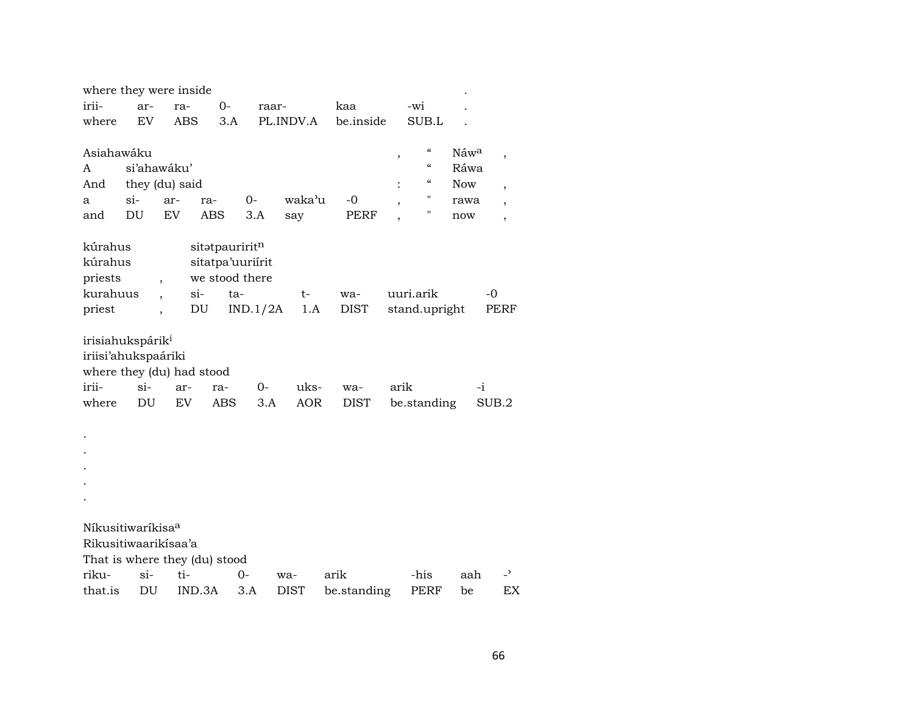| where they were inside        |                |                          |                               |                                    |             |             |      |                                        |            |                          |
|-------------------------------|----------------|--------------------------|-------------------------------|------------------------------------|-------------|-------------|------|----------------------------------------|------------|--------------------------|
| irii-                         | ar-            | ra-                      | $0-$                          |                                    | raar-       | kaa         |      | -wi                                    |            |                          |
| where                         | EV             |                          | <b>ABS</b><br>3.A             |                                    | PL.INDV.A   | be.inside   |      | SUB.L                                  |            |                          |
|                               |                |                          |                               |                                    |             |             |      |                                        |            |                          |
| Asiahawáku                    |                |                          |                               |                                    |             |             | ,    | $\boldsymbol{\zeta}\boldsymbol{\zeta}$ | Náwa       | $\, ,$                   |
| A                             | si'ahawáku'    |                          |                               |                                    |             |             |      | $\boldsymbol{\zeta}\boldsymbol{\zeta}$ | Ráwa       |                          |
| And                           | they (du) said |                          |                               |                                    |             |             |      | $\boldsymbol{\zeta}\boldsymbol{\zeta}$ | <b>Now</b> | $\overline{\phantom{a}}$ |
| а                             | $si-$          | ar-                      | ra-                           | $0-$                               | waka'u      | $-0$        |      | 11                                     | rawa       |                          |
| and                           | DU             | EV                       | <b>ABS</b>                    | 3.A                                | say         | <b>PERF</b> |      | н                                      | now        | $\overline{\phantom{a}}$ |
|                               |                |                          |                               |                                    |             |             |      |                                        |            |                          |
| kúrahus                       |                |                          | sitatpauriritn                |                                    |             |             |      |                                        |            |                          |
| kúrahus                       |                |                          |                               | sitatpa'uuriírit<br>we stood there |             |             |      |                                        |            |                          |
| priests<br>kurahuus           |                | $\overline{\phantom{a}}$ | $\sin$                        | ta-                                |             | wa-         |      | uuri.arik                              |            | $-0$                     |
| priest                        |                |                          | DU                            | IND.1/2A                           | t-<br>1.A   | <b>DIST</b> |      | stand.upright                          |            | PERF                     |
|                               |                |                          |                               |                                    |             |             |      |                                        |            |                          |
| irisiahukspárik <sup>i</sup>  |                |                          |                               |                                    |             |             |      |                                        |            |                          |
| iriisi'ahukspaáriki           |                |                          |                               |                                    |             |             |      |                                        |            |                          |
|                               |                |                          | where they (du) had stood     |                                    |             |             |      |                                        |            |                          |
| irii-                         | $si-$          | ar-                      | ra-                           | $0-$                               | uks-        | wa-         | arik |                                        | $-i$       |                          |
| where                         | DU             | EV                       | <b>ABS</b>                    | 3.A                                | <b>AOR</b>  | <b>DIST</b> |      | be.standing                            |            | SUB.2                    |
|                               |                |                          |                               |                                    |             |             |      |                                        |            |                          |
|                               |                |                          |                               |                                    |             |             |      |                                        |            |                          |
|                               |                |                          |                               |                                    |             |             |      |                                        |            |                          |
|                               |                |                          |                               |                                    |             |             |      |                                        |            |                          |
|                               |                |                          |                               |                                    |             |             |      |                                        |            |                          |
|                               |                |                          |                               |                                    |             |             |      |                                        |            |                          |
|                               |                |                          |                               |                                    |             |             |      |                                        |            |                          |
| Níkusitiwaríkisa <sup>a</sup> |                |                          |                               |                                    |             |             |      |                                        |            |                          |
| Rikusitiwaarikisaa'a          |                |                          |                               |                                    |             |             |      |                                        |            |                          |
|                               |                |                          | That is where they (du) stood |                                    |             |             |      |                                        |            |                          |
| riku-                         | $\sin$         | ti-                      |                               | 0-                                 | wa-         | arik        |      | -his                                   | aah        | $\overline{a}$           |
| that.is                       | DU             |                          | IND.3A                        | 3.A                                | <b>DIST</b> | be.standing |      | PERF                                   | be         | EX                       |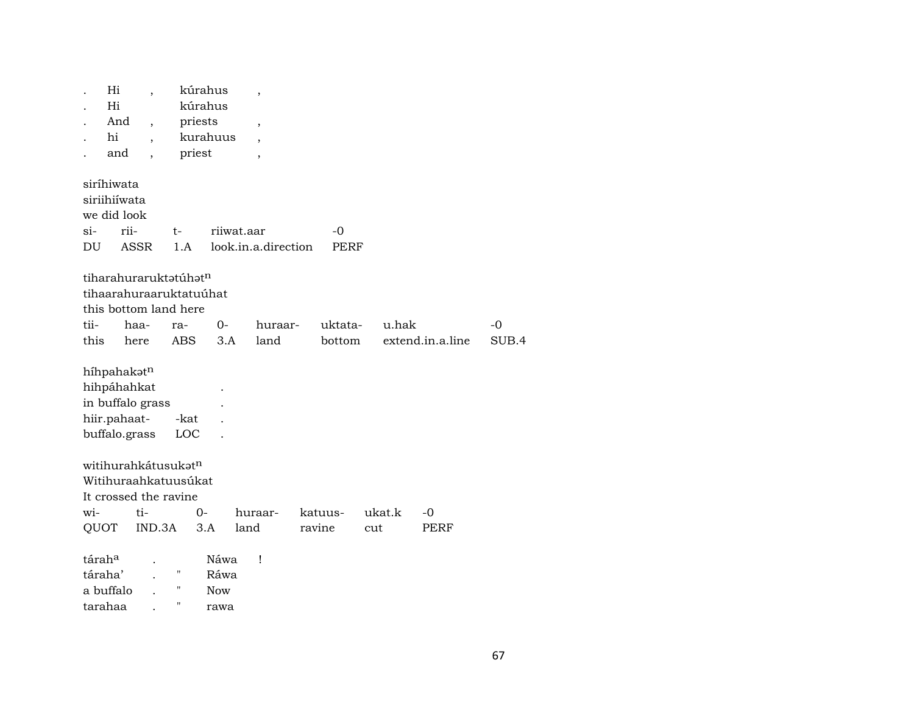|                    | Hi<br>Hi              |        |                                   | kúrahus<br>kúrahus | $\overline{\phantom{a}}$ |         |        |                  |       |
|--------------------|-----------------------|--------|-----------------------------------|--------------------|--------------------------|---------|--------|------------------|-------|
|                    | And                   |        |                                   |                    |                          |         |        |                  |       |
| hi                 |                       |        | priests                           | kurahuus           | $\overline{\phantom{a}}$ |         |        |                  |       |
|                    |                       |        |                                   |                    | ,                        |         |        |                  |       |
|                    | and                   |        | priest                            |                    | ,                        |         |        |                  |       |
| siríhiwata         |                       |        |                                   |                    |                          |         |        |                  |       |
|                    | siriihiíwata          |        |                                   |                    |                          |         |        |                  |       |
|                    | we did look           |        |                                   |                    |                          |         |        |                  |       |
| si-                | rii-                  |        | t-                                |                    | riiwat.aar               | $-0$    |        |                  |       |
| DU                 | ASSR                  |        | 1.A                               |                    | look.in.a.direction      | PERF    |        |                  |       |
|                    |                       |        |                                   |                    |                          |         |        |                  |       |
|                    |                       |        | tiharahuraruktatúhat <sup>n</sup> |                    |                          |         |        |                  |       |
|                    |                       |        | tihaarahuraaruktatuúhat           |                    |                          |         |        |                  |       |
|                    |                       |        | this bottom land here             |                    |                          |         |        |                  |       |
| tii-               | haa-                  |        | ra-                               | $0-$               | huraar-                  | uktata- | u.hak  |                  | $-0$  |
| this               | here                  |        | <b>ABS</b>                        | 3.A                | land                     | bottom  |        | extend.in.a.line | SUB.4 |
|                    |                       |        |                                   |                    |                          |         |        |                  |       |
|                    | híhpahakatn           |        |                                   |                    |                          |         |        |                  |       |
|                    | hihpáhahkat           |        |                                   |                    |                          |         |        |                  |       |
|                    | in buffalo grass      |        |                                   |                    |                          |         |        |                  |       |
|                    | hiir.pahaat-          |        | -kat                              |                    |                          |         |        |                  |       |
|                    | buffalo.grass         |        | <b>LOC</b>                        |                    |                          |         |        |                  |       |
|                    |                       |        |                                   |                    |                          |         |        |                  |       |
|                    |                       |        | witihurahkátusukatn               |                    |                          |         |        |                  |       |
|                    |                       |        | Witihuraahkatuusúkat              |                    |                          |         |        |                  |       |
|                    | It crossed the ravine |        |                                   |                    |                          |         |        |                  |       |
| wi-                | ti-                   |        | $0 -$                             |                    | huraar-                  | katuus- | ukat.k | $-0$             |       |
| QUOT               |                       | IND.3A |                                   | 3.A                | land                     | ravine  | cut    | PERF             |       |
|                    |                       |        |                                   |                    |                          |         |        |                  |       |
| tárah <sup>a</sup> |                       |        |                                   | Náwa               | Ţ                        |         |        |                  |       |
| táraha'            |                       |        | $\pmb{\mathsf{H}}$                | Ráwa               |                          |         |        |                  |       |
| a buffalo          |                       |        | П                                 | <b>Now</b>         |                          |         |        |                  |       |
| tarahaa            |                       |        | "                                 | rawa               |                          |         |        |                  |       |
|                    |                       |        |                                   |                    |                          |         |        |                  |       |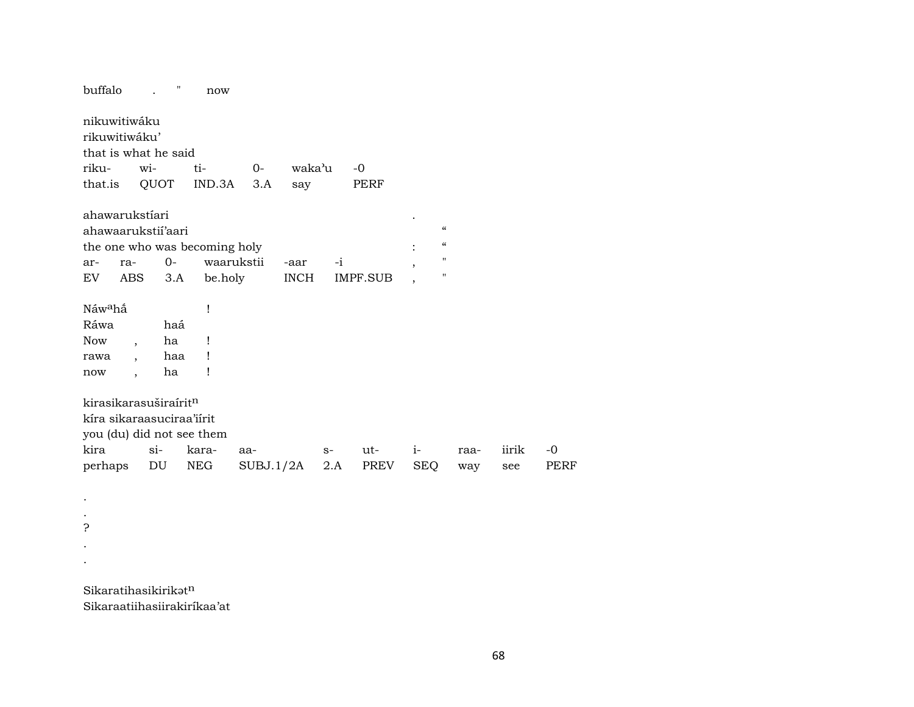buffalo . " now nikuwitiwáku rikuwitiwáku' that is what he said riku- wi- ti- 0- waka"u -0 that.is QUOT IND.3A 3.A say PERF ahawarukstíari . ahawaarukstií'aari " the one who was becoming holy in the one who was becoming holy in the set of  $\ddot{ }$ ar- ra- 0- waarukstii -aar -i EV ABS 3.A be.holy INCH IMPF.SUB Náw°hñ ! Ráwa haá Now, ha ! rawa , haa ! now, ha ! kirasikarasuširaírit $^n$ kíra sikaraasuciraa'iírit you (du) did not see them kira si- kara- aa- s- ut- i- raa- iirik -0 perhaps DU NEG SUBJ.1/2A 2.A PREV SEQ way see PERF . . ? . . Sikaratihasikirik $\mathfrak{t}^n$ 

Sikaraatiihasiirakiríkaa'at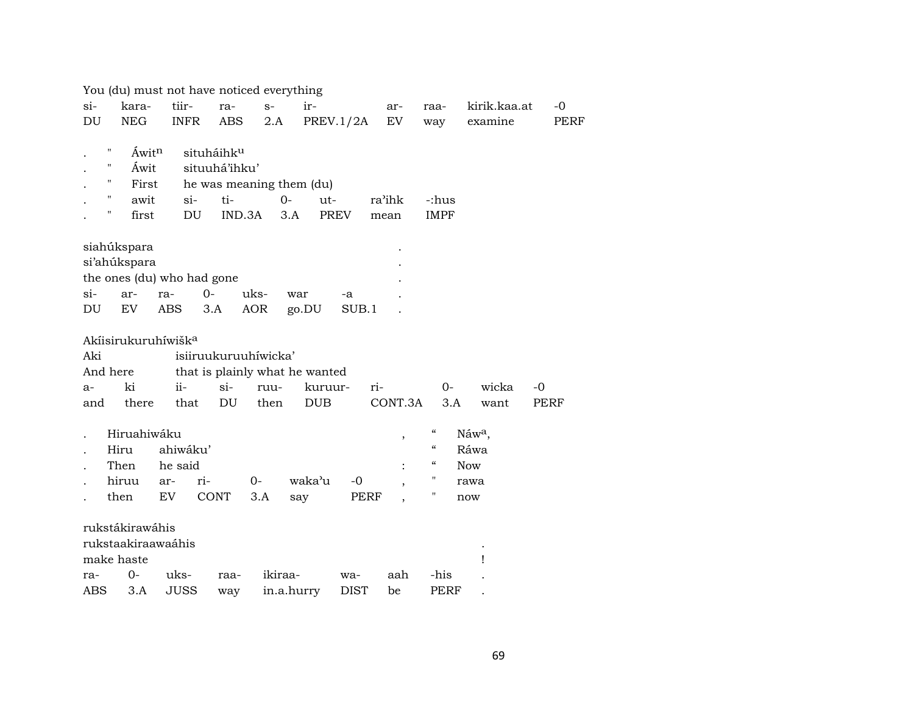|                    | You (du) must not have noticed everything |             |       |                                |            |            |            |             |      |         |                                        |                    |      |
|--------------------|-------------------------------------------|-------------|-------|--------------------------------|------------|------------|------------|-------------|------|---------|----------------------------------------|--------------------|------|
| $si-$              | kara-                                     | tiir-       |       | ra-                            | $S-$       |            | ir-        |             |      | ar-     | raa-                                   | kirik.kaa.at       | $-0$ |
| DU                 | <b>NEG</b>                                | <b>INFR</b> |       | <b>ABS</b>                     | 2.A        |            |            | PREV.1/2A   |      | EV      | way                                    | examine            | PERF |
|                    |                                           |             |       |                                |            |            |            |             |      |         |                                        |                    |      |
| Ħ                  | Áwitn                                     |             |       | situháihku                     |            |            |            |             |      |         |                                        |                    |      |
| $\pmb{\mathsf{H}}$ | Áwit                                      |             |       | situuhá'ihku'                  |            |            |            |             |      |         |                                        |                    |      |
| 11                 | First                                     |             |       | he was meaning them (du)       |            |            |            |             |      |         |                                        |                    |      |
|                    | $\pmb{\mathsf{H}}$<br>awit                |             | $si-$ | ti-                            |            | $0-$       | $ut-$      |             |      | ra'ihk  | -:hus                                  |                    |      |
| 11                 | first                                     |             | DU    | IND.3A                         |            | 3.A        |            | PREV        |      | mean    | <b>IMPF</b>                            |                    |      |
|                    |                                           |             |       |                                |            |            |            |             |      |         |                                        |                    |      |
|                    | siahúkspara                               |             |       |                                |            |            |            |             |      |         |                                        |                    |      |
|                    | si'ahúkspara                              |             |       |                                |            |            |            |             |      |         |                                        |                    |      |
|                    | the ones (du) who had gone                |             |       |                                |            |            |            |             |      |         |                                        |                    |      |
| $\sin$             | ar-                                       | ra-         | $0-$  |                                | uks-       | war        |            | -a          |      |         |                                        |                    |      |
| DU                 | EV                                        | <b>ABS</b>  | 3.A   |                                | <b>AOR</b> | go.DU      |            | SUB.1       |      |         |                                        |                    |      |
|                    |                                           |             |       |                                |            |            |            |             |      |         |                                        |                    |      |
|                    | Akíisirukuruhíwišk <sup>a</sup>           |             |       |                                |            |            |            |             |      |         |                                        |                    |      |
| Aki                |                                           |             |       | isiiruukuruuhiwicka'           |            |            |            |             |      |         |                                        |                    |      |
| And here           |                                           |             |       | that is plainly what he wanted |            |            |            |             |      |         |                                        |                    |      |
| a-                 | ki                                        | $ii -$      |       | $si-$                          | ruu-       |            | kuruur-    |             | ri-  |         | $0-$                                   | wicka              | $-0$ |
| and                | there                                     |             | that  | DU                             | then       |            | <b>DUB</b> |             |      | CONT.3A | 3.A                                    | want               | PERF |
|                    | Hiruahiwáku                               |             |       |                                |            |            |            |             |      |         | $\boldsymbol{\zeta}\boldsymbol{\zeta}$ | Náw <sup>a</sup> , |      |
|                    | Hiru                                      | ahiwáku'    |       |                                |            |            |            |             |      | ,       | $\boldsymbol{\zeta}\boldsymbol{\zeta}$ | Ráwa               |      |
|                    | Then                                      | he said     |       |                                |            |            |            |             |      |         | $\boldsymbol{\zeta}\boldsymbol{\zeta}$ | <b>Now</b>         |      |
|                    | hiruu                                     | ar-         | ri-   |                                | $0-$       |            | waka'u     | $-0$        |      |         | $\pmb{\mathsf{H}}$                     | rawa               |      |
|                    | then                                      | EV.         |       | <b>CONT</b>                    | 3.A        | say        |            |             | PERF |         | "                                      | now                |      |
|                    |                                           |             |       |                                |            |            |            |             |      |         |                                        |                    |      |
|                    | rukstákirawáhis                           |             |       |                                |            |            |            |             |      |         |                                        |                    |      |
|                    | rukstaakiraawaáhis                        |             |       |                                |            |            |            |             |      |         |                                        |                    |      |
|                    | make haste                                |             |       |                                |            |            |            |             |      |         |                                        | 1                  |      |
| ra-                | $0-$                                      | uks-        |       | raa-                           |            | ikiraa-    |            | wa-         |      | aah     | -his                                   |                    |      |
| ABS                | 3.A                                       | <b>JUSS</b> |       | way                            |            | in.a.hurry |            | <b>DIST</b> |      | be      | <b>PERF</b>                            |                    |      |
|                    |                                           |             |       |                                |            |            |            |             |      |         |                                        |                    |      |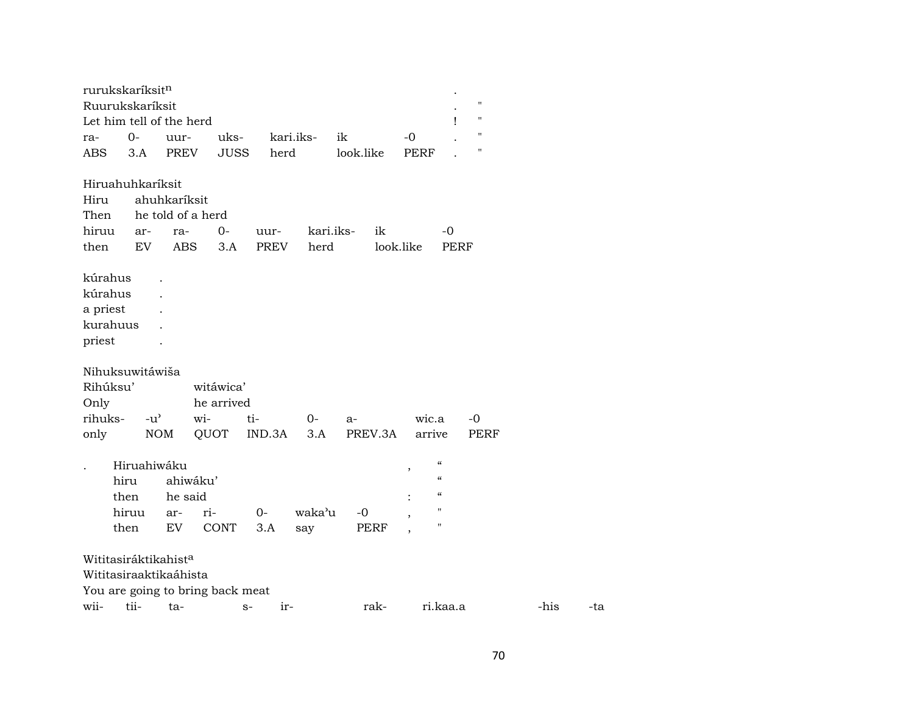| rurukskaríksit <sup>n</sup>      |               |              |                                  |             |           |             |                                      |                    |      |     |
|----------------------------------|---------------|--------------|----------------------------------|-------------|-----------|-------------|--------------------------------------|--------------------|------|-----|
| Ruurukskaríksit                  |               |              |                                  |             |           |             |                                      | $\pmb{\mathsf{H}}$ |      |     |
| Let him tell of the herd         |               |              |                                  |             |           |             | Ţ                                    | $\pmb{\mathsf{H}}$ |      |     |
| ra-                              | $0-$          | uur-         | uks-                             |             | kari.iks- | ik          | $-0$                                 | $\mathbf{H}$       |      |     |
| <b>ABS</b>                       | 3.A           | PREV         | <b>JUSS</b>                      | herd        |           | look.like   | <b>PERF</b>                          | $\mathbf{H}$       |      |     |
| Hiruahuhkaríksit                 |               |              |                                  |             |           |             |                                      |                    |      |     |
| Hiru                             |               | ahuhkaríksit |                                  |             |           |             |                                      |                    |      |     |
| Then                             |               |              | he told of a herd                |             |           |             |                                      |                    |      |     |
| hiruu                            | ar-           | ra-          | $0 -$                            | uur-        | kari.iks- | ik          | -0                                   |                    |      |     |
| then                             | EV            | ABS          | 3.A                              | <b>PREV</b> | herd      |             | look.like                            | <b>PERF</b>        |      |     |
|                                  |               |              |                                  |             |           |             |                                      |                    |      |     |
| kúrahus                          |               |              |                                  |             |           |             |                                      |                    |      |     |
| kúrahus                          |               |              |                                  |             |           |             |                                      |                    |      |     |
| a priest                         |               |              |                                  |             |           |             |                                      |                    |      |     |
| kurahuus                         |               |              |                                  |             |           |             |                                      |                    |      |     |
| priest                           |               |              |                                  |             |           |             |                                      |                    |      |     |
|                                  |               |              |                                  |             |           |             |                                      |                    |      |     |
| Nihuksuwitáwiša                  |               |              |                                  |             |           |             |                                      |                    |      |     |
| Rihúksu'                         |               |              | witáwica'                        |             |           |             |                                      |                    |      |     |
| Only                             |               |              | he arrived                       |             |           |             |                                      |                    |      |     |
| rihuks-                          | $-u^{\prime}$ |              | wi-                              | ti-         | $0-$      | $a-$        | wic.a                                | $-0$               |      |     |
| only                             |               | <b>NOM</b>   | QUOT                             | IND.3A      | 3.A       | PREV.3A     | arrive                               | <b>PERF</b>        |      |     |
|                                  |               |              |                                  |             |           |             |                                      |                    |      |     |
|                                  | Hiruahiwáku   |              |                                  |             |           |             | $\epsilon$                           |                    |      |     |
|                                  | hiru          | ahiwáku'     |                                  |             |           |             | $^\mathrm{,}$<br>$\epsilon$          |                    |      |     |
|                                  |               | he said      |                                  |             |           |             | $\boldsymbol{\mathcal{C}}$           |                    |      |     |
|                                  | then          |              |                                  |             |           |             | $\mathbf{H}$                         |                    |      |     |
|                                  | hiruu         | ar-          | ri-                              | $O -$       | waka'u    | -0          | $\overline{ }$<br>$\pmb{\mathsf{H}}$ |                    |      |     |
|                                  | then          | EV           | <b>CONT</b>                      | 3.A         | say       | <b>PERF</b> |                                      |                    |      |     |
|                                  |               |              |                                  |             |           |             |                                      |                    |      |     |
| Wititasiráktikahist <sup>a</sup> |               |              |                                  |             |           |             |                                      |                    |      |     |
| Wititasiraaktikaáhista           |               |              |                                  |             |           |             |                                      |                    |      |     |
|                                  |               |              | You are going to bring back meat |             |           |             |                                      |                    |      |     |
| wii-                             | tii-          | ta-          |                                  | $S-$        | ir-       | rak-        | ri.kaa.a                             |                    | -his | -ta |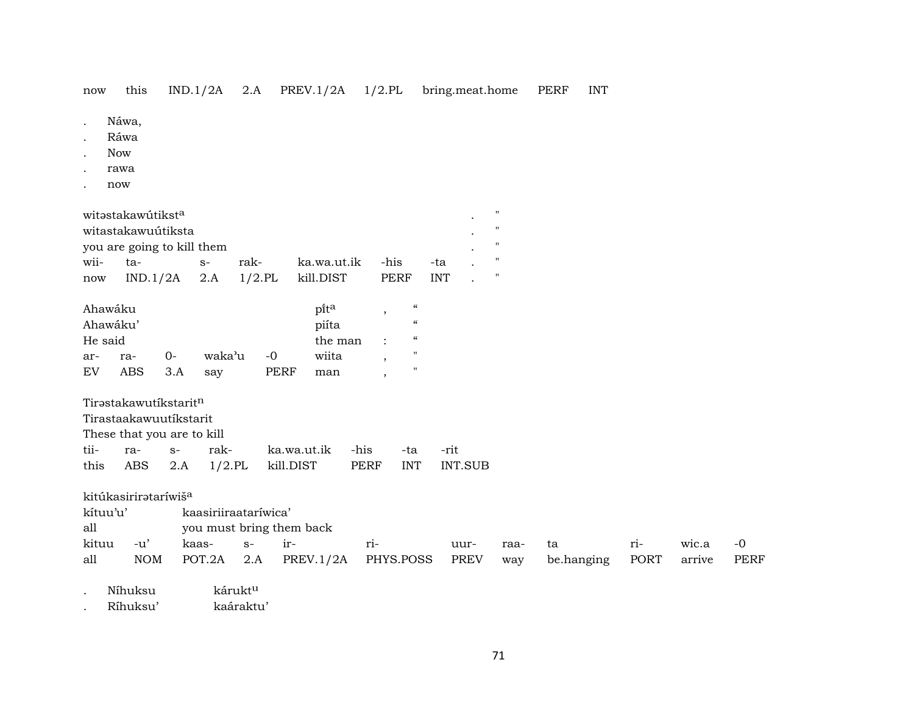now this IND.1/2A 2.A PREV.1/2A 1/2.PL bring.meat.home PERF INT

- . Náwa,
- . Ráwa
- . Now
- . rawa
- . now

|      | witəstakawutikst <sup>a</sup> |      |                  |      |      |  |
|------|-------------------------------|------|------------------|------|------|--|
|      | witastakawuútiksta            |      |                  |      |      |  |
|      | you are going to kill them    |      |                  |      |      |  |
| wii- | ta-<br>$S-$                   | rak- | ka.wa.ut.ik -his |      | -tal |  |
| now  | $IND.1/2A$ 2.A $1/2.PL$       |      | kill.DIST        | PERF | INT. |  |

| Ahawáku |          |          |        |      | pita    | $\epsilon$        |  |
|---------|----------|----------|--------|------|---------|-------------------|--|
|         | Ahawáku' |          |        |      | piíta   | $\epsilon$        |  |
| He said |          |          |        |      | the man | $\epsilon$        |  |
| ar-     | ra-      | $\Omega$ | waka'u | $-0$ | wiita   | "                 |  |
| EV      | ABS      | 3.A      | sav    | PERF | man     | $^{\prime\prime}$ |  |

Tirəstakawutíkstarit<sup>n</sup>

Tirastaakawuutíkstarit

|   | These that you are to kill |  |  |
|---|----------------------------|--|--|
| . |                            |  |  |

|  |  | tii- ra- s- rak- ka.wa.ut.ik -his -ta -rit     |  |  |
|--|--|------------------------------------------------|--|--|
|  |  | this ABS 2.A 1/2.PL kill.DIST PERF INT INT.SUB |  |  |

kitúkasirirətaríwiš<sup>a</sup><br>kítuu'u' ka

kaasiriiraataríwica'

all you must bring them back

|     | kituu -u' kaas- s- ir- |  |                                                                         | uur- | naa- ta | $r_{1}$ | wic.a -0 |  |
|-----|------------------------|--|-------------------------------------------------------------------------|------|---------|---------|----------|--|
| all |                        |  | NOM POT.2A 2.A PREV.1/2A PHYS.POSS PREV way be.hanging PORT arrive PERF |      |         |         |          |  |

Níhuksu kárukt<sup>u</sup>

. Ríhuksu' kaáraktu'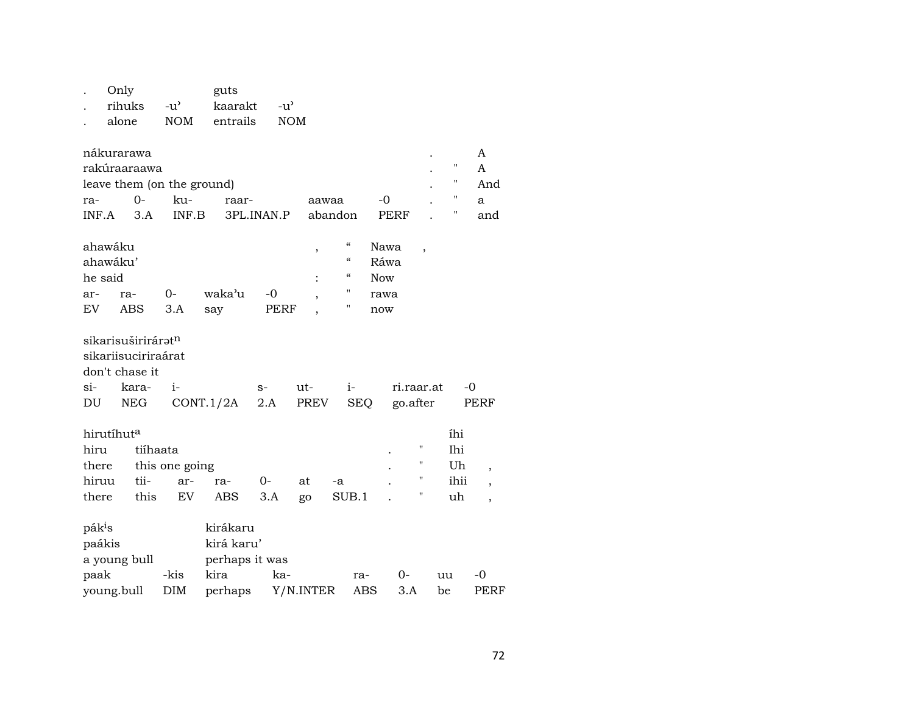|        | . Only | guts                     |  |
|--------|--------|--------------------------|--|
|        |        | . rihuks -u' kaarakt -u' |  |
| $\sim$ |        | alone NOM entrails NOM   |  |

| nákurarawa                 |        |       |            |         |      |  |     |
|----------------------------|--------|-------|------------|---------|------|--|-----|
| rakúraaraawa               |        |       |            |         |      |  |     |
| leave them (on the ground) |        |       |            |         |      |  | And |
| ra-                        | $() -$ | ku-   | raar-      | aawaa   | $-0$ |  |     |
| INF A                      | 3 A    | INF B | 3PL INAN P | abandon | PERF |  | and |

| ahawáku  |         |      |            |      | $\epsilon$ | Nawa       |  |
|----------|---------|------|------------|------|------------|------------|--|
| ahawáku' |         |      | $\epsilon$ | Ráwa |            |            |  |
| he said  |         |      |            |      | $\epsilon$ | <b>Now</b> |  |
| ar-      | ra-     | $O-$ | waka'u -0  |      |            | rawa       |  |
| EV       | ABS 3.A |      | sav        | PERF |            | now        |  |

| sikarisuširiráratn  |                                             |  |                         |  |
|---------------------|---------------------------------------------|--|-------------------------|--|
| sikariisuciriraárat |                                             |  |                         |  |
| don't chase it      |                                             |  |                         |  |
| si- kara- i-        |                                             |  | s- ut- i- ri.raar.at -0 |  |
|                     | DU NEG CONT.1/2A 2.A PREV SEQ go.after PERF |  |                         |  |

| hirutíhut <sup>a</sup> |                      |  |  |       |    |                              |  |  | íhi  |  |
|------------------------|----------------------|--|--|-------|----|------------------------------|--|--|------|--|
| hiru                   | tiíhaata             |  |  |       |    |                              |  |  | Ihi  |  |
|                        | there this one going |  |  |       |    |                              |  |  | Uh   |  |
| hiruu tii- ar- ra-     |                      |  |  | $O -$ | at | -a                           |  |  | ihii |  |
| there                  |                      |  |  |       |    | this EV ABS 3.A go SUB.1 . " |  |  | uh   |  |

| pák <sup>i</sup> s |      | kirákaru       |                   |     |        |    |             |
|--------------------|------|----------------|-------------------|-----|--------|----|-------------|
| paákis             |      | kirá karu'     |                   |     |        |    |             |
| a young bull       |      | perhaps it was |                   |     |        |    |             |
| paak               | -kis | kira           | ka-               | ra- | $()$ - | uu | $-()$       |
| young.bull         | DIM  | perhaps        | Y/N.INTER ABS 3.A |     |        | be | <b>PERF</b> |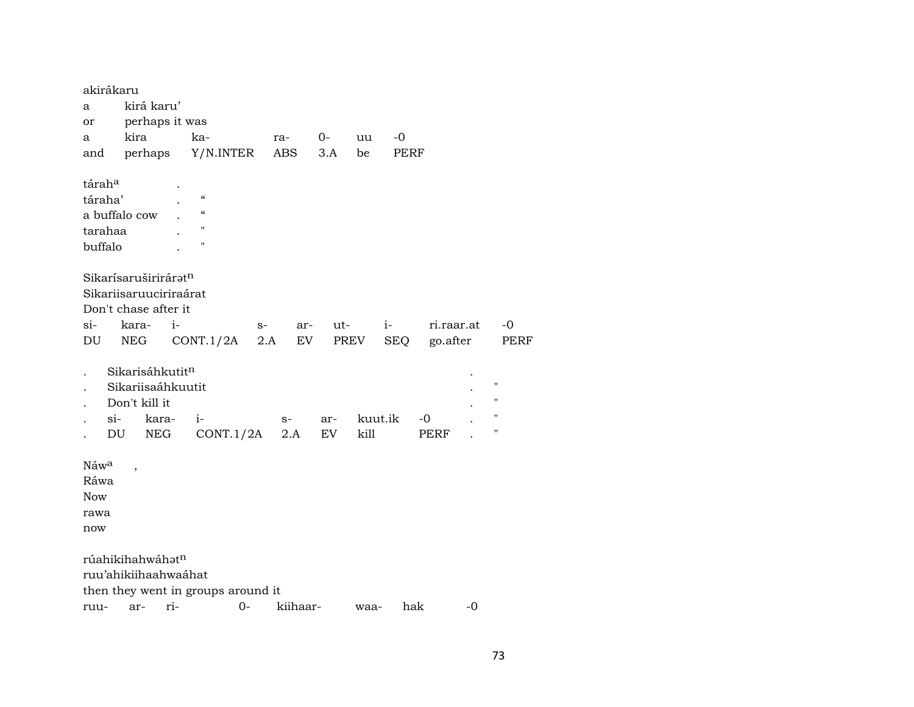|                      | akirákaru              |      |                                    |      |            |      |         |             |            |      |                    |
|----------------------|------------------------|------|------------------------------------|------|------------|------|---------|-------------|------------|------|--------------------|
| a                    | kirá karu'             |      |                                    |      |            |      |         |             |            |      |                    |
| or                   | perhaps it was         |      |                                    |      |            |      |         |             |            |      |                    |
| a                    | kira                   |      | ka-                                |      | ra-        | $0-$ | uu      | $-0$        |            |      |                    |
|                      | and perhaps            |      | Y/N.INTER                          |      | <b>ABS</b> | 3.A  | be      | <b>PERF</b> |            |      |                    |
| tárah <sup>a</sup>   |                        |      |                                    |      |            |      |         |             |            |      |                    |
| táraha'              |                        |      | $\mathcal{C}$                      |      |            |      |         |             |            |      |                    |
|                      | a buffalo cow          |      | $\mathcal{C}\mathcal{C}$           |      |            |      |         |             |            |      |                    |
| tarahaa              |                        |      | 11                                 |      |            |      |         |             |            |      |                    |
| buffalo              |                        |      | $\pmb{\mathsf{H}}$                 |      |            |      |         |             |            |      |                    |
|                      | Sikarísaruširiráratn   |      |                                    |      |            |      |         |             |            |      |                    |
|                      | Sikariisaruuciriraárat |      |                                    |      |            |      |         |             |            |      |                    |
|                      | Don't chase after it   |      |                                    |      |            |      |         |             |            |      |                    |
| si-                  | kara-                  | $i-$ |                                    | $S-$ | ar-        | ut-  |         | $i-$        | ri.raar.at |      | $-0$               |
| DU                   | <b>NEG</b>             |      | CONT.1/2A                          | 2.A  | EV         |      | PREV    | <b>SEQ</b>  | go.after   |      | <b>PERF</b>        |
| $\ddot{\phantom{0}}$ | Sikarisáhkutitn        |      |                                    |      |            |      |         |             |            |      |                    |
|                      | Sikariisaáhkuutit      |      |                                    |      |            |      |         |             |            |      | $\pmb{\mathsf{H}}$ |
|                      | Don't kill it          |      |                                    |      |            |      |         |             |            |      | $\pmb{\mathsf{H}}$ |
|                      | $\sin$<br>kara-        |      | $i-$                               |      | $S-$       | ar-  | kuut.ik |             | -0         |      | "                  |
|                      | DU<br><b>NEG</b>       |      | CONT.1/2A                          |      | 2.A        | EV   | kill    |             | PERF       |      | $\blacksquare$     |
| Náwa                 |                        |      |                                    |      |            |      |         |             |            |      |                    |
| Ráwa                 |                        |      |                                    |      |            |      |         |             |            |      |                    |
| <b>Now</b>           |                        |      |                                    |      |            |      |         |             |            |      |                    |
| rawa                 |                        |      |                                    |      |            |      |         |             |            |      |                    |
| now                  |                        |      |                                    |      |            |      |         |             |            |      |                    |
|                      | rúahikihahwáhatn       |      |                                    |      |            |      |         |             |            |      |                    |
|                      | ruu'ahikiihaahwaáhat   |      |                                    |      |            |      |         |             |            |      |                    |
|                      |                        |      | then they went in groups around it |      |            |      |         |             |            |      |                    |
| ruu-                 | ar-                    | ri-  | $0-$                               |      | kiihaar-   |      | waa-    | hak         |            | $-0$ |                    |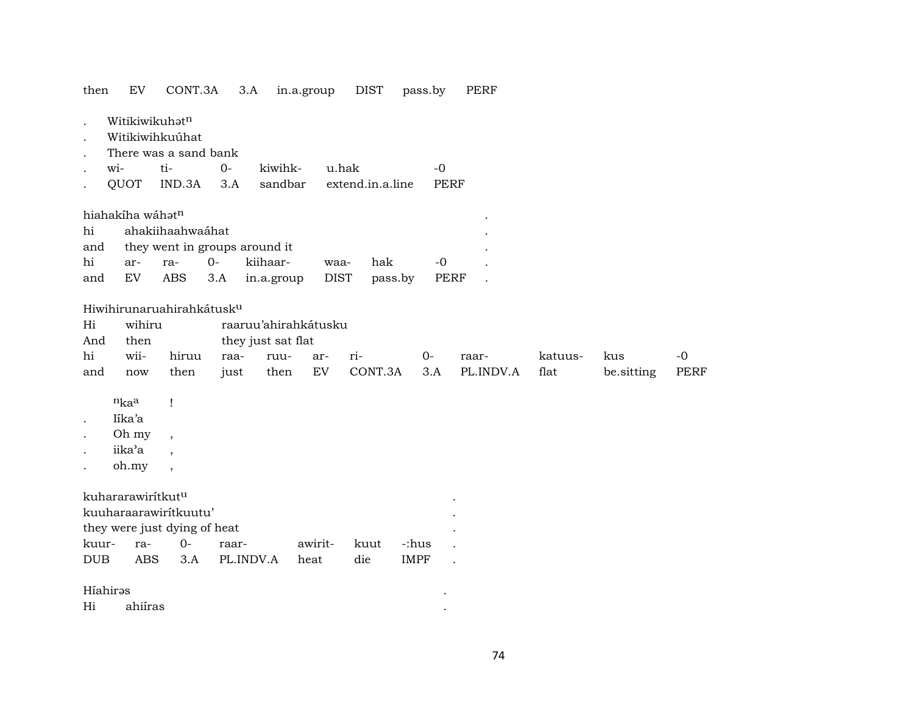| then EV CONT.3A 3.A in.a.group DIST pass.by PERF |  |
|--------------------------------------------------|--|
|--------------------------------------------------|--|

| Witikiwikuhat <sup>n</sup> |
|----------------------------|
|----------------------------|

- . Witikiwihkuúhat
- . There was a sand bank
- . wi- ti- 0- kiwihk- u.hak -0 . QUOT IND.3A 3.A sandbar extend.in.a.line PERF

|  | $h \circ h \circ h \circ h \circ h \circ h \circ h$ |  |
|--|-----------------------------------------------------|--|

| hiahakíha wáhət <sup>n</sup> |                     |        |                                             |      |     |           |  |
|------------------------------|---------------------|--------|---------------------------------------------|------|-----|-----------|--|
|                              | hi ahakiihaahwaáhat |        |                                             |      |     |           |  |
|                              |                     |        | and they went in groups around it           |      |     |           |  |
| hi                           | ar- ra-             | $()$ - | kiihaar-                                    | waa- | hak | $-\Omega$ |  |
|                              |                     |        | and EV ABS 3.A in.a.group DIST pass.by PERF |      |     |           |  |

## Hiwihirunaruahirahkátusk<sup>u</sup>

- Hi wihiru raaruu'ahirahkátusku
- And then they just sat flat

|  |  |  |  | hi wii- hiruu raa- ruu- ar- ri-     0- raar-   katuus- kus   -0      |  |  |
|--|--|--|--|----------------------------------------------------------------------|--|--|
|  |  |  |  | and now then just then EV CONT.3A 3.A PL.INDV.A flat be.sitting PERF |  |  |

- n<sub>ka</sub>a !
- . Iíka'a
- . Oh my ,
- iika'a ,
- . oh.my ,

## kuhararawirítkutµ .

| kuuharaarawiritkuutu'        |  |                   |                    |       |  |
|------------------------------|--|-------------------|--------------------|-------|--|
| they were just dying of heat |  |                   |                    |       |  |
|                              |  | raar-             | awirit- kuut -:hus |       |  |
| DUB                          |  | ABS 3.A PL.INDV.A | heat die           | IMPF. |  |

# HíahirŸs .

| Hi | . .<br>ahuras |  |
|----|---------------|--|
|    |               |  |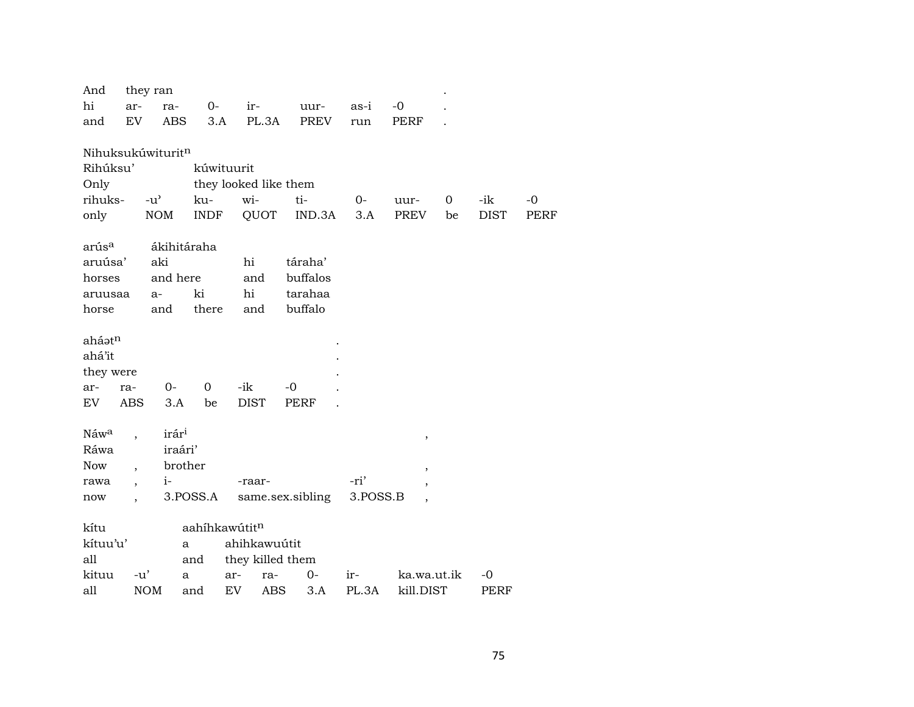| And                |                          | they ran          |             |                       |                  |        |          |                          |    |             |             |
|--------------------|--------------------------|-------------------|-------------|-----------------------|------------------|--------|----------|--------------------------|----|-------------|-------------|
| hi                 | ar-                      | ra-               | $0-$        | ir-                   |                  | uur-   | as-i     | $-0$                     |    |             |             |
| and                | EV                       | <b>ABS</b>        | 3.A         | PL.3A                 |                  | PREV   | run      | PERF                     |    |             |             |
|                    |                          |                   |             |                       |                  |        |          |                          |    |             |             |
| Nihuksukúwituritn  |                          |                   |             |                       |                  |        |          |                          |    |             |             |
| Rihúksu'           |                          |                   |             | kúwituurit            |                  |        |          |                          |    |             |             |
| Only               |                          |                   |             | they looked like them |                  |        |          |                          |    |             |             |
| rihuks-            |                          | $-u^{\prime}$     | ku-         | wi-                   | ti-              |        | $0-$     | uur-                     | 0  | -ik         | $-0$        |
| only               |                          | <b>NOM</b>        | <b>INDF</b> | QUOT                  |                  | IND.3A | 3.A      | PREV                     | be | <b>DIST</b> | <b>PERF</b> |
|                    |                          |                   |             |                       |                  |        |          |                          |    |             |             |
| arús <sup>a</sup>  |                          |                   | ákihitáraha |                       |                  |        |          |                          |    |             |             |
| aruúsa'            |                          | aki               |             | hi                    | táraha'          |        |          |                          |    |             |             |
| horses             |                          | and here          |             | and                   | buffalos         |        |          |                          |    |             |             |
| aruusaa            |                          | $a-$              | ki          | hi                    | tarahaa          |        |          |                          |    |             |             |
| horse              |                          | and               | there       | and                   | buffalo          |        |          |                          |    |             |             |
|                    |                          |                   |             |                       |                  |        |          |                          |    |             |             |
| aháət <sup>n</sup> |                          |                   |             |                       |                  |        |          |                          |    |             |             |
| ahá'it             |                          |                   |             |                       |                  |        |          |                          |    |             |             |
| they were          |                          |                   |             |                       |                  |        |          |                          |    |             |             |
| ar-                | ra-                      | $0-$              | 0           | -ik                   | $-0$             |        |          |                          |    |             |             |
| EV                 | <b>ABS</b>               | 3.A               | be          | <b>DIST</b>           | <b>PERF</b>      |        |          |                          |    |             |             |
|                    |                          |                   |             |                       |                  |        |          |                          |    |             |             |
| Náwa               |                          | irár <sup>i</sup> |             |                       |                  |        |          | $\,$                     |    |             |             |
| Ráwa               |                          | iraári'           |             |                       |                  |        |          |                          |    |             |             |
| Now                |                          |                   | brother     |                       |                  |        |          | $\overline{\phantom{a}}$ |    |             |             |
| rawa               | $\overline{\phantom{a}}$ | $i-$              |             | -raar-                |                  |        | -ri'     |                          |    |             |             |
| now                |                          |                   | 3.POSS.A    |                       | same.sex.sibling |        | 3.POSS.B |                          |    |             |             |
|                    |                          |                   |             |                       |                  |        |          |                          |    |             |             |
| kítu               |                          |                   |             | aahíhkawútitn         |                  |        |          |                          |    |             |             |
| kítuu'u'           |                          |                   | a           | ahihkawuútit          |                  |        |          |                          |    |             |             |
| all                |                          |                   | and         | they killed them      |                  |        |          |                          |    |             |             |
| kituu              | $-u'$                    |                   | a           | ar-                   | ra-              | 0-     | ir-      | ka.wa.ut.ik              |    | $-0$        |             |
| all                |                          | <b>NOM</b>        | and         | EV                    | ABS              | 3.A    | PL.3A    | kill.DIST                |    | PERF        |             |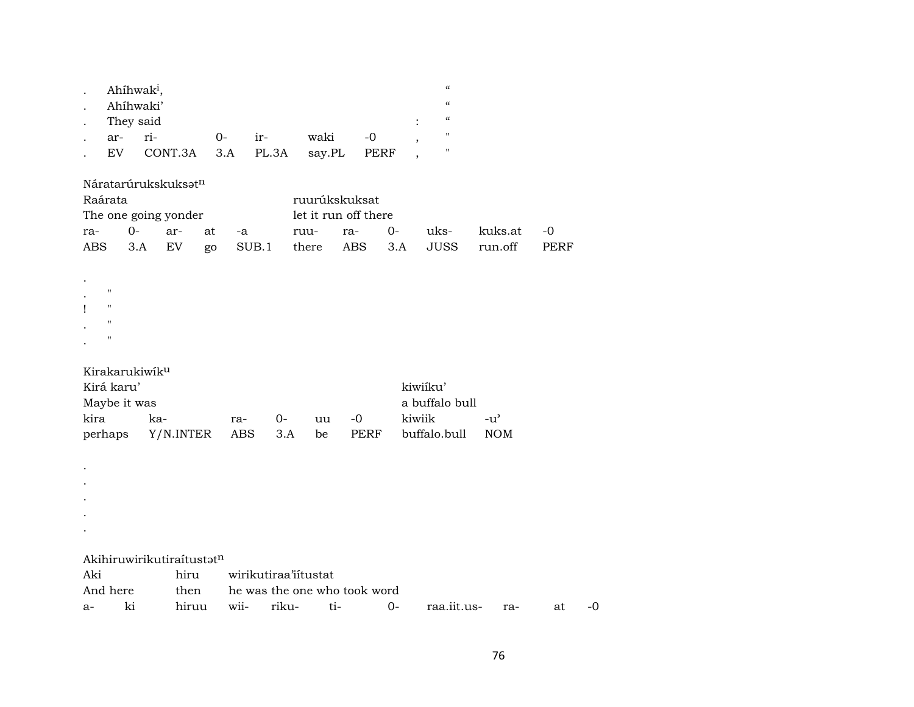|            | Ahíhwak <sup>i</sup> ,<br>Ahíhwaki'<br>They said<br>ar-<br>EV | ri-<br>CONT.3A                                     |              | $O-$<br>3.A |             | ir-<br>PL.3A         |               | waki<br>say.PL | $-0$<br>PERF                                               |             | $\boldsymbol{\zeta}\boldsymbol{\zeta}$<br>$\boldsymbol{\zeta}\boldsymbol{\zeta}$<br>$\boldsymbol{\zeta}\boldsymbol{\zeta}$<br>П<br>" |                             |                   |    |
|------------|---------------------------------------------------------------|----------------------------------------------------|--------------|-------------|-------------|----------------------|---------------|----------------|------------------------------------------------------------|-------------|--------------------------------------------------------------------------------------------------------------------------------------|-----------------------------|-------------------|----|
| ra-<br>ABS | Raárata<br>$0-$                                               | Náratarúrukskuksatn<br>The one going yonder<br>3.A | ar-<br>EV    | at<br>go    | -a<br>SUB.1 |                      | ruu-<br>there |                | ruurúkskuksat<br>let it run off there<br>ra-<br><b>ABS</b> | $0-$<br>3.A | uks-<br><b>JUSS</b>                                                                                                                  | kuks.at<br>run.off          | -0<br><b>PERF</b> |    |
| ı          | $\pmb{\mathsf{H}}$<br>п<br>$\pmb{\mathsf{H}}$<br>п            |                                                    |              |             |             |                      |               |                |                                                            |             |                                                                                                                                      |                             |                   |    |
| kira       | Kirá karu'<br>Maybe it was<br>perhaps                         | Kirakarukiwiku<br>ka-                              | Y/N.INTER    |             | ra-<br>ABS  | $O -$<br>3.A         |               | uu<br>be       | $-0$<br>PERF                                               |             | kiwiíku'<br>a buffalo bull<br>kiwiik<br>buffalo.bull                                                                                 | $-u^{\prime}$<br><b>NOM</b> |                   |    |
|            |                                                               |                                                    |              |             |             |                      |               |                |                                                            |             |                                                                                                                                      |                             |                   |    |
| Aki        | And here                                                      | Akihiruwirikutiraítustatn                          | hiru<br>then |             |             | wirikutiraa'iitustat |               |                | he was the one who took word                               |             |                                                                                                                                      |                             |                   |    |
| a-         | ki                                                            |                                                    | hiruu        |             | wii-        | riku-                |               | ti-            |                                                            | $0-$        | raa.iit.us-                                                                                                                          | ra-                         | at                | -0 |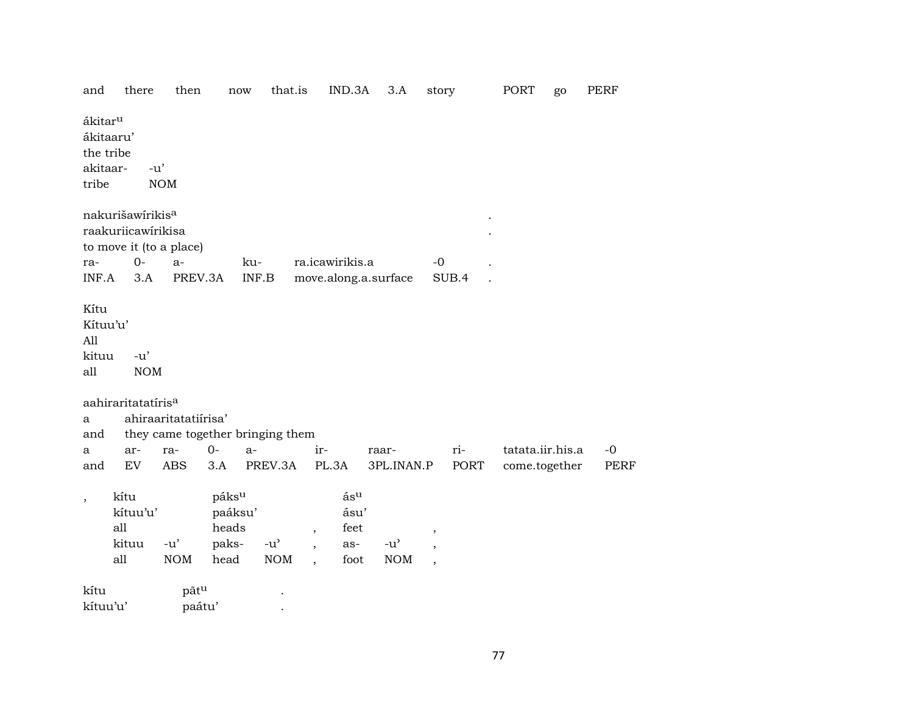| and                                                   | there                                   | then                 |                                            | now                                               | that.is | IND.3A                             | 3.A                                               | story        |       | PORT             | go | PERF        |
|-------------------------------------------------------|-----------------------------------------|----------------------|--------------------------------------------|---------------------------------------------------|---------|------------------------------------|---------------------------------------------------|--------------|-------|------------------|----|-------------|
| ákitar <sup>u</sup><br>the tribe<br>akitaar-<br>tribe | ákitaaru'                               | $-u'$<br><b>NOM</b>  |                                            |                                                   |         |                                    |                                                   |              |       |                  |    |             |
|                                                       | nakurišawírikis <sup>a</sup>            |                      |                                            |                                                   |         |                                    |                                                   |              |       |                  |    |             |
|                                                       | raakuriicawirikisa                      |                      |                                            |                                                   |         |                                    |                                                   |              |       |                  |    |             |
|                                                       | to move it (to a place)                 |                      |                                            |                                                   |         |                                    |                                                   |              |       |                  |    |             |
| ra-<br>INF.A                                          | $O -$<br>3.A                            | $a-$<br>PREV.3A      |                                            | ku-<br>INF.B                                      |         | ra.icawirikis.a                    | move.along.a.surface                              | $-0$         | SUB.4 |                  |    |             |
|                                                       |                                         |                      |                                            |                                                   |         |                                    |                                                   |              |       |                  |    |             |
| Kítu<br>Kítuu'u'<br>All<br>kituu<br>all               | $-u'$<br><b>NOM</b>                     |                      |                                            |                                                   |         |                                    |                                                   |              |       |                  |    |             |
|                                                       | aahiraritatatíris <sup>a</sup>          |                      |                                            |                                                   |         |                                    |                                                   |              |       |                  |    |             |
| a                                                     |                                         | ahiraaritatatiirisa' |                                            |                                                   |         |                                    |                                                   |              |       |                  |    |             |
| and                                                   |                                         |                      |                                            | they came together bringing them                  |         |                                    |                                                   |              |       |                  |    |             |
| a                                                     | ar-                                     | ra-                  | $0-$                                       | $a-$                                              | ir-     |                                    | raar-                                             |              | ri-   | tatata.iir.his.a |    | $-0$        |
| and                                                   | EV                                      | <b>ABS</b>           | 3.A                                        | PREV.3A                                           |         | PL.3A                              | 3PL.INAN.P                                        |              | PORT  | come.together    |    | <b>PERF</b> |
| $\overline{\phantom{a}}$                              | kítu<br>kítuu'u'<br>all<br>kituu<br>all | $-u'$<br>$\rm{NOM}$  | páksu<br>paáksu'<br>heads<br>paks-<br>head | $-u$ <sup><math>\prime</math></sup><br><b>NOM</b> | $\cdot$ | ásu<br>ásu'<br>feet<br>as-<br>foot | $-u$ <sup><math>\prime</math></sup><br>$\rm{NOM}$ | ,<br>$\cdot$ |       |                  |    |             |
| kítu                                                  |                                         | pãt <sup>u</sup>     |                                            |                                                   |         |                                    |                                                   |              |       |                  |    |             |
| kítuu'u'                                              |                                         |                      | paátu'                                     |                                                   |         |                                    |                                                   |              |       |                  |    |             |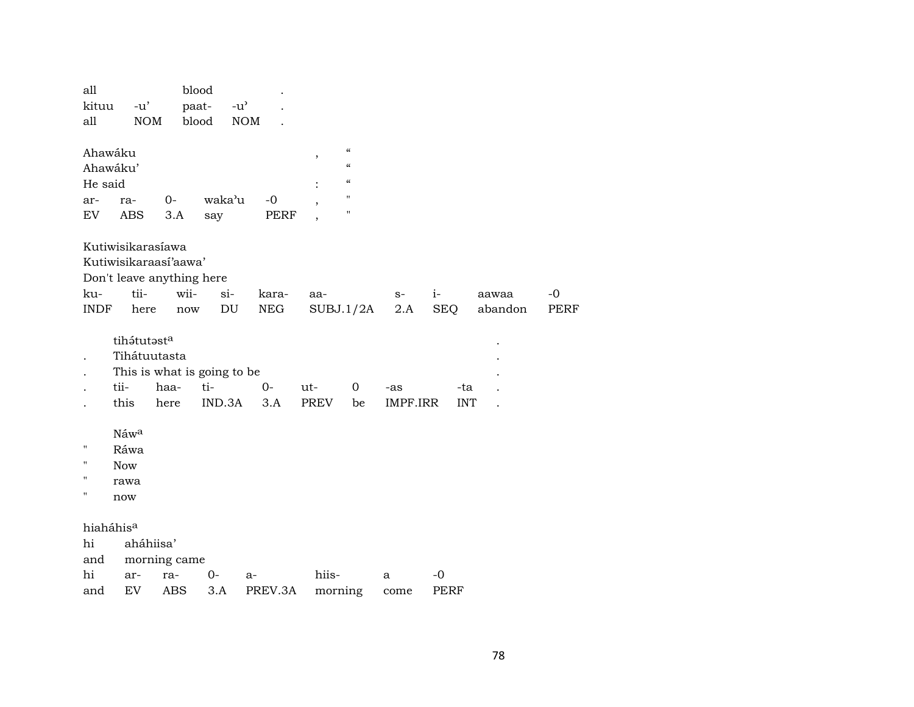| all<br>kituu<br>all                  | $-u'$<br><b>NOM</b>                                                                     |                              | blood<br>paat-<br>$-u^{\prime}$<br>blood     | <b>NOM</b>           |                              |                                                                                                                  |                 |                     |                  |                     |
|--------------------------------------|-----------------------------------------------------------------------------------------|------------------------------|----------------------------------------------|----------------------|------------------------------|------------------------------------------------------------------------------------------------------------------|-----------------|---------------------|------------------|---------------------|
| Ahawáku<br>He said<br>ar-<br>EV      | Ahawáku'<br>ra-<br>ABS                                                                  | $0-$<br>3.A                  | waka'u<br>say                                | $-0$<br>PERF         | $^\mathrm{^\mathrm{o}}$<br>, | $\mathcal{C}\mathcal{C}$<br>$\mathcal{C}\mathcal{C}$<br>$\mathcal{C}\mathcal{C}$<br>$\mathbf{H}$<br>$\mathbf{H}$ |                 |                     |                  |                     |
| ku-<br><b>INDF</b>                   | Kutiwisikarasíawa<br>Kutiwisikaraasi'aawa'<br>Don't leave anything here<br>tii-<br>here | wii-<br>$\operatorname{now}$ | $si-$<br>$\mathop{\rm DU}\nolimits$          | kara-<br>${\rm NEG}$ | aa-<br>SUBJ.1/2A             |                                                                                                                  | $S-$<br>2.A     | $i-$<br><b>SEQ</b>  | aawaa<br>abandon | $-0$<br><b>PERF</b> |
|                                      | tihátutasta<br>Tihátuutasta<br>tii-<br>this                                             | haa-<br>here                 | This is what is going to be<br>ti-<br>IND.3A | $0-$<br>3.A          | ut-<br><b>PREV</b>           | 0<br>be                                                                                                          | -as<br>IMPF.IRR | -ta<br><b>INT</b>   |                  |                     |
| $\pmb{\mathsf{H}}$<br>11<br>11<br>11 | Náwa<br>Ráwa<br><b>Now</b><br>rawa<br>now                                               |                              |                                              |                      |                              |                                                                                                                  |                 |                     |                  |                     |
| hi<br>and                            | hiaháhis <sup>a</sup><br>aháhiisa'                                                      | morning came                 |                                              |                      |                              |                                                                                                                  |                 |                     |                  |                     |
| hi<br>and                            | ar-<br>EV                                                                               | ra-<br>ABS                   | 0-<br>3.A                                    | a-<br>PREV.3A        | hiis-<br>morning             |                                                                                                                  | a<br>come       | $-0$<br><b>PERF</b> |                  |                     |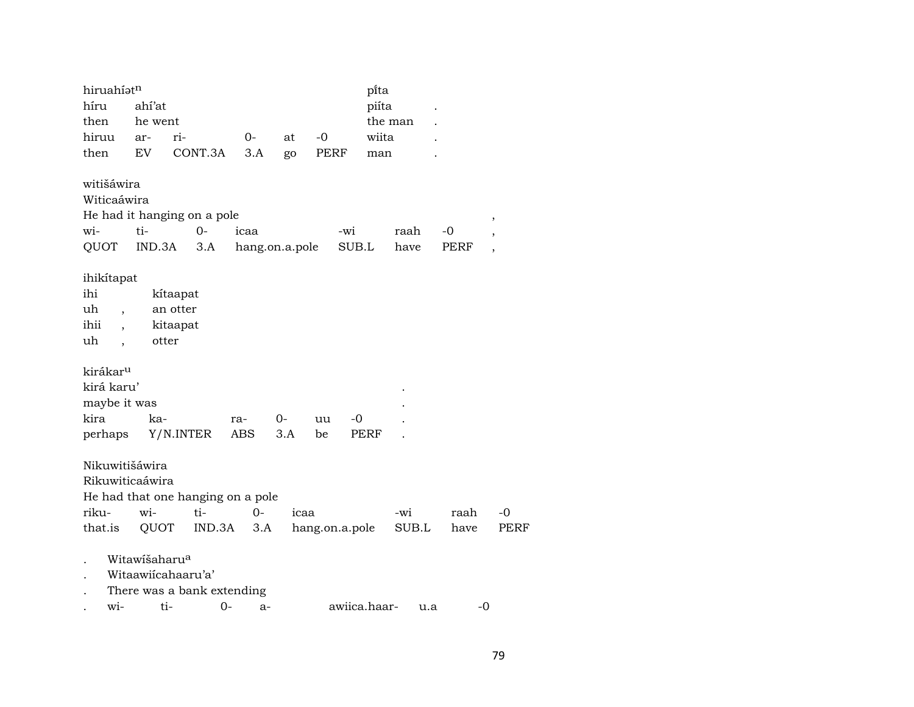| hiruahíatn                       |                           |                                   |                |       |                |       | pi̇̃ta       |       |      |                          |
|----------------------------------|---------------------------|-----------------------------------|----------------|-------|----------------|-------|--------------|-------|------|--------------------------|
| híru                             | ahí'at                    |                                   |                |       |                |       | piíta        |       |      |                          |
| then                             | he went                   |                                   |                |       |                |       | the man      |       |      |                          |
| hiruu                            | ar-                       | ri-                               | $0-$           | at    | $-0$           |       | wiita        |       |      |                          |
| then                             | EV                        | CONT.3A                           | 3.A            | go    | PERF           |       | man          |       |      |                          |
| witišáwira                       |                           |                                   |                |       |                |       |              |       |      |                          |
| Witicaáwira                      |                           |                                   |                |       |                |       |              |       |      |                          |
|                                  |                           | He had it hanging on a pole       |                |       |                |       |              |       |      | ,                        |
| wi-                              | ti-                       | $0-$                              | icaa           |       |                | $-wi$ |              | raah  | -0   | $\overline{\phantom{a}}$ |
| QUOT                             | IND.3A                    | 3.A                               | hang.on.a.pole |       |                | SUB.L |              | have  | PERF | $\overline{\phantom{a}}$ |
| ihikitapat                       |                           |                                   |                |       |                |       |              |       |      |                          |
| ihi                              |                           | kítaapat                          |                |       |                |       |              |       |      |                          |
| uh                               |                           | an otter                          |                |       |                |       |              |       |      |                          |
| $\overline{\phantom{a}}$<br>ihii |                           | kitaapat                          |                |       |                |       |              |       |      |                          |
| $\overline{\phantom{a}}$<br>uh   |                           | otter                             |                |       |                |       |              |       |      |                          |
| $\overline{\phantom{a}}$         |                           |                                   |                |       |                |       |              |       |      |                          |
| kirákar <sup>u</sup>             |                           |                                   |                |       |                |       |              |       |      |                          |
| kirá karu'                       |                           |                                   |                |       |                |       |              |       |      |                          |
| maybe it was                     |                           |                                   |                |       |                |       |              |       |      |                          |
| kira                             | ka-                       |                                   |                | $O -$ | uu             | $-0$  |              |       |      |                          |
|                                  |                           |                                   | ra-<br>ABS     | 3.A   | be             |       | PERF         |       |      |                          |
| perhaps                          |                           | Y/N.INTER                         |                |       |                |       |              |       |      |                          |
| Nikuwitišáwira                   |                           |                                   |                |       |                |       |              |       |      |                          |
| Rikuwiticaáwira                  |                           |                                   |                |       |                |       |              |       |      |                          |
|                                  |                           | He had that one hanging on a pole |                |       |                |       |              |       |      |                          |
| riku-                            | wi-                       | ti-                               | $O -$          | icaa  |                |       | -wi          |       | raah | $-0$                     |
| that.is                          | QUOT                      | IND.3A                            | 3.A            |       | hang.on.a.pole |       |              | SUB.L | have | <b>PERF</b>              |
|                                  | Witawišaharu <sup>a</sup> |                                   |                |       |                |       |              |       |      |                          |
|                                  |                           | Witaawiicahaaru'a'                |                |       |                |       |              |       |      |                          |
|                                  |                           |                                   |                |       |                |       |              |       |      |                          |
|                                  |                           | There was a bank extending        |                |       |                |       |              |       |      |                          |
| wi-                              |                           | ti-<br>$O -$                      | $a-$           |       |                |       | awiica.haar- | u.a   | -0   |                          |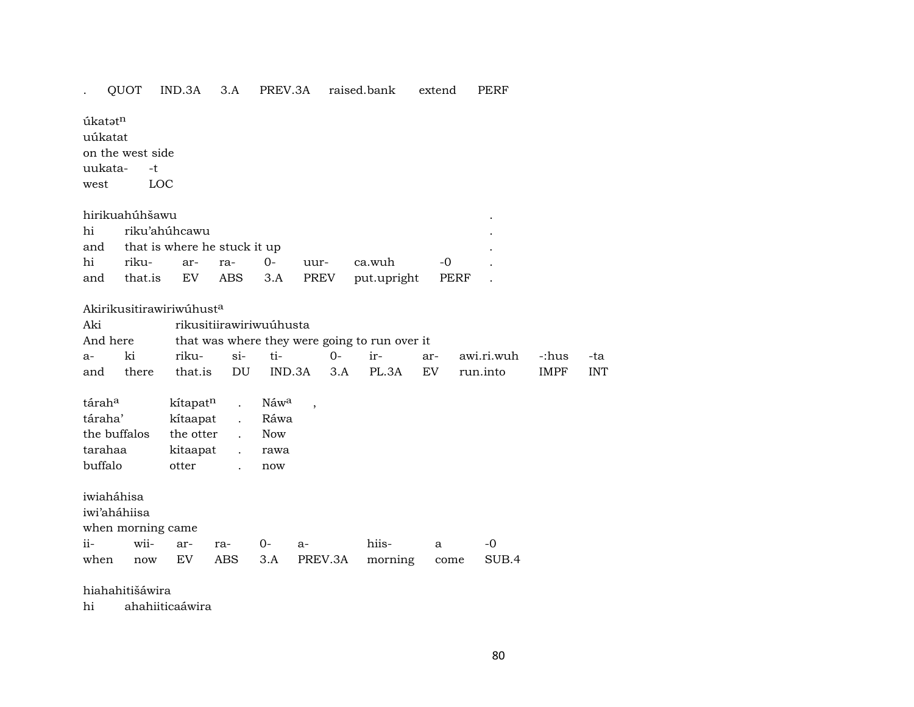## . QUOT IND.3A 3.A PREV.3A raised.bank extend PERF

úkat $\mathfrak{t}^n$ uúkatat on the west side uukata- -t west LOC

| hirikuahúhšawu                   |  |  |                                              |  |
|----------------------------------|--|--|----------------------------------------------|--|
| hi riku'ahúhcawu                 |  |  |                                              |  |
| and that is where he stuck it up |  |  |                                              |  |
|                                  |  |  | hi riku- ar- ra- 0- uur- ca.wuh -0           |  |
|                                  |  |  | and that is EV ABS 3.A PREV put upright PERF |  |

#### Akirikusitirawiriwúhust<sup>a</sup>

| Aki                |              | rikusitiirawiriwuúhusta                 |                      |                                               |     |       |     |            |             |            |
|--------------------|--------------|-----------------------------------------|----------------------|-----------------------------------------------|-----|-------|-----|------------|-------------|------------|
| And here           |              |                                         |                      | that was where they were going to run over it |     |       |     |            |             |            |
| $a-$               | ki           | riku-                                   | si-                  | ti-                                           | 0-  | $ir-$ | ar- | awi.ri.wuh | -:hus       | -ta        |
| and                | there        | that.is                                 | DU D                 | IND.3A                                        | 3.A | PL.3A | EV  | run.into   | <b>IMPF</b> | <b>INT</b> |
|                    |              |                                         |                      |                                               |     |       |     |            |             |            |
| tárah <sup>a</sup> |              | kítapat <sup>n</sup> . Náw <sup>a</sup> |                      |                                               |     |       |     |            |             |            |
| táraha'            |              | kítaapat .                              |                      | Ráwa                                          |     |       |     |            |             |            |
|                    | the buffalos | the otter                               |                      | <b>Now</b>                                    |     |       |     |            |             |            |
| tarahaa            |              | kitaapat                                | $\ddot{\phantom{a}}$ | rawa                                          |     |       |     |            |             |            |
| buffalo            |              | otter                                   |                      | now                                           |     |       |     |            |             |            |

iwiaháhisa

iwi'aháhiisa

when morning came

|  |  |  | ii- wii- ar- ra- 0- a- hiis- a -0              |  |
|--|--|--|------------------------------------------------|--|
|  |  |  | when now EV ABS 3.A PREV.3A morning come SUB.4 |  |

#### hiahahitišáwira

hi ahahiiticaáwira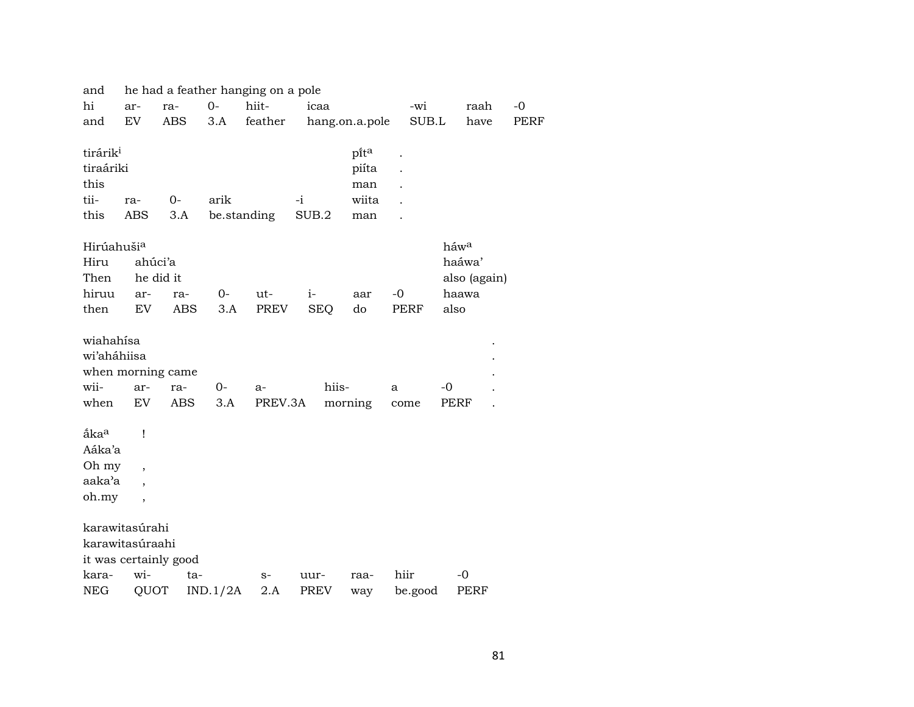| and                    |                          |                       |             | he had a feather hanging on a pole |             |            |                |         |              |      |      |
|------------------------|--------------------------|-----------------------|-------------|------------------------------------|-------------|------------|----------------|---------|--------------|------|------|
| hi                     | ar-                      | ra-                   | $0-$        | hiit-                              | icaa        |            |                | -wi     |              | raah | $-0$ |
| and                    | EV                       | ABS                   | 3.A         | feather                            |             |            | hang.on.a.pole | SUB.L   |              | have | PERF |
|                        |                          |                       |             |                                    |             |            |                |         |              |      |      |
| tirárik <sup>i</sup>   |                          |                       |             |                                    |             |            | pita           |         |              |      |      |
| tiraáriki              |                          |                       |             |                                    |             |            | piíta          |         |              |      |      |
| this                   |                          |                       |             |                                    |             |            | man            |         |              |      |      |
| tii-                   | ra-                      | 0-                    | arik        |                                    | $-i$        |            | wiita          |         |              |      |      |
| this                   | ABS                      | 3.A                   | be.standing |                                    | SUB.2       |            | man            |         |              |      |      |
|                        |                          |                       |             |                                    |             |            |                |         |              |      |      |
| Hirúahuši <sup>a</sup> |                          |                       |             |                                    |             |            |                |         | háwa         |      |      |
| Hiru                   | ahúci'a                  |                       |             |                                    |             |            |                |         | haáwa'       |      |      |
| Then                   |                          | he did it             |             |                                    |             |            |                |         | also (again) |      |      |
| hiruu                  | ar-                      | ra-                   | $0-$        | ut-                                | $i-$        |            | aar            | $-0$    | haawa        |      |      |
| then                   | EV                       | <b>ABS</b>            | 3.A         | PREV                               |             | <b>SEQ</b> | do             | PERF    | also         |      |      |
|                        |                          |                       |             |                                    |             |            |                |         |              |      |      |
| wiahahísa              |                          |                       |             |                                    |             |            |                |         |              |      |      |
| wi'aháhiisa            |                          |                       |             |                                    |             |            |                |         |              |      |      |
|                        |                          | when morning came     |             |                                    |             |            |                |         |              |      |      |
| wii-                   | ar-                      | ra-                   | 0-          | $a-$                               |             | hiis-      |                | a       | -0           |      |      |
| when                   | EV                       | <b>ABS</b>            | 3.A         | PREV.3A                            |             |            | morning        | come    | PERF         |      |      |
|                        |                          |                       |             |                                    |             |            |                |         |              |      |      |
| åka <sup>a</sup>       | Ţ                        |                       |             |                                    |             |            |                |         |              |      |      |
| Aáka'a                 |                          |                       |             |                                    |             |            |                |         |              |      |      |
| Oh my                  | $\overline{\phantom{a}}$ |                       |             |                                    |             |            |                |         |              |      |      |
| aaka'a                 |                          |                       |             |                                    |             |            |                |         |              |      |      |
| oh.my                  | $\overline{\phantom{a}}$ |                       |             |                                    |             |            |                |         |              |      |      |
|                        |                          |                       |             |                                    |             |            |                |         |              |      |      |
|                        | karawitasúrahi           |                       |             |                                    |             |            |                |         |              |      |      |
|                        | karawitasúraahi          |                       |             |                                    |             |            |                |         |              |      |      |
|                        |                          | it was certainly good |             |                                    |             |            |                |         |              |      |      |
| kara-                  | wi-                      | ta-                   |             | $S-$                               | uur-        |            | raa-           | hiir    | $-0$         |      |      |
| <b>NEG</b>             | QUOT                     |                       | IND.1/2A    | $2.A$                              | <b>PREV</b> |            | way            | be.good | PERF         |      |      |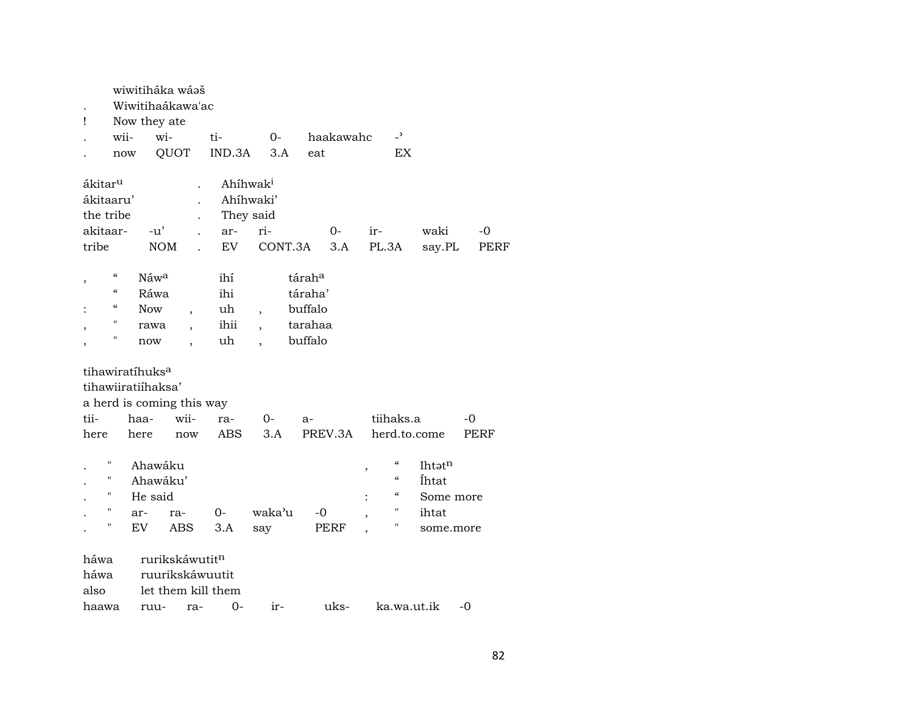| Ţ                             |                                        | Now they ate                                      | wiwitiháka wásš<br>Wiwitihaákawa'ac                            |        |                          |           |                     |                                                         |                              |      |
|-------------------------------|----------------------------------------|---------------------------------------------------|----------------------------------------------------------------|--------|--------------------------|-----------|---------------------|---------------------------------------------------------|------------------------------|------|
|                               | wii-                                   |                                                   | wi-                                                            | ti-    | $0 -$                    | haakawahc |                     | $\overline{a}$                                          |                              |      |
|                               |                                        | now                                               | QUOT                                                           | IND.3A | 3.A                      | eat       |                     | EX                                                      |                              |      |
| ákitar <sup>u</sup>           |                                        |                                                   |                                                                |        | Ahihwak <sup>i</sup>     |           |                     |                                                         |                              |      |
| ákitaaru'                     |                                        |                                                   |                                                                |        | Ahíhwaki'                |           |                     |                                                         |                              |      |
| the tribe                     |                                        |                                                   |                                                                |        | They said                |           |                     |                                                         |                              |      |
| akitaar-                      |                                        |                                                   | $-u^{\prime}$                                                  | ar-    | ri-                      | 0-        |                     | ir-                                                     | waki                         | -0   |
| tribe                         |                                        |                                                   | <b>NOM</b>                                                     | EV     |                          | CONT.3A   | 3.A                 | PL.3A                                                   | say.PL                       | PERF |
| ,                             | $\boldsymbol{\zeta}\boldsymbol{\zeta}$ | Náwa                                              |                                                                | ihí    |                          | táraha    |                     |                                                         |                              |      |
|                               | $\boldsymbol{\zeta}\boldsymbol{\zeta}$ | Ráwa                                              |                                                                | ihi    |                          | táraha'   |                     |                                                         |                              |      |
|                               | "                                      | <b>Now</b>                                        | $\overline{ }$                                                 | uh     | $\overline{\phantom{a}}$ | buffalo   |                     |                                                         |                              |      |
|                               | "                                      | rawa                                              | $\overline{\phantom{a}}$                                       | ihii   | $\overline{\phantom{a}}$ | tarahaa   |                     |                                                         |                              |      |
|                               | Π                                      | now                                               | $\overline{\phantom{a}}$                                       | uh     | $\ddot{\phantom{0}}$     | buffalo   |                     |                                                         |                              |      |
|                               |                                        | tihawiratíhuks <sup>a</sup><br>tihawiiratiihaksa' | a herd is coming this way                                      |        |                          |           |                     |                                                         |                              |      |
| tii-                          |                                        | haa-                                              | wii-                                                           | ra-    | $O -$                    | a-        |                     | tiihaks.a                                               |                              | -0   |
| here                          |                                        | here                                              | now                                                            | ABS    | 3.A                      | PREV.3A   |                     | herd.to.come                                            |                              | PERF |
|                               | Ħ<br>11<br>Η                           | He said                                           | Ahawáku<br>Ahawáku'                                            |        |                          |           | ,<br>$\ddot{\cdot}$ | $\mathcal{C}\mathcal{C}$<br>$\mathcal{C}$<br>$\epsilon$ | Ihtatn<br>Íhtat<br>Some more |      |
|                               | 11                                     | ar-                                               | ra-                                                            | $0-$   | waka'u                   | $-0$      |                     | "                                                       | ihtat                        |      |
|                               | 11                                     | EV                                                | ABS                                                            | 3.A    | say                      | PERF      |                     | н                                                       | some.more                    |      |
| háwa<br>háwa<br>also<br>haawa |                                        | ruu-                                              | rurikskáwutitn<br>ruurikskáwuutit<br>let them kill them<br>ra- | 0-     | ir-                      | uks-      |                     | ka.wa.ut.ik                                             |                              | $-0$ |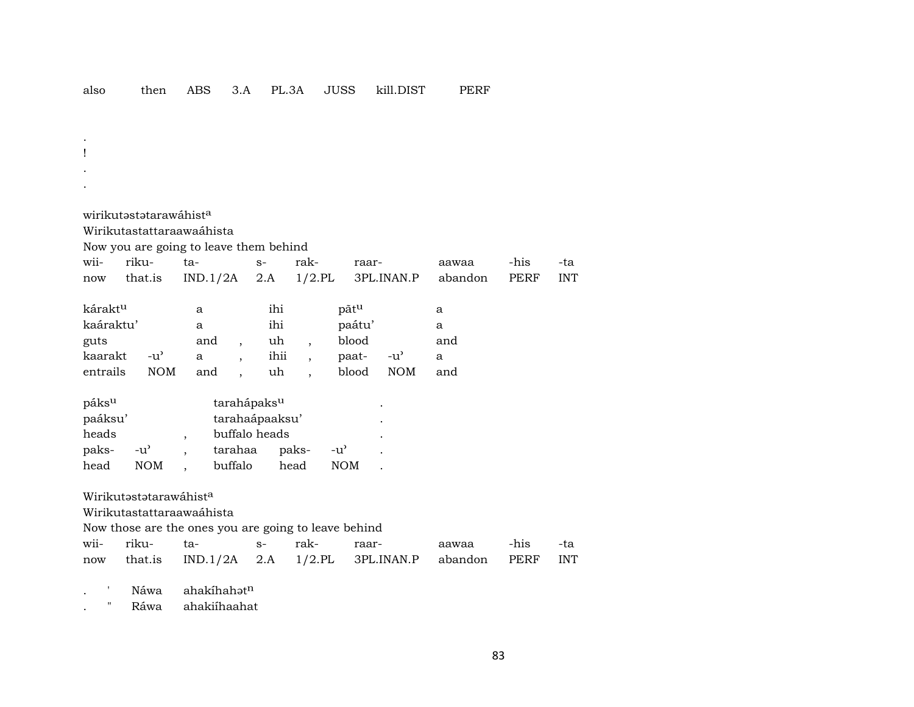$\mathbf{I}$  $\sim$ wirikutastatarawáhist<sup>a</sup> Wirikutastattaraawaáhista Now you are going to leave them behind rikuwiita- $S$ rakraaraawaa -his -ta  $IND.1/2A$  $2.A$  $1/2$ .PL 3PL.INAN.P PERF **INT** that.is now abandon káraktu pãtu ihi  $\mathbf{a}$  $\mathbf{a}$ kaáraktu'  $\mathbf{a}$ ihi paátu'  $\mathbf{a}$ blood guts and and uh  $\overline{\phantom{a}}$  $\overline{ }$ , kaarakt  $-u^{\prime}$ ihii paat- $-u^{\prime}$  $\mathbf{a}$  $\mathbf{a}$  $\ddot{\phantom{a}}$  $\overline{\phantom{a}}$ entrails  $NOM$ and uh blood **NOM** and  $\overline{\phantom{a}}$ páks<sup>u</sup> tarahápaks<sup>u</sup> paáksu' tarahaápaaksu' heads buffalo heads  $\overline{\phantom{a}}$  $-u^{\prime}$ tarahaa pakspaks- $-u^{\prime}$  $\ddot{\phantom{a}}$  $\ddot{\phantom{a}}$ head **NOM** buffalo head **NOM**  $\overline{\phantom{a}}$ Wirikutastatarawáhista Wirikutastattaraawaáhista Now those are the ones you are going to leave behind wiirikuta- $S$ rakraar--his aawaa -ta  $IND.1/2A$  2.A  $1/2$ .PL 3PL.INAN.P that.is PERF **INT** abandon now ahakíhahatn Náwa  $\mathbf{L}$ 

 $\bar{\mathbf{u}}$ Ráwa ahakiíhaahat  $\cdot$ 

 $\cdot$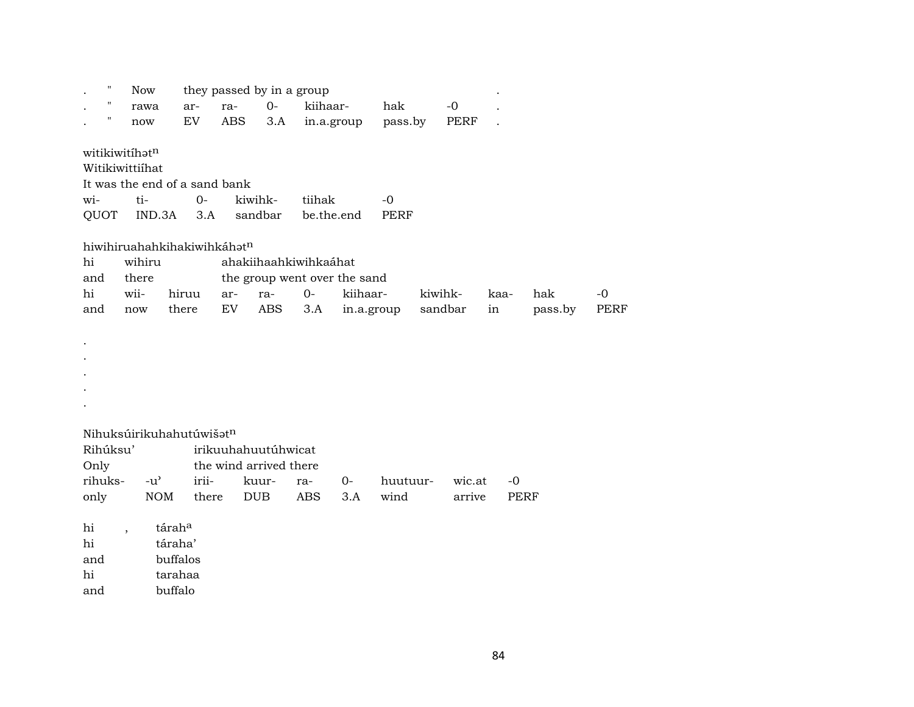|      | ,,                 | <b>Now</b>               |               |                               |     | they passed by in a group    |            |            |             |         |         |      |             |      |
|------|--------------------|--------------------------|---------------|-------------------------------|-----|------------------------------|------------|------------|-------------|---------|---------|------|-------------|------|
|      | $\pmb{\mathsf{H}}$ | rawa                     |               | ar-                           | ra- | $O -$                        | kiihaar-   |            | hak         |         | $-0$    |      |             |      |
|      | П                  | now                      |               | EV                            | ABS | 3.A                          | in.a.group |            | pass.by     |         | PERF    |      |             |      |
|      |                    |                          |               |                               |     |                              |            |            |             |         |         |      |             |      |
|      |                    | witikiwitihatn           |               |                               |     |                              |            |            |             |         |         |      |             |      |
|      |                    | Witikiwittiihat          |               |                               |     |                              |            |            |             |         |         |      |             |      |
|      |                    |                          |               | It was the end of a sand bank |     |                              |            |            |             |         |         |      |             |      |
| wi-  |                    | ti-                      |               | $0-$                          |     | kiwihk-                      | tiihak     |            | $-0$        |         |         |      |             |      |
|      | QUOT               |                          | IND.3A        | 3.A                           |     | sandbar                      | be.the.end |            | <b>PERF</b> |         |         |      |             |      |
|      |                    |                          |               |                               |     |                              |            |            |             |         |         |      |             |      |
|      |                    |                          |               | hiwihiruahahkihakiwihkáhatn   |     |                              |            |            |             |         |         |      |             |      |
| hi   |                    | wihiru                   |               |                               |     | ahakiihaahkiwihkaáhat        |            |            |             |         |         |      |             |      |
| and  |                    | there                    |               |                               |     | the group went over the sand |            |            |             |         |         |      |             |      |
| hi   |                    | wii-                     |               | hiruu                         | ar- | ra-                          | $0-$       | kiihaar-   |             | kiwihk- |         | kaa- | hak         | $-0$ |
| and  |                    | now                      |               | there                         | EV  | <b>ABS</b>                   | 3.A        | in.a.group |             |         | sandbar | in   | pass.by     | PERF |
|      |                    |                          |               |                               |     |                              |            |            |             |         |         |      |             |      |
|      |                    |                          |               |                               |     |                              |            |            |             |         |         |      |             |      |
|      |                    |                          |               |                               |     |                              |            |            |             |         |         |      |             |      |
|      |                    |                          |               |                               |     |                              |            |            |             |         |         |      |             |      |
|      |                    |                          |               |                               |     |                              |            |            |             |         |         |      |             |      |
|      |                    |                          |               |                               |     |                              |            |            |             |         |         |      |             |      |
|      |                    |                          |               |                               |     |                              |            |            |             |         |         |      |             |      |
|      |                    |                          |               | Nihuksúirikuhahutúwišatn      |     |                              |            |            |             |         |         |      |             |      |
|      | Rihúksu'           |                          |               |                               |     | irikuuhahuutúhwicat          |            |            |             |         |         |      |             |      |
| Only |                    |                          |               |                               |     | the wind arrived there       |            |            |             |         |         |      |             |      |
|      | rihuks-            |                          | $-u^{\prime}$ | irii-                         |     | kuur-                        | ra-        | $0-$       | huutuur-    |         | wic.at  | $-0$ |             |      |
| only |                    |                          | <b>NOM</b>    | there                         |     | <b>DUB</b>                   | ABS        | 3.A        | wind        |         | arrive  |      | <b>PERF</b> |      |
|      |                    |                          |               |                               |     |                              |            |            |             |         |         |      |             |      |
| hi   |                    | $\overline{\phantom{a}}$ | táraha        |                               |     |                              |            |            |             |         |         |      |             |      |
| hi   |                    |                          | táraha'       |                               |     |                              |            |            |             |         |         |      |             |      |
| and  |                    |                          | buffalos      |                               |     |                              |            |            |             |         |         |      |             |      |
| hi   |                    |                          | tarahaa       |                               |     |                              |            |            |             |         |         |      |             |      |
| and  |                    |                          | buffalo       |                               |     |                              |            |            |             |         |         |      |             |      |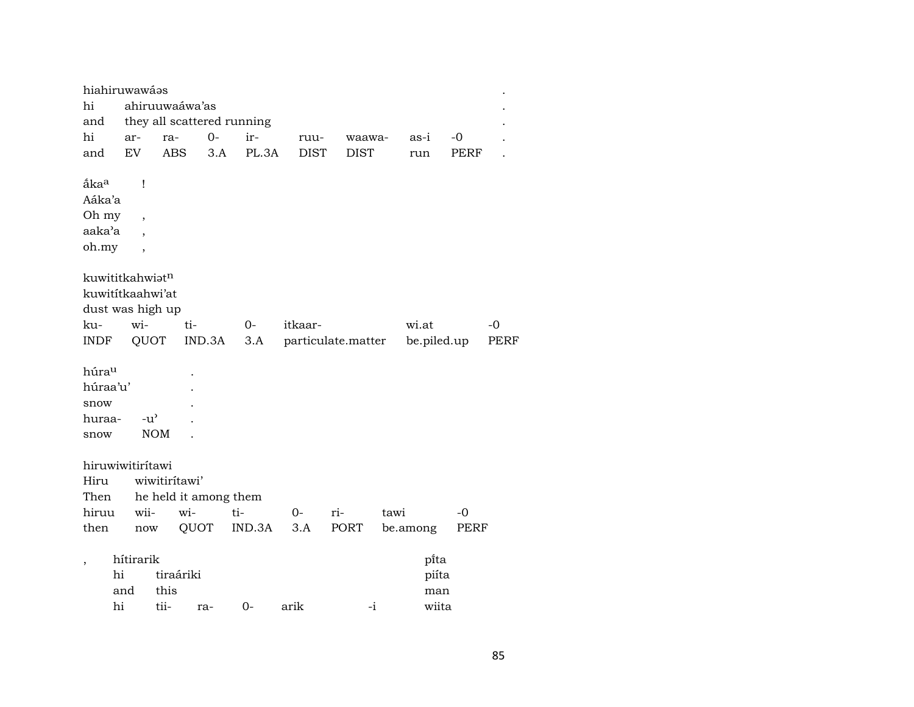|                  | hiahiruwawáas               |                          |           |        |                            |             |                    |        |             |      |      |
|------------------|-----------------------------|--------------------------|-----------|--------|----------------------------|-------------|--------------------|--------|-------------|------|------|
| hi               |                             | ahiruuwaáwa'as           |           |        |                            |             |                    |        |             |      |      |
| and              |                             |                          |           |        | they all scattered running |             |                    |        |             |      |      |
| hi               | ar-                         | ra-                      |           | $0-$   | ir-                        | ruu-        |                    | waawa- | as-i        | -0   |      |
| and              | EV                          | <b>ABS</b>               |           | 3.A    | PL.3A                      | <b>DIST</b> | <b>DIST</b>        |        | run         | PERF |      |
|                  |                             |                          |           |        |                            |             |                    |        |             |      |      |
| ắka <sup>a</sup> |                             | Ţ                        |           |        |                            |             |                    |        |             |      |      |
| Aáka'a           |                             |                          |           |        |                            |             |                    |        |             |      |      |
| Oh my            |                             | $\overline{ }$           |           |        |                            |             |                    |        |             |      |      |
| aaka'a           |                             |                          |           |        |                            |             |                    |        |             |      |      |
| oh.my            |                             | $\overline{\phantom{a}}$ |           |        |                            |             |                    |        |             |      |      |
|                  | kuwititkahwiat <sup>n</sup> |                          |           |        |                            |             |                    |        |             |      |      |
|                  |                             | kuwititkaahwi'at         |           |        |                            |             |                    |        |             |      |      |
|                  |                             | dust was high up         |           |        |                            |             |                    |        |             |      |      |
| ku-              | wi-                         |                          | ti-       |        | $0-$                       | itkaar-     |                    |        | wi.at       |      | -0   |
| INDF             |                             | QUOT                     |           | IND.3A | 3.A                        |             | particulate.matter |        | be.piled.up |      | PERF |
|                  |                             |                          |           |        |                            |             |                    |        |             |      |      |
| húrau            |                             |                          |           |        |                            |             |                    |        |             |      |      |
| húraa'u'         |                             |                          |           |        |                            |             |                    |        |             |      |      |
| snow             |                             |                          |           |        |                            |             |                    |        |             |      |      |
| huraa-           |                             | $-u^{\prime}$            |           |        |                            |             |                    |        |             |      |      |
| snow             |                             | <b>NOM</b>               |           |        |                            |             |                    |        |             |      |      |
|                  |                             |                          |           |        |                            |             |                    |        |             |      |      |
|                  | hiruwiwitirítawi            |                          |           |        |                            |             |                    |        |             |      |      |
| Hiru             |                             | wiwitirítawi'            |           |        |                            |             |                    |        |             |      |      |
| Then             |                             | he held it among them    |           |        |                            |             |                    |        |             |      |      |
| hiruu            |                             | wii-                     | wi-       |        | ti-                        | $0-$        | ri-                | tawi   |             | -0   |      |
| then             |                             | now                      | QUOT      |        | IND.3A                     | 3.A         | PORT               |        | be.among    | PERF |      |
|                  | hítirarik                   |                          |           |        |                            |             |                    |        | pi̇̃ta      |      |      |
|                  | hi                          |                          | tiraáriki |        |                            |             |                    |        | piíta       |      |      |
|                  | and                         | this                     |           |        |                            |             |                    |        | man         |      |      |
|                  | hi                          | tii-                     |           |        | $0-$                       |             |                    | $-i$   | wiita       |      |      |
|                  |                             |                          |           | ra-    |                            | arik        |                    |        |             |      |      |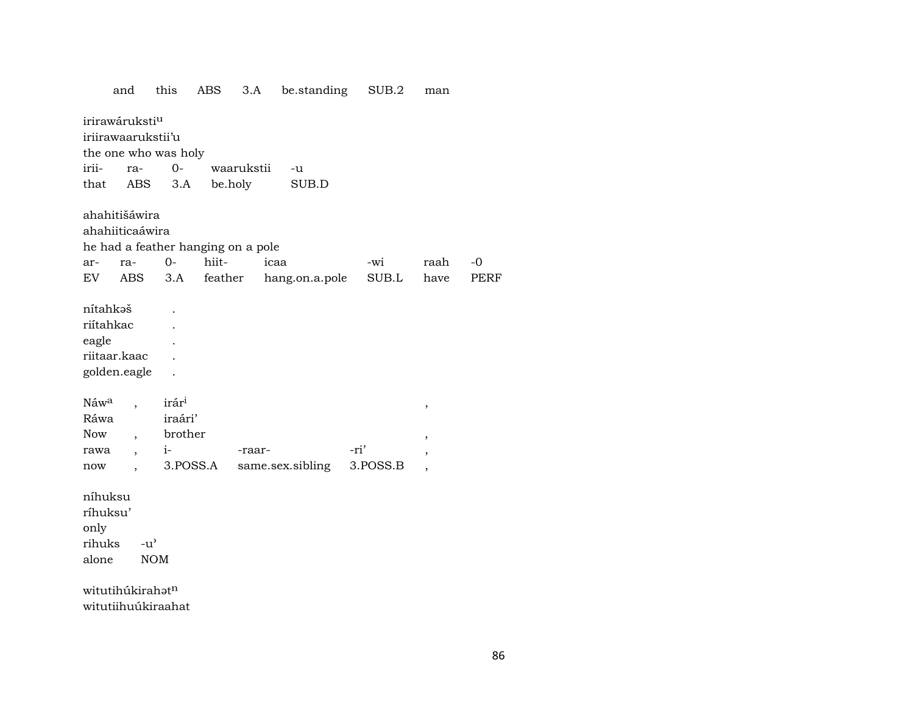be.standing SUB.2 and this ABS  $3.A$ man irirawáruksti<sup>u</sup> iriirawaarukstii'u the one who was holy irii- $0$ waarukstii ra- $-u$ that ABS  $3.A$ be.holy SUB.D ahahitišáwira ahahiiticaáwira he had a feather hanging on a pole  $0$ hiiticaa  $-0$ raar--wi raah  ${\rm EV}$ **ABS** feather hang.on.a.pole  $\rm SUB.L$ PERF  $3.A$ have nítahkəš  $\ddot{\phantom{a}}$ riítahkac  $\ddot{\phantom{a}}$ eagle  $\mathbb{R}^2$ riitaar.kaac  $\ddot{\phantom{a}}$ golden.eagle  $\mathbb{R}^2$ irár<sup>i</sup> Náw<sup>a</sup>  $\ddot{\phantom{a}}$  $\cdot$ iraári' Ráwa brother Now  $\overline{ }$ ,  $\cdot$  $i-$ -raar--ri' rawa  $\ddot{\phantom{0}}$  $\cdot$ 3.POSS.A same.sex.sibling 3.POSS.B now  $\overline{\phantom{a}}$  $\overline{\phantom{a}}$ níhuksu ríhuksu' only  $-u^{\prime}$ rihuks alone  $\rm{NOM}$ witutihúkirahatn witutiihuúkiraahat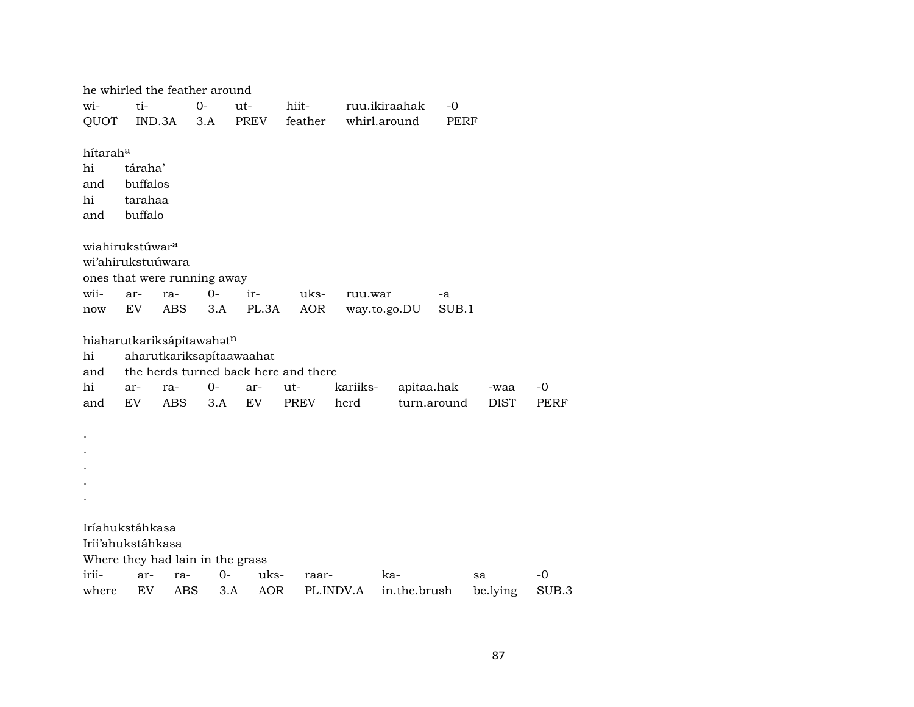|                             |          | he whirled the feather around    |      |       |                                      |           |               |             |             |       |
|-----------------------------|----------|----------------------------------|------|-------|--------------------------------------|-----------|---------------|-------------|-------------|-------|
| wi-                         | ti-      | $0-$                             |      | ut-   | hiit-                                |           | ruu.ikiraahak | $-0$        |             |       |
| QUOT                        | IND.3A   |                                  | 3.A  | PREV  | feather                              |           | whirl.around  | PERF        |             |       |
|                             |          |                                  |      |       |                                      |           |               |             |             |       |
| hítarah <sup>a</sup>        |          |                                  |      |       |                                      |           |               |             |             |       |
| hi                          | táraha'  |                                  |      |       |                                      |           |               |             |             |       |
| and                         | buffalos |                                  |      |       |                                      |           |               |             |             |       |
| hi                          | tarahaa  |                                  |      |       |                                      |           |               |             |             |       |
| and                         | buffalo  |                                  |      |       |                                      |           |               |             |             |       |
| wiahirukstúwar <sup>a</sup> |          |                                  |      |       |                                      |           |               |             |             |       |
| wi'ahirukstuúwara           |          |                                  |      |       |                                      |           |               |             |             |       |
|                             |          | ones that were running away      |      |       |                                      |           |               |             |             |       |
| wii-                        | ar-      | ra-                              | $0-$ | ir-   | uks-                                 | ruu.war   |               | -a          |             |       |
| now                         | EV       | ABS                              | 3.A  | PL.3A | AOR                                  |           | way.to.go.DU  | SUB.1       |             |       |
|                             |          |                                  |      |       |                                      |           |               |             |             |       |
|                             |          | hiaharutkariksápitawahatn        |      |       |                                      |           |               |             |             |       |
| hi                          |          | aharutkariksapítaawaahat         |      |       |                                      |           |               |             |             |       |
| and                         |          |                                  |      |       | the herds turned back here and there |           |               |             |             |       |
| hi                          | ar-      | ra-                              | $0-$ | ar-   | ut-                                  | kariiks-  | apitaa.hak    |             | -waa        | $-0$  |
| and                         | EV.      | ABS.                             | 3.A  | EV.   | PREV                                 | herd      |               | turn.around | <b>DIST</b> | PERF  |
|                             |          |                                  |      |       |                                      |           |               |             |             |       |
|                             |          |                                  |      |       |                                      |           |               |             |             |       |
|                             |          |                                  |      |       |                                      |           |               |             |             |       |
|                             |          |                                  |      |       |                                      |           |               |             |             |       |
|                             |          |                                  |      |       |                                      |           |               |             |             |       |
|                             |          |                                  |      |       |                                      |           |               |             |             |       |
|                             |          |                                  |      |       |                                      |           |               |             |             |       |
| Iríahukstáhkasa             |          |                                  |      |       |                                      |           |               |             |             |       |
| Irii'ahukstáhkasa           |          |                                  |      |       |                                      |           |               |             |             |       |
|                             |          | Where they had lain in the grass |      |       |                                      |           |               |             |             |       |
| irii-                       | ar-      | ra-                              | $0-$ | uks-  | raar-                                |           | ka-           |             | sa          | $-0$  |
| where                       | EV       | ABS                              | 3.A  | AOR   |                                      | PL.INDV.A | in.the.brush  |             | be.lying    | SUB.3 |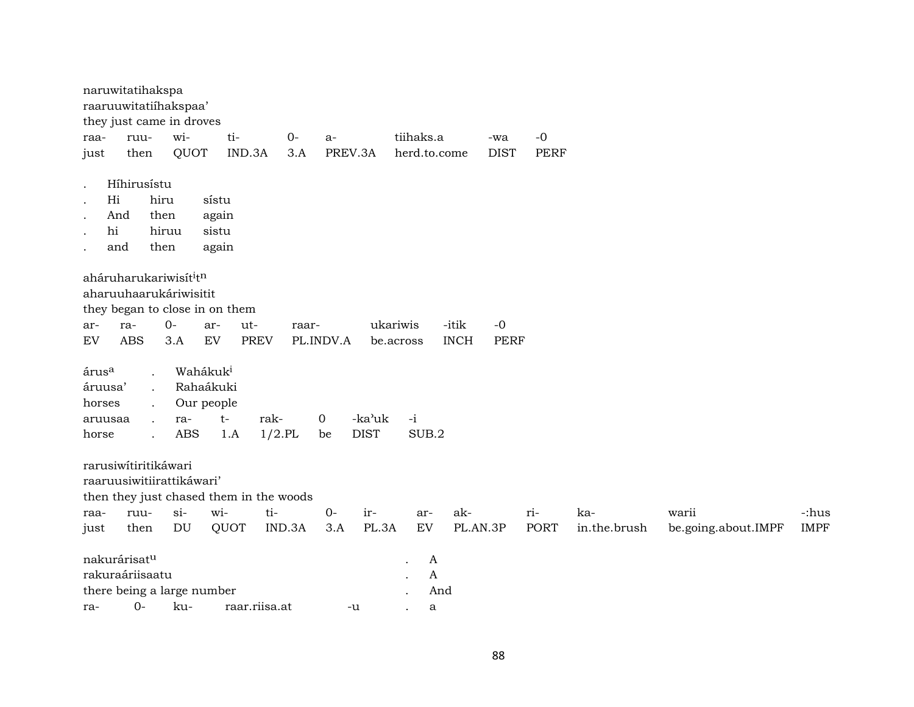|                            | naruwitatihakspa         |                                    |                                         |           |           |             |              |             |             |             |              |                     |             |
|----------------------------|--------------------------|------------------------------------|-----------------------------------------|-----------|-----------|-------------|--------------|-------------|-------------|-------------|--------------|---------------------|-------------|
|                            |                          | raaruuwitatiihakspaa'              |                                         |           |           |             |              |             |             |             |              |                     |             |
|                            |                          | they just came in droves           |                                         |           |           |             |              |             |             |             |              |                     |             |
| raa-                       | ruu-                     | wi-                                | ti-                                     | $0-$      | a-        |             | tiihaks.a    |             | -wa         | $-0$        |              |                     |             |
| just                       | then                     | QUOT                               | IND.3A                                  | 3.A       | PREV.3A   |             | herd.to.come |             | <b>DIST</b> | <b>PERF</b> |              |                     |             |
|                            | Híhirusístu              |                                    |                                         |           |           |             |              |             |             |             |              |                     |             |
| $\ddot{\phantom{0}}$<br>Hi | hiru                     |                                    | sístu                                   |           |           |             |              |             |             |             |              |                     |             |
| $\bullet$<br>And           |                          | then                               | again                                   |           |           |             |              |             |             |             |              |                     |             |
| $\bullet$<br>hi            |                          | hiruu                              | sistu                                   |           |           |             |              |             |             |             |              |                     |             |
| and                        |                          | then                               | again                                   |           |           |             |              |             |             |             |              |                     |             |
| $\ddot{\phantom{0}}$       |                          |                                    |                                         |           |           |             |              |             |             |             |              |                     |             |
|                            |                          | aháruharukariwisít <sup>i</sup> tn |                                         |           |           |             |              |             |             |             |              |                     |             |
|                            |                          | aharuuhaarukáriwisitit             |                                         |           |           |             |              |             |             |             |              |                     |             |
|                            |                          |                                    | they began to close in on them          |           |           |             |              |             |             |             |              |                     |             |
| ar-                        | ra-                      | $0 -$                              | ut-<br>ar-                              | raar-     |           | ukariwis    |              | -itik       | $-0$        |             |              |                     |             |
| EV                         | <b>ABS</b>               | 3.A                                | ${\rm EV}$<br><b>PREV</b>               |           | PL.INDV.A | be.across   |              | <b>INCH</b> | <b>PERF</b> |             |              |                     |             |
|                            |                          |                                    |                                         |           |           |             |              |             |             |             |              |                     |             |
| árus <sup>a</sup>          |                          | Wahákuk <sup>i</sup>               |                                         |           |           |             |              |             |             |             |              |                     |             |
| áruusa'                    |                          | Rahaákuki                          |                                         |           |           |             |              |             |             |             |              |                     |             |
| horses                     |                          | Our people                         |                                         |           |           |             |              |             |             |             |              |                     |             |
| aruusaa                    |                          | ra-                                | $t-$                                    | rak-      | 0         | -ka'uk      | $-i$         |             |             |             |              |                     |             |
| horse                      | $\ddot{\phantom{a}}$     | <b>ABS</b>                         | 1.A                                     | $1/2$ .PL | be        | <b>DIST</b> | SUB.2        |             |             |             |              |                     |             |
|                            | rarusiwítiritikáwari     |                                    |                                         |           |           |             |              |             |             |             |              |                     |             |
|                            |                          | raaruusiwitiirattikáwari'          |                                         |           |           |             |              |             |             |             |              |                     |             |
|                            |                          |                                    | then they just chased them in the woods |           |           |             |              |             |             |             |              |                     |             |
| raa-                       | ruu-                     | $si-$                              | wi-                                     | ti-       | $0 -$     | ir-         | ar-          | ak-         |             | ri-         | ka-          | warii               | -:hus       |
| just                       | then                     | DU                                 | QUOT                                    | IND.3A    | 3.A       | PL.3A       | EV           | PL.AN.3P    |             | PORT        | in.the.brush | be.going.about.IMPF | <b>IMPF</b> |
|                            |                          |                                    |                                         |           |           |             |              |             |             |             |              |                     |             |
|                            | nakurárisat <sup>u</sup> |                                    |                                         |           |           |             | A            |             |             |             |              |                     |             |
|                            | rakuraáriisaatu          |                                    |                                         |           |           |             | A            |             |             |             |              |                     |             |
|                            |                          | there being a large number         |                                         |           |           |             | And          |             |             |             |              |                     |             |
| ra-                        | $0-$                     | ku-                                | raar.riisa.at                           |           | -u        |             | a            |             |             |             |              |                     |             |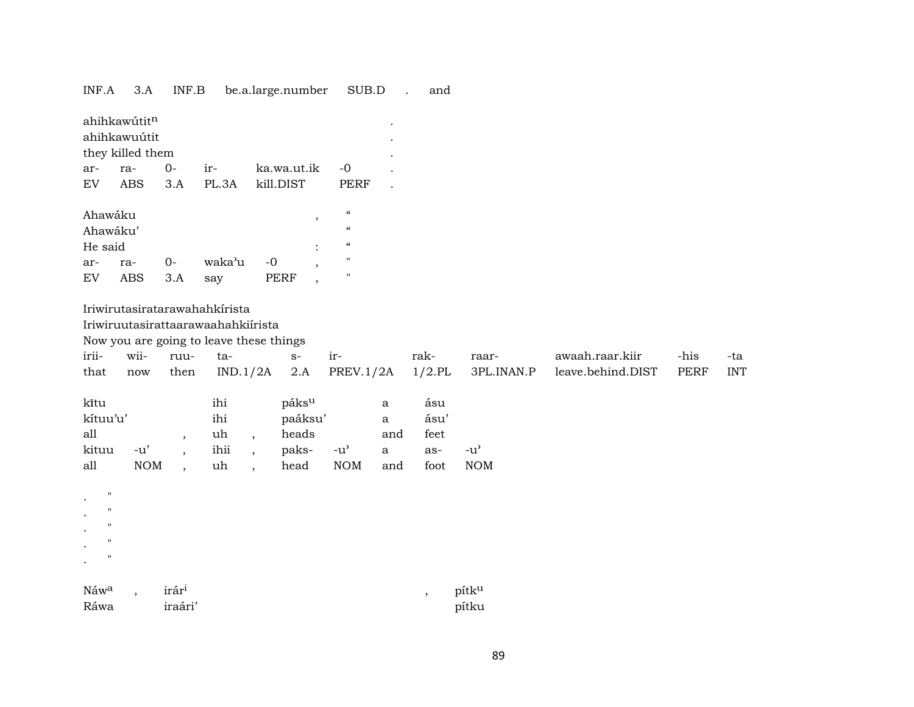| INF.A | 3.A | INF.B | be.a.large.number | SUB.D |  | and |
|-------|-----|-------|-------------------|-------|--|-----|
|-------|-----|-------|-------------------|-------|--|-----|

|                                 | ahihkawútitn<br>ahihkawuútit<br>they killed them |                      |                                         |         |                   |                                        |                      |           |                                     |                   |             |            |
|---------------------------------|--------------------------------------------------|----------------------|-----------------------------------------|---------|-------------------|----------------------------------------|----------------------|-----------|-------------------------------------|-------------------|-------------|------------|
| ar-                             | ra-                                              | $O -$                | ir-                                     |         | ka.wa.ut.ik       | $-0$                                   |                      |           |                                     |                   |             |            |
| EV                              | <b>ABS</b>                                       | 3.A                  | PL.3A                                   |         | kill.DIST         | <b>PERF</b>                            | $\ddot{\phantom{a}}$ |           |                                     |                   |             |            |
| Ahawáku                         |                                                  |                      |                                         |         |                   | $\boldsymbol{\mathcal{C}}$             |                      |           |                                     |                   |             |            |
| Ahawáku'                        |                                                  |                      |                                         |         | $\, ,$            | $\boldsymbol{\zeta}\boldsymbol{\zeta}$ |                      |           |                                     |                   |             |            |
| He said                         |                                                  |                      |                                         |         |                   | $\boldsymbol{\zeta}\boldsymbol{\zeta}$ |                      |           |                                     |                   |             |            |
| ar-                             | ra-                                              | $0-$                 | waka'u                                  | $-0$    |                   | $\pmb{\mathsf{H}}$                     |                      |           |                                     |                   |             |            |
| EV                              | ABS                                              | 3.A                  | say                                     |         | PERF<br>$\, ,$    | $\mathbf{H}$                           |                      |           |                                     |                   |             |            |
|                                 |                                                  |                      | Iriwirutasiratarawahahkirista           |         |                   |                                        |                      |           |                                     |                   |             |            |
|                                 |                                                  |                      | Iriwiruutasirattaarawaahahkiirista      |         |                   |                                        |                      |           |                                     |                   |             |            |
|                                 |                                                  |                      | Now you are going to leave these things |         |                   |                                        |                      |           |                                     |                   |             |            |
| irii-                           | wii-                                             | ruu-                 | ta-                                     |         | $S-$              | ir-                                    |                      | rak-      | raar-                               | awaah.raar.kiir   | -his        | -ta        |
| that                            | now                                              | then                 | IND.1/2A                                |         | 2.A               | PREV.1/2A                              |                      | $1/2$ .PL | 3PL.INAN.P                          | leave.behind.DIST | <b>PERF</b> | <b>INT</b> |
| kītu                            |                                                  |                      | ihi                                     |         | páks <sup>u</sup> |                                        | a                    | ásu       |                                     |                   |             |            |
| kítuu'u'                        |                                                  |                      | ihi                                     |         | paáksu'           |                                        | $\mathbf{a}$         | ásu'      |                                     |                   |             |            |
| all                             |                                                  | $\cdot$              | uh                                      | $\cdot$ | heads             |                                        | and                  | feet      |                                     |                   |             |            |
| kituu                           | $-u'$                                            | $\ddot{\phantom{0}}$ | ihii                                    | $\cdot$ | paks-             | $-u^{\prime}$                          | $\mathbf a$          | as-       | $-u$ <sup><math>\prime</math></sup> |                   |             |            |
| all                             | $\rm{NOM}$                                       | $\overline{ }$       | uh                                      |         | head              | $\rm{NOM}$                             | and                  | foot      | <b>NOM</b>                          |                   |             |            |
| $\pmb{\mathsf{H}}$              |                                                  |                      |                                         |         |                   |                                        |                      |           |                                     |                   |             |            |
| $\pmb{\mathsf{H}}$<br>$\bullet$ |                                                  |                      |                                         |         |                   |                                        |                      |           |                                     |                   |             |            |
| $\mathbf{H}$                    |                                                  |                      |                                         |         |                   |                                        |                      |           |                                     |                   |             |            |
| $\pmb{\mathsf{H}}$              |                                                  |                      |                                         |         |                   |                                        |                      |           |                                     |                   |             |            |
| $\pmb{\mathsf{H}}$              |                                                  |                      |                                         |         |                   |                                        |                      |           |                                     |                   |             |            |
| Náwa                            |                                                  | irári                |                                         |         |                   |                                        |                      | $\cdot$   | pítku                               |                   |             |            |
| Ráwa                            |                                                  | iraári'              |                                         |         |                   |                                        |                      |           | pítku                               |                   |             |            |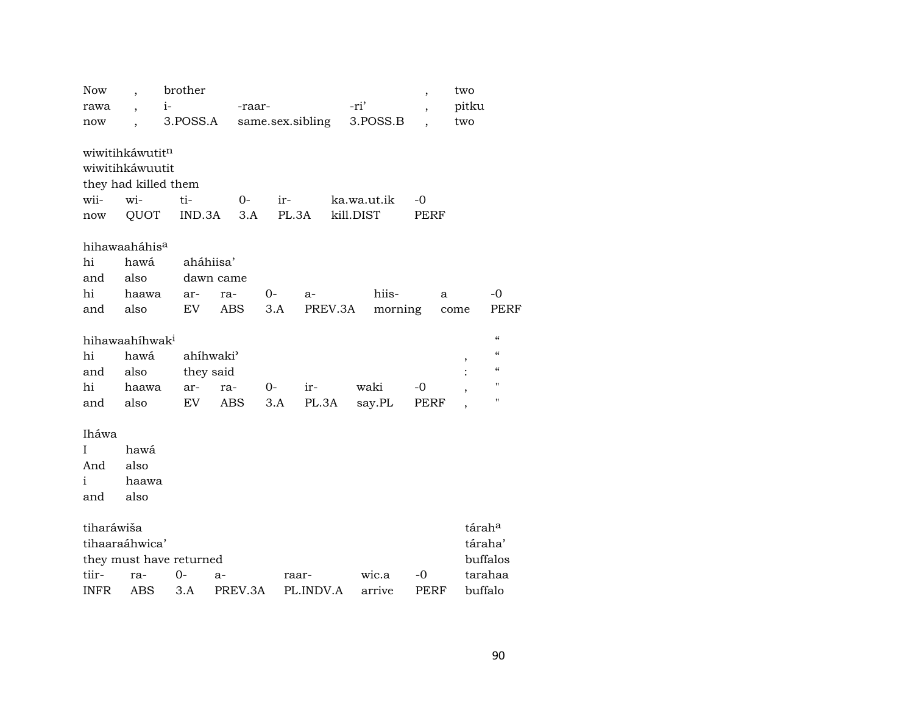| <b>Now</b>                 |                      | brother                 |                       |                  |           |         |             |                | two                |                                        |
|----------------------------|----------------------|-------------------------|-----------------------|------------------|-----------|---------|-------------|----------------|--------------------|----------------------------------------|
| rawa                       | $\ddot{\phantom{0}}$ | $i-$                    | -raar-                |                  |           |         | -ri'        | $\overline{ }$ | pitku              |                                        |
| now                        |                      | 3.POSS.A                |                       | same.sex.sibling |           |         | 3.POSS.B    |                | two                |                                        |
|                            |                      |                         |                       |                  |           |         |             |                |                    |                                        |
| wiwitihkáwutitn            |                      |                         |                       |                  |           |         |             |                |                    |                                        |
| wiwitihkáwuutit            |                      |                         |                       |                  |           |         |             |                |                    |                                        |
|                            |                      | they had killed them    |                       |                  |           |         |             |                |                    |                                        |
| wii-                       | wi-                  | ti-                     | $0-$                  | $ir-$            |           |         | ka.wa.ut.ik | $-0$           |                    |                                        |
| now                        | <b>QUOT</b>          | IND.3A                  | 3.A                   |                  | PL.3A     |         | kill.DIST   | PERF           |                    |                                        |
| hihawaaháhis <sup>a</sup>  |                      |                         |                       |                  |           |         |             |                |                    |                                        |
| hi                         | hawá                 | aháhiisa'               |                       |                  |           |         |             |                |                    |                                        |
| and                        | also                 |                         | dawn came             |                  |           |         |             |                |                    |                                        |
| hi                         | haawa                | ar-                     | ra-                   | $0-$             | a-        |         | hiis-       |                | a                  | $-0$                                   |
| and                        | also                 | EV                      | <b>ABS</b>            | 3.A              |           | PREV.3A | morning     |                | come               | <b>PERF</b>                            |
|                            |                      |                         |                       |                  |           |         |             |                |                    |                                        |
| hihawaahihwak <sup>i</sup> |                      |                         |                       |                  |           |         |             |                |                    | $\boldsymbol{\zeta}\boldsymbol{\zeta}$ |
| hi                         | hawá                 |                         | ahíhwaki <sup>3</sup> |                  |           |         |             |                | ,                  | $\boldsymbol{\zeta}\boldsymbol{\zeta}$ |
| and                        | also                 | they said               |                       |                  |           |         |             |                |                    | $\mathcal{C}\mathcal{C}$               |
| hi                         | haawa                | ar-                     | ra-                   | $0-$             | ir-       |         | waki        | -0             |                    | $\pmb{\mathsf{H}}$                     |
| and                        | also                 | EV                      | ABS                   | 3.A              | PL.3A     |         | say.PL      | PERF           |                    | $\pmb{\mathsf{H}}$                     |
| Iháwa                      |                      |                         |                       |                  |           |         |             |                |                    |                                        |
| I                          | hawá                 |                         |                       |                  |           |         |             |                |                    |                                        |
| And                        | also                 |                         |                       |                  |           |         |             |                |                    |                                        |
| $\mathbf{i}$               |                      |                         |                       |                  |           |         |             |                |                    |                                        |
|                            | haawa                |                         |                       |                  |           |         |             |                |                    |                                        |
| and                        | also                 |                         |                       |                  |           |         |             |                |                    |                                        |
| tiharáwiša                 |                      |                         |                       |                  |           |         |             |                | tárah <sup>a</sup> |                                        |
| tihaaraáhwica'             |                      |                         |                       |                  |           |         |             |                |                    | táraha'                                |
|                            |                      | they must have returned |                       |                  |           |         |             |                |                    | buffalos                               |
| tiir-                      | ra-                  | 0-                      | a-                    |                  | raar-     |         | wic.a       | -0             |                    | tarahaa                                |
| <b>INFR</b>                | ABS                  | 3.A                     | PREV.3A               |                  | PL.INDV.A |         | arrive      | PERF           |                    | buffalo                                |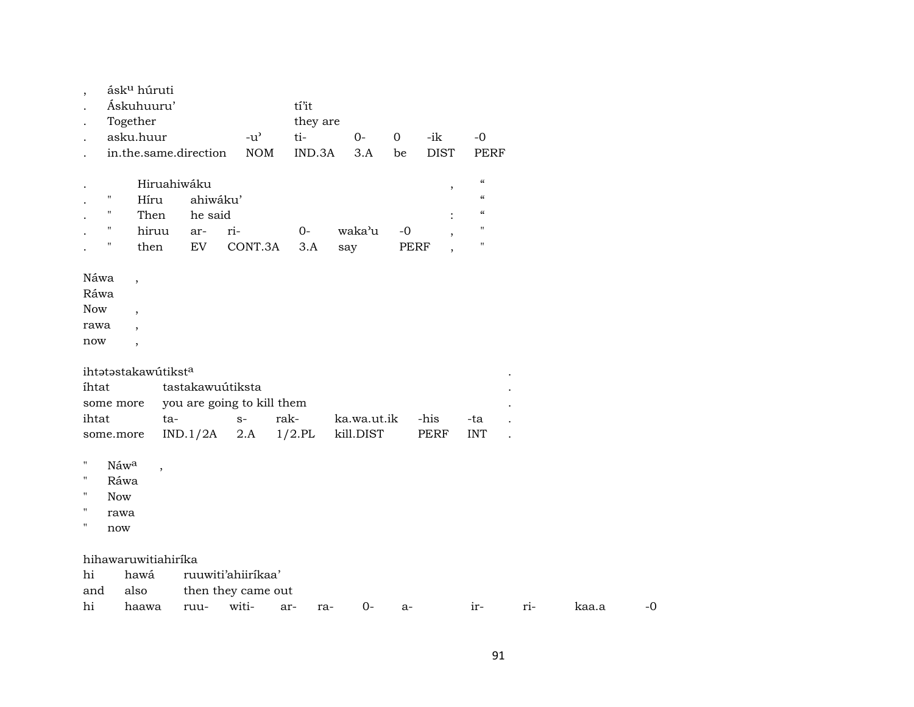|                    |                    | ásk <sup>u</sup> húruti  |                            |                    |           |             |              |                          |                            |  |
|--------------------|--------------------|--------------------------|----------------------------|--------------------|-----------|-------------|--------------|--------------------------|----------------------------|--|
|                    |                    | Áskuhuuru'               |                            |                    | tí'it     |             |              |                          |                            |  |
|                    | Together           |                          |                            |                    | they are  |             |              |                          |                            |  |
|                    |                    | asku.huur                |                            | $-u^{\prime}$      | ti-       | $0-$        | $\mathbf{O}$ | -ik                      | $-0$                       |  |
|                    |                    |                          | in.the.same.direction      | <b>NOM</b>         | IND.3A    | 3.A         | be           | <b>DIST</b>              | <b>PERF</b>                |  |
|                    |                    |                          |                            |                    |           |             |              |                          |                            |  |
|                    |                    |                          | Hiruahiwáku                |                    |           |             |              | $\overline{\phantom{a}}$ | $\boldsymbol{\mathcal{C}}$ |  |
|                    | Ħ                  | Híru                     | ahiwáku'                   |                    |           |             |              |                          | $\boldsymbol{\mathcal{C}}$ |  |
|                    | $\pmb{\mathsf{H}}$ | Then                     | he said                    |                    |           |             |              |                          | $\boldsymbol{\mathcal{C}}$ |  |
|                    | 11                 | hiruu                    | ar-                        | ri-                | $0-$      | waka'u      | $-0$         |                          | $\pmb{\mathsf{H}}$         |  |
|                    | п                  | then                     | EV                         | CONT.3A            | 3.A       | say         |              | <b>PERF</b>              | $\pmb{\mathsf{H}}$         |  |
|                    |                    |                          |                            |                    |           |             |              |                          |                            |  |
| Náwa               |                    | $\overline{\phantom{a}}$ |                            |                    |           |             |              |                          |                            |  |
| Ráwa               |                    |                          |                            |                    |           |             |              |                          |                            |  |
| Now                |                    | $\overline{ }$           |                            |                    |           |             |              |                          |                            |  |
| rawa               |                    |                          |                            |                    |           |             |              |                          |                            |  |
| now                |                    | $\overline{\phantom{a}}$ |                            |                    |           |             |              |                          |                            |  |
|                    |                    | ihtatastakawútiksta      |                            |                    |           |             |              |                          |                            |  |
| ihtat              |                    |                          | tastakawuútiksta           |                    |           |             |              |                          |                            |  |
|                    | some more          |                          | you are going to kill them |                    |           |             |              |                          |                            |  |
| ihtat              |                    |                          | ta-                        | $S-$               | rak-      | ka.wa.ut.ik |              | -his                     | -ta                        |  |
|                    | some.more          |                          | IND.1/2A                   | 2.A                | $1/2.$ PL | kill.DIST   |              | PERF                     | <b>INT</b>                 |  |
|                    |                    |                          |                            |                    |           |             |              |                          |                            |  |
| н                  | Náwa               | $\cdot$                  |                            |                    |           |             |              |                          |                            |  |
| $\pmb{\mathsf{H}}$ | Ráwa               |                          |                            |                    |           |             |              |                          |                            |  |
| П                  | <b>Now</b>         |                          |                            |                    |           |             |              |                          |                            |  |
| н                  | rawa               |                          |                            |                    |           |             |              |                          |                            |  |
| н                  | now                |                          |                            |                    |           |             |              |                          |                            |  |
|                    |                    |                          |                            |                    |           |             |              |                          |                            |  |
|                    |                    | hihawaruwitiahirika      |                            |                    |           |             |              |                          |                            |  |
| hi                 |                    | hawá                     |                            | ruuwiti'ahiiríkaa' |           |             |              |                          |                            |  |
| and                |                    | also                     |                            | then they came out |           |             |              |                          |                            |  |
| hi                 |                    | haawa                    |                            | ruu- witi- ar-     | $ra-$     | 0-          | $a -$        |                          | $ir-$                      |  |

 $-0$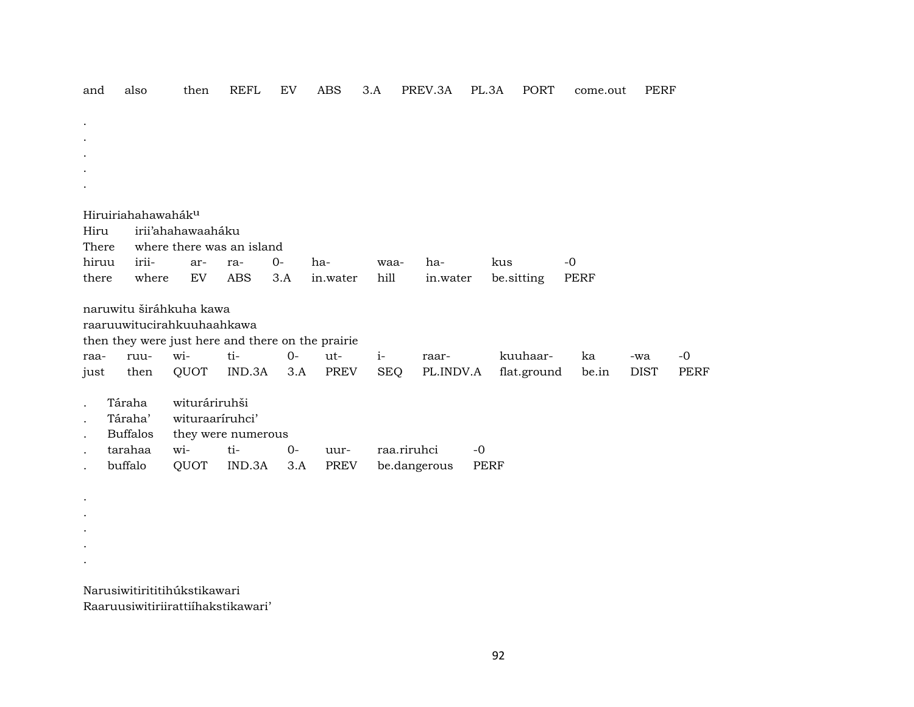| and   | also               | then                         | <b>REFL</b>        | EV   | <b>ABS</b>                                        | 3.A        | PREV.3A      | PL.3A | PORT        | come.out | PERF        |             |
|-------|--------------------|------------------------------|--------------------|------|---------------------------------------------------|------------|--------------|-------|-------------|----------|-------------|-------------|
|       |                    |                              |                    |      |                                                   |            |              |       |             |          |             |             |
|       |                    |                              |                    |      |                                                   |            |              |       |             |          |             |             |
|       |                    |                              |                    |      |                                                   |            |              |       |             |          |             |             |
|       |                    |                              |                    |      |                                                   |            |              |       |             |          |             |             |
|       |                    |                              |                    |      |                                                   |            |              |       |             |          |             |             |
|       |                    |                              |                    |      |                                                   |            |              |       |             |          |             |             |
|       | Hiruiriahahawaháku |                              |                    |      |                                                   |            |              |       |             |          |             |             |
| Hiru  |                    | irii'ahahawaaháku            |                    |      |                                                   |            |              |       |             |          |             |             |
| There |                    | where there was an island    |                    |      |                                                   |            |              |       |             |          |             |             |
| hiruu | irii-              | ar-                          | ra-                | $0-$ | ha-                                               | waa-       | ha-          |       | kus         | $-0$     |             |             |
| there | where              | ${\rm EV}$                   | <b>ABS</b>         | 3.A  | in.water                                          | hill       | in.water     |       | be.sitting  | PERF     |             |             |
|       |                    |                              |                    |      |                                                   |            |              |       |             |          |             |             |
|       |                    | naruwitu širáhkuha kawa      |                    |      |                                                   |            |              |       |             |          |             |             |
|       |                    | raaruuwitucirahkuuhaahkawa   |                    |      |                                                   |            |              |       |             |          |             |             |
|       |                    |                              |                    |      | then they were just here and there on the prairie |            |              |       |             |          |             |             |
| raa-  | ruu-               | wi-                          | ti-                | $0-$ | ut-                                               | $i-$       | raar-        |       | kuuhaar-    | ka       | -wa         | $-0$        |
| just  | then               | QUOT                         | IND.3A             | 3.A  | PREV                                              | <b>SEQ</b> | PL.INDV.A    |       | flat.ground | be.in    | <b>DIST</b> | <b>PERF</b> |
|       | Táraha             | wituráriruhši                |                    |      |                                                   |            |              |       |             |          |             |             |
|       | Táraha'            | wituraaríruhci'              |                    |      |                                                   |            |              |       |             |          |             |             |
|       | <b>Buffalos</b>    |                              | they were numerous |      |                                                   |            |              |       |             |          |             |             |
|       | tarahaa            | wi-                          | ti-                | $0-$ | uur-                                              |            | raa.riruhci  | $-0$  |             |          |             |             |
|       | buffalo            | QUOT                         | IND.3A             | 3.A  | PREV                                              |            | be.dangerous |       | <b>PERF</b> |          |             |             |
|       |                    |                              |                    |      |                                                   |            |              |       |             |          |             |             |
|       |                    |                              |                    |      |                                                   |            |              |       |             |          |             |             |
|       |                    |                              |                    |      |                                                   |            |              |       |             |          |             |             |
|       |                    |                              |                    |      |                                                   |            |              |       |             |          |             |             |
|       |                    |                              |                    |      |                                                   |            |              |       |             |          |             |             |
|       |                    |                              |                    |      |                                                   |            |              |       |             |          |             |             |
|       |                    |                              |                    |      |                                                   |            |              |       |             |          |             |             |
|       |                    | Narusiwitirititihúkstikawari |                    |      |                                                   |            |              |       |             |          |             |             |

Raaruusiwitiriirattiíhakstikawari'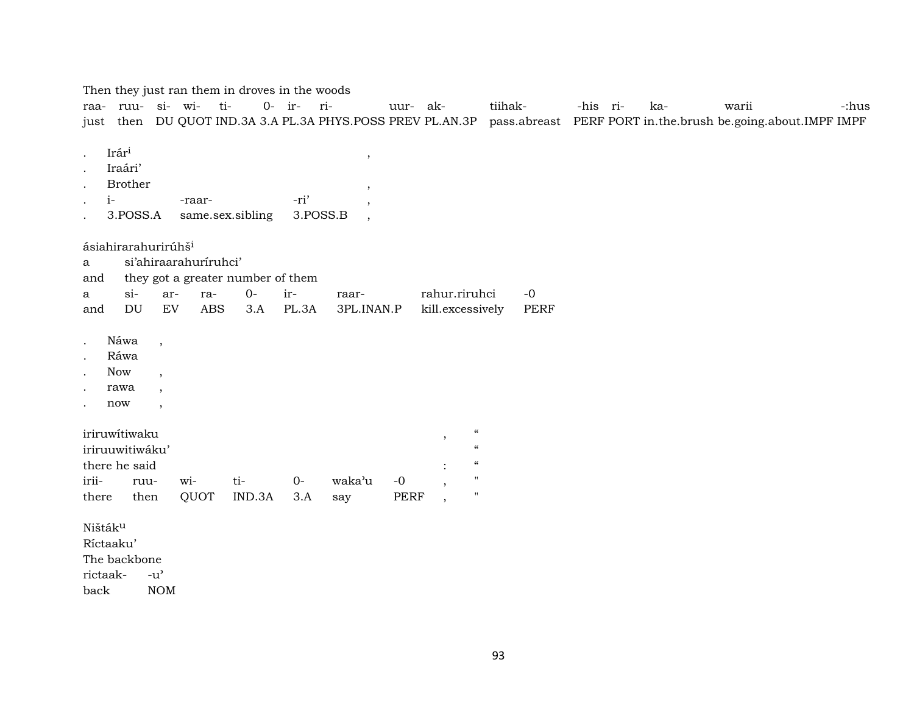|                                                                                            |                                |                                                | raa- ruu- si- wi- ti-               | Then they just ran them in droves in the woods   | 0- ir- ri-       | just then DU QUOT IND.3A 3.A PL.3A PHYS.POSS PREV PL.AN.3P                | uur- ak-            |                                   | tiihak-                                                                                                  | pass.abreast PERF PORT in.the.brush be.going.about.IMPF IMPF | -his ri- | ka- | warii |  | -:hus |
|--------------------------------------------------------------------------------------------|--------------------------------|------------------------------------------------|-------------------------------------|--------------------------------------------------|------------------|---------------------------------------------------------------------------|---------------------|-----------------------------------|----------------------------------------------------------------------------------------------------------|--------------------------------------------------------------|----------|-----|-------|--|-------|
| Irári<br>$\bullet$<br>$i-$                                                                 | Iraári'<br>Brother<br>3.POSS.A |                                                | -raar-                              | same.sex.sibling                                 | -ri'<br>3.POSS.B | $^\mathrm{^\mathrm{o}}$<br>$\overline{\phantom{a}}$<br>$\cdot$<br>$\cdot$ |                     |                                   |                                                                                                          |                                                              |          |     |       |  |       |
| ásiahirarahurirúhš <sup>i</sup><br>a<br>and<br>a<br>and                                    | $si$ -<br>DU                   | ar-<br>${\rm EV}$                              | si'ahiraarahuriruhci'<br>ra-<br>ABS | they got a greater number of them<br>$0-$<br>3.A | ir-<br>PL.3A     | raar-<br>3PL.INAN.P                                                       |                     | rahur.riruhci<br>kill.excessively |                                                                                                          | $-0$<br><b>PERF</b>                                          |          |     |       |  |       |
| $\bullet$<br>$\bullet$<br><b>Now</b><br>$\bullet$<br>rawa<br>$\bullet$<br>now<br>$\bullet$ | Náwa<br>Ráwa                   | $\cdot$<br>$\overline{\phantom{a}}$<br>$\cdot$ |                                     |                                                  |                  |                                                                           |                     |                                   |                                                                                                          |                                                              |          |     |       |  |       |
| iriruwitiwaku<br>iriruuwitiwáku'<br>there he said<br>irii-<br>there                        | ruu-<br>then                   |                                                | wi-<br>QUOT                         | ti-<br>IND.3A                                    | $0-$<br>3.A      | waka'u<br>say                                                             | $-0$<br><b>PERF</b> | $\overline{ }$<br>$\cdot$         | $\mathcal{C}$<br>$\boldsymbol{\mathcal{U}}$<br>$\mathcal{C}$<br>$\pmb{\mathsf{H}}$<br>$\pmb{\mathsf{H}}$ |                                                              |          |     |       |  |       |
| Ništák <sup>u</sup><br>Ríctaaku'<br>The backbone<br>rictaak-<br>back                       |                                | $-u^{\prime}$<br><b>NOM</b>                    |                                     |                                                  |                  |                                                                           |                     |                                   |                                                                                                          |                                                              |          |     |       |  |       |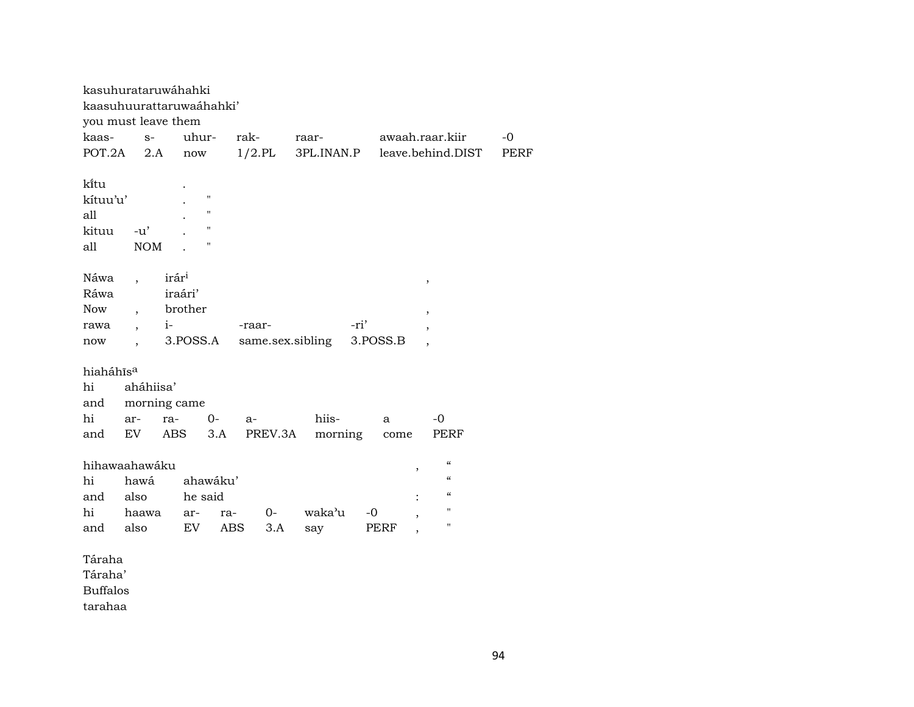| kasuhurataruwáhahki      |                          |                   |          |                    |           |         |                  |      |          |                          |             |
|--------------------------|--------------------------|-------------------|----------|--------------------|-----------|---------|------------------|------|----------|--------------------------|-------------|
| kaasuhuurattaruwaáhahki' |                          |                   |          |                    |           |         |                  |      |          |                          |             |
| you must leave them      |                          |                   |          |                    |           |         |                  |      |          |                          |             |
| kaas-                    | $S-$                     |                   | uhur-    |                    | rak-      |         | raar-            |      |          | awaah.raar.kiir          | $-0$        |
| POT.2A                   | 2.A                      |                   | now      |                    | $1/2$ .PL |         | 3PL.INAN.P       |      |          | leave.behind.DIST        | <b>PERF</b> |
|                          |                          |                   |          |                    |           |         |                  |      |          |                          |             |
| kītu                     |                          |                   |          |                    |           |         |                  |      |          |                          |             |
| kítuu'u'                 |                          |                   |          | "                  |           |         |                  |      |          |                          |             |
| all                      |                          |                   |          | $\pmb{\mathsf{H}}$ |           |         |                  |      |          |                          |             |
| kituu                    | $-u'$                    |                   |          | 11                 |           |         |                  |      |          |                          |             |
| all                      | <b>NOM</b>               |                   |          | н                  |           |         |                  |      |          |                          |             |
|                          |                          |                   |          |                    |           |         |                  |      |          |                          |             |
| Náwa                     |                          | irár <sup>i</sup> |          |                    |           |         |                  |      |          | ,                        |             |
| Ráwa                     |                          |                   | iraári'  |                    |           |         |                  |      |          |                          |             |
| <b>Now</b>               | $\ddot{\phantom{0}}$     |                   | brother  |                    |           |         |                  |      |          | ,                        |             |
| rawa                     | $\overline{\phantom{a}}$ | $i-$              |          |                    | -raar-    |         |                  | -ri' |          | $\overline{\phantom{a}}$ |             |
| now                      | $\ddot{\phantom{0}}$     |                   | 3.POSS.A |                    |           |         | same.sex.sibling |      | 3.POSS.B |                          |             |
|                          |                          |                   |          |                    |           |         |                  |      |          |                          |             |
| hiaháhīs <sup>a</sup>    |                          |                   |          |                    |           |         |                  |      |          |                          |             |
| hi                       | aháhiisa'                |                   |          |                    |           |         |                  |      |          |                          |             |
| and                      | morning came             |                   |          |                    |           |         |                  |      |          |                          |             |
| hi                       | ar-                      | ra-               |          | $0-$               | a-        |         | hiis-            |      | a        | $-0$                     |             |
| and                      | EV                       |                   | ABS      | 3.A                |           | PREV.3A | morning          |      | come     | PERF                     |             |
|                          |                          |                   |          |                    |           |         |                  |      |          |                          |             |
| hihawaahawáku            |                          |                   |          |                    |           |         |                  |      |          | $\epsilon\epsilon$<br>,  |             |
| hi                       | hawá                     |                   |          | ahawáku'           |           |         |                  |      |          | $\mathcal{C}\mathcal{C}$ |             |
| and                      | also                     |                   | he said  |                    |           |         |                  |      |          | $\mathcal{C}$            |             |
| hi                       | haawa                    |                   | ar-      | ra-                |           | $O -$   | waka'u           | $-0$ |          | $\mathbf{H}$<br>,        |             |
| and                      | also                     |                   | EV       | ABS                |           | 3.A     | say              |      | PERF     | $\mathbf H$              |             |
|                          |                          |                   |          |                    |           |         |                  |      |          |                          |             |
| Táraha                   |                          |                   |          |                    |           |         |                  |      |          |                          |             |
| Táraha'                  |                          |                   |          |                    |           |         |                  |      |          |                          |             |

Buffalos

tarahaa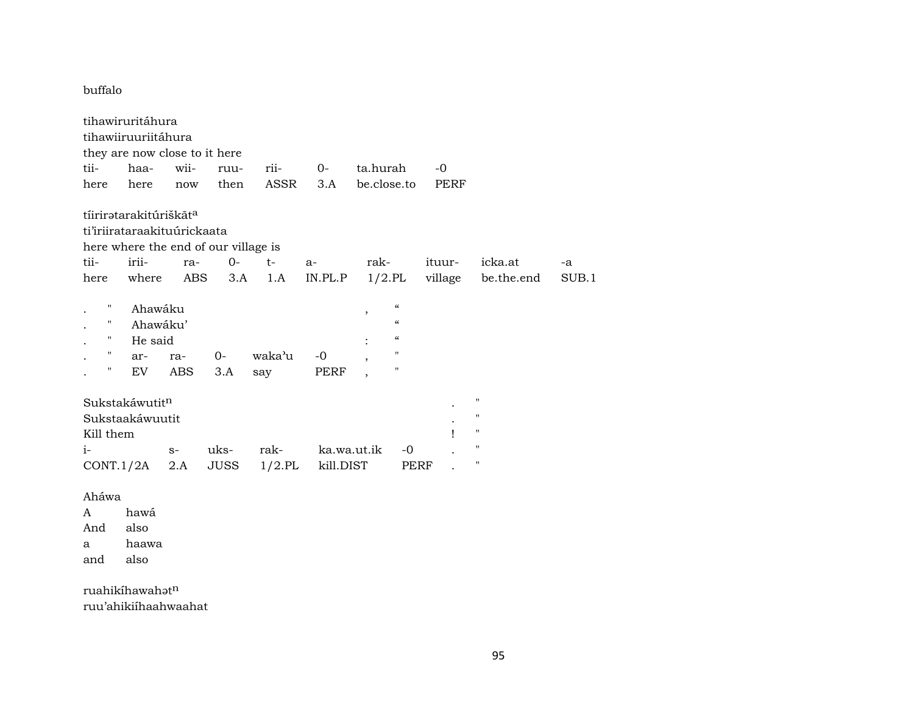buffalo

tihawiruritáhura tihawiiruuriitáhura they are now close to it here tii- haa- wii- ruu- rii- 0- ta.hurah -0 here here now then ASSR 3.A be.close.to PERF tíirirətarakitúriškãt<sup>a</sup> ti'iriirataraakituúrickaata here where the end of our village is tii- irii- ra- 0- t- a- rak- ituur- icka.at -a here where ABS 3.A 1.A IN.PL.P 1/2.PL village be.the.end SUB.1 " Ahawáku , " . " Ahawáku' " . " He said : " . " ar- ra- 0- waka'u -0 , " . " EV ABS 3.A say PERF , "  $Sukstakáwutit<sup>n</sup>$ Sukstaakáwuutit . " Kill them  $\qquad \qquad$  " i- s- uks- rak- ka.wa.ut.ik -0 . " CONT.1/2A 2.A JUSS 1/2.PL kill.DIST PERF . " Aháwa A hawá And also

a haawa

and also

ruahikíhawahatn ruu'ahikiíhaahwaahat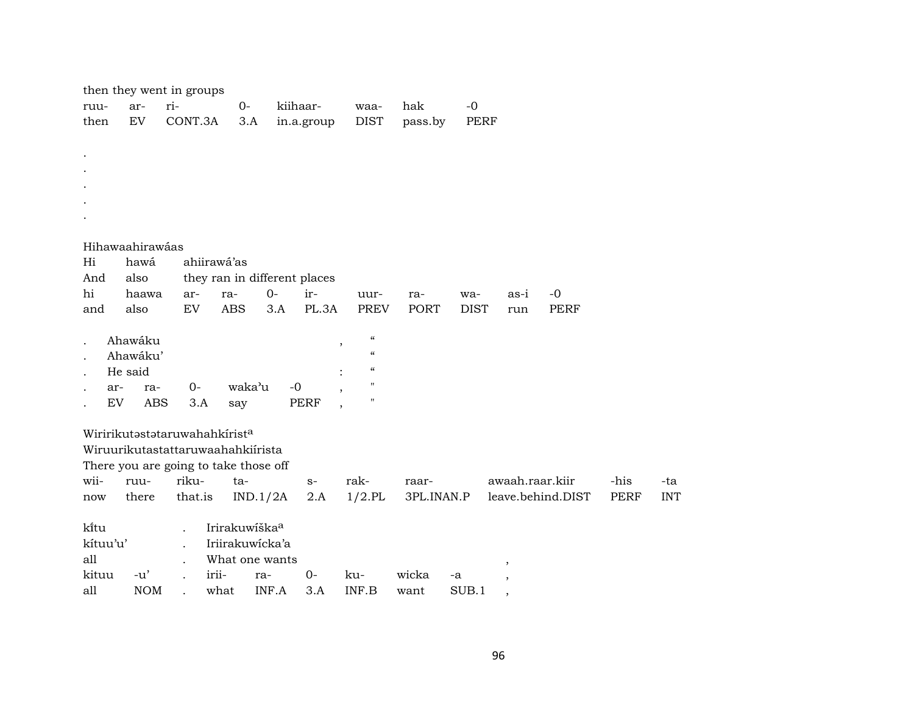|                      |     | then they went in groups              |     |                      |                           |                 |                              |                                             |            |             |                          |                   |             |            |
|----------------------|-----|---------------------------------------|-----|----------------------|---------------------------|-----------------|------------------------------|---------------------------------------------|------------|-------------|--------------------------|-------------------|-------------|------------|
| ruu-                 |     | ar-                                   | ri- |                      | $0-$                      |                 | kiihaar-                     | waa-                                        | hak        | $-0$        |                          |                   |             |            |
| then                 |     | EV                                    |     | CONT.3A              | 3.A                       |                 | in.a.group                   | <b>DIST</b>                                 | pass.by    | <b>PERF</b> |                          |                   |             |            |
|                      |     |                                       |     |                      |                           |                 |                              |                                             |            |             |                          |                   |             |            |
| $\bullet$            |     |                                       |     |                      |                           |                 |                              |                                             |            |             |                          |                   |             |            |
|                      |     |                                       |     |                      |                           |                 |                              |                                             |            |             |                          |                   |             |            |
|                      |     |                                       |     |                      |                           |                 |                              |                                             |            |             |                          |                   |             |            |
|                      |     |                                       |     |                      |                           |                 |                              |                                             |            |             |                          |                   |             |            |
|                      |     |                                       |     |                      |                           |                 |                              |                                             |            |             |                          |                   |             |            |
|                      |     | Hihawaahirawáas                       |     |                      |                           |                 |                              |                                             |            |             |                          |                   |             |            |
| Hi                   |     | hawá                                  |     | ahiirawá'as          |                           |                 |                              |                                             |            |             |                          |                   |             |            |
| And                  |     | also                                  |     |                      |                           |                 | they ran in different places |                                             |            |             |                          |                   |             |            |
| hi                   |     | haawa                                 |     | ar-                  | ra-                       | $O -$           | ir-                          | uur-                                        | ra-        | wa-         | as-i                     | $-0$              |             |            |
| and                  |     | also                                  |     | EV                   | <b>ABS</b>                | 3.A             | PL.3A                        | <b>PREV</b>                                 | PORT       | <b>DIST</b> | run                      | <b>PERF</b>       |             |            |
|                      |     |                                       |     |                      |                           |                 |                              |                                             |            |             |                          |                   |             |            |
| $\ddot{\phantom{0}}$ |     | Ahawáku                               |     |                      |                           |                 |                              | $\boldsymbol{\zeta}\boldsymbol{\zeta}$<br>, |            |             |                          |                   |             |            |
|                      |     | Ahawáku'                              |     |                      |                           |                 |                              | $\boldsymbol{\zeta}\boldsymbol{\zeta}$      |            |             |                          |                   |             |            |
| $\ddot{\phantom{0}}$ |     | He said                               |     |                      |                           |                 |                              | $\mathcal{C}\mathcal{C}$                    |            |             |                          |                   |             |            |
| $\ddot{\phantom{0}}$ | ar- | ra-                                   |     | $0-$                 | waka'u                    |                 | $-0$                         | п                                           |            |             |                          |                   |             |            |
|                      | EV  | ABS                                   |     | 3.A                  | say                       |                 | <b>PERF</b>                  | 11                                          |            |             |                          |                   |             |            |
|                      |     | Wiririkutastataruwahahkirista         |     |                      |                           |                 |                              |                                             |            |             |                          |                   |             |            |
|                      |     | Wiruurikutastattaruwaahahkiirista     |     |                      |                           |                 |                              |                                             |            |             |                          |                   |             |            |
|                      |     | There you are going to take those off |     |                      |                           |                 |                              |                                             |            |             |                          |                   |             |            |
| wii-                 |     | ruu-                                  |     | riku-                | ta-                       |                 | $S-$                         | rak-                                        | raar-      |             | awaah.raar.kiir          |                   | -his        | -ta        |
| now                  |     | there                                 |     | that.is              |                           | IND.1/2A        | 2.A                          | $1/2$ .PL                                   | 3PL.INAN.P |             |                          | leave.behind.DIST | <b>PERF</b> | <b>INT</b> |
|                      |     |                                       |     |                      |                           |                 |                              |                                             |            |             |                          |                   |             |            |
| kitu                 |     |                                       |     | $\ddot{\phantom{a}}$ | Irirakuwiška <sup>a</sup> |                 |                              |                                             |            |             |                          |                   |             |            |
| kítuu'u'             |     |                                       |     | $\ddot{\phantom{a}}$ |                           | Iriirakuwicka'a |                              |                                             |            |             |                          |                   |             |            |
| all                  |     |                                       |     | $\cdot$              |                           | What one wants  |                              |                                             |            |             | $\overline{\phantom{a}}$ |                   |             |            |
| kituu                |     | $-u'$                                 |     | irii-                |                           | ra-             | $0-$                         | ku-                                         | wicka      | -a          |                          |                   |             |            |
| all                  |     | <b>NOM</b>                            |     |                      | what                      | INF.A           | 3.A                          | INF.B                                       | want       | SUB.1       | $\overline{\phantom{a}}$ |                   |             |            |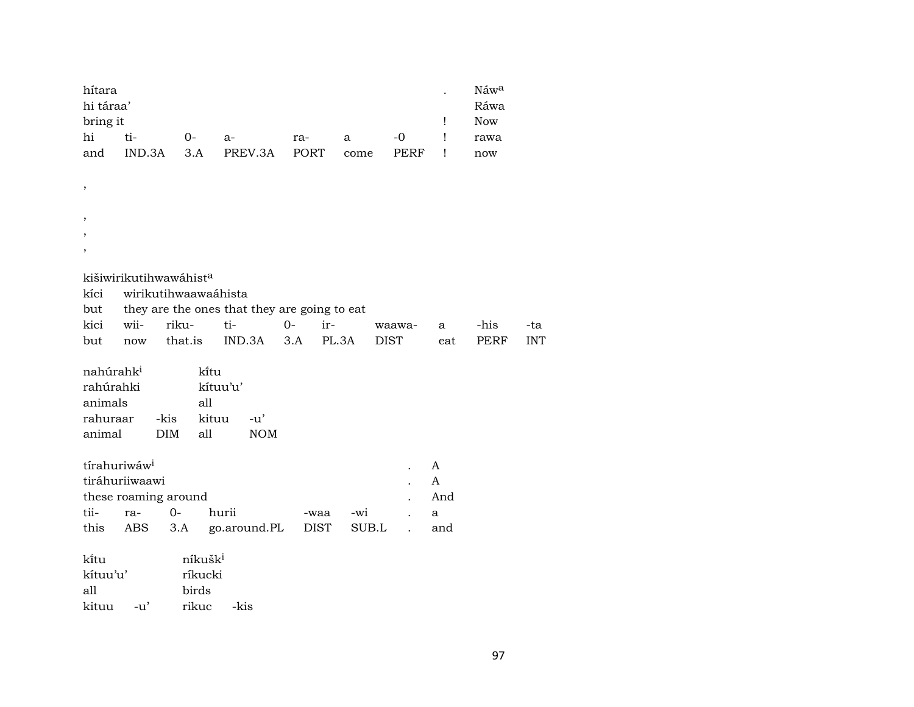| hítara    |        |     |              |     |      |        | Náw <sup>a</sup> |
|-----------|--------|-----|--------------|-----|------|--------|------------------|
| hi táraa' |        |     |              |     |      |        | Ráwa             |
| bring it  |        |     |              |     |      |        | <b>Now</b>       |
| hi        | ti-    | O-  | $a-$         | ra- | a    | $-$ () | rawa             |
| and       | IND.3A | 3.A | PREV.3A PORT |     | come | PERF   | now              |

| ,       |      |                                    |                                              |     |       |        |     |      |            |
|---------|------|------------------------------------|----------------------------------------------|-----|-------|--------|-----|------|------------|
| $\cdot$ |      |                                    |                                              |     |       |        |     |      |            |
| $\cdot$ |      |                                    |                                              |     |       |        |     |      |            |
|         |      |                                    |                                              |     |       |        |     |      |            |
|         |      | kišiwirikutihwawáhist <sup>a</sup> |                                              |     |       |        |     |      |            |
| kíci    |      | wirikutihwaawaáhista               |                                              |     |       |        |     |      |            |
| but     |      |                                    | they are the ones that they are going to eat |     |       |        |     |      |            |
| kici    | wii- | riku-                              | ti-                                          | 0-  | $ir-$ | waawa- | a   | -his | -ta        |
| but     | now  | that.is                            | IND.3A                                       | 3.A | PL.3A | DIST   | eat | PERF | <b>INT</b> |

| nahúrahk <sup>i</sup> |            | kitu     |            |
|-----------------------|------------|----------|------------|
| rahúrahki             |            | kítuu'u' |            |
| animals               |            | all      |            |
| rahuraar              | -kis       | kituu    | $-11'$     |
| animal                | <b>DIM</b> | all      | <b>NOM</b> |

,

| tírahuriwáw <sup>i</sup> |                      |                                      |          |  |              |
|--------------------------|----------------------|--------------------------------------|----------|--|--------------|
|                          | tiráhuriiwaawi       |                                      |          |  | $\mathsf{A}$ |
|                          | these roaming around |                                      |          |  | And          |
|                          | tii- ra- 0-          | hurii                                | -waa -wi |  | -a           |
|                          |                      | this ABS 3.A go.around.PL DIST SUB.L |          |  | and          |

| ki̇̃tu                   |        | níkušk <sup>i</sup> |      |
|--------------------------|--------|---------------------|------|
| $\operatorname{kitu}$ u' |        | ríkucki             |      |
| all                      |        | birds               |      |
| kituu                    | $-11'$ | rikuc               | -kis |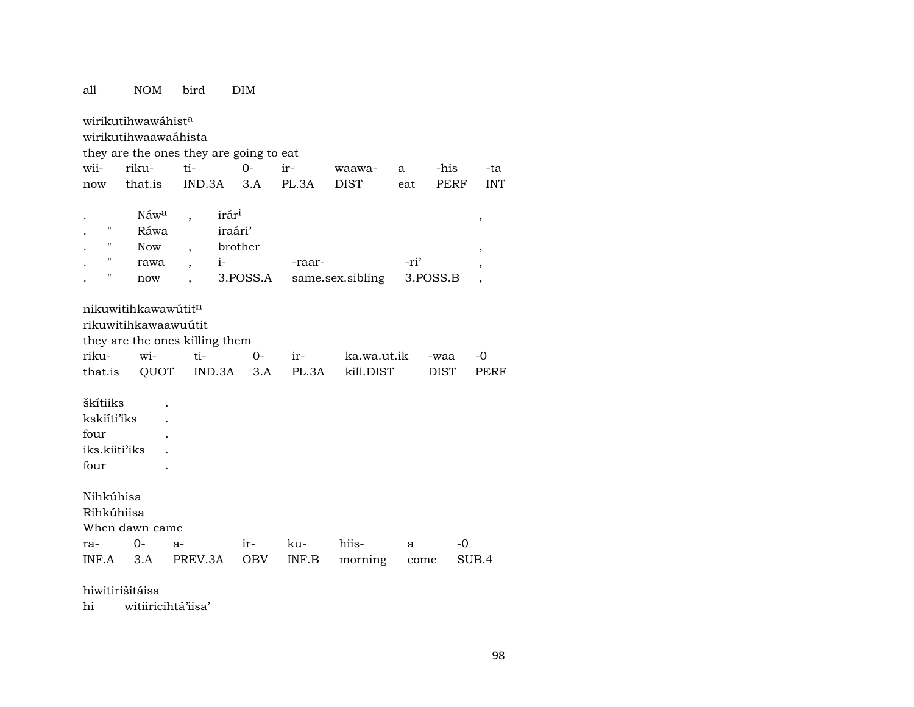| all                     | <b>NOM</b>                                             | bird                                    | <b>DIM</b> |        |                  |      |             |            |
|-------------------------|--------------------------------------------------------|-----------------------------------------|------------|--------|------------------|------|-------------|------------|
|                         | wirikutihwawáhist <sup>a</sup><br>wirikutihwaawaáhista |                                         |            |        |                  |      |             |            |
|                         |                                                        | they are the ones they are going to eat |            |        |                  |      |             |            |
| wii-                    | riku-                                                  | ti-                                     | $0 -$      | ir-    | waawa-           | a    | -his        | -ta        |
| now                     | that.is                                                | IND.3A                                  | 3.A        | PL.3A  | <b>DIST</b>      | eat  | PERF        | <b>INT</b> |
|                         | Náw <sup>a</sup>                                       | irár <sup>i</sup>                       |            |        |                  |      |             |            |
| 11                      | Ráwa                                                   |                                         | iraári'    |        |                  |      |             | $\, ,$     |
| 11                      | <b>Now</b>                                             | $\overline{\phantom{a}}$                | brother    |        |                  |      |             | ,          |
| $\pmb{\mathsf{H}}$      | rawa                                                   | $i-$<br>$\overline{\phantom{a}}$        |            | -raar- |                  | -ri' |             |            |
| 11                      | now                                                    | $\ddot{\phantom{0}}$                    | 3.POSS.A   |        | same.sex.sibling |      | 3.POSS.B    |            |
|                         |                                                        |                                         |            |        |                  |      |             |            |
|                         | nikuwitihkawawútit <sup>n</sup>                        |                                         |            |        |                  |      |             |            |
|                         | rikuwitihkawaawuútit                                   |                                         |            |        |                  |      |             |            |
|                         |                                                        | they are the ones killing them          |            |        |                  |      |             |            |
| riku-                   | wi-                                                    | ti-                                     | $0-$       | ir-    | ka.wa.ut.ik      |      | -waa        | -0         |
| that.is                 | QUOT                                                   | IND.3A                                  | 3.A        | PL.3A  | kill.DIST        |      | <b>DIST</b> | PERF       |
|                         |                                                        |                                         |            |        |                  |      |             |            |
| škítiiks<br>kskiíti'iks |                                                        |                                         |            |        |                  |      |             |            |
| four                    |                                                        |                                         |            |        |                  |      |             |            |
| iks.kiiti'iks           |                                                        |                                         |            |        |                  |      |             |            |
| four                    |                                                        |                                         |            |        |                  |      |             |            |
|                         |                                                        |                                         |            |        |                  |      |             |            |
| Nihkúhisa               |                                                        |                                         |            |        |                  |      |             |            |
| Rihkúhiisa              |                                                        |                                         |            |        |                  |      |             |            |
|                         | When dawn came                                         |                                         |            |        |                  |      |             |            |
| ra-                     | 0-                                                     | $a-$                                    | $ir-$      | ku-    | hiis-            | a    | -0          |            |
| INF.A                   | 3.A                                                    | PREV.3A                                 | OBV        | INF.B  | morning          | come |             | SUB.4      |
|                         |                                                        |                                         |            |        |                  |      |             |            |

hiwitirišitáisa

witiiricihtá'iisa' hi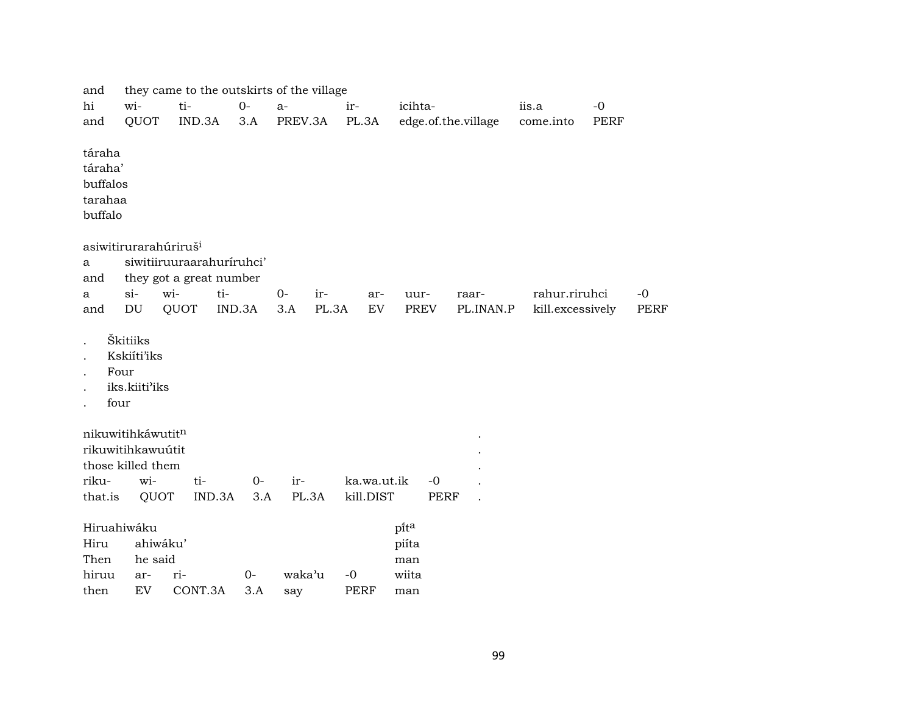| and                                                 |                                                                            |                                                      |              | they came to the outskirts of the village |                          |                      |                     |                  |      |             |
|-----------------------------------------------------|----------------------------------------------------------------------------|------------------------------------------------------|--------------|-------------------------------------------|--------------------------|----------------------|---------------------|------------------|------|-------------|
| hi                                                  | wi-                                                                        | ti-                                                  | $O -$        | $a-$                                      | ir-                      | icihta-              |                     | iis.a            | $-0$ |             |
| and                                                 | QUOT                                                                       | IND.3A                                               | 3.A          | PREV.3A                                   | PL.3A                    |                      | edge.of.the.village | come.into        | PERF |             |
| táraha<br>táraha'<br>buffalos<br>tarahaa<br>buffalo |                                                                            |                                                      |              |                                           |                          |                      |                     |                  |      |             |
| a<br>and                                            | asiwitirurarahúriruš <sup>i</sup>                                          | siwitiiruuraarahuríruhci'<br>they got a great number |              |                                           |                          |                      |                     |                  |      |             |
| a                                                   | $si$ -                                                                     | wi-                                                  | ti-          | $0-$<br>ir-                               | ar-                      | uur-                 | raar-               | rahur.riruhci    |      | $-0$        |
| and                                                 | DU                                                                         | QUOT                                                 | IND.3A       | PL.3A<br>3.A                              | ${\rm EV}$               | PREV                 | PL.INAN.P           | kill.excessively |      | <b>PERF</b> |
|                                                     | Škitiiks<br>Kskiíti'iks<br>Four<br>iks.kiiti'iks<br>four                   |                                                      |              |                                           |                          |                      |                     |                  |      |             |
| riku-<br>that.is                                    | nikuwitihkáwutitn<br>rikuwitihkawuútit<br>those killed them<br>wi-<br>QUOT | ti-<br>IND.3A                                        | $O -$<br>3.A | ir-<br>PL.3A                              | ka.wa.ut.ik<br>kill.DIST | $-0$<br><b>PERF</b>  |                     |                  |      |             |
| Hiru<br>Then                                        | Hiruahiwáku<br>ahiwáku'<br>he said                                         |                                                      |              |                                           |                          | pita<br>piíta<br>man |                     |                  |      |             |
| hiruu                                               | ar-                                                                        | ri-                                                  | $0-$         | waka'u                                    | $-0$                     | wiita                |                     |                  |      |             |
| then                                                | EV                                                                         | CONT.3A                                              | 3.A          | say                                       | <b>PERF</b>              | man                  |                     |                  |      |             |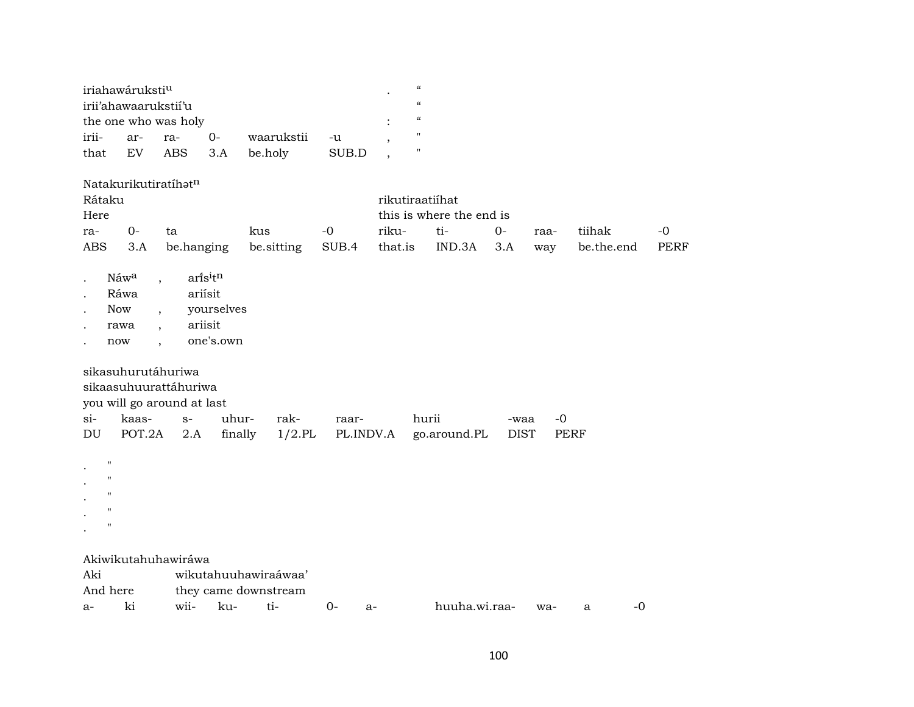|                                                                                           | iriahawáruksti <sup>u</sup><br>irii'ahawaarukstii'u                                              | the one who was holy                                               |                                                          |                                              |                    | $\boldsymbol{\zeta}\boldsymbol{\zeta}$<br>$\pmb{\zeta}\pmb{\zeta}$<br>$\pmb{\zeta}\pmb{\zeta}$<br>" |                                           |                     |             |                      |                     |
|-------------------------------------------------------------------------------------------|--------------------------------------------------------------------------------------------------|--------------------------------------------------------------------|----------------------------------------------------------|----------------------------------------------|--------------------|-----------------------------------------------------------------------------------------------------|-------------------------------------------|---------------------|-------------|----------------------|---------------------|
| irii-<br>that                                                                             | ar-<br>EV                                                                                        | ra-<br><b>ABS</b>                                                  | $0-$<br>3.A                                              | waarukstii<br>be.holy                        | -u<br>SUB.D        | н                                                                                                   |                                           |                     |             |                      |                     |
| Rátaku<br>Here<br>ra-<br>ABS                                                              | Natakurikutiratíhatn<br>$0-$<br>3.A                                                              | ta<br>be.hanging                                                   |                                                          | kus<br>be.sitting                            | $-0$<br>SUB.4      | rikutiraatiíhat<br>riku-<br>that.is                                                                 | this is where the end is<br>ti-<br>IND.3A | $0-$<br>3.A         | raa-<br>way | tiihak<br>be.the.end | $-0$<br><b>PERF</b> |
| <b>Now</b><br>$\ddot{\phantom{0}}$<br>now                                                 | Náwa<br>$\overline{\phantom{a}}$<br>Ráwa<br>rawa<br>$\ddot{\phantom{0}}$<br>$\ddot{\phantom{0}}$ |                                                                    | arisitn<br>ariísit<br>yourselves<br>ariisit<br>one's.own |                                              |                    |                                                                                                     |                                           |                     |             |                      |                     |
| $\sin$<br>DU                                                                              | sikasuhurutáhuriwa<br>kaas-<br>POT.2A                                                            | sikaasuhuurattáhuriwa<br>you will go around at last<br>$S-$<br>2.A | uhur-<br>finally                                         | rak-<br>$1/2$ .PL                            | raar-<br>PL.INDV.A |                                                                                                     | hurii<br>go.around.PL                     | -waa<br><b>DIST</b> | $-0$        | <b>PERF</b>          |                     |
| $^{\prime}$<br>$^{\prime\prime}$<br>$^{\prime\prime}$<br>$^{\prime}$<br>$^{\prime\prime}$ |                                                                                                  |                                                                    |                                                          |                                              |                    |                                                                                                     |                                           |                     |             |                      |                     |
| Aki<br>And here                                                                           |                                                                                                  | Akiwikutahuhawiráwa                                                |                                                          | wikutahuuhawiraáwaa'<br>they came downstream |                    |                                                                                                     |                                           |                     |             |                      |                     |
| a-                                                                                        | ki                                                                                               | wii-                                                               | ku-                                                      | ti-                                          | $0-$<br>$a-$       |                                                                                                     | huuha.wi.raa-                             |                     | wa-         | $-0$<br>a            |                     |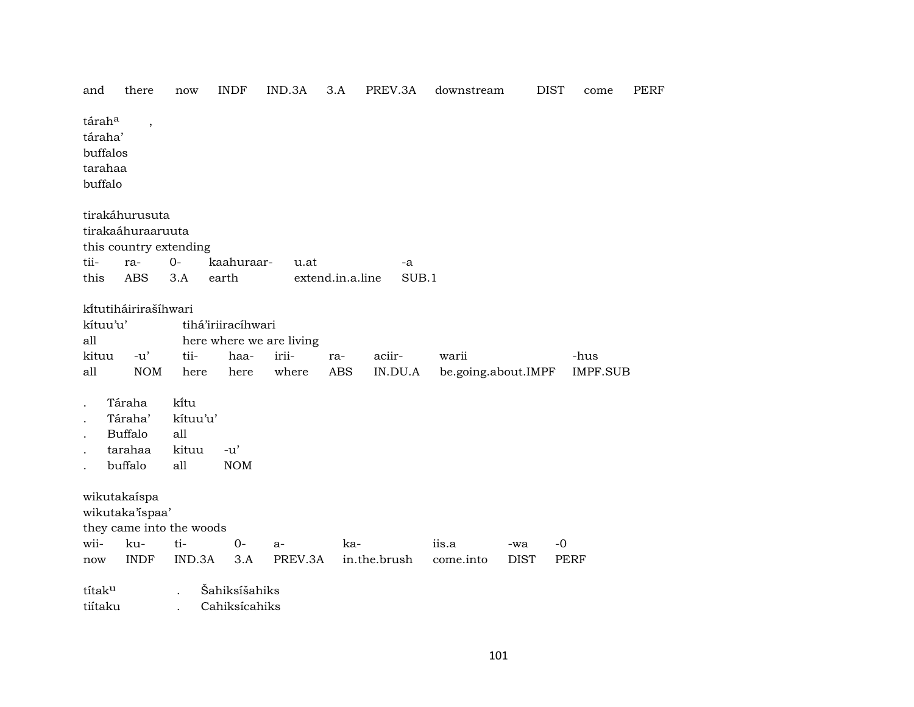| and                                                 | there                                                 | now                      | <b>INDF</b>                        | IND.3A                                     | 3.A               | PREV.3A           | downstream                   | <b>DIST</b> | come                    | PERF |
|-----------------------------------------------------|-------------------------------------------------------|--------------------------|------------------------------------|--------------------------------------------|-------------------|-------------------|------------------------------|-------------|-------------------------|------|
| táraha<br>táraha'<br>buffalos<br>tarahaa<br>buffalo | $\overline{\phantom{a}}$                              |                          |                                    |                                            |                   |                   |                              |             |                         |      |
|                                                     | tirakáhurusuta<br>tirakaáhuraaruuta                   | this country extending   |                                    |                                            |                   |                   |                              |             |                         |      |
| tii-                                                | ra-                                                   | $0-$                     | kaahuraar-                         | u.at                                       |                   | -a                |                              |             |                         |      |
| this                                                | <b>ABS</b>                                            | 3.A                      | earth                              |                                            | extend.in.a.line  | SUB.1             |                              |             |                         |      |
| kítuu'u'<br>all<br>kituu<br>all                     | kítutiháirirašíhwari<br>$-u'$<br><b>NOM</b><br>Táraha | tii-<br>here<br>kitu     | tihá'iriiracíhwari<br>haa-<br>here | here where we are living<br>irii-<br>where | ra-<br><b>ABS</b> | aciir-<br>IN.DU.A | warii<br>be.going.about.IMPF |             | -hus<br><b>IMPF.SUB</b> |      |
|                                                     | Táraha'                                               | kítuu'u'                 |                                    |                                            |                   |                   |                              |             |                         |      |
|                                                     | <b>Buffalo</b>                                        | all                      |                                    |                                            |                   |                   |                              |             |                         |      |
|                                                     | tarahaa                                               | kituu                    | $-u'$                              |                                            |                   |                   |                              |             |                         |      |
|                                                     | buffalo                                               | all                      | <b>NOM</b>                         |                                            |                   |                   |                              |             |                         |      |
|                                                     | wikutakaíspa<br>wikutaka'ispaa'                       | they came into the woods |                                    |                                            |                   |                   |                              |             |                         |      |
| wii-                                                | ku-                                                   | ti-                      | $0-$                               | $a-$                                       | ka-               |                   | iis.a                        | -wa         | $-0$                    |      |
| now                                                 | <b>INDF</b>                                           | IND.3A                   | 3.A                                | PREV.3A                                    |                   | in.the.brush      | come.into                    | <b>DIST</b> | <b>PERF</b>             |      |
| títaku<br>tiítaku                                   |                                                       |                          | Šahiksíšahiks<br>Cahiksícahiks     |                                            |                   |                   |                              |             |                         |      |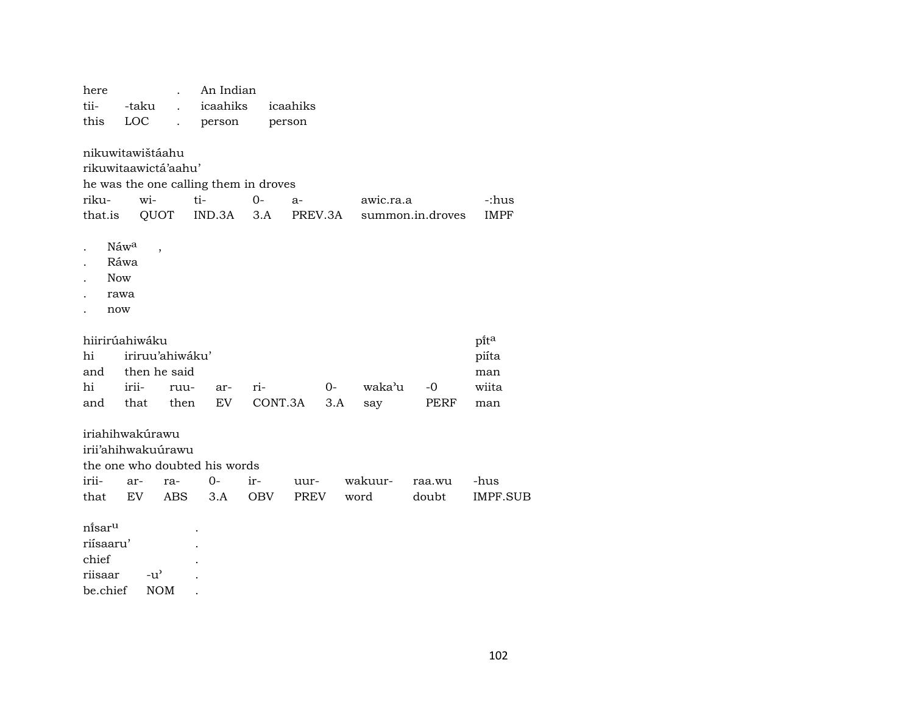| here                                                         |                      |                          | An Indian                                              |             |                 |      |           |                  |                      |
|--------------------------------------------------------------|----------------------|--------------------------|--------------------------------------------------------|-------------|-----------------|------|-----------|------------------|----------------------|
| tii-                                                         | -taku                |                          | icaahiks                                               |             | icaahiks        |      |           |                  |                      |
| this                                                         | <b>LOC</b>           |                          | person                                                 |             | person          |      |           |                  |                      |
| nikuwitawištáahu<br>rikuwitaawictá'aahu'<br>riku-<br>that.is | wi-                  | QUOT                     | he was the one calling them in droves<br>ti-<br>IND.3A | $0-$<br>3.A | $a-$<br>PREV.3A |      | awic.ra.a | summon.in.droves | -:hus<br><b>IMPF</b> |
| <b>Now</b><br>now                                            | Náwa<br>Ráwa<br>rawa | $\overline{\phantom{a}}$ |                                                        |             |                 |      |           |                  |                      |
| hiirirúahiwáku                                               |                      |                          |                                                        |             |                 |      |           |                  | pita                 |
| hi                                                           |                      | iriruu'ahiwáku'          |                                                        |             |                 |      |           |                  | piíta                |
| and                                                          |                      | then he said             |                                                        |             |                 |      |           |                  | man                  |
| hi                                                           | irii-                | ruu-                     | ar-                                                    | ri-         |                 | $0-$ | waka'u    | $-0$             | wiita                |
| and                                                          | that                 | then                     | EV                                                     | CONT.3A     |                 | 3.A  | say       | PERF             | man                  |
| iriahihwakúrawu<br>irii'ahihwakuúrawu<br>irii-               | ar-                  | ra-                      | the one who doubted his words<br>$0-$                  | ir-         | uur-            |      | wakuur-   | raa.wu           | -hus                 |
| that                                                         | EV                   | ABS                      | 3.A                                                    | <b>OBV</b>  | PREV            |      | word      | doubt            | IMPF.SUB             |
| ni̇̃sar <sup>u</sup><br>riísaaru'<br>chief                   |                      |                          |                                                        |             |                 |      |           |                  |                      |

riisaar -u' .<br>be.chief NOM .

NOM .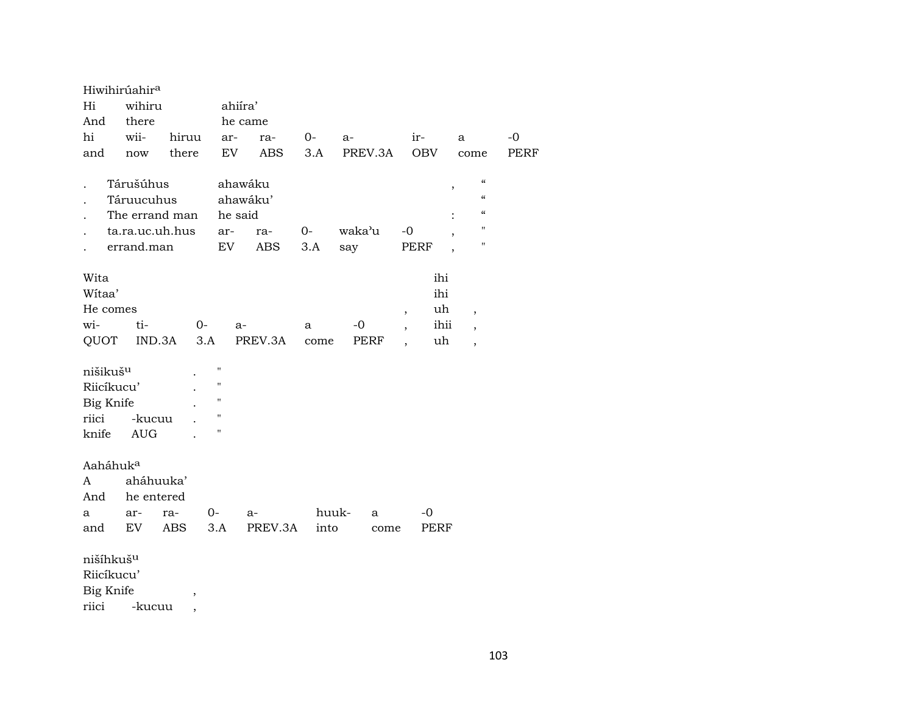|                                                           | Hiwihirúahir <sup>a</sup> |            |                                            |                    |         |           |              |                                                                              |                                                           |             |
|-----------------------------------------------------------|---------------------------|------------|--------------------------------------------|--------------------|---------|-----------|--------------|------------------------------------------------------------------------------|-----------------------------------------------------------|-------------|
| Hi                                                        | wihiru                    |            |                                            | ahiíra'            |         |           |              |                                                                              |                                                           |             |
| And                                                       | there                     |            |                                            | he came            |         |           |              |                                                                              |                                                           |             |
| hi                                                        | wii-                      | hiruu      |                                            | ar-                | ra-     | 0-        | a-           | ir-                                                                          | a                                                         | -0          |
| and                                                       | now                       | there      |                                            | EV                 | ABS     | 3.A       | PREV.3A      | <b>OBV</b>                                                                   | come                                                      | <b>PERF</b> |
|                                                           |                           |            |                                            |                    |         |           |              |                                                                              |                                                           |             |
|                                                           | Tárušúhus                 |            |                                            | ahawáku            |         |           |              |                                                                              | $\epsilon\epsilon$<br>$^\mathrm{,}$                       |             |
|                                                           | Táruucuhus                |            |                                            | ahawáku'           |         |           |              |                                                                              | $\epsilon\epsilon$                                        |             |
|                                                           | The errand man            |            |                                            | he said            |         |           |              |                                                                              | $\mathcal{C}$                                             |             |
|                                                           | ta.ra.uc.uh.hus           |            |                                            | ar-                | ra-     | $0-$      | waka'u       | $-0$                                                                         | 11                                                        |             |
|                                                           | errand.man                |            |                                            | EV                 | ABS     | 3.A       | say          | PERF                                                                         | H.                                                        |             |
| Wita<br>Witaa'<br>He comes<br>wi-<br>QUOT                 | ti-<br>IND.3A             |            | $0-$<br>3.A                                | a-                 | PREV.3A | a<br>come | $-0$<br>PERF | ihi<br>ihi<br>uh<br>$\overline{ }$<br>ihii<br>$\overline{\phantom{a}}$<br>uh | $\overline{\phantom{a}}$<br>,<br>$\overline{\phantom{a}}$ |             |
| nišikuš <sup>u</sup>                                      |                           |            |                                            | П                  |         |           |              |                                                                              |                                                           |             |
| Riicíkucu'                                                |                           |            |                                            | н                  |         |           |              |                                                                              |                                                           |             |
| Big Knife                                                 |                           |            |                                            | $\pmb{\mathsf{H}}$ |         |           |              |                                                                              |                                                           |             |
| riici                                                     | -kucuu                    |            |                                            | $\pmb{\mathsf{H}}$ |         |           |              |                                                                              |                                                           |             |
| knife                                                     | <b>AUG</b>                |            |                                            | П                  |         |           |              |                                                                              |                                                           |             |
| Aaháhuk <sup>a</sup><br>A                                 | aháhuuka'                 |            |                                            |                    |         |           |              |                                                                              |                                                           |             |
| And                                                       | he entered                |            |                                            |                    |         |           |              |                                                                              |                                                           |             |
| a                                                         | ar-                       | ra-        | 0-                                         |                    | a-      | huuk-     | a            | -0                                                                           |                                                           |             |
| and                                                       | EV                        | <b>ABS</b> |                                            | 3.A                | PREV.3A | into      | come         | PERF                                                                         |                                                           |             |
| nišíhkuš <sup>u</sup><br>Riicíkucu'<br>Big Knife<br>riici | -kucuu                    |            | $\overline{\phantom{a}}$<br>$\overline{ }$ |                    |         |           |              |                                                                              |                                                           |             |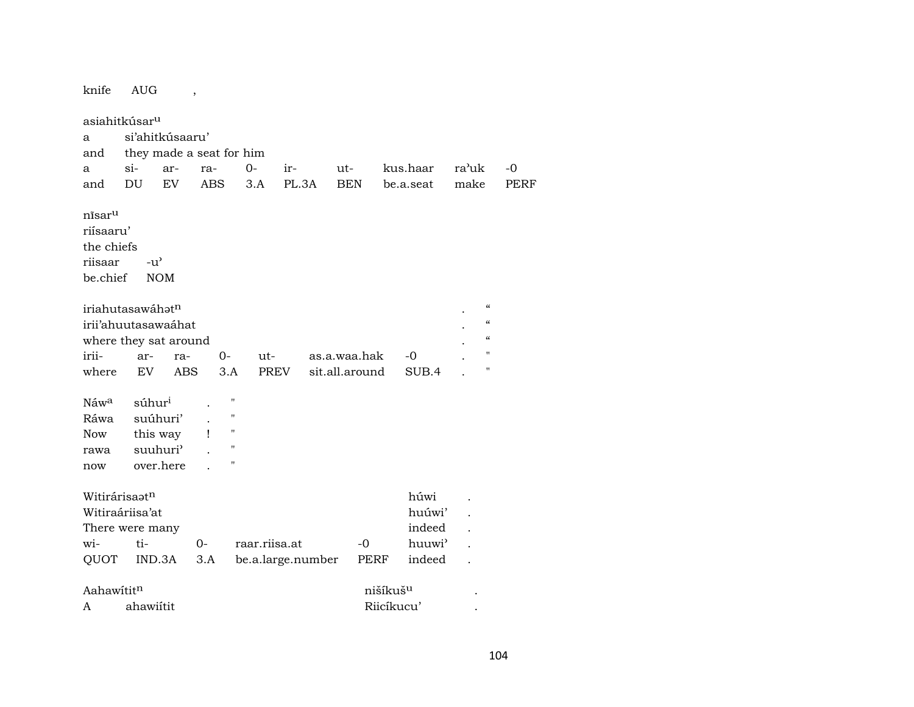| knife                        | <b>AUG</b>               |            | $\,$       |                    |               |                   |                |                      |                    |       |                                        |      |
|------------------------------|--------------------------|------------|------------|--------------------|---------------|-------------------|----------------|----------------------|--------------------|-------|----------------------------------------|------|
| asiahitkúsar <sup>u</sup>    |                          |            |            |                    |               |                   |                |                      |                    |       |                                        |      |
| a                            | si'ahitkúsaaru'          |            |            |                    |               |                   |                |                      |                    |       |                                        |      |
| and                          | they made a seat for him |            |            |                    |               |                   |                |                      |                    |       |                                        |      |
| a                            | $\sin$                   | ar-        | ra-        |                    | $0-$          | ir-               | $ut-$          | kus.haar             |                    | ra'uk |                                        | -0   |
| and                          | DU                       | EV         | <b>ABS</b> |                    | 3.A           | PL.3A             | <b>BEN</b>     | be.a.seat            |                    | make  |                                        | PERF |
|                              |                          |            |            |                    |               |                   |                |                      |                    |       |                                        |      |
| nı̃sar <sup>u</sup>          |                          |            |            |                    |               |                   |                |                      |                    |       |                                        |      |
| riísaaru'                    |                          |            |            |                    |               |                   |                |                      |                    |       |                                        |      |
| the chiefs                   |                          |            |            |                    |               |                   |                |                      |                    |       |                                        |      |
| riisaar                      | $-u^{\prime}$            |            |            |                    |               |                   |                |                      |                    |       |                                        |      |
| be.chief                     |                          | <b>NOM</b> |            |                    |               |                   |                |                      |                    |       |                                        |      |
|                              |                          |            |            |                    |               |                   |                |                      |                    |       |                                        |      |
| iriahutasawáhət <sup>n</sup> |                          |            |            |                    |               |                   |                |                      |                    |       | $\boldsymbol{\zeta}\boldsymbol{\zeta}$ |      |
| irii'ahuutasawaáhat          |                          |            |            |                    |               |                   |                |                      |                    |       | $\boldsymbol{\zeta}\boldsymbol{\zeta}$ |      |
| where they sat around        |                          |            |            |                    |               |                   |                |                      |                    |       | $\pmb{\zeta}\pmb{\zeta}$               |      |
| irii-                        | ar-                      | ra-        |            | $0-$               | ut-           |                   | as.a.waa.hak   | $-0$                 |                    |       | 11                                     |      |
| where                        | <b>EV</b>                | <b>ABS</b> |            | 3.A                | PREV          |                   | sit.all.around |                      | SUB.4              |       | 11                                     |      |
|                              |                          |            |            |                    |               |                   |                |                      |                    |       |                                        |      |
| Náw <sup>a</sup>             | súhur <sup>i</sup>       |            |            | $\blacksquare$     |               |                   |                |                      |                    |       |                                        |      |
| Ráwa                         |                          | suúhuri'   |            | $\pmb{\mathsf{H}}$ |               |                   |                |                      |                    |       |                                        |      |
| <b>Now</b>                   |                          | this way   | Ţ          | 11                 |               |                   |                |                      |                    |       |                                        |      |
| rawa                         |                          | suuhuri'   |            | $^{\prime\prime}$  |               |                   |                |                      |                    |       |                                        |      |
| now                          |                          | over.here  |            | $\blacksquare$     |               |                   |                |                      |                    |       |                                        |      |
|                              |                          |            |            |                    |               |                   |                |                      |                    |       |                                        |      |
| Witirárisaatn                |                          |            |            |                    |               |                   |                |                      | húwi               |       |                                        |      |
| Witiraáriisa'at              |                          |            |            |                    |               |                   |                |                      | huúwi'             |       |                                        |      |
| There were many              |                          |            |            |                    |               |                   |                |                      | indeed             |       |                                        |      |
| wi-                          | ti-                      |            | 0-         |                    | raar.riisa.at |                   | -0             |                      | huuwi <sup>3</sup> |       |                                        |      |
| QUOT                         |                          | IND.3A     | 3.A        |                    |               | be.a.large.number |                | PERF                 | indeed             |       |                                        |      |
|                              |                          |            |            |                    |               |                   |                |                      |                    |       |                                        |      |
| Aahawititn                   |                          |            |            |                    |               |                   |                | nišíkuš <sup>u</sup> |                    |       |                                        |      |
| A                            | ahawiítit                |            |            |                    |               |                   |                | Riicíkucu'           |                    |       |                                        |      |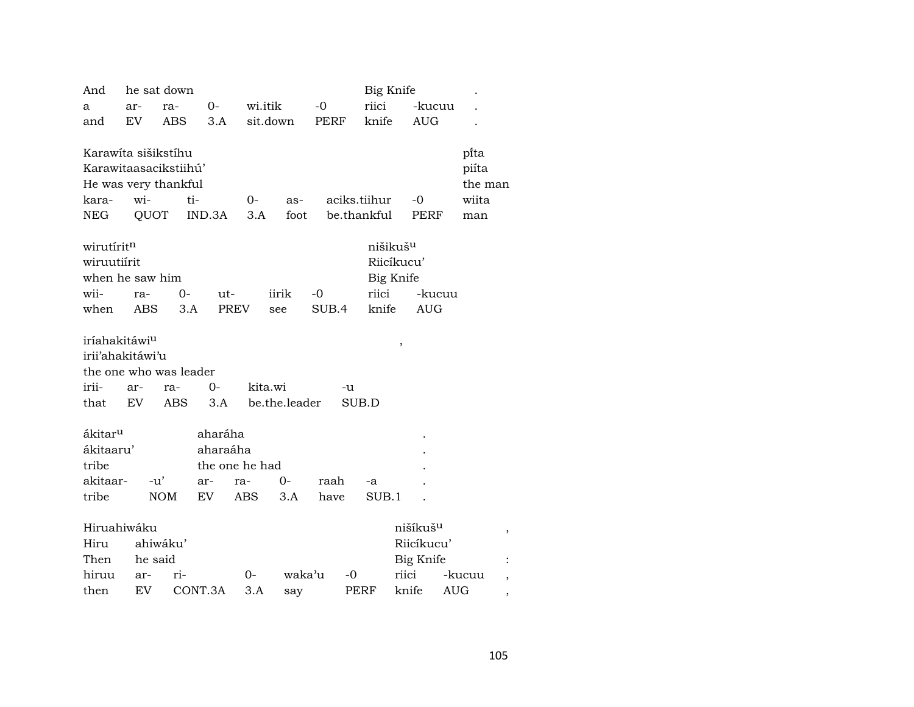| And                       |         | he sat down            |                |          |               |       |       | Big Knife            |       |                      |         |
|---------------------------|---------|------------------------|----------------|----------|---------------|-------|-------|----------------------|-------|----------------------|---------|
| a                         | ar-     | ra-                    | $0-$           | wi.itik  |               | $-0$  |       | riici                |       | -kucuu               |         |
| and                       | EV.     | ABS                    | 3.A            | sit.down |               | PERF  |       | knife                |       | <b>AUG</b>           |         |
|                           |         |                        |                |          |               |       |       |                      |       |                      |         |
| Karawita sišikstihu       |         |                        |                |          |               |       |       |                      |       |                      | pi̇̃ta  |
|                           |         | Karawitaasacikstiihú'  |                |          |               |       |       |                      |       |                      | piíta   |
|                           |         | He was very thankful   |                |          |               |       |       |                      |       |                      | the man |
| kara-                     | wi-     | ti-                    |                | $0-$     | as-           |       |       | aciks.tiihur         |       | -0                   | wiita   |
| NEG                       | QUOT    |                        | IND.3A         | 3.A      | foot          |       |       | be.thankful          |       | PERF                 | man     |
| wirutiritn                |         |                        |                |          |               |       |       | nišikuš <sup>u</sup> |       |                      |         |
| wiruutiírit               |         |                        |                |          |               |       |       | Riicíkucu'           |       |                      |         |
| when he saw him           |         |                        |                |          |               |       |       | Big Knife            |       |                      |         |
| wii-                      | ra-     | $0-$                   | ut-            |          | iirik         | $-0$  |       | riici                |       | -kucuu               |         |
| when                      | ABS     | 3.A                    | <b>PREV</b>    |          | see           | SUB.4 |       | knife                |       | <b>AUG</b>           |         |
|                           |         |                        |                |          |               |       |       |                      |       |                      |         |
| iríahakitáwi <sup>u</sup> |         |                        |                |          |               |       |       |                      |       |                      |         |
| irii'ahakitáwi'u          |         |                        |                |          |               |       |       |                      | $\,$  |                      |         |
|                           |         | the one who was leader |                |          |               |       |       |                      |       |                      |         |
| irii-                     | ar-     | ra-                    | 0-             | kita.wi  |               |       | -u    |                      |       |                      |         |
| that                      | EV.     | ABS                    | 3.A            |          | be.the.leader |       | SUB.D |                      |       |                      |         |
|                           |         |                        |                |          |               |       |       |                      |       |                      |         |
| ákitar <sup>u</sup>       |         |                        | aharáha        |          |               |       |       |                      |       |                      |         |
| ákitaaru'                 |         |                        | aharaáha       |          |               |       |       |                      |       |                      |         |
| tribe                     |         |                        | the one he had |          |               |       |       |                      |       |                      |         |
| akitaar-                  | $-u'$   |                        | ar-            | ra-      | 0-            | raah  |       | -a                   |       |                      |         |
| tribe                     |         | <b>NOM</b>             | EV             | ABS      | 3.A           | have  |       | SUB.1                |       |                      |         |
|                           |         |                        |                |          |               |       |       |                      |       |                      |         |
| Hiruahiwáku               |         |                        |                |          |               |       |       |                      |       | nišíkuš <sup>u</sup> |         |
| Hiru                      |         | ahiwáku'               |                |          |               |       |       |                      |       | Riicíkucu'           |         |
| Then                      | he said |                        |                |          |               |       |       |                      |       | Big Knife            |         |
| hiruu                     | ar-     | ri-                    |                | 0-       | waka'u        |       | -0    |                      | riici |                      | -kucuu  |
| then                      | EV      |                        | CONT.3A        | 3.A      | say           |       | PERF  |                      | knife | <b>AUG</b>           |         |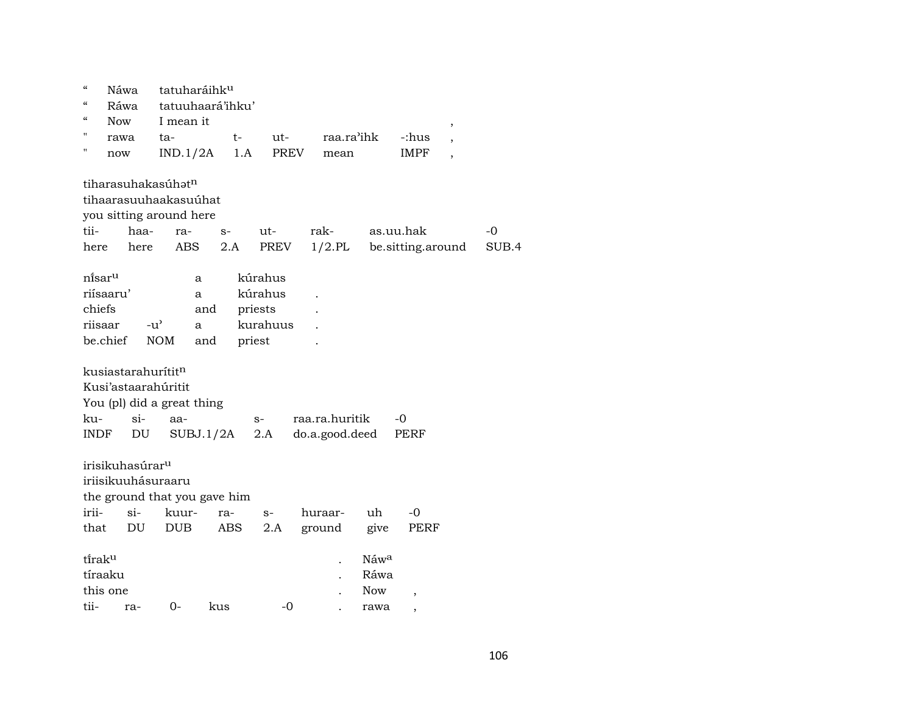| $\mathcal{C}$<br>$\mathcal{C}$ |            | Náwa                        |                                | tatuharáihku                 |             |                |            |                          |                          |       |
|--------------------------------|------------|-----------------------------|--------------------------------|------------------------------|-------------|----------------|------------|--------------------------|--------------------------|-------|
|                                | Ráwa       |                             |                                | tatuuhaará'ihku'             |             |                |            |                          |                          |       |
|                                | <b>Now</b> |                             | I mean it                      |                              |             |                |            |                          | ,                        |       |
| п                              | rawa       |                             | ta-                            | t-                           | $ut-$       | raa.ra'ihk     |            | -:hus                    | $\overline{\phantom{a}}$ |       |
| н                              | now        |                             | IND.1/2A                       | 1.A                          | <b>PREV</b> | mean           |            | <b>IMPF</b>              | $\overline{\phantom{a}}$ |       |
|                                |            |                             | tiharasuhakasúhatn             |                              |             |                |            |                          |                          |       |
|                                |            |                             | tihaarasuuhaakasuúhat          |                              |             |                |            |                          |                          |       |
|                                |            |                             | you sitting around here        |                              |             |                |            |                          |                          |       |
| tii-                           |            | haa-                        | ra-                            | $S-$                         | ut-         | rak-           |            | as.uu.hak                |                          | $-0$  |
| here                           |            | here                        | <b>ABS</b>                     | 2.A                          | PREV        | $1/2$ .PL      |            | be sitting around        |                          | SUB.4 |
| ni̇̃sar <sup>u</sup>           |            |                             |                                | a                            | kúrahus     |                |            |                          |                          |       |
|                                | riísaaru'  |                             |                                | a                            | kúrahus     |                |            |                          |                          |       |
| chiefs                         |            |                             |                                | and                          | priests     |                |            |                          |                          |       |
| riisaar                        |            | $-u^{\flat}$                |                                | a                            | kurahuus    |                |            |                          |                          |       |
|                                | be.chief   |                             | <b>NOM</b>                     | and                          | priest      |                |            |                          |                          |       |
|                                |            |                             | kusiastarahurítit <sup>n</sup> |                              |             |                |            |                          |                          |       |
|                                |            |                             | Kusi'astaarahúritit            |                              |             |                |            |                          |                          |       |
|                                |            |                             | You (pl) did a great thing     |                              |             |                |            |                          |                          |       |
| ku-                            |            | si-                         | aa-                            |                              | $S-$        | raa.ra.huritik |            | -0                       |                          |       |
| INDF                           |            | DU                          |                                | SUBJ.1/2A                    | 2.A         | do.a.good.deed |            | PERF                     |                          |       |
|                                |            |                             |                                |                              |             |                |            |                          |                          |       |
|                                |            | irisikuhasúrar <sup>u</sup> |                                |                              |             |                |            |                          |                          |       |
|                                |            |                             | iriisikuuhásuraaru             |                              |             |                |            |                          |                          |       |
|                                |            |                             |                                | the ground that you gave him |             |                |            |                          |                          |       |
| irii-                          |            | $si-$                       | kuur-                          | ra-                          | $S-$        | huraar-        | uh         | $-0$                     |                          |       |
| that                           |            | DU                          | DUB                            | ABS                          | 2.A         | ground         | give       | PERF                     |                          |       |
|                                |            |                             |                                |                              |             |                |            |                          |                          |       |
|                                |            |                             |                                |                              |             |                | Náwa       |                          |                          |       |
| tirak <sup>u</sup>             |            |                             |                                |                              |             |                | Ráwa       |                          |                          |       |
|                                | tíraaku    |                             |                                |                              |             |                |            |                          |                          |       |
|                                | this one   |                             |                                |                              |             |                | <b>Now</b> | $\overline{\phantom{a}}$ |                          |       |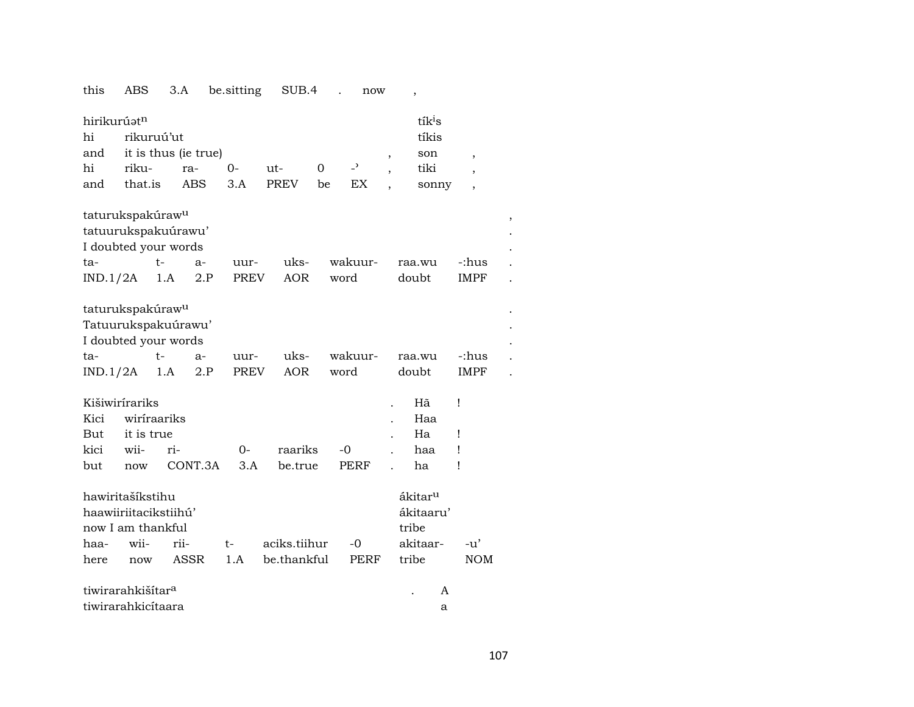#### this ABS 3.A be.sitting SUB.4 . now  $\overline{\phantom{a}}$

| tíkis<br>hi<br>rikuruú'ut<br>it is thus (ie true)<br>and<br>son<br>$\overline{\phantom{a}}$<br>$\, ,$ |            |
|-------------------------------------------------------------------------------------------------------|------------|
| $\overline{a}$<br>hi<br>riku-<br>$0-$<br>$\Omega$<br>tiki<br>ut-<br>ra-<br>$\overline{ }$             |            |
| that.is<br>3.A<br><b>PREV</b><br>EX<br><b>ABS</b><br>and<br>be<br>sonny<br>$\overline{ }$             |            |
| taturukspakúraw <sup>u</sup><br>tatuurukspakuúrawu'                                                   |            |
| I doubted your words                                                                                  |            |
| wakuur-<br>$t-$<br>uks-<br>-:hus<br>ta-<br>raa.wu<br>$a-$<br>uur-                                     |            |
| <b>AOR</b><br>IND.1/2A<br>2.P<br><b>PREV</b><br>doubt<br>IMPF<br>1.A<br>word                          |            |
| taturukspakúraw <sup>u</sup><br>Tatuurukspakuúrawu'<br>I doubted your words                           |            |
| wakuur-<br>uks-<br>-:hus<br>$t-$<br>ta-<br>$a-$<br>uur-<br>raa.wu                                     |            |
| IND.1/2A<br>AOR<br>doubt<br>1.A<br>2.P<br><b>PREV</b><br>word<br><b>IMPF</b>                          |            |
| Kišiwirírariks<br>Hã<br>Ţ                                                                             |            |
| Kici<br>wiriraariks<br>Haa                                                                            |            |
| it is true<br>Ha<br>But<br>Ţ                                                                          |            |
| kici<br>wii-<br>$O -$<br>raariks<br>$-0$<br>ri-<br>haa<br>Ţ                                           |            |
| CONT.3A<br>3.A<br><b>PERF</b><br>be.true<br>ha<br>Ţ<br>but<br>now                                     |            |
| hawiritašíkstihu<br>ákitar <sup>u</sup>                                                               |            |
| haawiiriitacikstiihú'<br>ákitaaru'                                                                    |            |
| now I am thankful<br>tribe                                                                            |            |
| wii-<br>rii-<br>aciks.tiihur<br>akitaar-<br>$-0$<br>haa-<br>t-<br>-u'                                 |            |
| ASSR<br>be.thankful<br>tribe<br>1.A<br><b>PERF</b><br>here<br>now                                     | <b>NOM</b> |
| tiwirarahkišítar <sup>a</sup><br>A                                                                    |            |
| tiwirarahkicítaara<br>a                                                                               |            |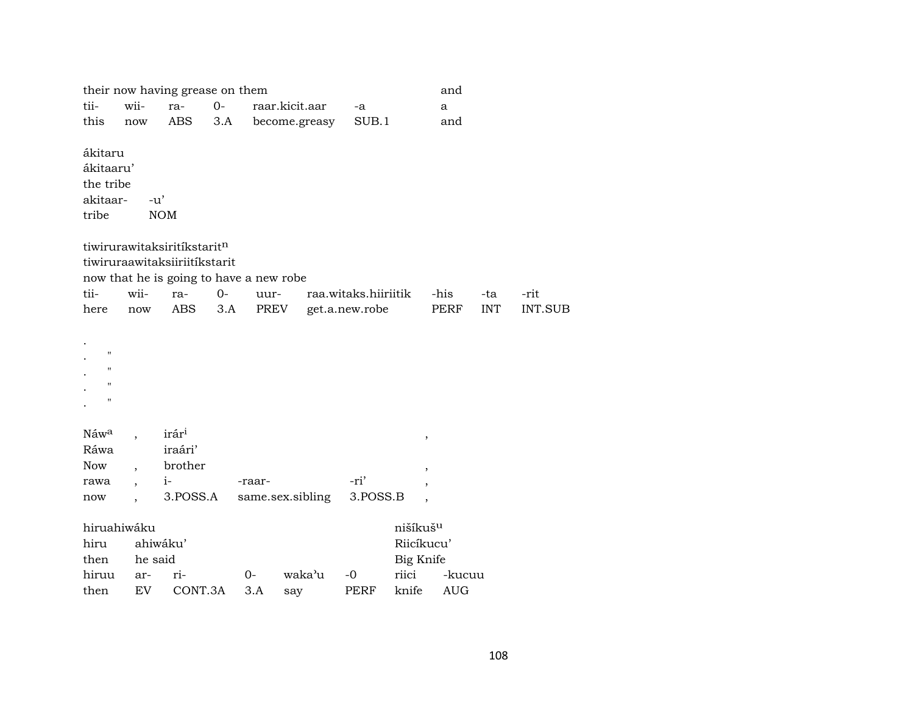|                                                                                      |         | their now having grease on them                 |       |        |                  |                      |                                                 | and         |            |                |
|--------------------------------------------------------------------------------------|---------|-------------------------------------------------|-------|--------|------------------|----------------------|-------------------------------------------------|-------------|------------|----------------|
| tii-                                                                                 | wii-    | ra-                                             | $O -$ |        | raar.kicit.aar   | -a                   |                                                 | a           |            |                |
| this                                                                                 | now     | ABS                                             | 3.A   |        | become.greasy    | SUB.1                |                                                 | and         |            |                |
| ákitaru<br>ákitaaru'<br>the tribe<br>akitaar-<br>tribe                               | $-u'$   | <b>NOM</b>                                      |       |        |                  |                      |                                                 |             |            |                |
|                                                                                      |         | tiwirurawitaksiritikstaritn                     |       |        |                  |                      |                                                 |             |            |                |
|                                                                                      |         | tiwiruraawitaksiiriitíkstarit                   |       |        |                  |                      |                                                 |             |            |                |
|                                                                                      |         | now that he is going to have a new robe         |       |        |                  |                      |                                                 |             |            |                |
| tii-                                                                                 | wii-    | ra-                                             | $0-$  | uur-   |                  | raa.witaks.hiiriitik |                                                 | -his        | -ta        | -rit           |
| here                                                                                 | now     | <b>ABS</b>                                      | 3.A   | PREV   |                  | get.a.new.robe       |                                                 | PERF        | <b>INT</b> | <b>INT.SUB</b> |
| $\pmb{\mathsf{H}}$<br>$\pmb{\mathsf{H}}$<br>$\pmb{\mathsf{H}}$<br>$\pmb{\mathsf{H}}$ |         |                                                 |       |        |                  |                      |                                                 |             |            |                |
| Náw <sup>a</sup><br>Ráwa<br><b>Now</b><br>rawa                                       |         | irár <sup>i</sup><br>iraári'<br>brother<br>$i-$ |       | -raar- |                  | -ri'                 |                                                 | $\, ,$<br>, |            |                |
| now                                                                                  |         | 3.POSS.A                                        |       |        | same.sex.sibling | 3.POSS.B             |                                                 |             |            |                |
| hiruahiwáku<br>hiru<br>then                                                          | he said | ahiwáku'                                        |       |        |                  |                      | nišíkuš <sup>u</sup><br>Riicíkucu'<br>Big Knife |             |            |                |
| hiruu                                                                                | ar-     | ri-                                             |       | $0-$   | waka'u           | $-0$                 | riici                                           | -kucuu      |            |                |
| then                                                                                 | EV      | CONT.3A                                         |       | 3.A    | say              | <b>PERF</b>          | knife                                           | <b>AUG</b>  |            |                |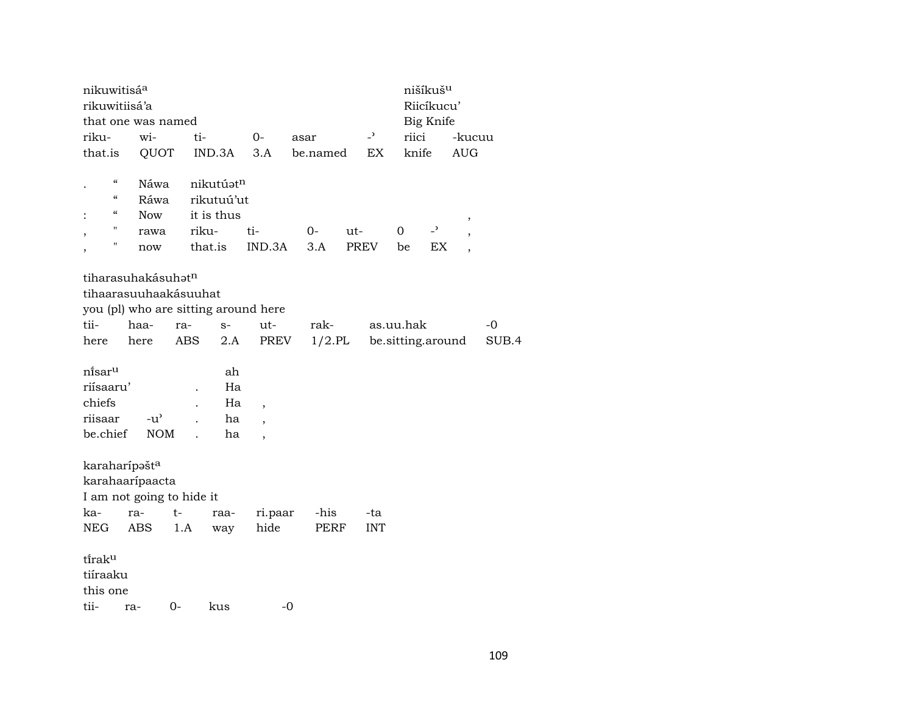| nikuwitisá <sup>a</sup>   |               |        |            |                                      |          |           |                          |                   | nišíkuš <sup>u</sup> |            |       |
|---------------------------|---------------|--------|------------|--------------------------------------|----------|-----------|--------------------------|-------------------|----------------------|------------|-------|
| rikuwitiisá'a             |               |        |            |                                      |          |           |                          |                   | Riicíkucu'           |            |       |
| that one was named        |               |        |            |                                      |          |           |                          |                   | Big Knife            |            |       |
| riku-                     | wi-           | ti-    |            | $0-$                                 | asar     |           | $\overline{\phantom{0}}$ | riici             |                      | -kucuu     |       |
| that.is                   | QUOT          |        | IND.3A     | 3.A                                  | be.named |           |                          | knife             |                      | <b>AUG</b> |       |
|                           |               |        |            |                                      |          |           |                          |                   |                      |            |       |
| $\mathcal{C}$             | Náwa          |        | nikutúatn  |                                      |          |           |                          |                   |                      |            |       |
| $\epsilon\epsilon$        | Ráwa          |        | rikutuú'ut |                                      |          |           |                          |                   |                      |            |       |
| $\epsilon\epsilon$        | Now           |        | it is thus |                                      |          |           |                          |                   |                      | ,          |       |
| "                         | rawa          |        | riku-      | ti-                                  | $0-$     | ut-       |                          | 0                 | $\overline{z}$       |            |       |
| П                         | now           |        | that.is    | IND.3A                               | 3.A      |           | PREV                     | be                | EX                   |            |       |
|                           |               |        |            |                                      |          |           |                          |                   |                      |            |       |
| tiharasuhakásuhatn        |               |        |            |                                      |          |           |                          |                   |                      |            |       |
| tihaarasuuhaakásuuhat     |               |        |            |                                      |          |           |                          |                   |                      |            |       |
|                           |               |        |            | you (pl) who are sitting around here |          |           |                          |                   |                      |            |       |
| tii-                      | haa-          | ra-    | $S-$       | ut-                                  | rak-     |           |                          | as.uu.hak         |                      |            | -0    |
| here                      | here          | ABS    | 2.A        | PREV                                 |          | $1/2$ .PL |                          | be.sitting.around |                      |            | SUB.4 |
|                           |               |        |            |                                      |          |           |                          |                   |                      |            |       |
| ni̇̃sar <sup>u</sup>      |               |        | ah         |                                      |          |           |                          |                   |                      |            |       |
| riísaaru'                 |               |        | Ha         |                                      |          |           |                          |                   |                      |            |       |
| chiefs                    |               |        | Ha         | $\overline{ }$                       |          |           |                          |                   |                      |            |       |
| riisaar                   | $-u^{\prime}$ |        | ha         | $\overline{\phantom{a}}$             |          |           |                          |                   |                      |            |       |
| be.chief                  | <b>NOM</b>    |        | ha         | $\overline{\phantom{a}}$             |          |           |                          |                   |                      |            |       |
|                           |               |        |            |                                      |          |           |                          |                   |                      |            |       |
| karaharípašt <sup>a</sup> |               |        |            |                                      |          |           |                          |                   |                      |            |       |
| karahaarípaacta           |               |        |            |                                      |          |           |                          |                   |                      |            |       |
| I am not going to hide it |               |        |            |                                      |          |           |                          |                   |                      |            |       |
|                           |               | $t-$   |            |                                      | -his     |           |                          |                   |                      |            |       |
| ka-                       | ra-           |        | raa-       | ri.paar                              |          |           | -ta                      |                   |                      |            |       |
| NEG                       | ABS           | 1.A    | way        | hide                                 | PERF     |           | <b>INT</b>               |                   |                      |            |       |
| tiraku                    |               |        |            |                                      |          |           |                          |                   |                      |            |       |
|                           |               |        |            |                                      |          |           |                          |                   |                      |            |       |
| tiíraaku                  |               |        |            |                                      |          |           |                          |                   |                      |            |       |
| this one                  |               |        |            |                                      |          |           |                          |                   |                      |            |       |
| tii- ra-                  |               | $()$ - | kus        |                                      | -0       |           |                          |                   |                      |            |       |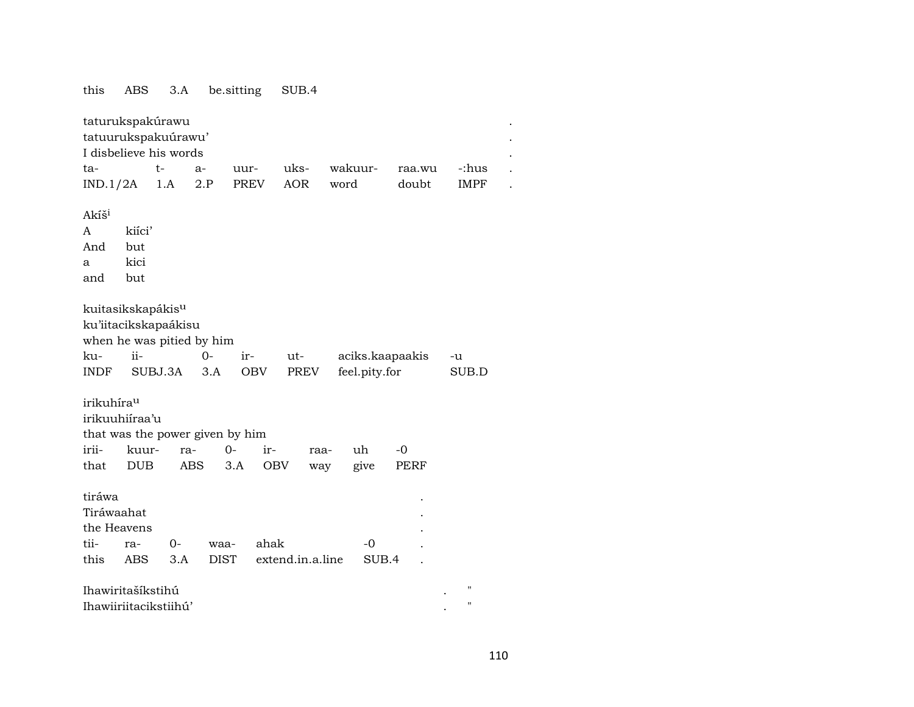this ABS 3.A be.sitting SUB.4

| taturukspakúrawu                |            |            |             |                   |                  |         |                 |        |                    |  |  |  |
|---------------------------------|------------|------------|-------------|-------------------|------------------|---------|-----------------|--------|--------------------|--|--|--|
| tatuurukspakuúrawu'             |            |            |             |                   |                  |         |                 |        |                    |  |  |  |
| I disbelieve his words          |            |            |             |                   |                  |         |                 |        |                    |  |  |  |
| ta-                             |            | $t-$       | $a-$        | uur-              | uks-             | wakuur- |                 | raa.wu | -:hus              |  |  |  |
| IND.1/2A                        |            | 1.A        | 2.P         | PREV              | <b>AOR</b>       | word    |                 | doubt  | IMPF               |  |  |  |
|                                 |            |            |             |                   |                  |         |                 |        |                    |  |  |  |
| Akíš <sup>i</sup>               |            |            |             |                   |                  |         |                 |        |                    |  |  |  |
| A                               | kiíci'     |            |             |                   |                  |         |                 |        |                    |  |  |  |
| And                             | but        |            |             |                   |                  |         |                 |        |                    |  |  |  |
| a                               | kici       |            |             |                   |                  |         |                 |        |                    |  |  |  |
| and                             | but        |            |             |                   |                  |         |                 |        |                    |  |  |  |
|                                 |            |            |             |                   |                  |         |                 |        |                    |  |  |  |
| kuitasikskapákis <sup>u</sup>   |            |            |             |                   |                  |         |                 |        |                    |  |  |  |
| ku'iitacikskapaákisu            |            |            |             |                   |                  |         |                 |        |                    |  |  |  |
| when he was pitied by him       |            |            |             |                   |                  |         |                 |        |                    |  |  |  |
| ku-                             | ii-        |            | $O -$       | ir-               | ut-              |         | aciks.kaapaakis |        | -u                 |  |  |  |
| <b>INDF</b>                     | SUBJ.3A    |            | 3.A         | OBV               | PREV             |         | feel.pity.for   |        | SUB.D              |  |  |  |
|                                 |            |            |             |                   |                  |         |                 |        |                    |  |  |  |
| irikuhíra <sup>u</sup>          |            |            |             |                   |                  |         |                 |        |                    |  |  |  |
| irikuuhiíraa'u                  |            |            |             |                   |                  |         |                 |        |                    |  |  |  |
| that was the power given by him |            |            |             |                   |                  |         |                 |        |                    |  |  |  |
| irii-                           | kuur-      | ra-        |             | $0-$<br>ir-       | raa-             |         | uh              | $-0$   |                    |  |  |  |
| that                            | <b>DUB</b> | <b>ABS</b> |             | 3.A<br><b>OBV</b> | way              |         | give            | PERF   |                    |  |  |  |
|                                 |            |            |             |                   |                  |         |                 |        |                    |  |  |  |
| tiráwa                          |            |            |             |                   |                  |         |                 |        |                    |  |  |  |
| Tiráwaahat                      |            |            |             |                   |                  |         |                 |        |                    |  |  |  |
| the Heavens                     |            |            |             |                   |                  |         |                 |        |                    |  |  |  |
| tii-                            | ra-        | $0-$       | waa-        | ahak              |                  |         | $-0$            |        |                    |  |  |  |
| this                            | ABS        | 3.A        | <b>DIST</b> |                   | extend.in.a.line |         | SUB.4           |        |                    |  |  |  |
|                                 |            |            |             |                   |                  |         |                 |        |                    |  |  |  |
| Ihawiritašíkstihú               |            |            |             |                   |                  |         |                 |        | н                  |  |  |  |
| Ihawiiriitacikstiihú'           |            |            |             |                   |                  |         |                 |        | $\pmb{\mathsf{H}}$ |  |  |  |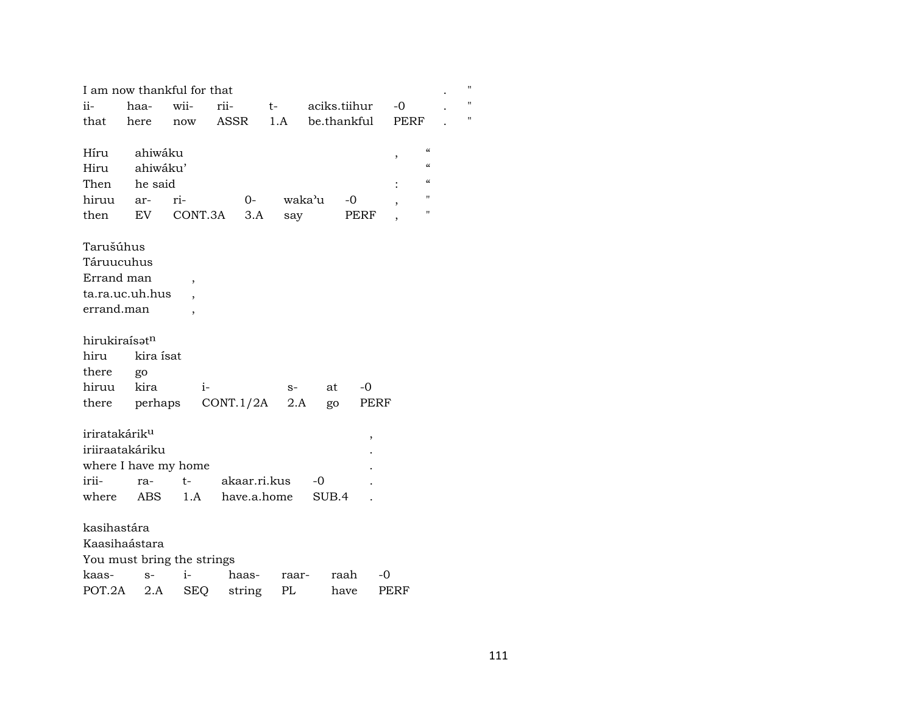|                           |                 | I am now thankful for that |              |            |                    |            |      |                                        | Ħ |
|---------------------------|-----------------|----------------------------|--------------|------------|--------------------|------------|------|----------------------------------------|---|
| ii-                       | haa-            | wii-                       | rii-         | $t \qquad$ | aciks.tiihur       |            | $-0$ |                                        | Ħ |
| that                      | here            | now                        | ASSR         | 1.A        | be.thankful        |            | PERF |                                        | Ħ |
|                           |                 |                            |              |            |                    |            |      |                                        |   |
| Híru                      | ahiwáku         |                            |              |            |                    |            | ,    | $\mathcal{C}\mathcal{C}$               |   |
| Hiru                      | ahiwáku'        |                            |              |            |                    |            |      | $\mathcal{C}\mathcal{C}$               |   |
| Then                      | he said         |                            |              |            |                    |            |      | $\boldsymbol{\zeta}\boldsymbol{\zeta}$ |   |
| hiruu                     | ar-             | ri-                        | $0-$         |            | waka <sup></sup> u | $-0$       |      | $\pmb{\mathsf{H}}$                     |   |
| then                      | EV              | CONT.3A                    | 3.A          | say        |                    | PERF       |      | п                                      |   |
|                           |                 |                            |              |            |                    |            |      |                                        |   |
| Tarušúhus                 |                 |                            |              |            |                    |            |      |                                        |   |
| Táruucuhus                |                 |                            |              |            |                    |            |      |                                        |   |
| Errand man                |                 | $\overline{ }$             |              |            |                    |            |      |                                        |   |
|                           | ta.ra.uc.uh.hus |                            |              |            |                    |            |      |                                        |   |
| errand.man                |                 | $\overline{\phantom{a}}$   |              |            |                    |            |      |                                        |   |
|                           |                 |                            |              |            |                    |            |      |                                        |   |
| hirukiraísatn             |                 |                            |              |            |                    |            |      |                                        |   |
| hiru                      | kira ísat       |                            |              |            |                    |            |      |                                        |   |
| there                     | go              |                            |              |            |                    |            |      |                                        |   |
| hiruu                     | kira            | $i-$                       |              | $S-$       | at                 | $-0$       |      |                                        |   |
| there                     |                 | perhaps                    | CONT.1/2A    | 2.A        | go                 | PERF       |      |                                        |   |
|                           |                 |                            |              |            |                    |            |      |                                        |   |
| iriratakárik <sup>u</sup> |                 |                            |              |            |                    | $\,$       |      |                                        |   |
|                           | iriiraatakáriku |                            |              |            |                    |            |      |                                        |   |
|                           |                 | where I have my home       |              |            |                    |            |      |                                        |   |
| irii-                     | ra-             | $t-$                       | akaar.ri.kus |            | -0                 |            |      |                                        |   |
| where                     | ABS             | 1.A                        | have.a.home  |            | SUB.4              |            |      |                                        |   |
|                           |                 |                            |              |            |                    |            |      |                                        |   |
| kasihastára               |                 |                            |              |            |                    |            |      |                                        |   |
|                           | Kaasihaástara   |                            |              |            |                    |            |      |                                        |   |
|                           |                 | You must bring the strings |              |            |                    |            |      |                                        |   |
| kaas-                     | $S-$            | i-                         | haas-        | raar-      |                    | raah<br>-0 |      |                                        |   |
| POT.2A                    | 2.A             | <b>SEQ</b>                 | string       | PL         | have               |            | PERF |                                        |   |
|                           |                 |                            |              |            |                    |            |      |                                        |   |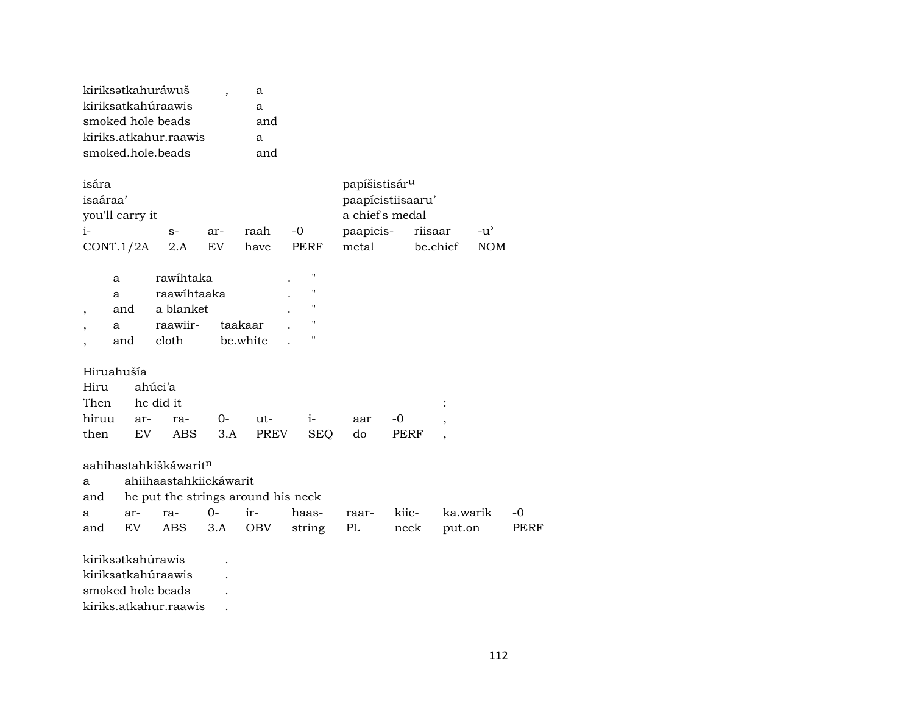| kiriksətkahuráwuš     | a   |
|-----------------------|-----|
| kiriksatkahúraawis    | a   |
| smoked hole beads     | and |
| kiriks.atkahur.raawis | a   |
| smoked hole beads     | and |

| isára           |      |     | papíšistisár <sup>u</sup> |       |           |          |            |  |
|-----------------|------|-----|---------------------------|-------|-----------|----------|------------|--|
| isaáraa'        |      |     | paapicistiisaaru'         |       |           |          |            |  |
| you'll carry it |      |     | a chief's medal           |       |           |          |            |  |
| $i-$            | $S-$ | ar- | raah                      | $-()$ | paapicis- | riisaar  | $-u'$      |  |
| CONT.1/2A       | 2.A  | EV  | have                      | PERF  | metal     | be.chief | <b>NOM</b> |  |

| a   | rawihtaka   |          | ٠ |             |
|-----|-------------|----------|---|-------------|
| a   | raawihtaaka | ٠        | " |             |
| and | a blanket   |          | ٠ | $^{\prime}$ |
| a   | raawiir-    | taakaar  |   | "           |
| and | cloth       | be.white |   | "           |

## Hiruahušía

| Hiru ahúci'a                      |  |  |  |  |
|-----------------------------------|--|--|--|--|
| Then he did it                    |  |  |  |  |
| hiruu ar- ra- 0- ut- i- aar -0,   |  |  |  |  |
| then EV ABS 3.A PREV SEO do PERF, |  |  |  |  |

a ahiihaastahkiickáwarit and de put the strings around his neck

| and he put the strings around his neck |  |  |  |  |  |  |                                                |  |  |  |  |
|----------------------------------------|--|--|--|--|--|--|------------------------------------------------|--|--|--|--|
|                                        |  |  |  |  |  |  | a ar- ra- 0- ir- haas- raar- kiic- ka.warik -0 |  |  |  |  |
|                                        |  |  |  |  |  |  | and EV ABS 3.A OBV string PL neck put.on PERF  |  |  |  |  |

kiriksətkahúrawis . kiriksatkahúraawis . smoked hole beads . kiriks.atkahur.raawis .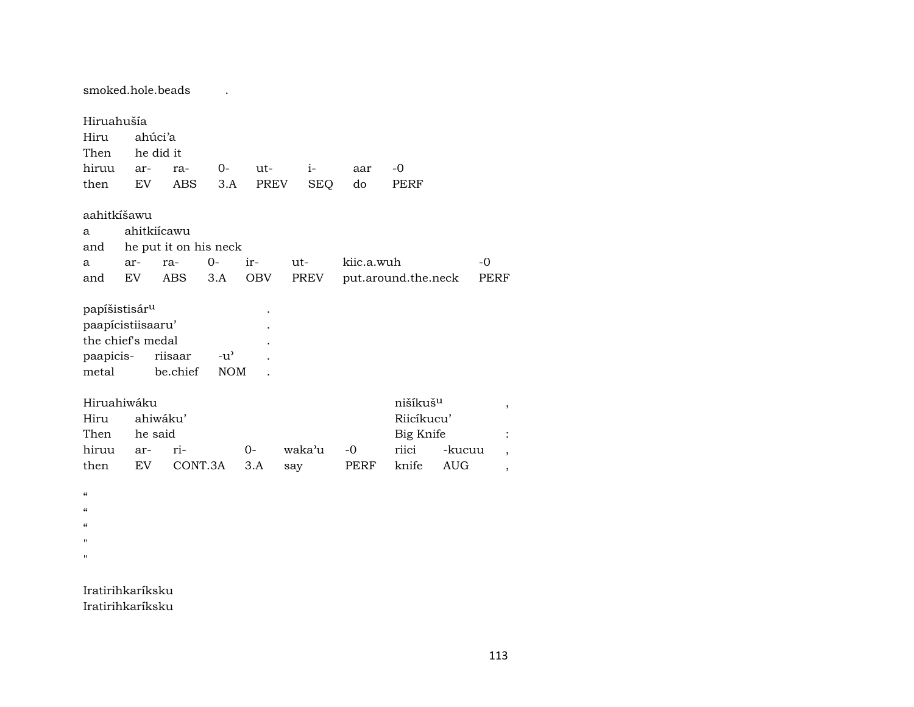smoked.hole.beads . Hiruahušía Hiru ahúci'a Then he did it hiruu ar- ra- 0- ut- i- aar -0 then EV ABS 3.A PREV SEQ do PERF aahitkíšawu a ahitkiícawu and he put it on his neck a ar- ra- 0- ir- ut- kiic.a.wuh -0 and EV ABS 3.A OBV PREV put.around.the.neck PERF papíšistisár<sup>u</sup> paapícistiisaaru' . the chief's medal . paapicis- riisaar -u" . metal be.chief NOM . Hiruahiwáku nišíkušµ , Hiru ahiwáku' Riicíkucu' Then he said Big Knife : hiruu ar- ri- 0- waka"u -0 riici -kucuu , then EV CONT.3A 3.A say PERF knife AUG ,  $\alpha$  $\alpha$  $\mathcal{C}$ " "

Iratirihkaríksku Iratirihkaríksku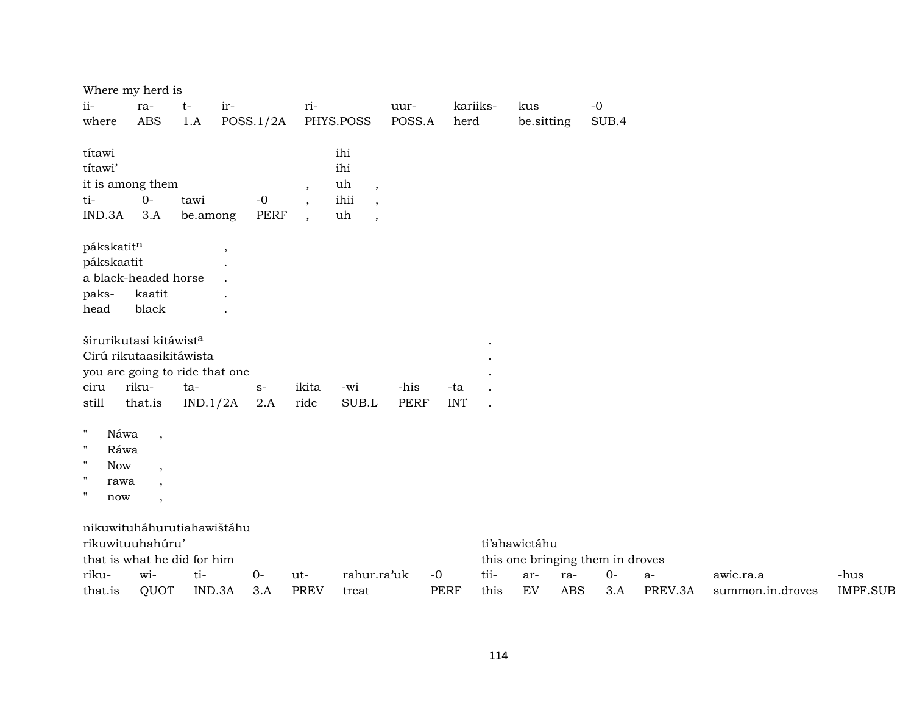|                                                                                                                               | Where my herd is                                                                                                    |                  |           |                     |                           |                                                                                                   |                     |                     |              |               |            |                                  |                 |                               |                         |
|-------------------------------------------------------------------------------------------------------------------------------|---------------------------------------------------------------------------------------------------------------------|------------------|-----------|---------------------|---------------------------|---------------------------------------------------------------------------------------------------|---------------------|---------------------|--------------|---------------|------------|----------------------------------|-----------------|-------------------------------|-------------------------|
| ii-                                                                                                                           | ra-                                                                                                                 | $t-$             | ir-       |                     | ri-                       |                                                                                                   | uur-                |                     | kariiks-     | kus           |            | $-0$                             |                 |                               |                         |
| where                                                                                                                         | <b>ABS</b>                                                                                                          | 1.A              | POSS.1/2A |                     |                           | PHYS.POSS                                                                                         | POSS.A              | herd                |              | be.sitting    |            | SUB.4                            |                 |                               |                         |
| títawi<br>títawi'<br>ti-<br>IND.3A                                                                                            | it is among them<br>$O -$<br>3.A                                                                                    | tawi<br>be.among |           | $-0$<br><b>PERF</b> | $\cdot$<br>$\overline{ }$ | ihi<br>ihi<br>uh<br>$\overline{\phantom{a}}$<br>ihii<br>$\cdot$<br>uh<br>$\overline{\phantom{a}}$ |                     |                     |              |               |            |                                  |                 |                               |                         |
| pákskatitn<br>pákskaatit<br>paks-<br>head                                                                                     | a black-headed horse<br>kaatit<br>black                                                                             |                  | $\, ,$    |                     |                           |                                                                                                   |                     |                     |              |               |            |                                  |                 |                               |                         |
| ciru<br>still                                                                                                                 | širurikutasi kitáwist <sup>a</sup><br>Cirú rikutaasikitáwista<br>you are going to ride that one<br>riku-<br>that.is | ta-<br>IND.1/2A  |           | $S-$<br>2.A         | ikita<br>ride             | -wi<br>SUB.L                                                                                      | -his<br><b>PERF</b> | -ta<br><b>INT</b>   |              |               |            |                                  |                 |                               |                         |
| $\mathbf H$<br>Náwa<br>$\pmb{\mathsf{H}}$<br>Ráwa<br>$\mathbf{H}$<br><b>Now</b><br>$\mathbf{H}$<br>rawa<br>$^{\prime}$<br>now | $\overline{\phantom{a}}$<br>$\overline{\phantom{a}}$<br>$\overline{\phantom{a}}$<br>$\overline{\phantom{a}}$        |                  |           |                     |                           |                                                                                                   |                     |                     |              |               |            |                                  |                 |                               |                         |
|                                                                                                                               | nikuwituháhurutiahawištáhu<br>rikuwituuhahúru'<br>that is what he did for him                                       |                  |           |                     |                           |                                                                                                   |                     |                     |              | ti'ahawictáhu |            | this one bringing them in droves |                 |                               |                         |
| riku-<br>that.is                                                                                                              | wi-<br>QUOT                                                                                                         | ti-<br>IND.3A    |           | $0-$<br>3.A         | ut-<br><b>PREV</b>        | rahur.ra'uk<br>treat                                                                              |                     | $-0$<br><b>PERF</b> | tii-<br>this | ar-<br>EV     | ra-<br>ABS | $0-$<br>3.A                      | $a-$<br>PREV.3A | awic.ra.a<br>summon.in.droves | -hus<br><b>IMPF.SUB</b> |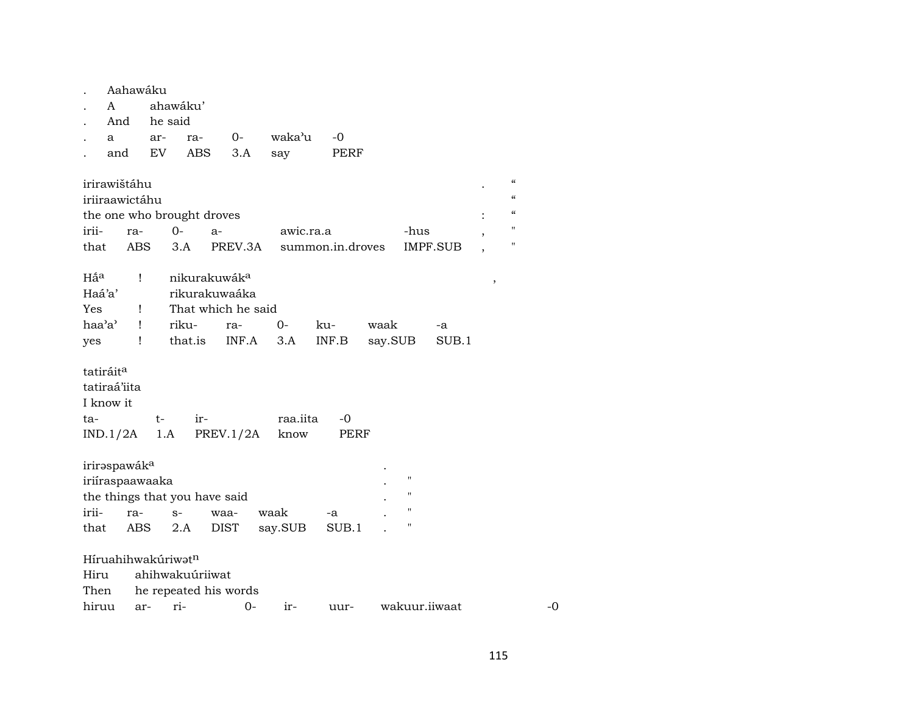|                 | Aahawáku                 |     |     |                                |             |           |      |                  |             |      |                    |               |   |                |
|-----------------|--------------------------|-----|-----|--------------------------------|-------------|-----------|------|------------------|-------------|------|--------------------|---------------|---|----------------|
|                 | A                        |     |     | ahawáku'                       |             |           |      |                  |             |      |                    |               |   |                |
|                 | And                      |     |     | he said                        |             |           |      |                  |             |      |                    |               |   |                |
|                 | a                        |     | ar- | ra-                            |             | $O-$      |      | waka'u           | -0          |      |                    |               |   |                |
|                 | and                      |     | EV  | ABS                            |             | 3.A       |      | say              | PERF        |      |                    |               |   |                |
|                 |                          |     |     |                                |             |           |      |                  |             |      |                    |               |   |                |
|                 | irirawištáhu             |     |     |                                |             |           |      |                  |             |      |                    |               |   | $\epsilon$     |
|                 | iriiraawictáhu           |     |     |                                |             |           |      |                  |             |      |                    |               |   | $\mathcal{L}$  |
|                 |                          |     |     | the one who brought droves     |             |           |      |                  |             |      |                    |               |   | $\mathcal{L}$  |
| irii-           |                          | ra- |     | $0-$                           | a-          |           |      | awic.ra.a        |             |      | -hus               |               | , | $\blacksquare$ |
| that            | ABS<br>3.A<br>PREV.3A    |     |     |                                |             |           |      | summon.in.droves |             |      | <b>IMPF.SUB</b>    |               | Ħ |                |
|                 |                          |     |     |                                |             |           |      |                  |             |      |                    |               |   |                |
| Hấ <sup>a</sup> |                          | Ţ   |     | nikurakuwáka                   |             |           |      |                  |             |      |                    |               | , |                |
| Haá'a'          |                          |     |     | rikurakuwaáka                  |             |           |      |                  |             |      |                    |               |   |                |
| Yes             |                          | Ţ   |     | That which he said             |             |           |      |                  |             |      |                    |               |   |                |
| haa'a'          |                          | Ţ   |     | riku-                          |             | ra-       |      | $0-$             | ku-         | waak |                    | -a            |   |                |
| yes             |                          | Ţ   |     | that.is                        |             | INF.A     |      | 3.A              | INF.B       |      | say.SUB            | SUB.1         |   |                |
|                 |                          |     |     |                                |             |           |      |                  |             |      |                    |               |   |                |
|                 | tatiráit <sup>a</sup>    |     |     |                                |             |           |      |                  |             |      |                    |               |   |                |
|                 | tatiraá'iita             |     |     |                                |             |           |      |                  |             |      |                    |               |   |                |
|                 | I know it                |     |     |                                |             |           |      |                  |             |      |                    |               |   |                |
| ta-             |                          |     | t-  |                                | ir-         |           |      | raa.iita         | -0          |      |                    |               |   |                |
|                 | $IND.1/2A$ 1.A           |     |     |                                |             | PREV.1/2A |      | know             | PERF        |      |                    |               |   |                |
|                 |                          |     |     |                                |             |           |      |                  |             |      |                    |               |   |                |
|                 | iriraspawák <sup>a</sup> |     |     |                                |             |           |      |                  |             |      |                    |               |   |                |
|                 | iriíraspaawaaka          |     |     |                                |             |           |      |                  |             |      | "                  |               |   |                |
|                 |                          |     |     | the things that you have said  |             |           |      |                  |             |      | "                  |               |   |                |
| irii-           |                          | ra- |     | $S-$                           | waa-        |           | waak |                  |             |      | $\pmb{\mathsf{H}}$ |               |   |                |
| that            |                          | ABS |     |                                | <b>DIST</b> |           |      |                  | -a<br>SUB.1 |      | $\blacksquare$     |               |   |                |
|                 |                          |     |     | 2.A                            |             |           |      | say.SUB          |             |      |                    |               |   |                |
|                 |                          |     |     | Híruahihwakúriwat <sup>n</sup> |             |           |      |                  |             |      |                    |               |   |                |
|                 |                          |     |     |                                |             |           |      |                  |             |      |                    |               |   |                |
| Hiru            |                          |     |     | ahihwakuúriiwat                |             |           |      |                  |             |      |                    |               |   |                |
| Then            |                          |     |     | he repeated his words          |             |           |      |                  |             |      |                    |               |   |                |
| hiruu           |                          | ar- |     | ri-                            |             | 0-        |      | ir-              | uur-        |      |                    | wakuur.iiwaat |   |                |

 $-0$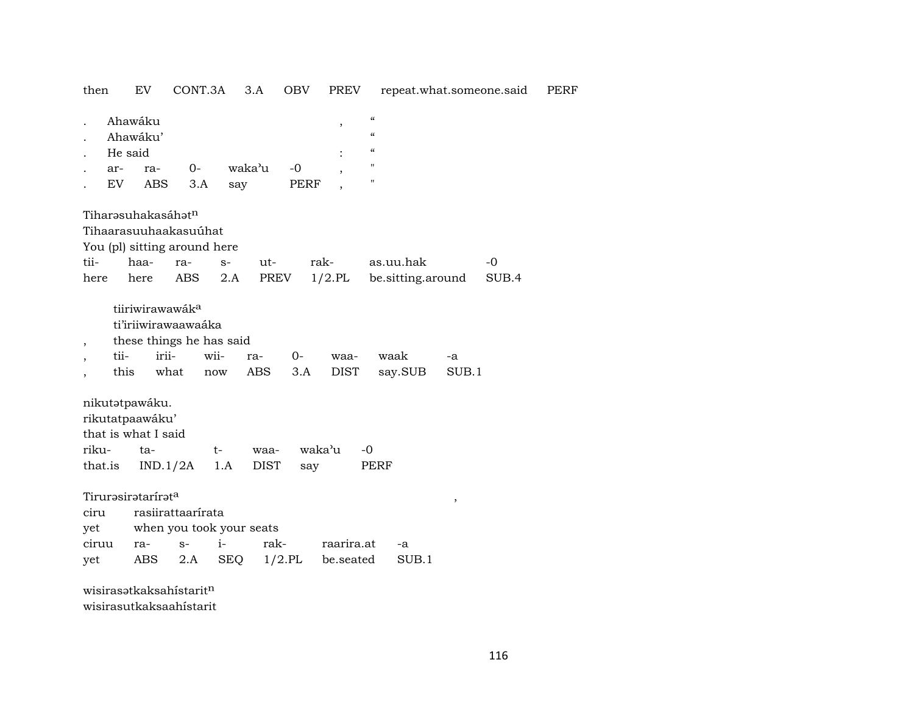## then EV CONT.3A 3.A OBV PREV repeat.what.someone.said PERF

|                                                      | He said<br>ar-<br>EV | Ahawáku<br>Ahawáku'<br>ra-<br>ABS                               | $0-$                                                                         | 3.A<br>say                                  | waka'u              | $-0$<br>PERF        | $\overline{\phantom{a}}$ | $\mathcal{C}\mathcal{C}$<br>$\mathcal{C}\mathcal{C}$<br>$\mathcal{C}\mathcal{C}$<br>$\pmb{\mathsf{H}}$<br>$\pmb{\mathsf{H}}$ |                                |             |               |
|------------------------------------------------------|----------------------|-----------------------------------------------------------------|------------------------------------------------------------------------------|---------------------------------------------|---------------------|---------------------|--------------------------|------------------------------------------------------------------------------------------------------------------------------|--------------------------------|-------------|---------------|
| tii-<br>here                                         |                      | haa-<br>here                                                    | Tiharəsuhakasáhət <sup>n</sup><br>Tihaarasuuhaakasuúhat<br>ra-<br><b>ABS</b> | You (pl) sitting around here<br>$S-$<br>2.A | ut-<br>PREV         |                     | rak-<br>$1/2$ .PL        |                                                                                                                              | as.uu.hak<br>be sitting around |             | $-0$<br>SUB.4 |
| $\overline{\phantom{a}}$<br>$\overline{\phantom{a}}$ | tii-<br>this         |                                                                 | tiiriwirawawák <sup>a</sup><br>ti'iriiwirawaawaáka<br>irii-<br>what          | these things he has said<br>wii-<br>now     | ra-<br>ABS          | $0-$<br>3.A         | waa-<br>DIST             |                                                                                                                              | waak<br>say.SUB                | -a<br>SUB.1 |               |
| riku-                                                | that.is              | nikutatpawáku.<br>rikutatpaawáku'<br>that is what I said<br>ta- | IND.1/2A                                                                     | t-<br>1.A                                   | waa-<br><b>DIST</b> | say                 | waka'u                   | $-0$<br>PERF                                                                                                                 |                                |             |               |
| ciru                                                 |                      | Tirurəsirətarirət <sup>a</sup>                                  | rasiirattaarírata                                                            |                                             |                     |                     |                          |                                                                                                                              |                                | ,           |               |
|                                                      |                      |                                                                 |                                                                              | when you took your seats                    |                     |                     |                          |                                                                                                                              |                                |             |               |
| yet<br>ciruu                                         |                      |                                                                 | $S-$                                                                         | $i-$                                        | rak-                |                     | raarira.at               |                                                                                                                              |                                |             |               |
| yet                                                  |                      | ra-<br>ABS                                                      | 2.A                                                                          | SEQ                                         |                     | $1/2$ .PL be.seated |                          |                                                                                                                              | -a<br>SUB.1                    |             |               |
|                                                      |                      |                                                                 | wisirasətkaksahistarit <sup>n</sup>                                          |                                             |                     |                     |                          |                                                                                                                              |                                |             |               |

wisirasutkaksaahístarit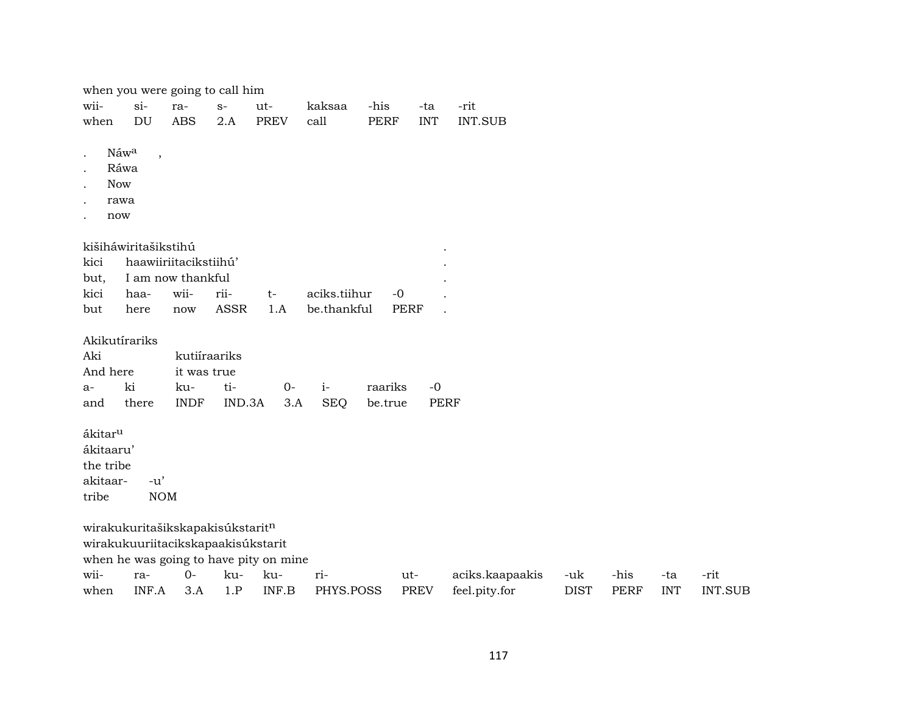| when you were going to call him |  |  |  |
|---------------------------------|--|--|--|
|                                 |  |  |  |

|  |  | wii- si- ra- s- ut- kaksaa -his -ta -rit   |  |  |
|--|--|--------------------------------------------|--|--|
|  |  | when DU ABS 2.A PREV call PERF INT INT.SUB |  |  |

- . Náw $\rm ^a$  ,
- . Ráwa
- . Now
- . rawa
- . now

| kišiháwiritašikstihú       |  |                                         |  |
|----------------------------|--|-----------------------------------------|--|
| kici haawiiriitacikstiihú' |  |                                         |  |
| but, I am now thankful     |  |                                         |  |
|                            |  | kici haa- wii- rii-  t- aciks.tiihur -0 |  |
|                            |  | but here now ASSR 1.A be.thankful PERF  |  |

Akikutírariks

| Aki      |    | kutiíraariks |  |                                        |    |
|----------|----|--------------|--|----------------------------------------|----|
| And here |    | it was true  |  |                                        |    |
| а-       | ki |              |  |                                        | -0 |
| and      |    |              |  | there INDF IND.3A 3.A SEO be.true PERF |    |

ákitarµ ákitaaru' the tribe akitaar- -u'

tribe NOM

wirakukuritašikskapakisúkstarit $^{\rm n}$ wirakukuuriitacikskapaakisúkstarit

when he was going to have pity on mine

| wii- |  | ra- 0- ku- ku- ri- | ut- | aciks.kaapaakis -uk -his -ta -rit                     |  |                       |
|------|--|--------------------|-----|-------------------------------------------------------|--|-----------------------|
|      |  |                    |     | when INF.A 3.A 1.P INF.B PHYS.POSS PREV feel.pity.for |  | DIST PERF INT INT.SUB |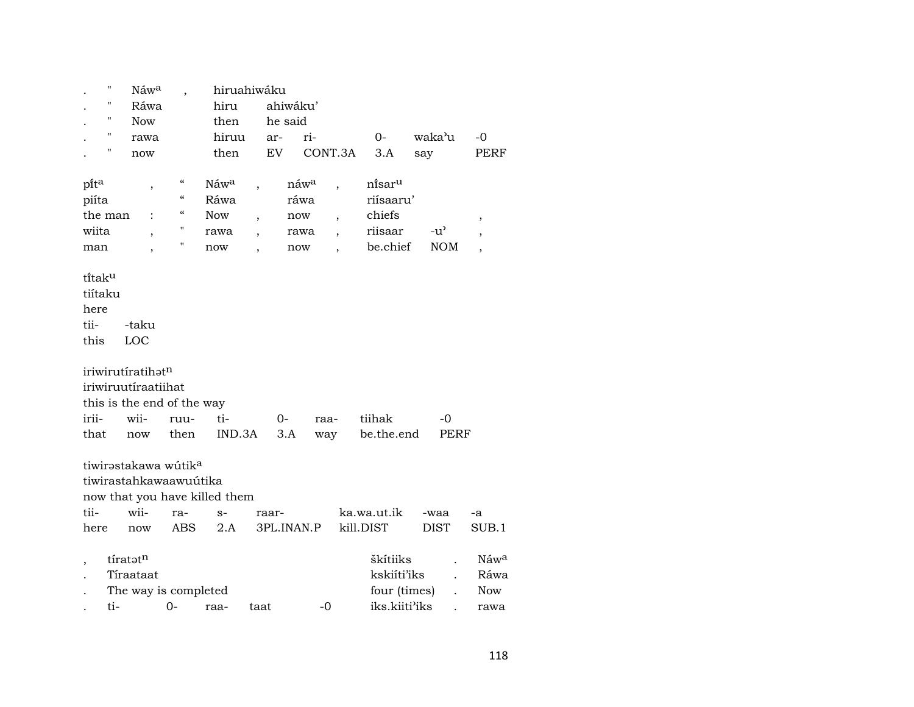|                    | 11  | Náw <sup>a</sup>                 |                                        | hiruahiwáku                   |                          |                  |                          |                      |               |                          |
|--------------------|-----|----------------------------------|----------------------------------------|-------------------------------|--------------------------|------------------|--------------------------|----------------------|---------------|--------------------------|
|                    | п   | Ráwa                             |                                        | hiru                          |                          | ahiwáku'         |                          |                      |               |                          |
|                    | 11  | <b>Now</b>                       |                                        | then                          |                          | he said          |                          |                      |               |                          |
|                    | "   | rawa                             |                                        | hiruu                         |                          | ar-              | ri-                      | $0-$                 | waka'u        | $-0$                     |
|                    | Π   | now                              |                                        | then                          |                          | EV               | CONT.3A                  | 3.A                  | say           | PERF                     |
|                    |     |                                  |                                        |                               |                          |                  |                          |                      |               |                          |
| pita               |     | ,                                | $\mathcal{C}\mathcal{C}$               | Náw <sup>a</sup>              |                          | náw <sup>a</sup> | $\overline{\phantom{a}}$ | ni̇̃sar <sup>u</sup> |               |                          |
| piíta              |     |                                  | $\mathcal{C}\mathcal{C}$               | Ráwa                          |                          | ráwa             |                          | riísaaru'            |               |                          |
| the man            |     |                                  | $\boldsymbol{\zeta}\boldsymbol{\zeta}$ | <b>Now</b>                    | $\overline{\phantom{a}}$ | now              | $\overline{\phantom{a}}$ | chiefs               |               | ,                        |
| wiita              |     | $\overline{\phantom{a}}$         | 11                                     | rawa                          |                          | rawa             | $\ddot{\phantom{0}}$     | riisaar              | $-u^{\prime}$ |                          |
| man                |     | $\overline{ }$                   | 11                                     | now                           |                          | now              |                          | be.chief             | <b>NOM</b>    | $\overline{\phantom{a}}$ |
|                    |     |                                  |                                        |                               |                          |                  |                          |                      |               |                          |
| titak <sup>u</sup> |     |                                  |                                        |                               |                          |                  |                          |                      |               |                          |
| tiítaku            |     |                                  |                                        |                               |                          |                  |                          |                      |               |                          |
| here               |     |                                  |                                        |                               |                          |                  |                          |                      |               |                          |
| tii-               |     | -taku                            |                                        |                               |                          |                  |                          |                      |               |                          |
| this               |     | LOC                              |                                        |                               |                          |                  |                          |                      |               |                          |
|                    |     |                                  |                                        |                               |                          |                  |                          |                      |               |                          |
|                    |     | iriwirutiratihatn                |                                        |                               |                          |                  |                          |                      |               |                          |
|                    |     | iriwiruutíraatiihat              |                                        |                               |                          |                  |                          |                      |               |                          |
|                    |     | this is the end of the way       |                                        |                               |                          |                  |                          |                      |               |                          |
| irii-              |     | wii-                             | ruu-                                   | ti-                           |                          | 0-               | raa-                     | tiihak               | -0            |                          |
| that               |     | now                              | then                                   | IND.3A                        |                          | 3.A              | way                      | be.the.end           | PERF          |                          |
|                    |     |                                  |                                        |                               |                          |                  |                          |                      |               |                          |
|                    |     | tiwirəstakawa wútik <sup>a</sup> |                                        |                               |                          |                  |                          |                      |               |                          |
|                    |     | tiwirastahkawaawuútika           |                                        |                               |                          |                  |                          |                      |               |                          |
|                    |     |                                  |                                        | now that you have killed them |                          |                  |                          |                      |               |                          |
| tii-               |     | wii-                             | ra-                                    | $S-$                          |                          | raar-            |                          | ka.wa.ut.ik          | -waa          | -a                       |
| here               |     | now                              | ABS                                    | 2.A                           |                          | 3PL.INAN.P       |                          | kill.DIST            | <b>DIST</b>   | SUB.1                    |
|                    |     |                                  |                                        |                               |                          |                  |                          |                      |               |                          |
|                    |     | tíratotn                         |                                        |                               |                          |                  |                          | škítiiks             |               | Náw <sup>a</sup>         |
|                    |     | Tíraataat                        |                                        |                               |                          |                  |                          | kskiíti'iks          |               | Ráwa                     |
|                    |     | The way is completed             |                                        |                               |                          |                  |                          | four (times)         |               | <b>Now</b>               |
|                    | ti- |                                  | $0-$                                   | raa-                          | taat                     |                  | $-0$                     | iks.kiiti'iks        |               | rawa                     |
|                    |     |                                  |                                        |                               |                          |                  |                          |                      |               |                          |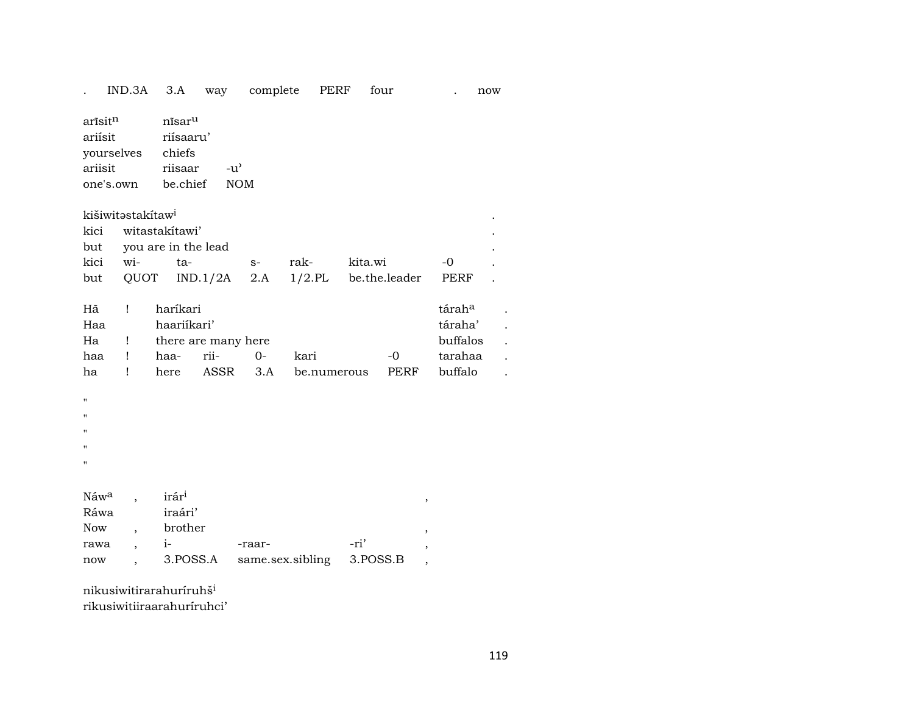$IND.3A$   $3.A$ complete **PERF** way four now  $\mathbf{r}$  $\overline{a}$  $arīsit<sup>n</sup>$ nīsar<sup>u</sup> ariísit riísaaru' chiefs yourselves ariisit riisaar  $-u^{\prime}$ be.chief one's.own **NOM** kišiwitəstakitaw<sup>i</sup> witastakítawi' kici you are in the lead but wita- $-0$ kici rakkita.wi  $S-$ QUOT  $IND.1/2A$  $2.A$  $1/2$ .PL be.the.leader PERF but haríkari  $\mathbf{I}$ táraha Hã  $\ddot{\phantom{a}}$ táraha' Haa haariikari'  $\ddot{\phantom{a}}$ there are many here buffalos Ha  $\mathbf{I}$  $\mathbb{R}^2$ riitarahaa haa  $\mathbf{I}$ haa- $O$ kari  $-0$  $\ddot{\phantom{a}}$ **ASSR**  $3.A$ **PERF** buffalo ha  $\mathbf{I}$ here be.numerous  $\overline{a}$  $\ddot{\phantom{a}}$  $\ddot{\phantom{a}}$  $N$ áw<sup>a</sup> irár<sup>i</sup>  $\overline{\phantom{a}}$  $\cdot$ Ráwa iraári' brother Now  $\overline{\phantom{a}}$  $i-$ -ri' rawa -raar- $\overline{\phantom{a}}$ 3.POSS.A same.sex.sibling 3.POSS.B now  $\overline{ }$ ,  $\overline{\phantom{a}}$ nikusiwitirarahuriruhš<sup>i</sup>

rikusiwitiiraarahuriruhci'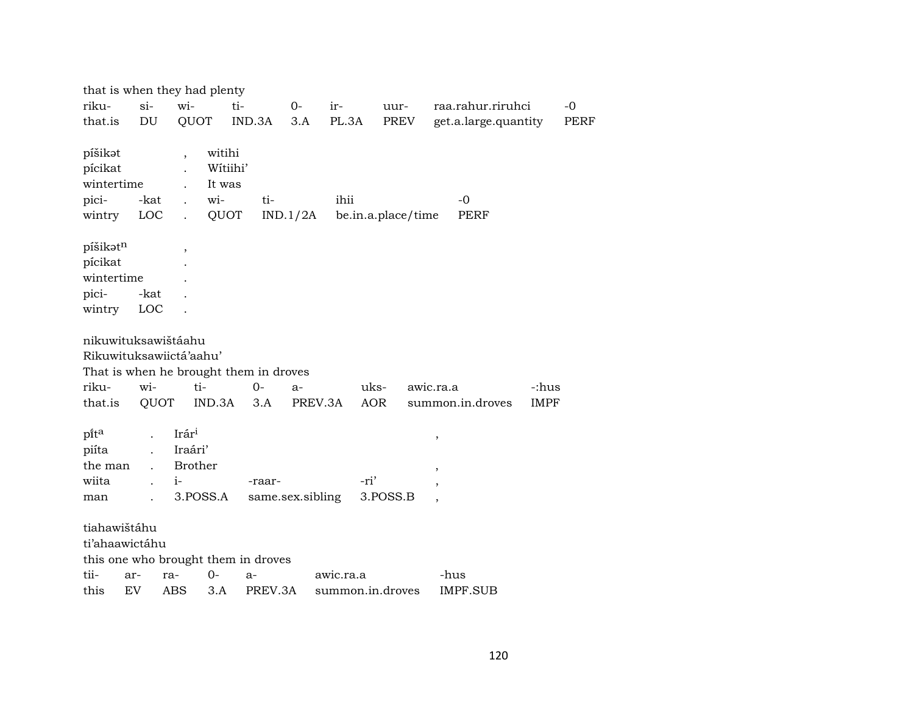|                                                        |                    | that is when they had plenty                                       |                                                 |                  |                  |                    |                                    |             |             |
|--------------------------------------------------------|--------------------|--------------------------------------------------------------------|-------------------------------------------------|------------------|------------------|--------------------|------------------------------------|-------------|-------------|
| riku-                                                  | $si-$              | wi-                                                                | ti-                                             | $O-$             | $ir-$            | uur-               | raa.rahur.riruhci                  |             | $-0$        |
| that.is                                                | DU                 | QUOT                                                               | IND.3A                                          | 3.A              | PL.3A            | PREV               | get.a.large.quantity               |             | <b>PERF</b> |
| píšikət<br>pícikat<br>wintertime<br>pici-<br>wintry    | -kat<br>LOC        | $\overline{\phantom{a}}$<br>wi-<br>$\mathbb{R}^{\mathbb{Z}}$       | witihi<br>Wítiihi'<br>It was<br>ti-<br>QUOT     | IND.1/2A         | ihii             | be.in.a.place/time | $-0$<br><b>PERF</b>                |             |             |
| píšikatn<br>pícikat<br>wintertime<br>pici-<br>wintry   | -kat<br><b>LOC</b> | $\overline{\phantom{a}}$                                           |                                                 |                  |                  |                    |                                    |             |             |
| nikuwituksawištáahu<br>riku-                           | wi-                | Rikuwituksawiictá'aahu'<br>ti-                                     | That is when he brought them in droves<br>$0 -$ | $a-$             |                  | uks-               | awic.ra.a                          | -:hus       |             |
| that.is                                                | QUOT               | IND.3A                                                             | 3.A                                             | PREV.3A          |                  | AOR                | summon.in.droves                   | <b>IMPF</b> |             |
| pi̇̃t <sup>a</sup><br>piíta<br>the man<br>wiita<br>man | $\mathbf{r}$       | Irár <sup>i</sup><br>Iraári'<br><b>Brother</b><br>$i-$<br>3.POSS.A | -raar-                                          | same.sex.sibling | -ri'             | 3.POSS.B           | ,<br>$\overline{\phantom{a}}$<br>, |             |             |
| tiahawištáhu<br>ti'ahaawictáhu                         |                    |                                                                    | this one who brought them in droves             |                  |                  |                    |                                    |             |             |
| tii-                                                   | ar-                | 0-<br>ra-                                                          | a-                                              |                  | awic.ra.a        |                    | -hus                               |             |             |
| this                                                   | EV                 | ABS                                                                | 3.A<br>PREV.3A                                  |                  | summon.in.droves |                    | <b>IMPF.SUB</b>                    |             |             |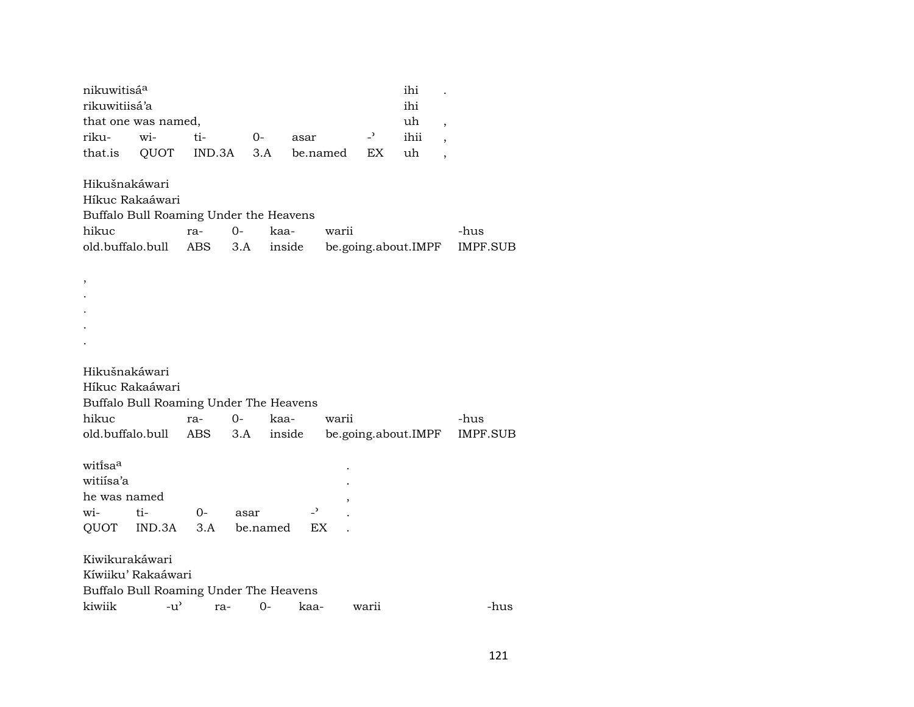| nikuwitisá <sup>a</sup>                                           |                                                                               |            |                  |                |                                       |                | ihi                 |                          |                  |
|-------------------------------------------------------------------|-------------------------------------------------------------------------------|------------|------------------|----------------|---------------------------------------|----------------|---------------------|--------------------------|------------------|
| rikuwitiisá'a                                                     |                                                                               |            |                  |                |                                       |                | ihi                 |                          |                  |
|                                                                   | that one was named,                                                           |            |                  |                |                                       |                | uh                  | $\overline{\phantom{a}}$ |                  |
| riku-                                                             | wi-                                                                           | ti-        | 0-               | asar           |                                       | $\overline{a}$ | ihii                |                          |                  |
| that.is                                                           | QUOT                                                                          | IND.3A     | 3.A              |                | be.named                              | EX.            | uh                  | $\overline{\phantom{a}}$ |                  |
| Hikušnakáwari<br>hikuc<br>old.buffalo.bull                        | Híkuc Rakaáwari<br>Buffalo Bull Roaming Under the Heavens                     | ra-<br>ABS | $0-$<br>3.A      | kaa-<br>inside | warii                                 |                | be.going.about.IMPF |                          | -hus<br>IMPF.SUB |
| ,                                                                 |                                                                               |            |                  |                |                                       |                |                     |                          |                  |
| Hikušnakáwari                                                     | Híkuc Rakaáwari<br>Buffalo Bull Roaming Under The Heavens                     |            |                  |                |                                       |                |                     |                          |                  |
| hikuc                                                             |                                                                               | ra-        | $O -$            | kaa-           | warii                                 |                |                     |                          | -hus             |
| old.buffalo.bull                                                  |                                                                               | ABS        | 3.A              | inside         |                                       |                | be.going.about.IMPF |                          | IMPF.SUB         |
| witi̇̃sa <sup>a</sup><br>witiisa'a<br>he was named<br>wi-<br>QUOT | ti-<br>$IND.3A$ $3.A$                                                         | $O -$      | asar<br>be.named |                | $\overline{\phantom{a}}$<br><b>EX</b> |                |                     |                          |                  |
| Kiwikurakáwari                                                    | Kíwiiku' Rakaáwari                                                            |            |                  |                |                                       |                |                     |                          |                  |
| kiwiik                                                            | Buffalo Bull Roaming Under The Heavens<br>$-u$ <sup><math>\prime</math></sup> | ra-        | $O -$            |                | kaa-                                  | warii          |                     |                          | -hus             |
|                                                                   |                                                                               |            |                  |                |                                       |                |                     |                          |                  |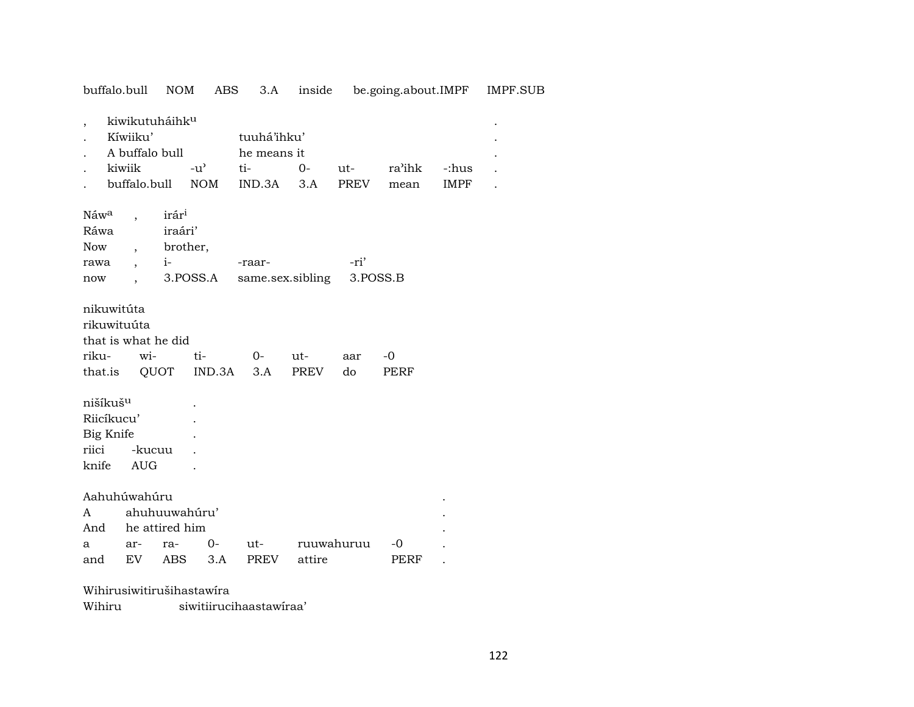| buffalo.bull                                                      |                                                                                    | <b>NOM</b>                                           | ABS                         | 3.A                                         | inside      |                    |                |                      | be.going.about.IMPF IMPF.SUB |
|-------------------------------------------------------------------|------------------------------------------------------------------------------------|------------------------------------------------------|-----------------------------|---------------------------------------------|-------------|--------------------|----------------|----------------------|------------------------------|
| $\overline{ }$                                                    | kiwikutuháihk <sup>u</sup><br>Kíwiiku'<br>A buffalo bull<br>kiwiik<br>buffalo.bull |                                                      | $-u^{\prime}$<br><b>NOM</b> | tuuhá'ihku'<br>he means it<br>ti-<br>IND.3A | $0-$<br>3.A | ut-<br><b>PREV</b> | ra'ihk<br>mean | -:hus<br><b>IMPF</b> |                              |
| Náw <sup>a</sup><br>Ráwa<br>Now<br>rawa<br>now                    |                                                                                    | irár <sup>i</sup><br>iraári'<br>brother,<br>$i-$     | 3.POSS.A                    | -raar-<br>same.sex.sibling                  |             | -ri'               | 3.POSS.B       |                      |                              |
| nikuwitúta<br>rikuwituúta<br>riku-<br>that.is                     | that is what he did<br>wi-                                                         | QUOT                                                 | ti-<br>IND.3A               | $0-$<br>3.A                                 | ut-<br>PREV | aar<br>do          | $-0$<br>PERF   |                      |                              |
| nišíkuš <sup>u</sup><br>Riicíkucu'<br>Big Knife<br>riici<br>knife | -kucuu<br><b>AUG</b>                                                               |                                                      |                             |                                             |             |                    |                |                      |                              |
| A<br>And<br>a<br>and                                              | Aahuhúwahúru<br>ar-<br>EV                                                          | ahuhuuwahúru'<br>he attired him<br>ra-<br><b>ABS</b> | $O -$<br>3.A                | ut-<br>PREV                                 | attire      | ruuwahuruu         | -0<br>PERF     |                      |                              |

Wihirusiwitirušihastawíra

Wihiru siwitiirucihaastawíraa'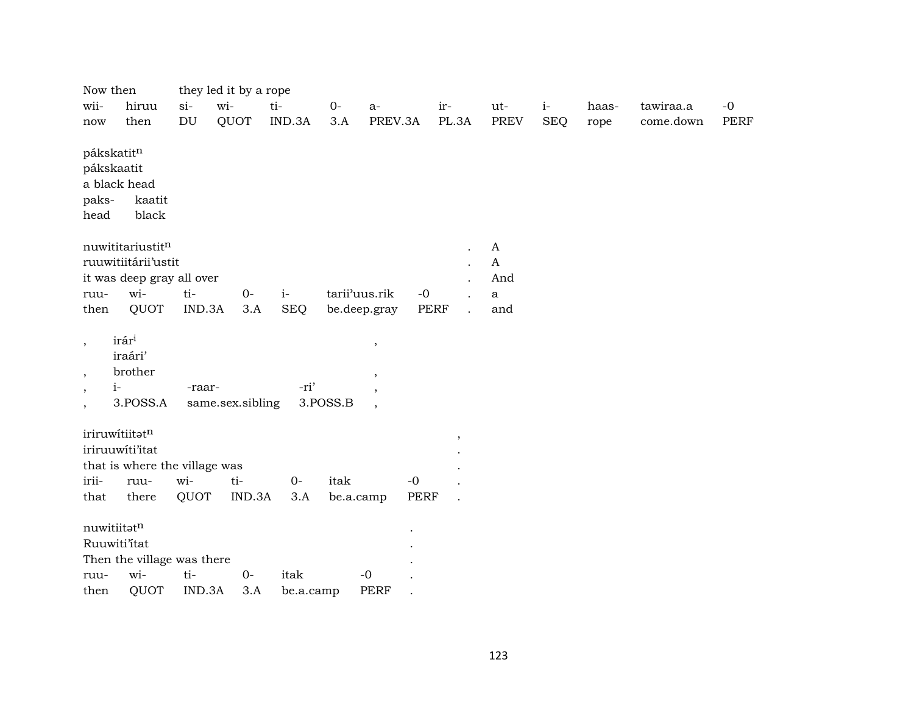| Now then                                                                 |                                                     |                            | they led it by a rope |            |           |                                                                     |             |                      |              |            |       |           |      |
|--------------------------------------------------------------------------|-----------------------------------------------------|----------------------------|-----------------------|------------|-----------|---------------------------------------------------------------------|-------------|----------------------|--------------|------------|-------|-----------|------|
| wii-                                                                     | hiruu                                               | $si-$                      | wi-                   | ti-        | $O -$     | $a-$                                                                |             | ir-                  | ut-          | $i-$       | haas- | tawiraa.a | $-0$ |
| now                                                                      | then                                                | $\mathop{\rm DU}\nolimits$ | QUOT                  | IND.3A     | 3.A       | PREV.3A                                                             |             | PL.3A                | <b>PREV</b>  | <b>SEQ</b> | rope  | come.down | PERF |
| pákskatitn<br>pákskaatit<br>paks-<br>head                                | a black head<br>kaatit<br>black                     |                            |                       |            |           |                                                                     |             |                      |              |            |       |           |      |
|                                                                          | nuwititariustitn                                    |                            |                       |            |           |                                                                     |             | $\ddot{\phantom{a}}$ | $\mathbf{A}$ |            |       |           |      |
|                                                                          | ruuwitiitárii'ustit                                 |                            |                       |            |           |                                                                     |             | $\mathbf{r}$         | $\mathbf{A}$ |            |       |           |      |
|                                                                          | it was deep gray all over                           |                            |                       |            |           |                                                                     |             |                      | And          |            |       |           |      |
| ruu-                                                                     | wi-                                                 | ti-                        | $0-$                  | $i-$       |           | tarii'uus.rik                                                       | $-0$        |                      | $\mathbf{a}$ |            |       |           |      |
| then                                                                     | QUOT                                                | IND.3A                     | 3.A                   | <b>SEQ</b> |           | be.deep.gray                                                        | <b>PERF</b> |                      | and          |            |       |           |      |
| $\cdot$<br>$\overline{ }$<br>$i-$<br>$\overline{\phantom{a}}$<br>$\cdot$ | irár <sup>i</sup><br>iraári'<br>brother<br>3.POSS.A | -raar-                     | same.sex.sibling      | -ri'       | 3.POSS.B  | $\, ,$<br>$\overline{\phantom{a}}$<br>,<br>$\overline{\phantom{a}}$ |             |                      |              |            |       |           |      |
|                                                                          | iriruwítiitatn<br>iriruuwiti'itat                   |                            |                       |            |           |                                                                     |             | $^\mathrm{,}$        |              |            |       |           |      |
|                                                                          | that is where the village was                       |                            |                       |            |           |                                                                     |             |                      |              |            |       |           |      |
| irii-                                                                    | ruu-                                                | wi-                        | ti-                   | $O -$      | itak      |                                                                     | $-0$        |                      |              |            |       |           |      |
| that                                                                     | there                                               | QUOT                       | IND.3A                | 3.A        | be.a.camp |                                                                     | <b>PERF</b> |                      |              |            |       |           |      |
| nuwitiitatn                                                              |                                                     |                            |                       |            |           |                                                                     |             |                      |              |            |       |           |      |
| Ruuwiti'itat                                                             |                                                     |                            |                       |            |           |                                                                     |             |                      |              |            |       |           |      |
|                                                                          | Then the village was there                          |                            |                       |            |           |                                                                     |             |                      |              |            |       |           |      |
| ruu-                                                                     | wi-                                                 | ti-                        | $0-$                  | itak       |           | $-0$                                                                |             |                      |              |            |       |           |      |
| then                                                                     | QUOT                                                | IND.3A                     | 3.A                   | be.a.camp  |           | <b>PERF</b>                                                         |             |                      |              |            |       |           |      |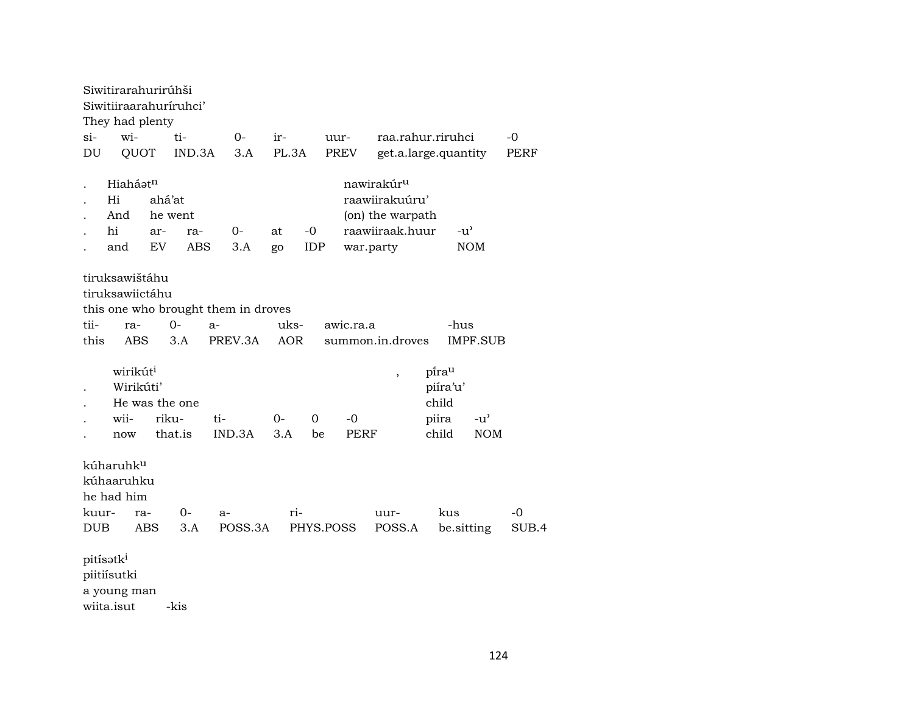|              | Siwitirarahurirúhši<br>Siwitiiraarahuriruhci'<br>They had plenty   |                     |                              |                                                        |              |             |                     |                                                                                 |                                              |                     |             |
|--------------|--------------------------------------------------------------------|---------------------|------------------------------|--------------------------------------------------------|--------------|-------------|---------------------|---------------------------------------------------------------------------------|----------------------------------------------|---------------------|-------------|
| $\sin$       | wi-                                                                |                     | ti-                          | $0-$                                                   | ir-          |             | uur-                |                                                                                 | raa.rahur.riruhci                            |                     | -0          |
| DU           | QUOT                                                               |                     | IND.3A                       | 3.A                                                    | PL.3A        |             | PREV                |                                                                                 | get.a.large.quantity                         |                     | PERF        |
|              | Hiaháatn<br>Hi<br>And<br>hi<br>and                                 | ahá'at<br>ar-<br>EV | he went<br>ra-<br><b>ABS</b> | 0-<br>3.A                                              | at<br>go     | $-0$<br>IDP | war.party           | nawirakúr <sup>u</sup><br>raawiirakuúru'<br>(on) the warpath<br>raawiiraak.huur | -u'                                          | <b>NOM</b>          |             |
| tii-<br>this | tiruksawištáhu<br>tiruksawiictáhu<br>ra-<br><b>ABS</b>             |                     | $O -$<br>3.A                 | this one who brought them in droves<br>$a-$<br>PREV.3A | uks-<br>AOR  |             | awic.ra.a           | summon.in.droves                                                                | -hus                                         | <b>IMPF.SUB</b>     |             |
|              | wirikút <sup>i</sup><br>Wirikúti'<br>He was the one<br>wii-<br>now | riku-               | that.is                      | ti-<br>IND.3A                                          | $O -$<br>3.A | 0<br>be     | $-0$<br><b>PERF</b> | $\overline{\phantom{a}}$                                                        | pirau<br>piíra'u'<br>child<br>piira<br>child | $-u'$<br><b>NOM</b> |             |
| kuur-<br>DUB | kúharuhk <sup>u</sup><br>kúhaaruhku<br>he had him<br>ra-           | <b>ABS</b>          | 0-<br>3.A                    | a-<br>POSS.3A                                          | ri-          | PHYS.POSS   |                     | uur-<br>POSS.A                                                                  | kus<br>be.sitting                            |                     | -0<br>SUB.4 |
|              | pitísatk <sup>i</sup><br>piitiísutki<br>a young man<br>wiita.isut  |                     | -kis                         |                                                        |              |             |                     |                                                                                 |                                              |                     |             |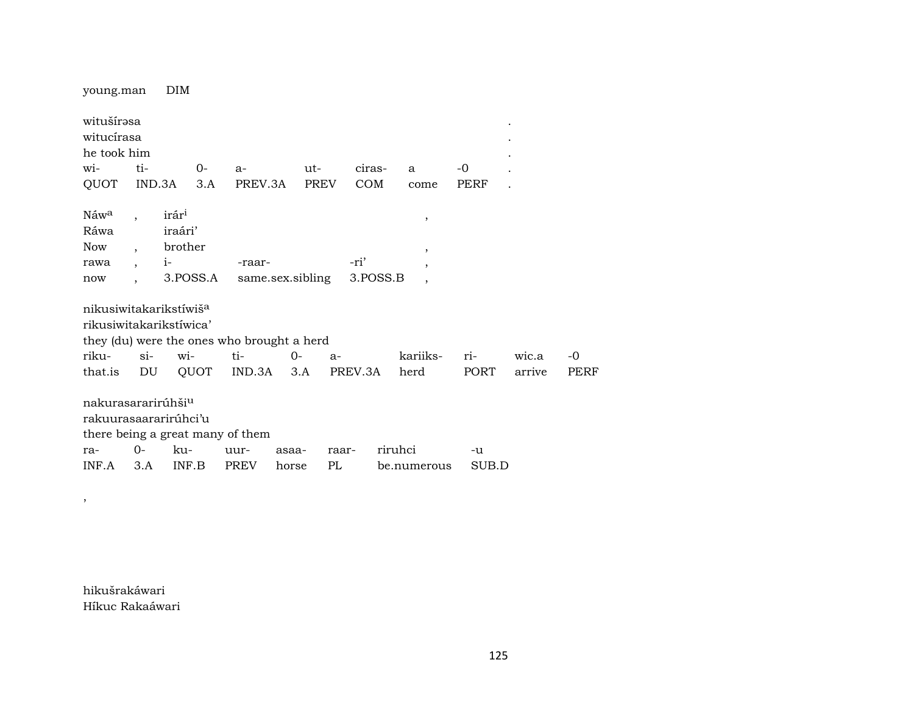young.man  $DIM$ witušírəsa  $\overline{a}$ witucírasa he took him witi- $O$  $a$  $ut$ ciras- $-0$ a  $\overline{a}$ IND.3A  $3.A$ QUOT PREV.3A  $COM$ **PERF** PREV come  $\mathbf{r}$  $ir$ ár $^i$ Náw<sup>a</sup>  $\overline{a}$  $\overline{\phantom{a}}$ Ráwa iraári' **Now** brother  $\overline{\phantom{a}}$  $\cdot$  $i-$ -ri' -raarrawa  $\overline{\phantom{a}}$ 3.POSS.A same.sex.sibling 3.POSS.B  $\operatorname{now}$  $\overline{\phantom{a}}$  $\overline{\phantom{a}}$ nikusiwitakarikstíwiš<sup>a</sup> rikusiwitakarikstíwica' they (du) were the ones who brought a herd  $si$ witi- $0$ riku $a$ kariiksriwic.a  $\mathop{\rm DU}\nolimits$ **QUOT** IND.3A  $3.A$ PREV.3A **PORT** PERF that.is herd arrive nakurasararirúhši<sup>u</sup> rakuurasaararirúhci'u there being a great many of them  $O$ kurauurasaaraarriruhci  $-u$ 

 $PL$ 

horse

be.numerous

hikušrakáwari Híkuc Rakaáwari

 $3.A$ 

INF.B

**PREV** 

 $INF.A$ 

 $\overline{\phantom{a}}$ 

SUB.D

 $-0$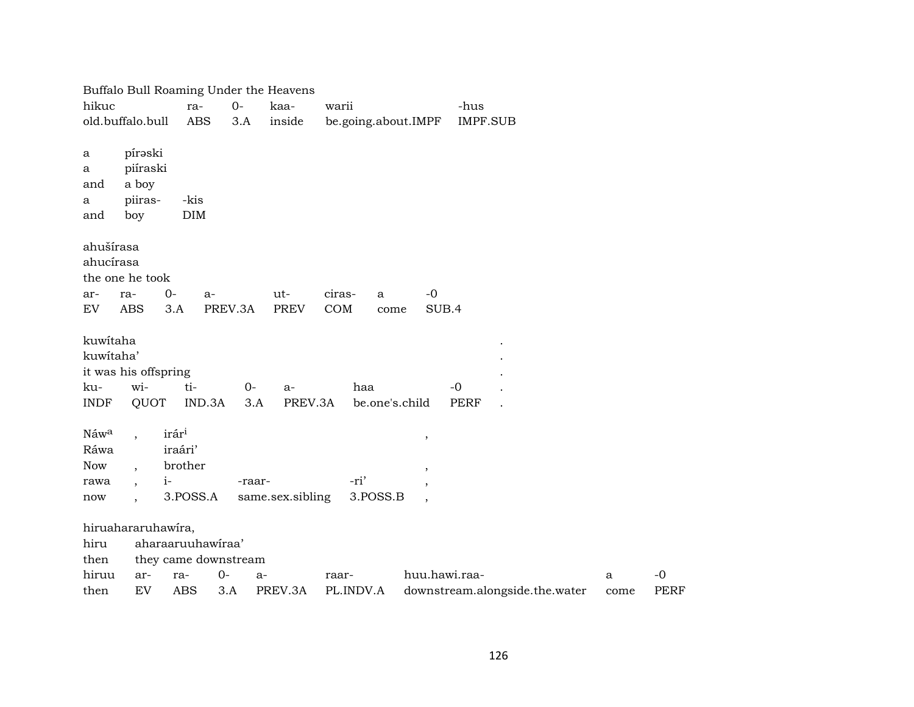|             |                              |                      |         | Buffalo Bull Roaming Under the Heavens |                     |                          |                                |      |             |
|-------------|------------------------------|----------------------|---------|----------------------------------------|---------------------|--------------------------|--------------------------------|------|-------------|
| hikuc       |                              | ra-                  | $0-$    | kaa-                                   | warii               |                          | -hus                           |      |             |
|             | old.buffalo.bull             | <b>ABS</b>           | 3.A     | inside                                 | be.going.about.IMPF |                          | <b>IMPF.SUB</b>                |      |             |
| a           | pírəski                      |                      |         |                                        |                     |                          |                                |      |             |
| a           | piíraski                     |                      |         |                                        |                     |                          |                                |      |             |
| and         | a boy                        |                      |         |                                        |                     |                          |                                |      |             |
| a           | piiras-                      | -kis                 |         |                                        |                     |                          |                                |      |             |
| and         | boy                          | DIM                  |         |                                        |                     |                          |                                |      |             |
| ahušírasa   |                              |                      |         |                                        |                     |                          |                                |      |             |
| ahucírasa   |                              |                      |         |                                        |                     |                          |                                |      |             |
|             | the one he took              |                      |         |                                        |                     |                          |                                |      |             |
| ar-         | $0-$<br>ra-                  | a-                   |         | ut-                                    | ciras-<br>a         | $-0$                     |                                |      |             |
| EV          | <b>ABS</b>                   | 3.A                  | PREV.3A | <b>PREV</b>                            | COM<br>come         | SUB.4                    |                                |      |             |
| kuwitaha    |                              |                      |         |                                        |                     |                          |                                |      |             |
| kuwitaha'   |                              |                      |         |                                        |                     |                          |                                |      |             |
|             | it was his offspring         |                      |         |                                        |                     |                          |                                |      |             |
| ku-         | wi-                          | ti-                  | $0-$    | a-                                     | haa                 |                          | $-0$                           |      |             |
| <b>INDF</b> | QUOT                         | IND.3A               | 3.A     | PREV.3A                                | be.one's.child      |                          | <b>PERF</b>                    |      |             |
| Náwa        | $\ddot{\phantom{0}}$         | irár <sup>i</sup>    |         |                                        |                     | $\overline{\phantom{a}}$ |                                |      |             |
| Ráwa        |                              | iraári'              |         |                                        |                     |                          |                                |      |             |
| <b>Now</b>  |                              | brother              |         |                                        |                     | $\,$                     |                                |      |             |
| rawa        | $i-$<br>$\ddot{\phantom{0}}$ |                      | -raar-  |                                        | -ri'                | $\overline{\phantom{a}}$ |                                |      |             |
| now         |                              | 3.POSS.A             |         | same.sex.sibling                       | 3.POSS.B            |                          |                                |      |             |
|             | hiruahararuhawira,           |                      |         |                                        |                     |                          |                                |      |             |
| hiru        |                              | aharaaruuhawiraa'    |         |                                        |                     |                          |                                |      |             |
| then        |                              | they came downstream |         |                                        |                     |                          |                                |      |             |
| hiruu       | ar-                          | ra-                  | $0-$    | $a-$                                   | raar-               | huu.hawi.raa-            |                                | a    | $-0$        |
| then        | EV                           | <b>ABS</b>           | 3.A     | PREV.3A                                | PL.INDV.A           |                          | downstream.alongside.the.water | come | <b>PERF</b> |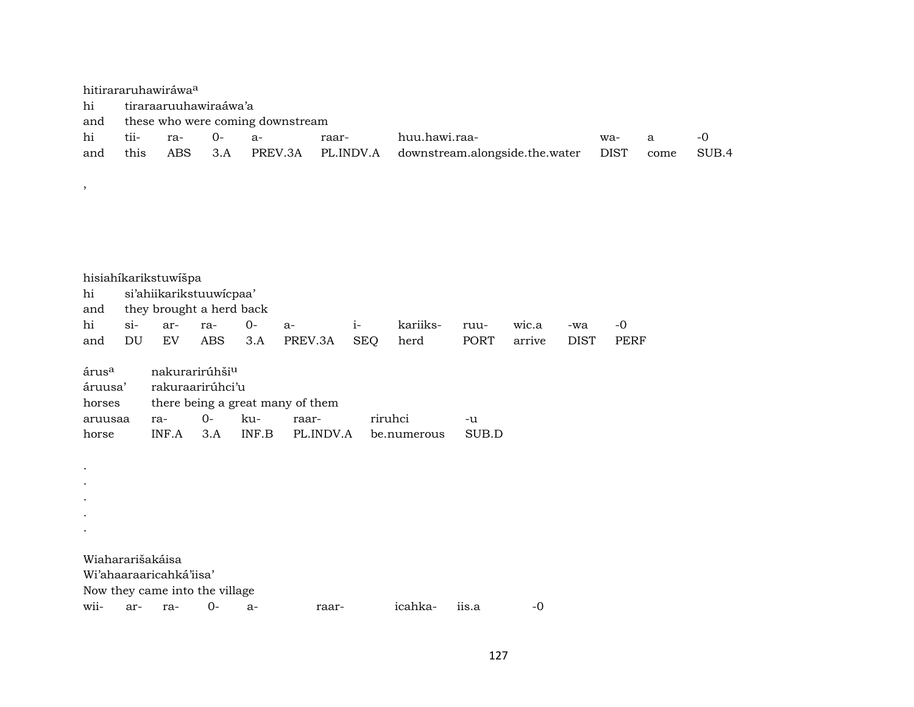hitirararuhawiráwa<sup>a</sup> hi tiraraaruuhawiraáwa'a and these who were coming downstream hi tii- ra- 0- a- raar- huu.hawi.raa- wa- a -0 and this ABS 3.A PREV.3A PL.INDV.A downstream.alongside.the.water DIST come SUB.4

hisiahíkarikstuwíšpa hi si'ahiikarikstuuwícpaa' and they brought a herd back hi si- ar- ra- 0- a- i- kariiks- ruu- wic.a -wa -0 and DU EV ABS 3.A PREV.3A SEQ herd PORT arrive DIST PERF árus<sup>a</sup> nakurarirúhši<sup>u</sup> áruusa' rakuraarirúhci'u horses there being a great many of them aruusaa ra- 0- ku- raar- riruhci -u horse INF.A 3.A INF.B PL.INDV.A be.numerous SUB.D . . . . . Wiahararišakáisa Wi'ahaaraaricahká'iisa' Now they came into the village wii- ar- ra- 0- a- raar- icahka- iis.a -0

,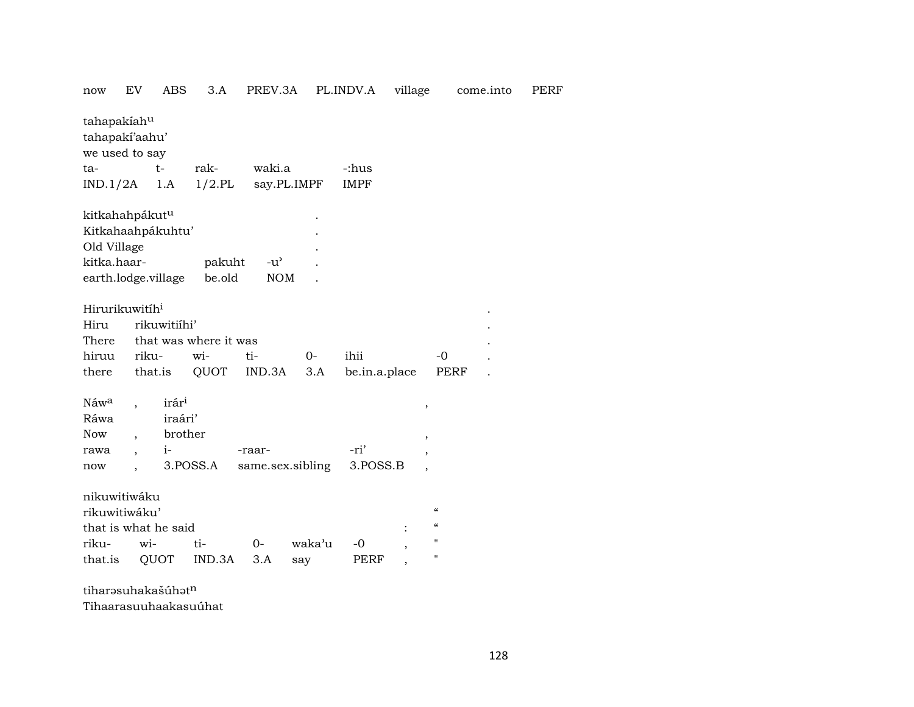| now                        | EV                   | ABS          | 3.A                   | PREV.3A          |             | PL.INDV.A     | village                  |                                        | come.into | PERF |
|----------------------------|----------------------|--------------|-----------------------|------------------|-------------|---------------|--------------------------|----------------------------------------|-----------|------|
| tahapakiahu                |                      |              |                       |                  |             |               |                          |                                        |           |      |
| tahapaki'aahu'             |                      |              |                       |                  |             |               |                          |                                        |           |      |
| we used to say             |                      |              |                       |                  |             |               |                          |                                        |           |      |
| ta-                        |                      | $t-$         | rak-                  | waki.a           |             | -:hus         |                          |                                        |           |      |
| $IND.1/2A$ 1.A             |                      |              | $1/2$ .PL             |                  | say.PL.IMPF | <b>IMPF</b>   |                          |                                        |           |      |
| kitkahahpákut <sup>u</sup> |                      |              |                       |                  |             |               |                          |                                        |           |      |
| Kitkahaahpákuhtu'          |                      |              |                       |                  |             |               |                          |                                        |           |      |
| Old Village                |                      |              |                       |                  |             |               |                          |                                        |           |      |
| kitka.haar-                |                      |              | pakuht                | $-u^{\prime}$    |             |               |                          |                                        |           |      |
| earth.lodge.village        |                      |              | be.old                | <b>NOM</b>       |             |               |                          |                                        |           |      |
|                            |                      |              |                       |                  |             |               |                          |                                        |           |      |
| Hirurikuwitih <sup>i</sup> |                      |              |                       |                  |             |               |                          |                                        |           |      |
| Hiru                       |                      | rikuwitiihi' |                       |                  |             |               |                          |                                        |           |      |
| There                      |                      |              | that was where it was |                  |             |               |                          |                                        |           |      |
| hiruu                      | riku-                |              | wi-                   | ti-              | $0-$        | ihii          |                          | $-0$                                   |           |      |
| there                      |                      | that.is      | QUOT                  | IND.3A           | 3.A         | be.in.a.place |                          | PERF                                   |           |      |
|                            |                      |              |                       |                  |             |               |                          |                                        |           |      |
| Náw <sup>a</sup>           |                      | irári        |                       |                  |             |               | ,                        |                                        |           |      |
| Ráwa                       |                      | iraári'      |                       |                  |             |               |                          |                                        |           |      |
| <b>Now</b>                 |                      | brother      |                       |                  |             |               |                          |                                        |           |      |
| rawa                       | $\ddot{\phantom{0}}$ | $i-$         |                       | -raar-           |             | -ri'          | ,                        |                                        |           |      |
| now                        |                      |              | 3.POSS.A              | same.sex.sibling |             | 3.POSS.B      | $\overline{\phantom{a}}$ |                                        |           |      |
| nikuwitiwáku               |                      |              |                       |                  |             |               |                          |                                        |           |      |
| rikuwitiwáku'              |                      |              |                       |                  |             |               |                          | $\epsilon\epsilon$                     |           |      |
| that is what he said       |                      |              |                       |                  |             |               |                          | $\boldsymbol{\zeta}\boldsymbol{\zeta}$ |           |      |
| riku-                      | wi-                  |              | ti-                   | $0-$             | waka'u      | -0            |                          | $\pmb{\mathsf{H}}$                     |           |      |
| that.is                    |                      | QUOT         | IND.3A                | 3.A              | say         | PERF          |                          | $\pmb{\mathsf{H}}$                     |           |      |
|                            |                      |              |                       |                  |             |               |                          |                                        |           |      |

tiharəsuhakašúhə $t^n$ 

Tihaarasuuhaakasuúhat